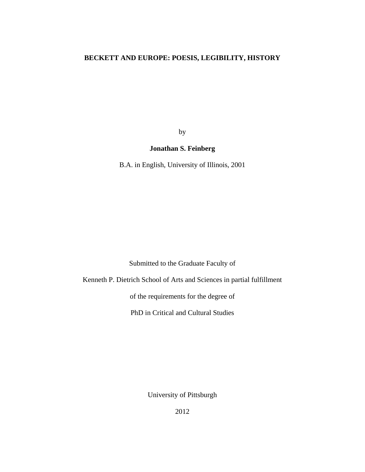### **BECKETT AND EUROPE: POESIS, LEGIBILITY, HISTORY**

by

### **Jonathan S. Feinberg**

B.A. in English, University of Illinois, 2001

Submitted to the Graduate Faculty of

Kenneth P. Dietrich School of Arts and Sciences in partial fulfillment

of the requirements for the degree of

PhD in Critical and Cultural Studies

University of Pittsburgh

2012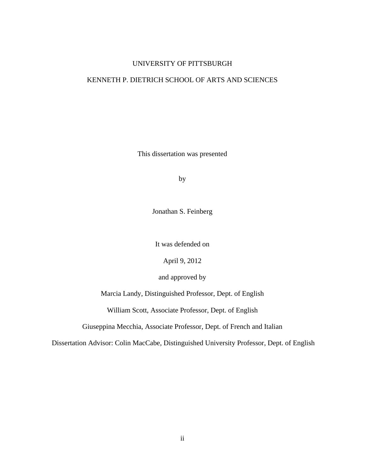### UNIVERSITY OF PITTSBURGH

### KENNETH P. DIETRICH SCHOOL OF ARTS AND SCIENCES

This dissertation was presented

by

Jonathan S. Feinberg

It was defended on

April 9, 2012

and approved by

Marcia Landy, Distinguished Professor, Dept. of English

William Scott, Associate Professor, Dept. of English

Giuseppina Mecchia, Associate Professor, Dept. of French and Italian

Dissertation Advisor: Colin MacCabe, Distinguished University Professor, Dept. of English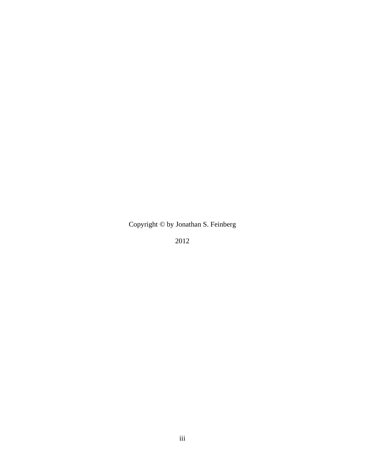Copyright © by Jonathan S. Feinberg

2012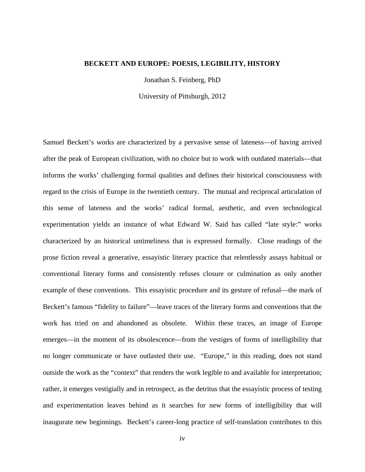#### **BECKETT AND EUROPE: POESIS, LEGIBILITY, HISTORY**

Jonathan S. Feinberg, PhD

University of Pittsburgh, 2012

Samuel Beckett's works are characterized by a pervasive sense of lateness—of having arrived after the peak of European civilization, with no choice but to work with outdated materials—that informs the works' challenging formal qualities and defines their historical consciousness with regard to the crisis of Europe in the twentieth century. The mutual and reciprocal articulation of this sense of lateness and the works' radical formal, aesthetic, and even technological experimentation yields an instance of what Edward W. Said has called "late style:" works characterized by an historical untimeliness that is expressed formally. Close readings of the prose fiction reveal a generative, essayistic literary practice that relentlessly assays habitual or conventional literary forms and consistently refuses closure or culmination as only another example of these conventions. This essayistic procedure and its gesture of refusal—the mark of Beckett's famous "fidelity to failure"—leave traces of the literary forms and conventions that the work has tried on and abandoned as obsolete. Within these traces, an image of Europe emerges—in the moment of its obsolescence—from the vestiges of forms of intelligibility that no longer communicate or have outlasted their use. "Europe," in this reading, does not stand outside the work as the "context" that renders the work legible to and available for interpretation; rather, it emerges vestigially and in retrospect, as the detritus that the essayistic process of testing and experimentation leaves behind as it searches for new forms of intelligibility that will inaugurate new beginnings. Beckett's career-long practice of self-translation contributes to this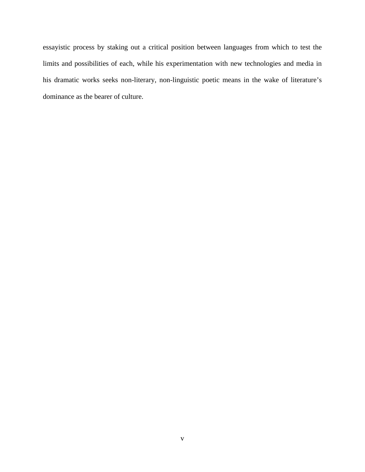essayistic process by staking out a critical position between languages from which to test the limits and possibilities of each, while his experimentation with new technologies and media in his dramatic works seeks non-literary, non-linguistic poetic means in the wake of literature's dominance as the bearer of culture.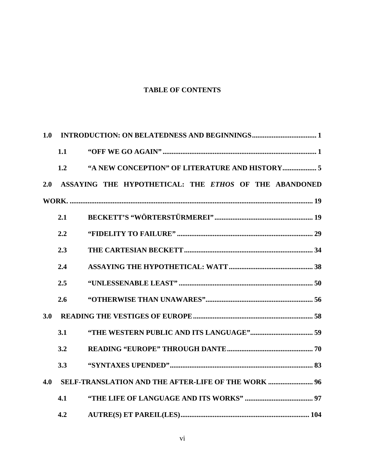## **TABLE OF CONTENTS**

| 1.0 |     |                                                       |  |  |
|-----|-----|-------------------------------------------------------|--|--|
|     | 1.1 |                                                       |  |  |
|     | 1.2 |                                                       |  |  |
| 2.0 |     | ASSAYING THE HYPOTHETICAL: THE ETHOS OF THE ABANDONED |  |  |
|     |     |                                                       |  |  |
|     | 2.1 |                                                       |  |  |
|     | 2.2 |                                                       |  |  |
|     | 2.3 |                                                       |  |  |
|     | 2.4 |                                                       |  |  |
|     | 2.5 |                                                       |  |  |
|     | 2.6 |                                                       |  |  |
| 3.0 |     |                                                       |  |  |
|     | 3.1 |                                                       |  |  |
|     | 3.2 |                                                       |  |  |
|     | 3.3 |                                                       |  |  |
| 4.0 |     | SELF-TRANSLATION AND THE AFTER-LIFE OF THE WORK  96   |  |  |
|     | 4.1 |                                                       |  |  |
|     | 4.2 |                                                       |  |  |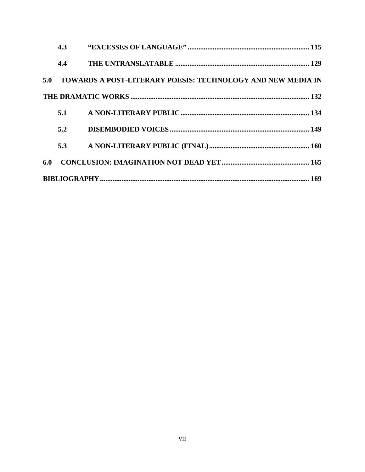|     | 4.3 |                                                                 |  |  |  |
|-----|-----|-----------------------------------------------------------------|--|--|--|
|     | 4.4 |                                                                 |  |  |  |
|     |     | 5.0 TOWARDS A POST-LITERARY POESIS: TECHNOLOGY AND NEW MEDIA IN |  |  |  |
|     |     |                                                                 |  |  |  |
|     |     |                                                                 |  |  |  |
|     | 5.2 |                                                                 |  |  |  |
|     | 5.3 |                                                                 |  |  |  |
| 6.0 |     |                                                                 |  |  |  |
|     |     |                                                                 |  |  |  |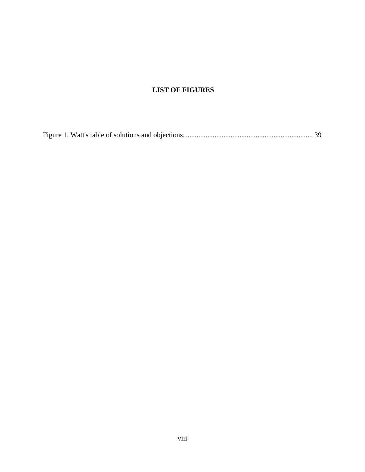# **LIST OF FIGURES**

[Figure 1. Watt's table of solutions and objections.](#page-46-0) ....................................................................... 39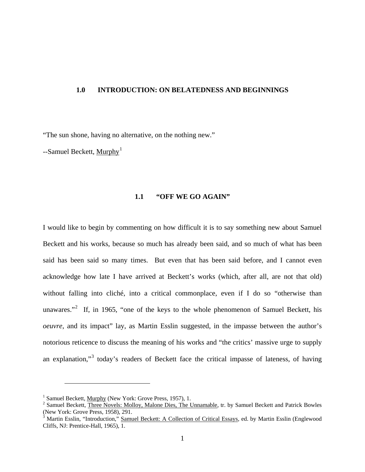#### <span id="page-8-0"></span>**1.0 INTRODUCTION: ON BELATEDNESS AND BEGINNINGS**

"The sun shone, having no alternative, on the nothing new."

<span id="page-8-1"></span> $-$ Samuel Beckett, Murphy<sup>[1](#page-8-2)</sup>

### **1.1 "OFF WE GO AGAIN"**

I would like to begin by commenting on how difficult it is to say something new about Samuel Beckett and his works, because so much has already been said, and so much of what has been said has been said so many times. But even that has been said before, and I cannot even acknowledge how late I have arrived at Beckett's works (which, after all, are not that old) without falling into cliché, into a critical commonplace, even if I do so "otherwise than unawares."<sup>[2](#page-8-3)</sup> If, in 1965, "one of the keys to the whole phenomenon of Samuel Beckett, his *oeuvre*, and its impact" lay, as Martin Esslin suggested, in the impasse between the author's notorious reticence to discuss the meaning of his works and "the critics' massive urge to supply an explanation,"<sup>[3](#page-8-4)</sup> today's readers of Beckett face the critical impasse of lateness, of having

<span id="page-8-3"></span><span id="page-8-2"></span><sup>&</sup>lt;sup>1</sup> Samuel Beckett, <u>Murphy</u> (New York: Grove Press, 1957), 1.<br><sup>2</sup> Samuel Beckett, Three Novels: Molloy, Malone Dies, The Unnamable, tr. by Samuel Beckett and Patrick Bowles (New York: Grove Press, 1958), 291.

<span id="page-8-4"></span><sup>&</sup>lt;sup>3</sup> Martin Esslin, "Introduction," Samuel Beckett: A Collection of Critical Essays, ed. by Martin Esslin (Englewood Cliffs, NJ: Prentice-Hall, 1965), 1.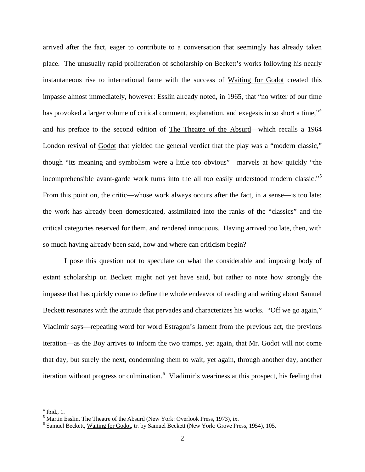arrived after the fact, eager to contribute to a conversation that seemingly has already taken place. The unusually rapid proliferation of scholarship on Beckett's works following his nearly instantaneous rise to international fame with the success of Waiting for Godot created this impasse almost immediately, however: Esslin already noted, in 1965, that "no writer of our time has provoked a larger volume of critical comment, explanation, and exeges in so short a time,"<sup>[4](#page-9-0)</sup> and his preface to the second edition of The Theatre of the Absurd—which recalls a 1964 London revival of Godot that yielded the general verdict that the play was a "modern classic," though "its meaning and symbolism were a little too obvious"—marvels at how quickly "the incomprehensible avant-garde work turns into the all too easily understood modern classic."[5](#page-9-1) From this point on, the critic—whose work always occurs after the fact, in a sense—is too late: the work has already been domesticated, assimilated into the ranks of the "classics" and the critical categories reserved for them, and rendered innocuous. Having arrived too late, then, with so much having already been said, how and where can criticism begin?

I pose this question not to speculate on what the considerable and imposing body of extant scholarship on Beckett might not yet have said, but rather to note how strongly the impasse that has quickly come to define the whole endeavor of reading and writing about Samuel Beckett resonates with the attitude that pervades and characterizes his works. "Off we go again," Vladimir says—repeating word for word Estragon's lament from the previous act, the previous iteration—as the Boy arrives to inform the two tramps, yet again, that Mr. Godot will not come that day, but surely the next, condemning them to wait, yet again, through another day, another iteration without progress or culmination.<sup>[6](#page-9-2)</sup> Vladimir's weariness at this prospect, his feeling that

<span id="page-9-1"></span><span id="page-9-0"></span><sup>&</sup>lt;sup>4</sup> Ibid., 1.<br><sup>5</sup> Martin Esslin, The Theatre of the Absurd (New York: Overlook Press, 1973), ix.

<span id="page-9-2"></span> $6$  Samuel Beckett, Waiting for Godot, tr. by Samuel Beckett (New York: Grove Press, 1954), 105.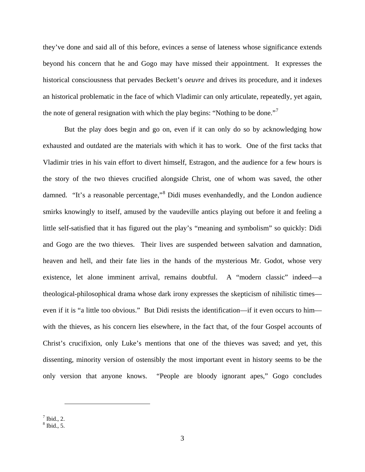they've done and said all of this before, evinces a sense of lateness whose significance extends beyond his concern that he and Gogo may have missed their appointment. It expresses the historical consciousness that pervades Beckett's *oeuvre* and drives its procedure, and it indexes an historical problematic in the face of which Vladimir can only articulate, repeatedly, yet again, the note of general resignation with which the play begins: "Nothing to be done."<sup>[7](#page-10-0)</sup>

But the play does begin and go on, even if it can only do so by acknowledging how exhausted and outdated are the materials with which it has to work. One of the first tacks that Vladimir tries in his vain effort to divert himself, Estragon, and the audience for a few hours is the story of the two thieves crucified alongside Christ, one of whom was saved, the other damned. "It's a reasonable percentage,"[8](#page-10-1) Didi muses evenhandedly, and the London audience smirks knowingly to itself, amused by the vaudeville antics playing out before it and feeling a little self-satisfied that it has figured out the play's "meaning and symbolism" so quickly: Didi and Gogo are the two thieves. Their lives are suspended between salvation and damnation, heaven and hell, and their fate lies in the hands of the mysterious Mr. Godot, whose very existence, let alone imminent arrival, remains doubtful. A "modern classic" indeed—a theological-philosophical drama whose dark irony expresses the skepticism of nihilistic times even if it is "a little too obvious." But Didi resists the identification—if it even occurs to him with the thieves, as his concern lies elsewhere, in the fact that, of the four Gospel accounts of Christ's crucifixion, only Luke's mentions that one of the thieves was saved; and yet, this dissenting, minority version of ostensibly the most important event in history seems to be the only version that anyone knows. "People are bloody ignorant apes," Gogo concludes

<span id="page-10-1"></span><span id="page-10-0"></span> $8$  Ibid., 5.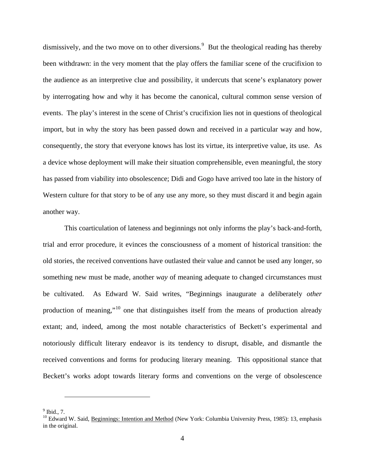dismissively, and the two move on to other diversions.<sup>[9](#page-11-0)</sup> But the theological reading has thereby been withdrawn: in the very moment that the play offers the familiar scene of the crucifixion to the audience as an interpretive clue and possibility, it undercuts that scene's explanatory power by interrogating how and why it has become the canonical, cultural common sense version of events. The play's interest in the scene of Christ's crucifixion lies not in questions of theological import, but in why the story has been passed down and received in a particular way and how, consequently, the story that everyone knows has lost its virtue, its interpretive value, its use. As a device whose deployment will make their situation comprehensible, even meaningful, the story has passed from viability into obsolescence; Didi and Gogo have arrived too late in the history of Western culture for that story to be of any use any more, so they must discard it and begin again another way.

This coarticulation of lateness and beginnings not only informs the play's back-and-forth, trial and error procedure, it evinces the consciousness of a moment of historical transition: the old stories, the received conventions have outlasted their value and cannot be used any longer, so something new must be made, another *way* of meaning adequate to changed circumstances must be cultivated. As Edward W. Said writes, "Beginnings inaugurate a deliberately *other* production of meaning,"[10](#page-11-1) one that distinguishes itself from the means of production already extant; and, indeed, among the most notable characteristics of Beckett's experimental and notoriously difficult literary endeavor is its tendency to disrupt, disable, and dismantle the received conventions and forms for producing literary meaning. This oppositional stance that Beckett's works adopt towards literary forms and conventions on the verge of obsolescence

<span id="page-11-0"></span> $<sup>9</sup>$  Ibid., 7.</sup>

<span id="page-11-1"></span><sup>&</sup>lt;sup>10</sup> Edward W. Said, Beginnings: Intention and Method (New York: Columbia University Press, 1985): 13, emphasis in the original.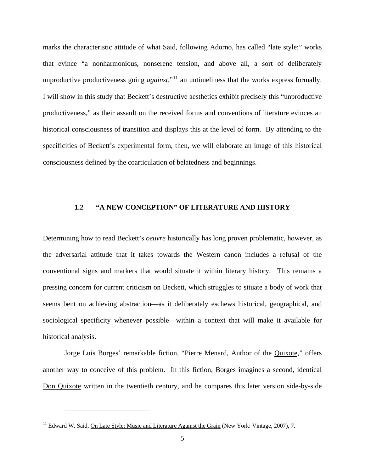marks the characteristic attitude of what Said, following Adorno, has called "late style:" works that evince "a nonharmonious, nonserene tension, and above all, a sort of deliberately unproductive productiveness going *against*<sup>[11](#page-12-1)</sup>,<sup>11</sup> an untimeliness that the works express formally. I will show in this study that Beckett's destructive aesthetics exhibit precisely this "unproductive productiveness," as their assault on the received forms and conventions of literature evinces an historical consciousness of transition and displays this at the level of form. By attending to the specificities of Beckett's experimental form, then, we will elaborate an image of this historical consciousness defined by the coarticulation of belatedness and beginnings.

#### <span id="page-12-0"></span>**1.2 "A NEW CONCEPTION" OF LITERATURE AND HISTORY**

Determining how to read Beckett's *oeuvre* historically has long proven problematic, however, as the adversarial attitude that it takes towards the Western canon includes a refusal of the conventional signs and markers that would situate it within literary history. This remains a pressing concern for current criticism on Beckett, which struggles to situate a body of work that seems bent on achieving abstraction—as it deliberately eschews historical, geographical, and sociological specificity whenever possible—within a context that will make it available for historical analysis.

Jorge Luis Borges' remarkable fiction, "Pierre Menard, Author of the Quixote," offers another way to conceive of this problem. In this fiction, Borges imagines a second, identical Don Quixote written in the twentieth century, and he compares this later version side-by-side

<span id="page-12-1"></span><sup>&</sup>lt;sup>11</sup> Edward W. Said, On Late Style: Music and Literature Against the Grain (New York: Vintage, 2007), 7.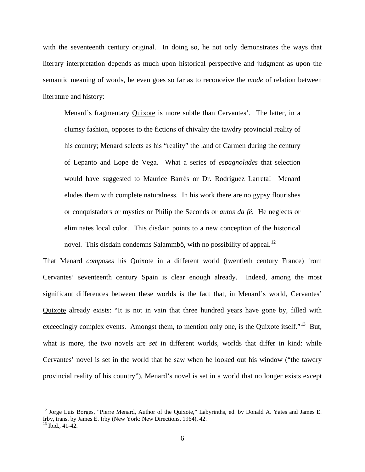with the seventeenth century original. In doing so, he not only demonstrates the ways that literary interpretation depends as much upon historical perspective and judgment as upon the semantic meaning of words, he even goes so far as to reconceive the *mode* of relation between literature and history:

Menard's fragmentary Quixote is more subtle than Cervantes'. The latter, in a clumsy fashion, opposes to the fictions of chivalry the tawdry provincial reality of his country; Menard selects as his "reality" the land of Carmen during the century of Lepanto and Lope de Vega. What a series of *espagnolades* that selection would have suggested to Maurice Barrès or Dr. Rodríguez Larreta! Menard eludes them with complete naturalness. In his work there are no gypsy flourishes or conquistadors or mystics or Philip the Seconds or *autos da fé*. He neglects or eliminates local color. This disdain points to a new conception of the historical novel. This disdain condemns Salammbô, with no possibility of appeal.<sup>[12](#page-13-0)</sup>

That Menard *composes* his Quixote in a different world (twentieth century France) from Cervantes' seventeenth century Spain is clear enough already. Indeed, among the most significant differences between these worlds is the fact that, in Menard's world, Cervantes' Quixote already exists: "It is not in vain that three hundred years have gone by, filled with exceedingly complex events. Amongst them, to mention only one, is the Quixote itself."<sup>13</sup> But, what is more, the two novels are *set* in different worlds, worlds that differ in kind: while Cervantes' novel is set in the world that he saw when he looked out his window ("the tawdry provincial reality of his country"), Menard's novel is set in a world that no longer exists except

<span id="page-13-1"></span><span id="page-13-0"></span><sup>&</sup>lt;sup>12</sup> Jorge Luis Borges, "Pierre Menard, Author of the Quixote," Labyrinths, ed. by Donald A. Yates and James E. Irby, trans. by James E. Irby (New York: New Directions, 1964), 42.  $13$  Ibid., 41-42.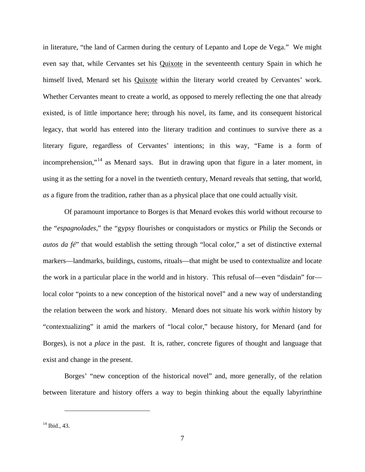in literature, "the land of Carmen during the century of Lepanto and Lope de Vega." We might even say that, while Cervantes set his Quixote in the seventeenth century Spain in which he himself lived, Menard set his Quixote within the literary world created by Cervantes' work. Whether Cervantes meant to create a world, as opposed to merely reflecting the one that already existed, is of little importance here; through his novel, its fame, and its consequent historical legacy, that world has entered into the literary tradition and continues to survive there as a literary figure, regardless of Cervantes' intentions; in this way, "Fame is a form of incomprehension,"<sup>[14](#page-14-0)</sup> as Menard says. But in drawing upon that figure in a later moment, in using it as the setting for a novel in the twentieth century, Menard reveals that setting, that world, *as* a figure from the tradition, rather than as a physical place that one could actually visit.

Of paramount importance to Borges is that Menard evokes this world without recourse to the "*espagnolades*," the "gypsy flourishes or conquistadors or mystics or Philip the Seconds or *autos da fé*" that would establish the setting through "local color," a set of distinctive external markers—landmarks, buildings, customs, rituals—that might be used to contextualize and locate the work in a particular place in the world and in history. This refusal of—even "disdain" for local color "points to a new conception of the historical novel" and a new way of understanding the relation between the work and history. Menard does not situate his work *within* history by "contextualizing" it amid the markers of "local color," because history, for Menard (and for Borges), is not a *place* in the past. It is, rather, concrete figures of thought and language that exist and change in the present.

Borges' "new conception of the historical novel" and, more generally, of the relation between literature and history offers a way to begin thinking about the equally labyrinthine

<span id="page-14-0"></span><sup>14</sup> Ibid., 43.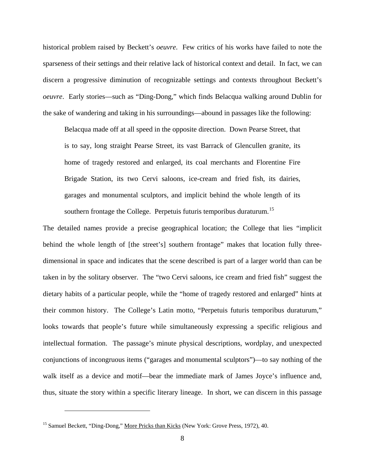historical problem raised by Beckett's *oeuvre*. Few critics of his works have failed to note the sparseness of their settings and their relative lack of historical context and detail. In fact, we can discern a progressive diminution of recognizable settings and contexts throughout Beckett's *oeuvre*. Early stories—such as "Ding-Dong," which finds Belacqua walking around Dublin for the sake of wandering and taking in his surroundings—abound in passages like the following:

Belacqua made off at all speed in the opposite direction. Down Pearse Street, that is to say, long straight Pearse Street, its vast Barrack of Glencullen granite, its home of tragedy restored and enlarged, its coal merchants and Florentine Fire Brigade Station, its two Cervi saloons, ice-cream and fried fish, its dairies, garages and monumental sculptors, and implicit behind the whole length of its southern frontage the College. Perpetuis futuris temporibus duraturum.<sup>[15](#page-15-0)</sup>

The detailed names provide a precise geographical location; the College that lies "implicit behind the whole length of [the street's] southern frontage" makes that location fully threedimensional in space and indicates that the scene described is part of a larger world than can be taken in by the solitary observer. The "two Cervi saloons, ice cream and fried fish" suggest the dietary habits of a particular people, while the "home of tragedy restored and enlarged" hints at their common history. The College's Latin motto, "Perpetuis futuris temporibus duraturum," looks towards that people's future while simultaneously expressing a specific religious and intellectual formation. The passage's minute physical descriptions, wordplay, and unexpected conjunctions of incongruous items ("garages and monumental sculptors")—to say nothing of the walk itself as a device and motif—bear the immediate mark of James Joyce's influence and, thus, situate the story within a specific literary lineage. In short, we can discern in this passage

<span id="page-15-0"></span><sup>&</sup>lt;sup>15</sup> Samuel Beckett, "Ding-Dong," More Pricks than Kicks (New York: Grove Press, 1972), 40.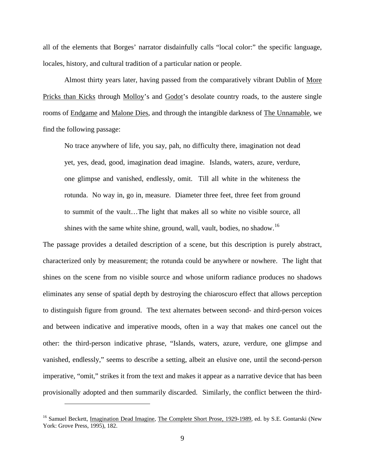all of the elements that Borges' narrator disdainfully calls "local color:" the specific language, locales, history, and cultural tradition of a particular nation or people.

Almost thirty years later, having passed from the comparatively vibrant Dublin of More Pricks than Kicks through Molloy's and Godot's desolate country roads, to the austere single rooms of Endgame and Malone Dies, and through the intangible darkness of The Unnamable, we find the following passage:

No trace anywhere of life, you say, pah, no difficulty there, imagination not dead yet, yes, dead, good, imagination dead imagine. Islands, waters, azure, verdure, one glimpse and vanished, endlessly, omit. Till all white in the whiteness the rotunda. No way in, go in, measure. Diameter three feet, three feet from ground to summit of the vault…The light that makes all so white no visible source, all shines with the same white shine, ground, wall, vault, bodies, no shadow.<sup>[16](#page-16-0)</sup>

The passage provides a detailed description of a scene, but this description is purely abstract, characterized only by measurement; the rotunda could be anywhere or nowhere. The light that shines on the scene from no visible source and whose uniform radiance produces no shadows eliminates any sense of spatial depth by destroying the chiaroscuro effect that allows perception to distinguish figure from ground. The text alternates between second- and third-person voices and between indicative and imperative moods, often in a way that makes one cancel out the other: the third-person indicative phrase, "Islands, waters, azure, verdure, one glimpse and vanished, endlessly," seems to describe a setting, albeit an elusive one, until the second-person imperative, "omit," strikes it from the text and makes it appear as a narrative device that has been provisionally adopted and then summarily discarded. Similarly, the conflict between the third-

<span id="page-16-0"></span><sup>&</sup>lt;sup>16</sup> Samuel Beckett, Imagination Dead Imagine, The Complete Short Prose, 1929-1989, ed. by S.E. Gontarski (New York: Grove Press, 1995), 182.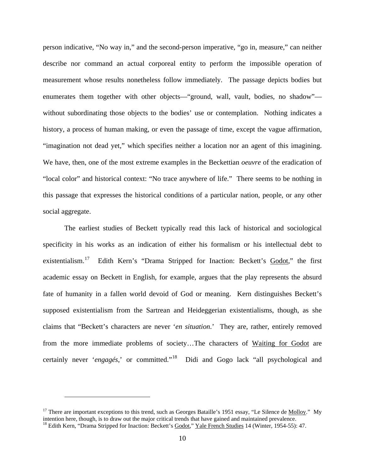person indicative, "No way in," and the second-person imperative, "go in, measure," can neither describe nor command an actual corporeal entity to perform the impossible operation of measurement whose results nonetheless follow immediately. The passage depicts bodies but enumerates them together with other objects—"ground, wall, vault, bodies, no shadow" without subordinating those objects to the bodies' use or contemplation. Nothing indicates a history, a process of human making, or even the passage of time, except the vague affirmation, "imagination not dead yet," which specifies neither a location nor an agent of this imagining. We have, then, one of the most extreme examples in the Beckettian *oeuvre* of the eradication of "local color" and historical context: "No trace anywhere of life." There seems to be nothing in this passage that expresses the historical conditions of a particular nation, people, or any other social aggregate.

The earliest studies of Beckett typically read this lack of historical and sociological specificity in his works as an indication of either his formalism or his intellectual debt to existentialism.[17](#page-17-0) Edith Kern's "Drama Stripped for Inaction: Beckett's Godot," the first academic essay on Beckett in English, for example, argues that the play represents the absurd fate of humanity in a fallen world devoid of God or meaning. Kern distinguishes Beckett's supposed existentialism from the Sartrean and Heideggerian existentialisms, though, as she claims that "Beckett's characters are never '*en situation*.' They are, rather, entirely removed from the more immediate problems of society…The characters of Waiting for Godot are certainly never '*engagés*,' or committed."[18](#page-17-1) Didi and Gogo lack "all psychological and

<span id="page-17-1"></span><span id="page-17-0"></span><sup>&</sup>lt;sup>17</sup> There are important exceptions to this trend, such as Georges Bataille's 1951 essay, "Le Silence de Molloy." My intention here, though, is to draw out the major critical trends that have gained and maintained prevalence. <sup>18</sup> Edith Kern, "Drama Stripped for Inaction: Beckett's Godot," Yale French Studies 14 (Winter, 1954-55): 47.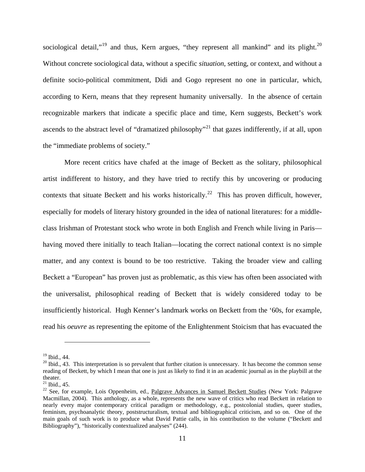sociological detail,"<sup>[19](#page-18-0)</sup> and thus, Kern argues, "they represent all mankind" and its plight.<sup>[20](#page-18-1)</sup> Without concrete sociological data, without a specific *situation*, setting, or context, and without a definite socio-political commitment, Didi and Gogo represent no one in particular, which, according to Kern, means that they represent humanity universally. In the absence of certain recognizable markers that indicate a specific place and time, Kern suggests, Beckett's work ascends to the abstract level of "dramatized philosophy"<sup>[21](#page-18-2)</sup> that gazes indifferently, if at all, upon the "immediate problems of society."

More recent critics have chafed at the image of Beckett as the solitary, philosophical artist indifferent to history, and they have tried to rectify this by uncovering or producing contexts that situate Beckett and his works historically.<sup>[22](#page-18-3)</sup> This has proven difficult, however, especially for models of literary history grounded in the idea of national literatures: for a middleclass Irishman of Protestant stock who wrote in both English and French while living in Paris having moved there initially to teach Italian—locating the correct national context is no simple matter, and any context is bound to be too restrictive. Taking the broader view and calling Beckett a "European" has proven just as problematic, as this view has often been associated with the universalist, philosophical reading of Beckett that is widely considered today to be insufficiently historical. Hugh Kenner's landmark works on Beckett from the '60s, for example, read his *oeuvre* as representing the epitome of the Enlightenment Stoicism that has evacuated the

<span id="page-18-1"></span><span id="page-18-0"></span><sup>&</sup>lt;sup>19</sup> Ibid., 44.<br><sup>20</sup> Ibid., 43. This interpretation is so prevalent that further citation is unnecessary. It has become the common sense reading of Beckett, by which I mean that one is just as likely to find it in an academic journal as in the playbill at the theater.<br><sup>21</sup> Ibid., 45.

<span id="page-18-3"></span><span id="page-18-2"></span><sup>&</sup>lt;sup>22</sup> See, for example, Lois Oppenheim, ed., Palgrave Advances in Samuel Beckett Studies (New York: Palgrave Macmillan, 2004). This anthology, as a whole, represents the new wave of critics who read Beckett in relation to nearly every major contemporary critical paradigm or methodology, e.g., postcolonial studies, queer studies, feminism, psychoanalytic theory, poststructuralism, textual and bibliographical criticism, and so on. One of the main goals of such work is to produce what David Pattie calls, in his contribution to the volume ("Beckett and Bibliography"), "historically contextualized analyses" (244).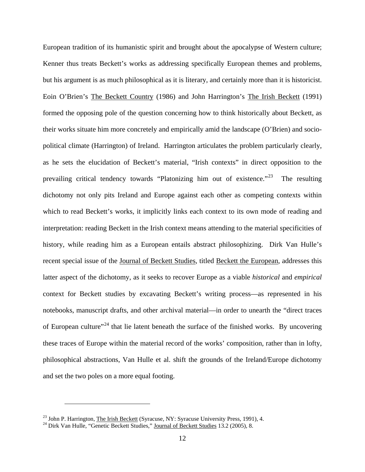European tradition of its humanistic spirit and brought about the apocalypse of Western culture; Kenner thus treats Beckett's works as addressing specifically European themes and problems, but his argument is as much philosophical as it is literary, and certainly more than it is historicist. Eoin O'Brien's The Beckett Country (1986) and John Harrington's The Irish Beckett (1991) formed the opposing pole of the question concerning how to think historically about Beckett, as their works situate him more concretely and empirically amid the landscape (O'Brien) and sociopolitical climate (Harrington) of Ireland. Harrington articulates the problem particularly clearly, as he sets the elucidation of Beckett's material, "Irish contexts" in direct opposition to the prevailing critical tendency towards "Platonizing him out of existence."[23](#page-19-0) The resulting dichotomy not only pits Ireland and Europe against each other as competing contexts within which to read Beckett's works, it implicitly links each context to its own mode of reading and interpretation: reading Beckett in the Irish context means attending to the material specificities of history, while reading him as a European entails abstract philosophizing. Dirk Van Hulle's recent special issue of the Journal of Beckett Studies, titled Beckett the European, addresses this latter aspect of the dichotomy, as it seeks to recover Europe as a viable *historical* and *empirical* context for Beckett studies by excavating Beckett's writing process—as represented in his notebooks, manuscript drafts, and other archival material—in order to unearth the "direct traces of European culture"<sup>[24](#page-19-1)</sup> that lie latent beneath the surface of the finished works. By uncovering these traces of Europe within the material record of the works' composition, rather than in lofty, philosophical abstractions, Van Hulle et al. shift the grounds of the Ireland/Europe dichotomy and set the two poles on a more equal footing.

<span id="page-19-0"></span><sup>&</sup>lt;sup>23</sup> John P. Harrington, <u>The Irish Beckett</u> (Syracuse, NY: Syracuse University Press, 1991), 4. <sup>24</sup> Dirk Van Hulle, "Genetic Beckett Studies," <u>Journal of Beckett Studies</u> 13.2 (2005), 8.

<span id="page-19-1"></span>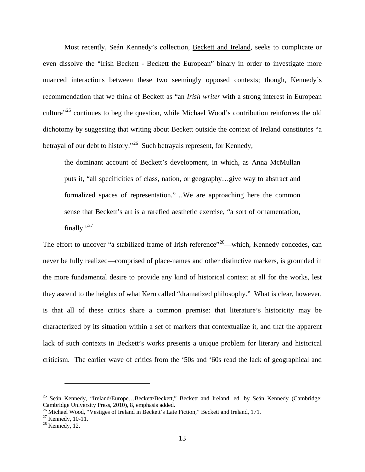Most recently, Seán Kennedy's collection, Beckett and Ireland, seeks to complicate or even dissolve the "Irish Beckett - Beckett the European" binary in order to investigate more nuanced interactions between these two seemingly opposed contexts; though, Kennedy's recommendation that we think of Beckett as "an *Irish writer* with a strong interest in European culture"<sup>[25](#page-20-0)</sup> continues to beg the question, while Michael Wood's contribution reinforces the old dichotomy by suggesting that writing about Beckett outside the context of Ireland constitutes "a betrayal of our debt to history."<sup>26</sup> Such betrayals represent, for Kennedy,

the dominant account of Beckett's development, in which, as Anna McMullan puts it, "all specificities of class, nation, or geography…give way to abstract and formalized spaces of representation."…We are approaching here the common sense that Beckett's art is a rarefied aesthetic exercise, "a sort of ornamentation, finally." $^{27}$  $^{27}$  $^{27}$ 

The effort to uncover "a stabilized frame of Irish reference"<sup>28</sup>—which, Kennedy concedes, can never be fully realized—comprised of place-names and other distinctive markers, is grounded in the more fundamental desire to provide any kind of historical context at all for the works, lest they ascend to the heights of what Kern called "dramatized philosophy." What is clear, however, is that all of these critics share a common premise: that literature's historicity may be characterized by its situation within a set of markers that contextualize it, and that the apparent lack of such contexts in Beckett's works presents a unique problem for literary and historical criticism. The earlier wave of critics from the '50s and '60s read the lack of geographical and

<span id="page-20-0"></span><sup>&</sup>lt;sup>25</sup> Seán Kennedy, "Ireland/Europe...Beckett/Beckett," Beckett and Ireland, ed. by Seán Kennedy (Cambridge: Cambridge University Press, 2010), 8, emphasis added.

<span id="page-20-2"></span><span id="page-20-1"></span><sup>&</sup>lt;sup>26</sup> Michael Wood, "Vestiges of Ireland in Beckett's Late Fiction," <u>Beckett and Ireland</u>, 171.<br><sup>27</sup> Kennedy, 10-11.<br><sup>28</sup> Kennedy, 12.

<span id="page-20-3"></span>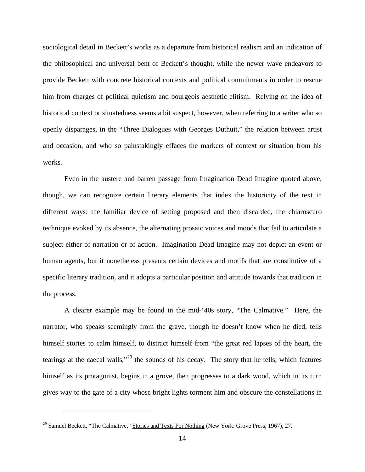sociological detail in Beckett's works as a departure from historical realism and an indication of the philosophical and universal bent of Beckett's thought, while the newer wave endeavors to provide Beckett with concrete historical contexts and political commitments in order to rescue him from charges of political quietism and bourgeois aesthetic elitism. Relying on the idea of historical context or situatedness seems a bit suspect, however, when referring to a writer who so openly disparages, in the "Three Dialogues with Georges Duthuit," the relation between artist and occasion, and who so painstakingly effaces the markers of context or situation from his works.

Even in the austere and barren passage from Imagination Dead Imagine quoted above, though, we can recognize certain literary elements that index the historicity of the text in different ways: the familiar device of setting proposed and then discarded, the chiaroscuro technique evoked by its absence, the alternating prosaic voices and moods that fail to articulate a subject either of narration or of action. Imagination Dead Imagine may not depict an event or human agents, but it nonetheless presents certain devices and motifs that are constitutive of a specific literary tradition, and it adopts a particular position and attitude towards that tradition in the process.

A clearer example may be found in the mid-'40s story, "The Calmative." Here, the narrator, who speaks seemingly from the grave, though he doesn't know when he died, tells himself stories to calm himself, to distract himself from "the great red lapses of the heart, the tearings at the caecal walls,"<sup>[29](#page-21-0)</sup> the sounds of his decay. The story that he tells, which features himself as its protagonist, begins in a grove, then progresses to a dark wood, which in its turn gives way to the gate of a city whose bright lights torment him and obscure the constellations in

<span id="page-21-0"></span><sup>&</sup>lt;sup>29</sup> Samuel Beckett, "The Calmative," Stories and Texts For Nothing (New York: Grove Press, 1967), 27.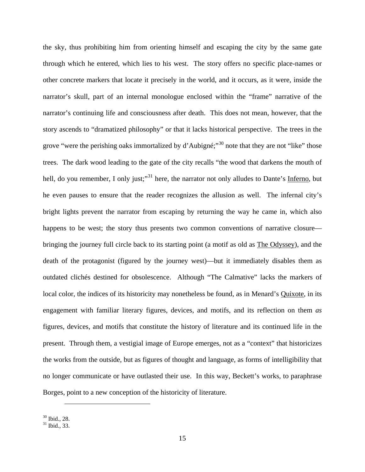the sky, thus prohibiting him from orienting himself and escaping the city by the same gate through which he entered, which lies to his west. The story offers no specific place-names or other concrete markers that locate it precisely in the world, and it occurs, as it were, inside the narrator's skull, part of an internal monologue enclosed within the "frame" narrative of the narrator's continuing life and consciousness after death. This does not mean, however, that the story ascends to "dramatized philosophy" or that it lacks historical perspective. The trees in the grove "were the perishing oaks immortalized by d'Aubigné;"<sup>[30](#page-22-0)</sup> note that they are not "like" those trees. The dark wood leading to the gate of the city recalls "the wood that darkens the mouth of hell, do you remember, I only just;"<sup>[31](#page-22-1)</sup> here, the narrator not only alludes to Dante's Inferno, but he even pauses to ensure that the reader recognizes the allusion as well. The infernal city's bright lights prevent the narrator from escaping by returning the way he came in, which also happens to be west; the story thus presents two common conventions of narrative closure bringing the journey full circle back to its starting point (a motif as old as The Odyssey), and the death of the protagonist (figured by the journey west)—but it immediately disables them as outdated clichés destined for obsolescence. Although "The Calmative" lacks the markers of local color, the indices of its historicity may nonetheless be found, as in Menard's Quixote, in its engagement with familiar literary figures, devices, and motifs, and its reflection on them *as* figures, devices, and motifs that constitute the history of literature and its continued life in the present. Through them, a vestigial image of Europe emerges, not as a "context" that historicizes the works from the outside, but as figures of thought and language, as forms of intelligibility that no longer communicate or have outlasted their use. In this way, Beckett's works, to paraphrase Borges, point to a new conception of the historicity of literature.

<span id="page-22-1"></span><span id="page-22-0"></span> $30 \text{ Ibid., } 28.$ <br> $31 \text{ Ibid., } 33.$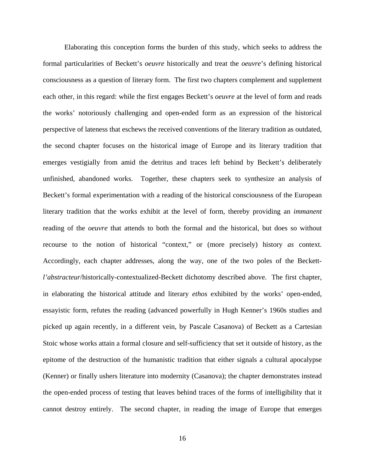Elaborating this conception forms the burden of this study, which seeks to address the formal particularities of Beckett's *oeuvre* historically and treat the *oeuvre*'s defining historical consciousness as a question of literary form. The first two chapters complement and supplement each other, in this regard: while the first engages Beckett's *oeuvre* at the level of form and reads the works' notoriously challenging and open-ended form as an expression of the historical perspective of lateness that eschews the received conventions of the literary tradition as outdated, the second chapter focuses on the historical image of Europe and its literary tradition that emerges vestigially from amid the detritus and traces left behind by Beckett's deliberately unfinished, abandoned works. Together, these chapters seek to synthesize an analysis of Beckett's formal experimentation with a reading of the historical consciousness of the European literary tradition that the works exhibit at the level of form, thereby providing an *immanent* reading of the *oeuvre* that attends to both the formal and the historical, but does so without recourse to the notion of historical "context," or (more precisely) history *as* context. Accordingly, each chapter addresses, along the way, one of the two poles of the Beckett*l'abstracteur*/historically-contextualized-Beckett dichotomy described above. The first chapter, in elaborating the historical attitude and literary *ethos* exhibited by the works' open-ended, essayistic form, refutes the reading (advanced powerfully in Hugh Kenner's 1960s studies and picked up again recently, in a different vein, by Pascale Casanova) of Beckett as a Cartesian Stoic whose works attain a formal closure and self-sufficiency that set it outside of history, as the epitome of the destruction of the humanistic tradition that either signals a cultural apocalypse (Kenner) or finally ushers literature into modernity (Casanova); the chapter demonstrates instead the open-ended process of testing that leaves behind traces of the forms of intelligibility that it cannot destroy entirely. The second chapter, in reading the image of Europe that emerges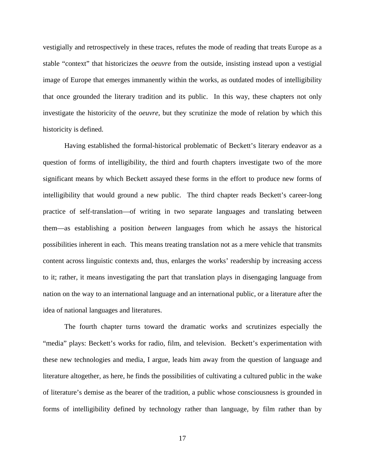vestigially and retrospectively in these traces, refutes the mode of reading that treats Europe as a stable "context" that historicizes the *oeuvre* from the outside, insisting instead upon a vestigial image of Europe that emerges immanently within the works, as outdated modes of intelligibility that once grounded the literary tradition and its public. In this way, these chapters not only investigate the historicity of the *oeuvre*, but they scrutinize the mode of relation by which this historicity is defined.

Having established the formal-historical problematic of Beckett's literary endeavor as a question of forms of intelligibility, the third and fourth chapters investigate two of the more significant means by which Beckett assayed these forms in the effort to produce new forms of intelligibility that would ground a new public. The third chapter reads Beckett's career-long practice of self-translation—of writing in two separate languages and translating between them—as establishing a position *between* languages from which he assays the historical possibilities inherent in each. This means treating translation not as a mere vehicle that transmits content across linguistic contexts and, thus, enlarges the works' readership by increasing access to it; rather, it means investigating the part that translation plays in disengaging language from nation on the way to an international language and an international public, or a literature after the idea of national languages and literatures.

The fourth chapter turns toward the dramatic works and scrutinizes especially the "media" plays: Beckett's works for radio, film, and television. Beckett's experimentation with these new technologies and media, I argue, leads him away from the question of language and literature altogether, as here, he finds the possibilities of cultivating a cultured public in the wake of literature's demise as the bearer of the tradition, a public whose consciousness is grounded in forms of intelligibility defined by technology rather than language, by film rather than by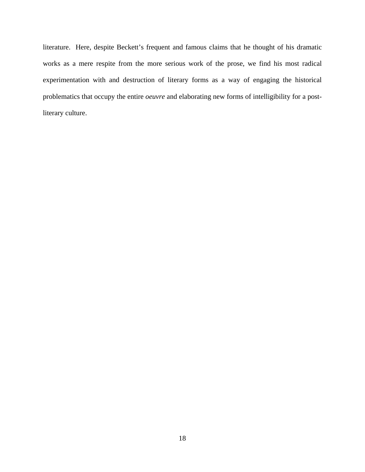literature. Here, despite Beckett's frequent and famous claims that he thought of his dramatic works as a mere respite from the more serious work of the prose, we find his most radical experimentation with and destruction of literary forms as a way of engaging the historical problematics that occupy the entire *oeuvre* and elaborating new forms of intelligibility for a postliterary culture.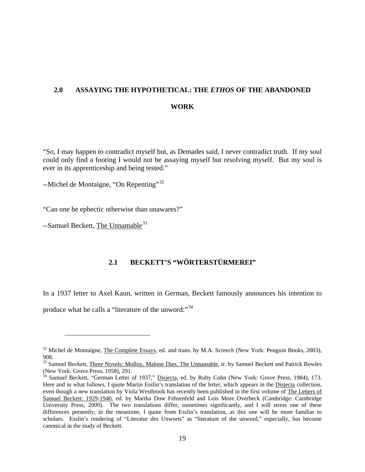# <span id="page-26-0"></span>**2.0 ASSAYING THE HYPOTHETICAL: THE** *ETHOS* **OF THE ABANDONED WORK**

"So, I may happen to contradict myself but, as Demades said, I never contradict truth. If my soul could only find a footing I would not be assaying myself but resolving myself. But my soul is ever in its apprenticeship and being tested."

 $-$ Michel de Montaigne, "On Repenting"<sup>[32](#page-26-2)</sup>

"Can one be ephectic otherwise than unawares?"

<span id="page-26-1"></span>--Samuel Beckett, The Unnamable<sup>[33](#page-26-3)</sup>

 $\overline{a}$ 

# **2.1 BECKETT'S "WÖRTERSTÜRMEREI"**

In a 1937 letter to Axel Kaun, written in German, Beckett famously announces his intention to

produce what he calls a "literature of the unword:"<sup>[34](#page-26-4)</sup>

<span id="page-26-2"></span><sup>&</sup>lt;sup>32</sup> Michel de Montaigne, The Complete Essays, ed. and trans. by M.A. Screech (New York: Penguin Books, 2003), 908.

<span id="page-26-3"></span><sup>&</sup>lt;sup>33</sup> Samuel Beckett, Three Novels: Molloy, Malone Dies, The Unnamable, tr. by Samuel Beckett and Patrick Bowles (New York: Grove Press, 1958), 291.

<span id="page-26-4"></span><sup>&</sup>lt;sup>34</sup> Samuel Beckett, "German Letter of 1937," Disjecta, ed. by Ruby Cohn (New York: Grove Press, 1984), 173. Here and in what follows, I quote Martin Esslin's translation of the letter, which appears in the Disjecta collection, even though a new translation by Viola Westbrook has recently been published in the first volume of The Letters of Samuel Beckett: 1929-1940, ed. by Martha Dow Fehsenfeld and Lois More Overbeck (Cambridge: Cambridge University Press, 2009). The two translations differ, sometimes significantly, and I will stress one of these differences presently; in the meantime, I quote from Esslin's translation, as this one will be more familiar to scholars. Esslin's rendering of "Literatur des Unworts" as "literature of the unword," especially, has become canonical in the study of Beckett.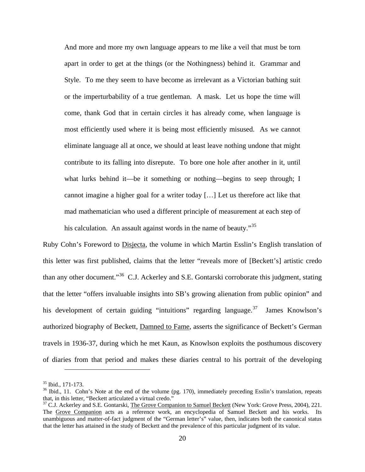And more and more my own language appears to me like a veil that must be torn apart in order to get at the things (or the Nothingness) behind it. Grammar and Style. To me they seem to have become as irrelevant as a Victorian bathing suit or the imperturbability of a true gentleman. A mask. Let us hope the time will come, thank God that in certain circles it has already come, when language is most efficiently used where it is being most efficiently misused. As we cannot eliminate language all at once, we should at least leave nothing undone that might contribute to its falling into disrepute. To bore one hole after another in it, until what lurks behind it—be it something or nothing—begins to seep through; I cannot imagine a higher goal for a writer today […] Let us therefore act like that mad mathematician who used a different principle of measurement at each step of his calculation. An assault against words in the name of beauty."<sup>[35](#page-27-0)</sup>

Ruby Cohn's Foreword to Disjecta, the volume in which Martin Esslin's English translation of this letter was first published, claims that the letter "reveals more of [Beckett's] artistic credo than any other document."[36](#page-27-1) C.J. Ackerley and S.E. Gontarski corroborate this judgment, stating that the letter "offers invaluable insights into SB's growing alienation from public opinion" and his development of certain guiding "intuitions" regarding language.<sup>[37](#page-27-2)</sup> James Knowlson's authorized biography of Beckett, Damned to Fame, asserts the significance of Beckett's German travels in 1936-37, during which he met Kaun, as Knowlson exploits the posthumous discovery of diaries from that period and makes these diaries central to his portrait of the developing

<span id="page-27-1"></span><span id="page-27-0"></span><sup>&</sup>lt;sup>35</sup> Ibid., 171-173.<br><sup>36</sup> Ibid., 11. Cohn's Note at the end of the volume (pg. 170), immediately preceding Esslin's translation, repeats that, in this letter, "Beckett articulated a virtual credo."

<span id="page-27-2"></span><sup>&</sup>lt;sup>37</sup> C.J. Ackerley and S.E. Gontarski, The Grove Companion to Samuel Beckett (New York: Grove Press, 2004), 221. The Grove Companion acts as a reference work, an encyclopedia of Samuel Beckett and his works. Its unambiguous and matter-of-fact judgment of the "German letter's" value, then, indicates both the canonical status that the letter has attained in the study of Beckett and the prevalence of this particular judgment of its value.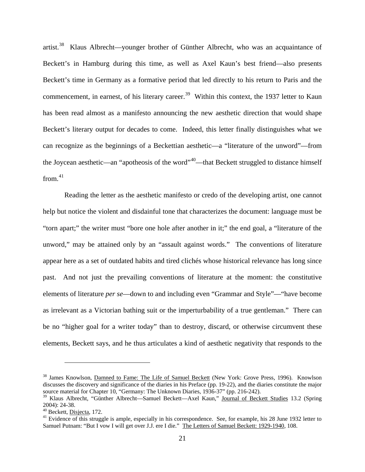artist.[38](#page-28-0) Klaus Albrecht—younger brother of Günther Albrecht, who was an acquaintance of Beckett's in Hamburg during this time, as well as Axel Kaun's best friend—also presents Beckett's time in Germany as a formative period that led directly to his return to Paris and the commencement, in earnest, of his literary career.<sup>[39](#page-28-1)</sup> Within this context, the 1937 letter to Kaun has been read almost as a manifesto announcing the new aesthetic direction that would shape Beckett's literary output for decades to come. Indeed, this letter finally distinguishes what we can recognize as the beginnings of a Beckettian aesthetic—a "literature of the unword"—from the Joycean aesthetic—an "apotheosis of the word"<sup>[40](#page-28-2)</sup>—that Beckett struggled to distance himself from. $41$ 

Reading the letter as the aesthetic manifesto or credo of the developing artist, one cannot help but notice the violent and disdainful tone that characterizes the document: language must be "torn apart;" the writer must "bore one hole after another in it;" the end goal, a "literature of the unword," may be attained only by an "assault against words." The conventions of literature appear here as a set of outdated habits and tired clichés whose historical relevance has long since past. And not just the prevailing conventions of literature at the moment: the constitutive elements of literature *per se*—down to and including even "Grammar and Style"—"have become as irrelevant as a Victorian bathing suit or the imperturbability of a true gentleman." There can be no "higher goal for a writer today" than to destroy, discard, or otherwise circumvent these elements, Beckett says, and he thus articulates a kind of aesthetic negativity that responds to the

<span id="page-28-0"></span><sup>&</sup>lt;sup>38</sup> James Knowlson, Damned to Fame: The Life of Samuel Beckett (New York: Grove Press, 1996). Knowlson discusses the discovery and significance of the diaries in his Preface (pp. 19-22), and the diaries constitute the major source material for Chapter 10, "Germany: The Unknown Diaries, 1936-37" (pp. 216-242).

<span id="page-28-1"></span><sup>&</sup>lt;sup>39</sup> Klaus Albrecht, "Günther Albrecht—Samuel Beckett—Axel Kaun," Journal of Beckett Studies 13.2 (Spring 2004): 24-38.<br><sup>40</sup> Beckett, <u>Disjecta</u>, 172.<br><sup>41</sup> Evidence of this struggle is ample, especially in his correspondence. See, for example, his 28 June 1932 letter to

<span id="page-28-2"></span>

<span id="page-28-3"></span>Samuel Putnam: "But I vow I will get over J.J. ere I die." The Letters of Samuel Beckett: 1929-1940, 108.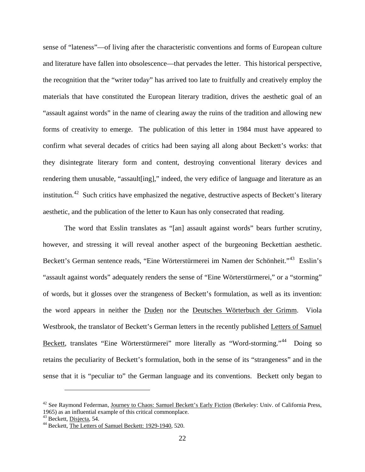sense of "lateness"—of living after the characteristic conventions and forms of European culture and literature have fallen into obsolescence—that pervades the letter. This historical perspective, the recognition that the "writer today" has arrived too late to fruitfully and creatively employ the materials that have constituted the European literary tradition, drives the aesthetic goal of an "assault against words" in the name of clearing away the ruins of the tradition and allowing new forms of creativity to emerge. The publication of this letter in 1984 must have appeared to confirm what several decades of critics had been saying all along about Beckett's works: that they disintegrate literary form and content, destroying conventional literary devices and rendering them unusable, "assault[ing]," indeed, the very edifice of language and literature as an institution.<sup>[42](#page-29-0)</sup> Such critics have emphasized the negative, destructive aspects of Beckett's literary aesthetic, and the publication of the letter to Kaun has only consecrated that reading.

The word that Esslin translates as "[an] assault against words" bears further scrutiny, however, and stressing it will reveal another aspect of the burgeoning Beckettian aesthetic. Beckett's German sentence reads, "Eine Wörterstürmerei im Namen der Schönheit."[43](#page-29-1) Esslin's "assault against words" adequately renders the sense of "Eine Wörterstürmerei," or a "storming" of words, but it glosses over the strangeness of Beckett's formulation, as well as its invention: the word appears in neither the Duden nor the Deutsches Wörterbuch der Grimm. Viola Westbrook, the translator of Beckett's German letters in the recently published Letters of Samuel Beckett, translates "Eine Wörterstürmerei" more literally as "Word-storming."<sup>44</sup> Doing so retains the peculiarity of Beckett's formulation, both in the sense of its "strangeness" and in the sense that it is "peculiar to" the German language and its conventions. Beckett only began to

<span id="page-29-0"></span><sup>&</sup>lt;sup>42</sup> See Raymond Federman, Journey to Chaos: Samuel Beckett's Early Fiction (Berkeley: Univ. of California Press, 1965) as an influential example of this critical commonplace.<br> $43$  Beckett, Disjecta, 54.

<span id="page-29-2"></span><span id="page-29-1"></span><sup>&</sup>lt;sup>44</sup> Beckett, The Letters of Samuel Beckett: 1929-1940, 520.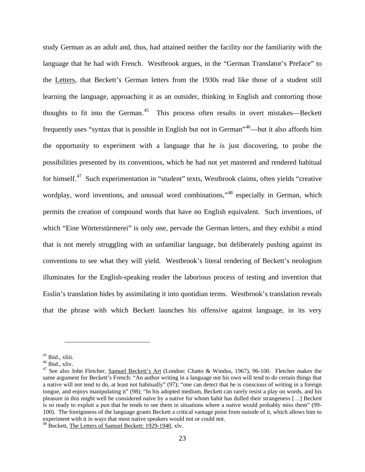study German as an adult and, thus, had attained neither the facility nor the familiarity with the language that he had with French. Westbrook argues, in the "German Translator's Preface" to the Letters, that Beckett's German letters from the 1930s read like those of a student still learning the language, approaching it as an outsider, thinking in English and contorting those thoughts to fit into the German.<sup>45</sup> This process often results in overt mistakes—Beckett frequently uses "syntax that is possible in English but not in German"[46](#page-30-1)—but it also affords him the opportunity to experiment with a language that he is just discovering, to probe the possibilities presented by its conventions, which he had not yet mastered and rendered habitual for himself.<sup>47</sup> Such experimentation in "student" texts, Westbrook claims, often yields "creative wordplay, word inventions, and unusual word combinations,"<sup>[48](#page-30-3)</sup> especially in German, which permits the creation of compound words that have no English equivalent. Such inventions, of which "Eine Wörterstürmerei" is only one, pervade the German letters, and they exhibit a mind that is not merely struggling with an unfamiliar language, but deliberately pushing against its conventions to see what they will yield. Westbrook's literal rendering of Beckett's neologism illuminates for the English-speaking reader the laborious process of testing and invention that Esslin's translation hides by assimilating it into quotidian terms. Westbrook's translation reveals that the phrase with which Beckett launches his offensive against language, in its very

<span id="page-30-2"></span>

<span id="page-30-1"></span><span id="page-30-0"></span><sup>&</sup>lt;sup>45</sup> Ibid., xliii.<br><sup>46</sup> Ibid., xliv.<br><sup>47</sup> See also John Fletcher, <u>Samuel Beckett's Art</u> (London: Chatto & Windus, 1967), 96-100. Fletcher makes the same argument for Beckett's French: "An author writing in a language not his own will tend to do certain things that a native will not tend to do, at least not habitually" (97); "one can detect that he is conscious of writing in a foreign tongue, and enjoys manipulating it" (98); "In his adopted medium, Beckett can rarely resist a play on words, and his pleasure in this might well be considered naïve by a native for whom habit has dulled their strangeness […] Beckett is so ready to exploit a pun that he tends to see them in situations where a native would probably miss them" (99- 100). The foreignness of the language grants Beckett a critical vantage point from outside of it, which allows him to experiment with it in ways that most native speakers would not or could not.

<span id="page-30-3"></span><sup>48</sup> Beckett, The Letters of Samuel Beckett: 1929-1940, xlv.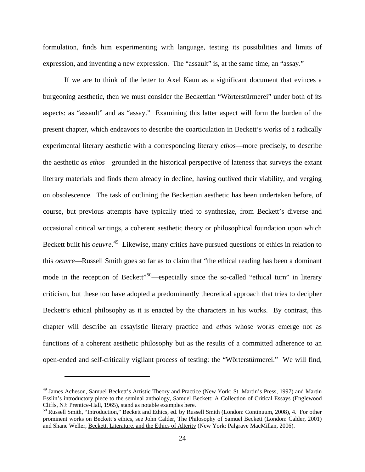formulation, finds him experimenting with language, testing its possibilities and limits of expression, and inventing a new expression. The "assault" is, at the same time, an "assay."

If we are to think of the letter to Axel Kaun as a significant document that evinces a burgeoning aesthetic, then we must consider the Beckettian "Wörterstürmerei" under both of its aspects: as "assault" and as "assay." Examining this latter aspect will form the burden of the present chapter, which endeavors to describe the coarticulation in Beckett's works of a radically experimental literary aesthetic with a corresponding literary *ethos*—more precisely, to describe the aesthetic *as ethos*—grounded in the historical perspective of lateness that surveys the extant literary materials and finds them already in decline, having outlived their viability, and verging on obsolescence. The task of outlining the Beckettian aesthetic has been undertaken before, of course, but previous attempts have typically tried to synthesize, from Beckett's diverse and occasional critical writings, a coherent aesthetic theory or philosophical foundation upon which Beckett built his *oeuvre*. [49](#page-31-0) Likewise, many critics have pursued questions of ethics in relation to this *oeuvre*—Russell Smith goes so far as to claim that "the ethical reading has been a dominant mode in the reception of Beckett<sup>"[50](#page-31-1)</sup>—especially since the so-called "ethical turn" in literary criticism, but these too have adopted a predominantly theoretical approach that tries to decipher Beckett's ethical philosophy as it is enacted by the characters in his works. By contrast, this chapter will describe an essayistic literary practice and *ethos* whose works emerge not as functions of a coherent aesthetic philosophy but as the results of a committed adherence to an open-ended and self-critically vigilant process of testing: the "Wörterstürmerei." We will find,

<span id="page-31-0"></span><sup>49</sup> James Acheson, Samuel Beckett's Artistic Theory and Practice (New York: St. Martin's Press, 1997) and Martin Esslin's introductory piece to the seminal anthology, Samuel Beckett: A Collection of Critical Essays (Englewood Cliffs, NJ: Prentice-Hall, 1965), stand as notable examples here.<br><sup>50</sup> Russell Smith, "Introduction," <u>Beckett and Ethics</u>, ed. by Russell Smith (London: Continuum, 2008), 4. For other

<span id="page-31-1"></span>prominent works on Beckett's ethics, see John Calder, The Philosophy of Samuel Beckett (London: Calder, 2001) and Shane Weller, Beckett, Literature, and the Ethics of Alterity (New York: Palgrave MacMillan, 2006).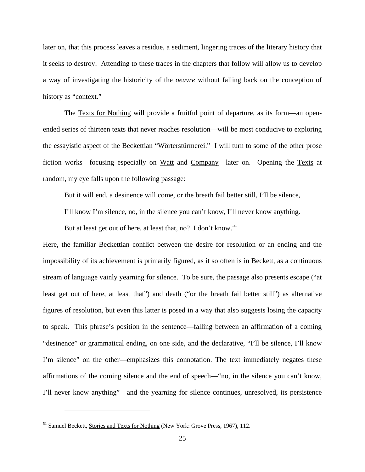later on, that this process leaves a residue, a sediment, lingering traces of the literary history that it seeks to destroy. Attending to these traces in the chapters that follow will allow us to develop a way of investigating the historicity of the *oeuvre* without falling back on the conception of history as "context."

The Texts for Nothing will provide a fruitful point of departure, as its form—an openended series of thirteen texts that never reaches resolution—will be most conducive to exploring the essayistic aspect of the Beckettian "Wörterstürmerei." I will turn to some of the other prose fiction works—focusing especially on Watt and Company—later on. Opening the Texts at random, my eye falls upon the following passage:

But it will end, a desinence will come, or the breath fail better still, I'll be silence,

I'll know I'm silence, no, in the silence you can't know, I'll never know anything.

But at least get out of here, at least that, no? I don't know.<sup>[51](#page-32-0)</sup>

Here, the familiar Beckettian conflict between the desire for resolution or an ending and the impossibility of its achievement is primarily figured, as it so often is in Beckett, as a continuous stream of language vainly yearning for silence. To be sure, the passage also presents escape ("at least get out of here, at least that") and death ("or the breath fail better still") as alternative figures of resolution, but even this latter is posed in a way that also suggests losing the capacity to speak. This phrase's position in the sentence—falling between an affirmation of a coming "desinence" or grammatical ending, on one side, and the declarative, "I'll be silence, I'll know I'm silence" on the other—emphasizes this connotation. The text immediately negates these affirmations of the coming silence and the end of speech—"no, in the silence you can't know, I'll never know anything"—and the yearning for silence continues, unresolved, its persistence

<span id="page-32-0"></span><sup>&</sup>lt;sup>51</sup> Samuel Beckett, Stories and Texts for Nothing (New York: Grove Press, 1967), 112.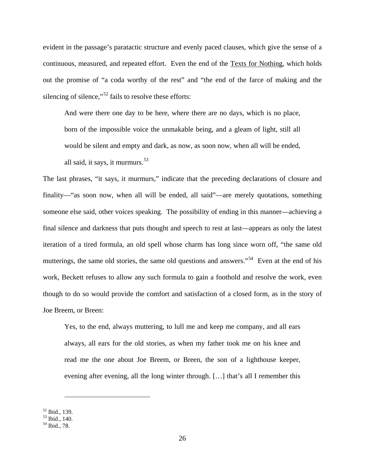evident in the passage's paratactic structure and evenly paced clauses, which give the sense of a continuous, measured, and repeated effort. Even the end of the Texts for Nothing, which holds out the promise of "a coda worthy of the rest" and "the end of the farce of making and the silencing of silence,"<sup>[52](#page-33-0)</sup> fails to resolve these efforts:

And were there one day to be here, where there are no days, which is no place, born of the impossible voice the unmakable being, and a gleam of light, still all would be silent and empty and dark, as now, as soon now, when all will be ended, all said, it says, it murmurs.  $53$ 

The last phrases, "it says, it murmurs," indicate that the preceding declarations of closure and finality—"as soon now, when all will be ended, all said"—are merely quotations, something someone else said, other voices speaking. The possibility of ending in this manner—achieving a final silence and darkness that puts thought and speech to rest at last—appears as only the latest iteration of a tired formula, an old spell whose charm has long since worn off, "the same old mutterings, the same old stories, the same old questions and answers."<sup>54</sup> Even at the end of his work, Beckett refuses to allow any such formula to gain a foothold and resolve the work, even though to do so would provide the comfort and satisfaction of a closed form, as in the story of Joe Breem, or Breen:

Yes, to the end, always muttering, to lull me and keep me company, and all ears always, all ears for the old stories, as when my father took me on his knee and read me the one about Joe Breem, or Breen, the son of a lighthouse keeper, evening after evening, all the long winter through. […] that's all I remember this

<span id="page-33-1"></span><span id="page-33-0"></span> $\frac{52}{53}$  Ibid., 139.<br> $\frac{53}{54}$  Ibid., 140.<br> $\frac{54}{54}$  Ibid., 78.

<span id="page-33-2"></span>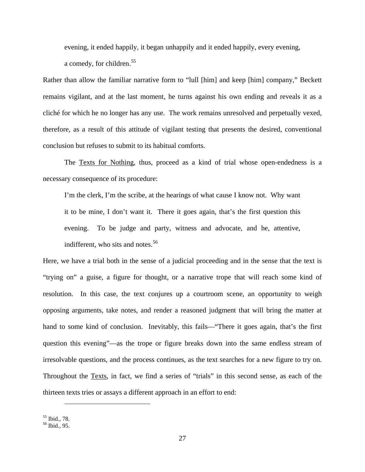evening, it ended happily, it began unhappily and it ended happily, every evening,

a comedy, for children.<sup>[55](#page-34-0)</sup>

Rather than allow the familiar narrative form to "lull [him] and keep [him] company," Beckett remains vigilant, and at the last moment, he turns against his own ending and reveals it as a cliché for which he no longer has any use. The work remains unresolved and perpetually vexed, therefore, as a result of this attitude of vigilant testing that presents the desired, conventional conclusion but refuses to submit to its habitual comforts.

The Texts for Nothing, thus, proceed as a kind of trial whose open-endedness is a necessary consequence of its procedure:

I'm the clerk, I'm the scribe, at the hearings of what cause I know not. Why want it to be mine, I don't want it. There it goes again, that's the first question this evening. To be judge and party, witness and advocate, and he, attentive, indifferent, who sits and notes.<sup>[56](#page-34-1)</sup>

Here, we have a trial both in the sense of a judicial proceeding and in the sense that the text is "trying on" a guise, a figure for thought, or a narrative trope that will reach some kind of resolution. In this case, the text conjures up a courtroom scene, an opportunity to weigh opposing arguments, take notes, and render a reasoned judgment that will bring the matter at hand to some kind of conclusion. Inevitably, this fails—"There it goes again, that's the first question this evening"—as the trope or figure breaks down into the same endless stream of irresolvable questions, and the process continues, as the text searches for a new figure to try on. Throughout the Texts, in fact, we find a series of "trials" in this second sense, as each of the thirteen texts tries or assays a different approach in an effort to end:

<span id="page-34-1"></span><span id="page-34-0"></span>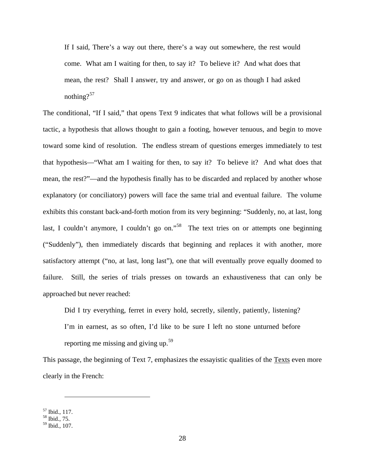If I said, There's a way out there, there's a way out somewhere, the rest would come. What am I waiting for then, to say it? To believe it? And what does that mean, the rest? Shall I answer, try and answer, or go on as though I had asked nothing? $57$ 

The conditional, "If I said," that opens Text 9 indicates that what follows will be a provisional tactic, a hypothesis that allows thought to gain a footing, however tenuous, and begin to move toward some kind of resolution. The endless stream of questions emerges immediately to test that hypothesis—"What am I waiting for then, to say it? To believe it? And what does that mean, the rest?"—and the hypothesis finally has to be discarded and replaced by another whose explanatory (or conciliatory) powers will face the same trial and eventual failure. The volume exhibits this constant back-and-forth motion from its very beginning: "Suddenly, no, at last, long last, I couldn't anymore, I couldn't go on."<sup>58</sup> The text tries on or attempts one beginning ("Suddenly"), then immediately discards that beginning and replaces it with another, more satisfactory attempt ("no, at last, long last"), one that will eventually prove equally doomed to failure. Still, the series of trials presses on towards an exhaustiveness that can only be approached but never reached:

Did I try everything, ferret in every hold, secretly, silently, patiently, listening? I'm in earnest, as so often, I'd like to be sure I left no stone unturned before reporting me missing and giving up.[59](#page-35-2) 

This passage, the beginning of Text 7, emphasizes the essayistic qualities of the Texts even more clearly in the French:

<span id="page-35-0"></span><sup>57</sup> Ibid., 117. <sup>58</sup> Ibid., 75.

<span id="page-35-2"></span><span id="page-35-1"></span><sup>59</sup> Ibid., 107.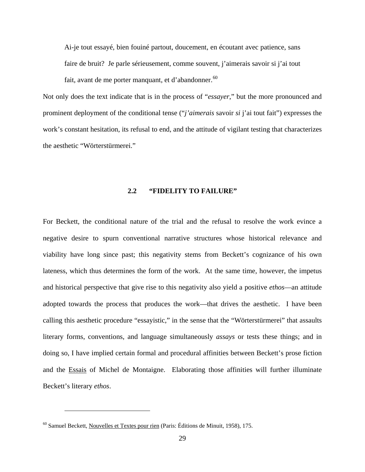Ai-je tout essayé, bien fouiné partout, doucement, en écoutant avec patience, sans faire de bruit? Je parle sérieusement, comme souvent, j'aimerais savoir si j'ai tout fait, avant de me porter manquant, et d'abandonner.  $60$ 

Not only does the text indicate that is in the process of "*essayer*," but the more pronounced and prominent deployment of the conditional tense ("*j'aimerais* savoir *si* j'ai tout fait") expresses the work's constant hesitation, its refusal to end, and the attitude of vigilant testing that characterizes the aesthetic "Wörterstürmerei."

## **2.2 "FIDELITY TO FAILURE"**

For Beckett, the conditional nature of the trial and the refusal to resolve the work evince a negative desire to spurn conventional narrative structures whose historical relevance and viability have long since past; this negativity stems from Beckett's cognizance of his own lateness, which thus determines the form of the work. At the same time, however, the impetus and historical perspective that give rise to this negativity also yield a positive *ethos*—an attitude adopted towards the process that produces the work—that drives the aesthetic. I have been calling this aesthetic procedure "essayistic," in the sense that the "Wörterstürmerei" that assaults literary forms, conventions, and language simultaneously *assays* or tests these things; and in doing so, I have implied certain formal and procedural affinities between Beckett's prose fiction and the Essais of Michel de Montaigne. Elaborating those affinities will further illuminate Beckett's literary *ethos*.

<span id="page-36-0"></span> $60$  Samuel Beckett, Nouvelles et Textes pour rien (Paris: Éditions de Minuit, 1958), 175.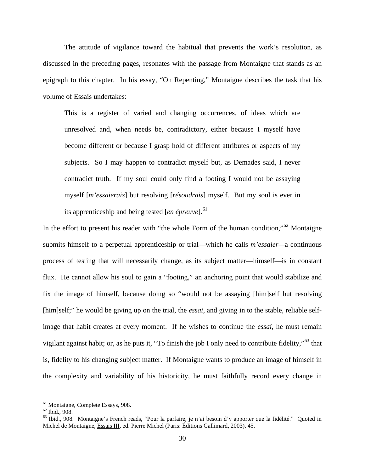The attitude of vigilance toward the habitual that prevents the work's resolution, as discussed in the preceding pages, resonates with the passage from Montaigne that stands as an epigraph to this chapter. In his essay, "On Repenting," Montaigne describes the task that his volume of Essais undertakes:

This is a register of varied and changing occurrences, of ideas which are unresolved and, when needs be, contradictory, either because I myself have become different or because I grasp hold of different attributes or aspects of my subjects. So I may happen to contradict myself but, as Demades said, I never contradict truth. If my soul could only find a footing I would not be assaying myself [*m'essaierais*] but resolving [*résoudrais*] myself. But my soul is ever in its apprenticeship and being tested [*en épreuve*].<sup>[61](#page-37-0)</sup>

In the effort to present his reader with "the whole Form of the human condition," $62$  Montaigne submits himself to a perpetual apprenticeship or trial—which he calls *m'essaier—*a continuous process of testing that will necessarily change, as its subject matter—himself—is in constant flux. He cannot allow his soul to gain a "footing," an anchoring point that would stabilize and fix the image of himself, because doing so "would not be assaying [him]self but resolving [him]self;" he would be giving up on the trial, the *essai*, and giving in to the stable, reliable selfimage that habit creates at every moment. If he wishes to continue the *essai*, he must remain vigilant against habit; or, as he puts it, "To finish the job I only need to contribute fidelity,"[63](#page-37-2) that is, fidelity to his changing subject matter. If Montaigne wants to produce an image of himself in the complexity and variability of his historicity, he must faithfully record every change in

<span id="page-37-2"></span><span id="page-37-1"></span>

<span id="page-37-0"></span><sup>&</sup>lt;sup>61</sup> Montaigne, Complete Essays, 908.<br><sup>62</sup> Ibid., 908.<br><sup>63</sup> Ibid., 908. Montaigne's French reads, "Pour la parfaire, je n'ai besoin d'y apporter que la fidélité." Quoted in Michel de Montaigne, Essais III, ed. Pierre Michel (Paris: Éditions Gallimard, 2003), 45.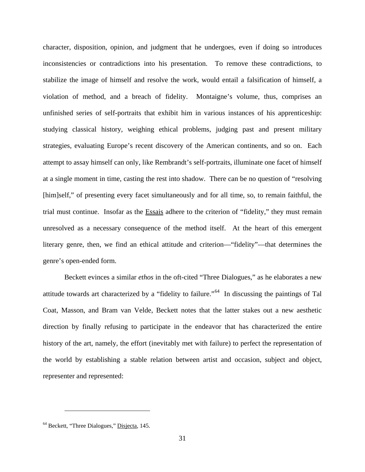character, disposition, opinion, and judgment that he undergoes, even if doing so introduces inconsistencies or contradictions into his presentation. To remove these contradictions, to stabilize the image of himself and resolve the work, would entail a falsification of himself, a violation of method, and a breach of fidelity. Montaigne's volume, thus, comprises an unfinished series of self-portraits that exhibit him in various instances of his apprenticeship: studying classical history, weighing ethical problems, judging past and present military strategies, evaluating Europe's recent discovery of the American continents, and so on. Each attempt to assay himself can only, like Rembrandt's self-portraits, illuminate one facet of himself at a single moment in time, casting the rest into shadow. There can be no question of "resolving [him]self," of presenting every facet simultaneously and for all time, so, to remain faithful, the trial must continue. Insofar as the Essais adhere to the criterion of "fidelity," they must remain unresolved as a necessary consequence of the method itself. At the heart of this emergent literary genre, then, we find an ethical attitude and criterion—"fidelity"—that determines the genre's open-ended form.

Beckett evinces a similar *ethos* in the oft-cited "Three Dialogues," as he elaborates a new attitude towards art characterized by a "fidelity to failure."[64](#page-38-0) In discussing the paintings of Tal Coat, Masson, and Bram van Velde, Beckett notes that the latter stakes out a new aesthetic direction by finally refusing to participate in the endeavor that has characterized the entire history of the art, namely, the effort (inevitably met with failure) to perfect the representation of the world by establishing a stable relation between artist and occasion, subject and object, representer and represented:

<span id="page-38-0"></span><sup>64</sup> Beckett, "Three Dialogues," Disjecta, 145.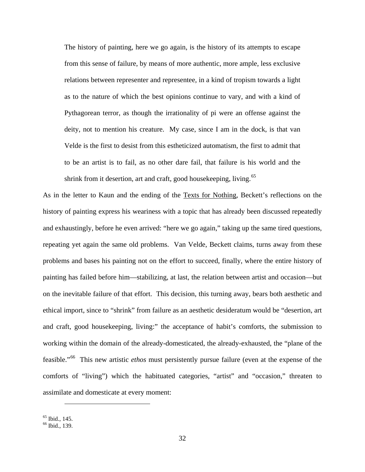The history of painting, here we go again, is the history of its attempts to escape from this sense of failure, by means of more authentic, more ample, less exclusive relations between representer and representee, in a kind of tropism towards a light as to the nature of which the best opinions continue to vary, and with a kind of Pythagorean terror, as though the irrationality of pi were an offense against the deity, not to mention his creature. My case, since I am in the dock, is that van Velde is the first to desist from this estheticized automatism, the first to admit that to be an artist is to fail, as no other dare fail, that failure is his world and the shrink from it desertion, art and craft, good housekeeping, living.<sup>[65](#page-39-0)</sup>

As in the letter to Kaun and the ending of the Texts for Nothing, Beckett's reflections on the history of painting express his weariness with a topic that has already been discussed repeatedly and exhaustingly, before he even arrived: "here we go again," taking up the same tired questions, repeating yet again the same old problems. Van Velde, Beckett claims, turns away from these problems and bases his painting not on the effort to succeed, finally, where the entire history of painting has failed before him—stabilizing, at last, the relation between artist and occasion—but on the inevitable failure of that effort. This decision, this turning away, bears both aesthetic and ethical import, since to "shrink" from failure as an aesthetic desideratum would be "desertion, art and craft, good housekeeping, living:" the acceptance of habit's comforts, the submission to working within the domain of the already-domesticated, the already-exhausted, the "plane of the feasible."[66](#page-39-1) This new artistic *ethos* must persistently pursue failure (even at the expense of the comforts of "living") which the habituated categories, "artist" and "occasion," threaten to assimilate and domesticate at every moment:

<span id="page-39-1"></span><span id="page-39-0"></span>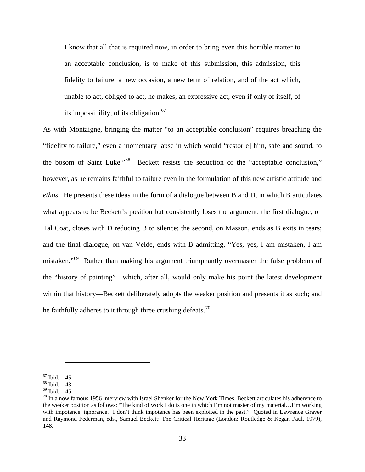I know that all that is required now, in order to bring even this horrible matter to an acceptable conclusion, is to make of this submission, this admission, this fidelity to failure, a new occasion, a new term of relation, and of the act which, unable to act, obliged to act, he makes, an expressive act, even if only of itself, of its impossibility, of its obligation.<sup>[67](#page-40-0)</sup>

As with Montaigne, bringing the matter "to an acceptable conclusion" requires breaching the "fidelity to failure," even a momentary lapse in which would "restor[e] him, safe and sound, to the bosom of Saint Luke."[68](#page-40-1) Beckett resists the seduction of the "acceptable conclusion," however, as he remains faithful to failure even in the formulation of this new artistic attitude and *ethos*. He presents these ideas in the form of a dialogue between B and D, in which B articulates what appears to be Beckett's position but consistently loses the argument: the first dialogue, on Tal Coat, closes with D reducing B to silence; the second, on Masson, ends as B exits in tears; and the final dialogue, on van Velde, ends with B admitting, "Yes, yes, I am mistaken, I am mistaken."<sup>[69](#page-40-2)</sup> Rather than making his argument triumphantly overmaster the false problems of the "history of painting"—which, after all, would only make his point the latest development within that history—Beckett deliberately adopts the weaker position and presents it as such; and he faithfully adheres to it through three crushing defeats.<sup>[70](#page-40-3)</sup>

<span id="page-40-3"></span><span id="page-40-2"></span>

<span id="page-40-1"></span><span id="page-40-0"></span><sup>&</sup>lt;sup>67</sup> Ibid., 145.<br><sup>68</sup> Ibid., 143.<br><sup>69</sup> Ibid., 145.<br><sup>70</sup> In a now famous 1956 interview with Israel Shenker for the <u>New York Times</u>, Beckett articulates his adherence to the weaker position as follows: "The kind of work I do is one in which I'm not master of my material…I'm working with impotence, ignorance. I don't think impotence has been exploited in the past." Quoted in Lawrence Graver and Raymond Federman, eds., Samuel Beckett: The Critical Heritage (London: Routledge & Kegan Paul, 1979), 148.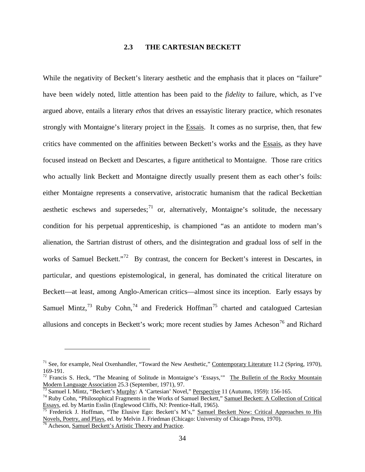# **2.3 THE CARTESIAN BECKETT**

While the negativity of Beckett's literary aesthetic and the emphasis that it places on "failure" have been widely noted, little attention has been paid to the *fidelity* to failure, which, as I've argued above, entails a literary *ethos* that drives an essayistic literary practice, which resonates strongly with Montaigne's literary project in the Essais. It comes as no surprise, then, that few critics have commented on the affinities between Beckett's works and the Essais, as they have focused instead on Beckett and Descartes, a figure antithetical to Montaigne. Those rare critics who actually link Beckett and Montaigne directly usually present them as each other's foils: either Montaigne represents a conservative, aristocratic humanism that the radical Beckettian aesthetic eschews and supersedes; $^{71}$  $^{71}$  $^{71}$  or, alternatively, Montaigne's solitude, the necessary condition for his perpetual apprenticeship, is championed "as an antidote to modern man's alienation, the Sartrian distrust of others, and the disintegration and gradual loss of self in the works of Samuel Beckett."<sup>72</sup> By contrast, the concern for Beckett's interest in Descartes, in particular, and questions epistemological, in general, has dominated the critical literature on Beckett—at least, among Anglo-American critics—almost since its inception. Early essays by Samuel Mintz,<sup>[73](#page-41-2)</sup> Ruby Cohn,<sup>[74](#page-41-3)</sup> and Frederick Hoffman<sup>[75](#page-41-4)</sup> charted and catalogued Cartesian allusions and concepts in Beckett's work; more recent studies by James Acheson<sup>[76](#page-41-5)</sup> and Richard

<span id="page-41-0"></span><sup>&</sup>lt;sup>71</sup> See, for example, Neal Oxenhandler, "Toward the New Aesthetic," Contemporary Literature 11.2 (Spring, 1970),  $169-191$ .

<span id="page-41-1"></span><sup>&</sup>lt;sup>72</sup> Francis S. Heck, "The Meaning of Solitude in Montaigne's 'Essays," <u>The Bulletin of the Rocky Mountain</u><br>Modern Language Association 25.3 (September, 1971), 97.

<span id="page-41-3"></span><span id="page-41-2"></span><sup>&</sup>lt;sup>73</sup> Samuel I. Mintz, "Beckett's <u>Murphy</u>: A 'Cartesian' Novel," *Perspective* 11 (Autumn, 1959): 156-165.<br><sup>74</sup> Ruby Cohn, "Philosophical Fragments in the Works of Samuel Beckett," <u>Samuel Beckett: A Collection of Critica</u> Essays, ed. by Martin Esslin (Englewood Cliffs, NJ: Prentice-Hall, 1965).<br><sup>75</sup> Frederick J. Hoffman, "The Elusive Ego: Beckett's M's," Samuel Beckett Now: Critical Approaches to His

<span id="page-41-4"></span>Novels, Poetry, and Plays, ed. by Melvin J. Friedman (Chicago: University of Chicago Press, 1970).<br><sup>76</sup> Acheson, <u>Samuel Beckett's Artistic Theory and Practice</u>.

<span id="page-41-5"></span>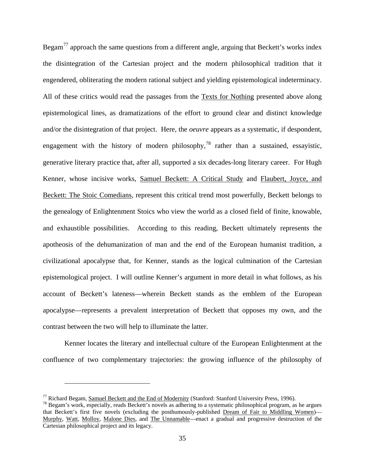Begam<sup>[77](#page-42-0)</sup> approach the same questions from a different angle, arguing that Beckett's works index the disintegration of the Cartesian project and the modern philosophical tradition that it engendered, obliterating the modern rational subject and yielding epistemological indeterminacy. All of these critics would read the passages from the Texts for Nothing presented above along epistemological lines, as dramatizations of the effort to ground clear and distinct knowledge and/or the disintegration of that project. Here, the *oeuvre* appears as a systematic, if despondent, engagement with the history of modern philosophy,<sup>[78](#page-42-1)</sup> rather than a sustained, essayistic, generative literary practice that, after all, supported a six decades-long literary career. For Hugh Kenner, whose incisive works, Samuel Beckett: A Critical Study and Flaubert, Joyce, and Beckett: The Stoic Comedians, represent this critical trend most powerfully, Beckett belongs to the genealogy of Enlightenment Stoics who view the world as a closed field of finite, knowable, and exhaustible possibilities. According to this reading, Beckett ultimately represents the apotheosis of the dehumanization of man and the end of the European humanist tradition, a civilizational apocalypse that, for Kenner, stands as the logical culmination of the Cartesian epistemological project. I will outline Kenner's argument in more detail in what follows, as his account of Beckett's lateness—wherein Beckett stands as the emblem of the European apocalypse—represents a prevalent interpretation of Beckett that opposes my own, and the contrast between the two will help to illuminate the latter.

Kenner locates the literary and intellectual culture of the European Enlightenment at the confluence of two complementary trajectories: the growing influence of the philosophy of

<span id="page-42-0"></span><sup>&</sup>lt;sup>77</sup> Richard Begam, <u>Samuel Beckett and the End of Modernity</u> (Stanford: Stanford University Press, 1996).<br><sup>78</sup> Begam's work, especially, reads Beckett's novels as adhering to a systematic philosophical program, as he arg

<span id="page-42-1"></span>that Beckett's first five novels (excluding the posthumously-published Dream of Fair to Middling Women)— Murphy, Watt, Molloy, Malone Dies, and The Unnamable—enact a gradual and progressive destruction of the Cartesian philosophical project and its legacy.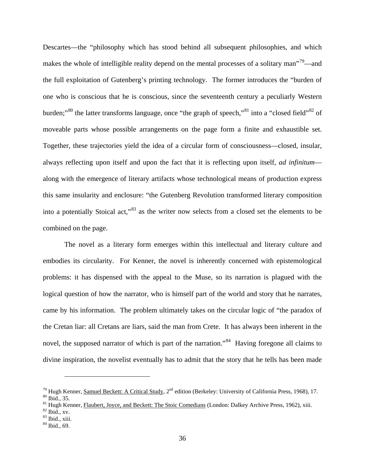Descartes—the "philosophy which has stood behind all subsequent philosophies, and which makes the whole of intelligible reality depend on the mental processes of a solitary man<sup>779</sup>—and the full exploitation of Gutenberg's printing technology. The former introduces the "burden of one who is conscious that he is conscious, since the seventeenth century a peculiarly Western burden;"<sup>[80](#page-43-1)</sup> the latter transforms language, once "the graph of speech,"<sup>[81](#page-43-2)</sup> into a "closed field"<sup>[82](#page-43-3)</sup> of moveable parts whose possible arrangements on the page form a finite and exhaustible set. Together, these trajectories yield the idea of a circular form of consciousness—closed, insular, always reflecting upon itself and upon the fact that it is reflecting upon itself, *ad infinitum* along with the emergence of literary artifacts whose technological means of production express this same insularity and enclosure: "the Gutenberg Revolution transformed literary composition into a potentially Stoical act,"[83](#page-43-4) as the writer now selects from a closed set the elements to be combined on the page.

The novel as a literary form emerges within this intellectual and literary culture and embodies its circularity. For Kenner, the novel is inherently concerned with epistemological problems: it has dispensed with the appeal to the Muse, so its narration is plagued with the logical question of how the narrator, who is himself part of the world and story that he narrates, came by his information. The problem ultimately takes on the circular logic of "the paradox of the Cretan liar: all Cretans are liars, said the man from Crete. It has always been inherent in the novel, the supposed narrator of which is part of the narration."<sup>[84](#page-43-5)</sup> Having foregone all claims to divine inspiration, the novelist eventually has to admit that the story that he tells has been made

<span id="page-43-1"></span><span id="page-43-0"></span><sup>&</sup>lt;sup>79</sup> Hugh Kenner, <u>Samuel Beckett: A Critical Study</u>, 2<sup>nd</sup> edition (Berkeley: University of California Press, 1968), 17.<br><sup>80</sup> Ibid., 35.<br><sup>81</sup> Hugh Kenner, <u>Flaubert, Joyce, and Beckett: The Stoic Comedians</u> (London: Dalk

<span id="page-43-2"></span>

<span id="page-43-4"></span><span id="page-43-3"></span>

<span id="page-43-5"></span>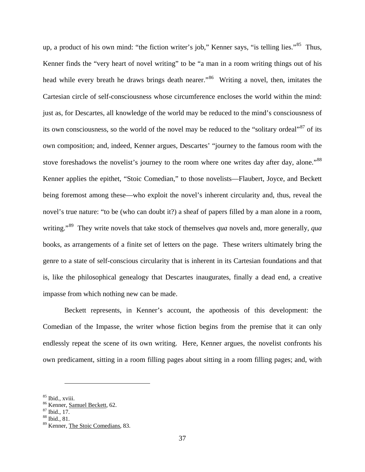up, a product of his own mind: "the fiction writer's job," Kenner says, "is telling lies."<sup>85</sup> Thus, Kenner finds the "very heart of novel writing" to be "a man in a room writing things out of his head while every breath he draws brings death nearer.<sup>[86](#page-44-1)</sup> Writing a novel, then, imitates the Cartesian circle of self-consciousness whose circumference encloses the world within the mind: just as, for Descartes, all knowledge of the world may be reduced to the mind's consciousness of its own consciousness, so the world of the novel may be reduced to the "solitary ordeal"<sup>[87](#page-44-2)</sup> of its own composition; and, indeed, Kenner argues, Descartes' "journey to the famous room with the stove foreshadows the novelist's journey to the room where one writes day after day, alone."<sup>[88](#page-44-3)</sup> Kenner applies the epithet, "Stoic Comedian," to those novelists—Flaubert, Joyce, and Beckett being foremost among these—who exploit the novel's inherent circularity and, thus, reveal the novel's true nature: "to be (who can doubt it?) a sheaf of papers filled by a man alone in a room, writing."<sup>89</sup> They write novels that take stock of themselves *qua* novels and, more generally, *qua* books, as arrangements of a finite set of letters on the page. These writers ultimately bring the genre to a state of self-conscious circularity that is inherent in its Cartesian foundations and that is, like the philosophical genealogy that Descartes inaugurates, finally a dead end, a creative impasse from which nothing new can be made.

Beckett represents, in Kenner's account, the apotheosis of this development: the Comedian of the Impasse, the writer whose fiction begins from the premise that it can only endlessly repeat the scene of its own writing. Here, Kenner argues, the novelist confronts his own predicament, sitting in a room filling pages about sitting in a room filling pages; and, with

<span id="page-44-0"></span><sup>&</sup>lt;sup>85</sup> Ibid., xviii.<br><sup>86</sup> Kenner, <u>Samuel Beckett</u>, 62.<br><sup>87</sup> Ibid., 17.<br><sup>88</sup> Ibid., 81.

<span id="page-44-3"></span><span id="page-44-2"></span><span id="page-44-1"></span>

<span id="page-44-4"></span><sup>89</sup> Kenner, The Stoic Comedians, 83.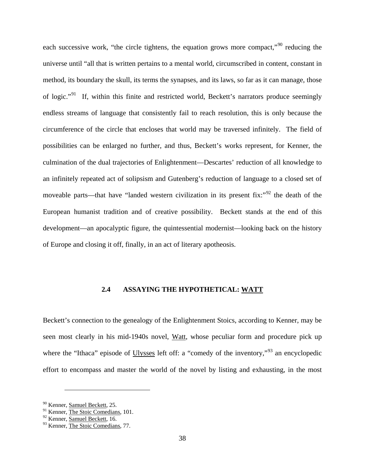each successive work, "the circle tightens, the equation grows more compact,"<sup>[90](#page-45-0)</sup> reducing the universe until "all that is written pertains to a mental world, circumscribed in content, constant in method, its boundary the skull, its terms the synapses, and its laws, so far as it can manage, those of logic."[91](#page-45-1) If, within this finite and restricted world, Beckett's narrators produce seemingly endless streams of language that consistently fail to reach resolution, this is only because the circumference of the circle that encloses that world may be traversed infinitely. The field of possibilities can be enlarged no further, and thus, Beckett's works represent, for Kenner, the culmination of the dual trajectories of Enlightenment—Descartes' reduction of all knowledge to an infinitely repeated act of solipsism and Gutenberg's reduction of language to a closed set of moveable parts—that have "landed western civilization in its present fix:" $\frac{92}{2}$  $\frac{92}{2}$  $\frac{92}{2}$  the death of the European humanist tradition and of creative possibility. Beckett stands at the end of this development—an apocalyptic figure, the quintessential modernist—looking back on the history of Europe and closing it off, finally, in an act of literary apotheosis.

# **2.4 ASSAYING THE HYPOTHETICAL: WATT**

Beckett's connection to the genealogy of the Enlightenment Stoics, according to Kenner, may be seen most clearly in his mid-1940s novel, Watt, whose peculiar form and procedure pick up where the "Ithaca" episode of Ulysses left off: a "comedy of the inventory,"<sup>[93](#page-45-3)</sup> an encyclopedic effort to encompass and master the world of the novel by listing and exhausting, in the most

<span id="page-45-0"></span><sup>&</sup>lt;sup>90</sup> Kenner, **Samuel Beckett**, 25.

<span id="page-45-1"></span><sup>&</sup>lt;sup>91</sup> Kenner, The Stoic Comedians, 101.

<span id="page-45-2"></span><sup>92</sup> Kenner, Samuel Beckett, 16.

<span id="page-45-3"></span><sup>&</sup>lt;sup>93</sup> Kenner, The Stoic Comedians, 77.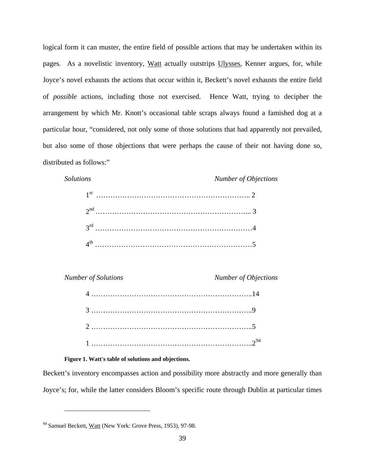logical form it can muster, the entire field of possible actions that may be undertaken within its pages. As a novelistic inventory, Watt actually outstrips Ulysses, Kenner argues, for, while Joyce's novel exhausts the actions that occur within it, Beckett's novel exhausts the entire field of *possible* actions, including those not exercised. Hence Watt, trying to decipher the arrangement by which Mr. Knott's occasional table scraps always found a famished dog at a particular hour, "considered, not only some of those solutions that had apparently not prevailed, but also some of those objections that were perhaps the cause of their not having done so, distributed as follows:"

*Solutions Number of Objections*

 $\overline{a}$ 

*Number of Solutions Number of Objections*

### **Figure 1. Watt's table of solutions and objections.**

Beckett's inventory encompasses action and possibility more abstractly and more generally than Joyce's; for, while the latter considers Bloom's specific route through Dublin at particular times

<span id="page-46-0"></span><sup>&</sup>lt;sup>94</sup> Samuel Beckett, Watt (New York: Grove Press, 1953), 97-98.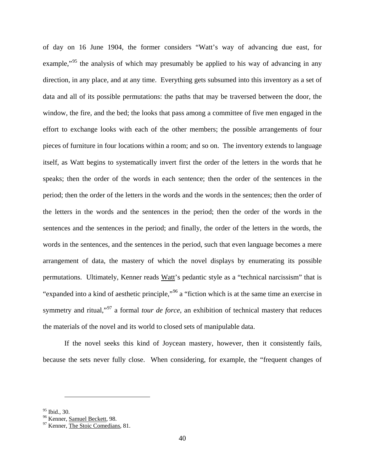of day on 16 June 1904, the former considers "Watt's way of advancing due east, for example,"<sup>[95](#page-47-0)</sup> the analysis of which may presumably be applied to his way of advancing in any direction, in any place, and at any time. Everything gets subsumed into this inventory as a set of data and all of its possible permutations: the paths that may be traversed between the door, the window, the fire, and the bed; the looks that pass among a committee of five men engaged in the effort to exchange looks with each of the other members; the possible arrangements of four pieces of furniture in four locations within a room; and so on. The inventory extends to language itself, as Watt begins to systematically invert first the order of the letters in the words that he speaks; then the order of the words in each sentence; then the order of the sentences in the period; then the order of the letters in the words and the words in the sentences; then the order of the letters in the words and the sentences in the period; then the order of the words in the sentences and the sentences in the period; and finally, the order of the letters in the words, the words in the sentences, and the sentences in the period, such that even language becomes a mere arrangement of data, the mastery of which the novel displays by enumerating its possible permutations. Ultimately, Kenner reads Watt's pedantic style as a "technical narcissism" that is "expanded into a kind of aesthetic principle,"[96](#page-47-1) a "fiction which is at the same time an exercise in symmetry and ritual,"<sup>[97](#page-47-2)</sup> a formal *tour de force*, an exhibition of technical mastery that reduces the materials of the novel and its world to closed sets of manipulable data.

If the novel seeks this kind of Joycean mastery, however, then it consistently fails, because the sets never fully close. When considering, for example, the "frequent changes of

<span id="page-47-2"></span>

<span id="page-47-1"></span><span id="page-47-0"></span><sup>&</sup>lt;sup>95</sup> Ibid., 30.<br><sup>96</sup> Kenner, <u>Samuel Beckett</u>, 98.<br><sup>97</sup> Kenner, The Stoic Comedians, 81.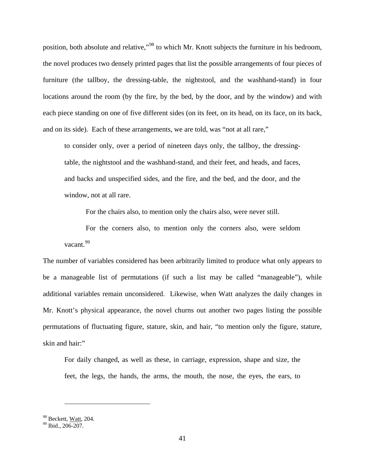position, both absolute and relative,"<sup>[98](#page-48-0)</sup> to which Mr. Knott subjects the furniture in his bedroom, the novel produces two densely printed pages that list the possible arrangements of four pieces of furniture (the tallboy, the dressing-table, the nightstool, and the washhand-stand) in four locations around the room (by the fire, by the bed, by the door, and by the window) and with each piece standing on one of five different sides (on its feet, on its head, on its face, on its back, and on its side). Each of these arrangements, we are told, was "not at all rare,"

to consider only, over a period of nineteen days only, the tallboy, the dressingtable, the nightstool and the washhand-stand, and their feet, and heads, and faces, and backs and unspecified sides, and the fire, and the bed, and the door, and the window, not at all rare.

For the chairs also, to mention only the chairs also, were never still.

For the corners also, to mention only the corners also, were seldom vacant<sup>[99](#page-48-1)</sup>

The number of variables considered has been arbitrarily limited to produce what only appears to be a manageable list of permutations (if such a list may be called "manageable"), while additional variables remain unconsidered. Likewise, when Watt analyzes the daily changes in Mr. Knott's physical appearance, the novel churns out another two pages listing the possible permutations of fluctuating figure, stature, skin, and hair, "to mention only the figure, stature, skin and hair:"

For daily changed, as well as these, in carriage, expression, shape and size, the feet, the legs, the hands, the arms, the mouth, the nose, the eyes, the ears, to

<span id="page-48-1"></span><span id="page-48-0"></span> $\frac{98}{99}$  Beckett, <u>Watt</u>, 204.<br><sup>99</sup> Ibid., 206-207.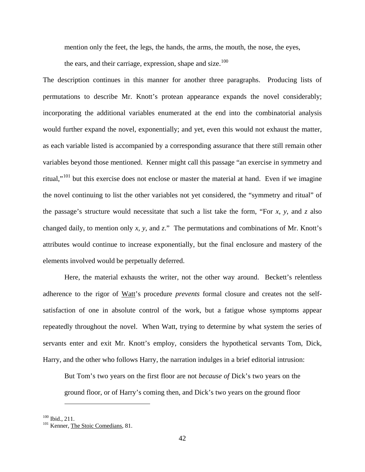mention only the feet, the legs, the hands, the arms, the mouth, the nose, the eyes,

the ears, and their carriage, expression, shape and size. $100$ 

The description continues in this manner for another three paragraphs. Producing lists of permutations to describe Mr. Knott's protean appearance expands the novel considerably; incorporating the additional variables enumerated at the end into the combinatorial analysis would further expand the novel, exponentially; and yet, even this would not exhaust the matter, as each variable listed is accompanied by a corresponding assurance that there still remain other variables beyond those mentioned. Kenner might call this passage "an exercise in symmetry and ritual,"[101](#page-49-1) but this exercise does not enclose or master the material at hand. Even if we imagine the novel continuing to list the other variables not yet considered, the "symmetry and ritual" of the passage's structure would necessitate that such a list take the form, "For *x*, *y*, and *z* also changed daily, to mention only *x*, *y*, and *z*." The permutations and combinations of Mr. Knott's attributes would continue to increase exponentially, but the final enclosure and mastery of the elements involved would be perpetually deferred.

Here, the material exhausts the writer, not the other way around. Beckett's relentless adherence to the rigor of Watt's procedure *prevents* formal closure and creates not the selfsatisfaction of one in absolute control of the work, but a fatigue whose symptoms appear repeatedly throughout the novel. When Watt, trying to determine by what system the series of servants enter and exit Mr. Knott's employ, considers the hypothetical servants Tom, Dick, Harry, and the other who follows Harry, the narration indulges in a brief editorial intrusion:

But Tom's two years on the first floor are not *because of* Dick's two years on the ground floor, or of Harry's coming then, and Dick's two years on the ground floor

<span id="page-49-1"></span><span id="page-49-0"></span> $100$  Ibid., 211.<br> $101$  Kenner, The Stoic Comedians, 81.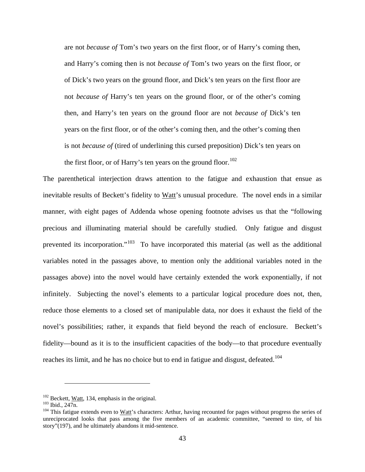are not *because of* Tom's two years on the first floor, or of Harry's coming then, and Harry's coming then is not *because of* Tom's two years on the first floor, or of Dick's two years on the ground floor, and Dick's ten years on the first floor are not *because of* Harry's ten years on the ground floor, or of the other's coming then, and Harry's ten years on the ground floor are not *because of* Dick's ten years on the first floor, or of the other's coming then, and the other's coming then is not *because of* (tired of underlining this cursed preposition) Dick's ten years on the first floor, or of Harry's ten years on the ground floor.<sup>[102](#page-50-0)</sup>

The parenthetical interjection draws attention to the fatigue and exhaustion that ensue as inevitable results of Beckett's fidelity to Watt's unusual procedure. The novel ends in a similar manner, with eight pages of Addenda whose opening footnote advises us that the "following precious and illuminating material should be carefully studied. Only fatigue and disgust prevented its incorporation."[103](#page-50-1) To have incorporated this material (as well as the additional variables noted in the passages above, to mention only the additional variables noted in the passages above) into the novel would have certainly extended the work exponentially, if not infinitely. Subjecting the novel's elements to a particular logical procedure does not, then, reduce those elements to a closed set of manipulable data, nor does it exhaust the field of the novel's possibilities; rather, it expands that field beyond the reach of enclosure. Beckett's fidelity—bound as it is to the insufficient capacities of the body—to that procedure eventually reaches its limit, and he has no choice but to end in fatigue and disgust, defeated.<sup>[104](#page-50-2)</sup>

<span id="page-50-2"></span>

<span id="page-50-1"></span><span id="page-50-0"></span><sup>&</sup>lt;sup>102</sup> Beckett, <u>Watt</u>, 134, emphasis in the original.<br><sup>103</sup> Ibid., 247n.<br><sup>104</sup> This fatigue extends even to <u>Watt</u>'s characters: Arthur, having recounted for pages without progress the series of unreciprocated looks that pass among the five members of an academic committee, "seemed to tire, of his story"(197), and he ultimately abandons it mid-sentence.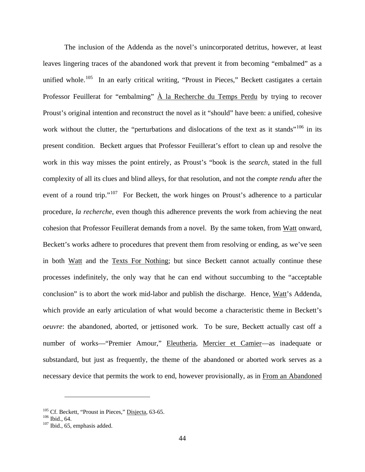The inclusion of the Addenda as the novel's unincorporated detritus, however, at least leaves lingering traces of the abandoned work that prevent it from becoming "embalmed" as a unified whole.<sup>105</sup> In an early critical writing, "Proust in Pieces," Beckett castigates a certain Professor Feuillerat for "embalming" À la Recherche du Temps Perdu by trying to recover Proust's original intention and reconstruct the novel as it "should" have been: a unified, cohesive work without the clutter, the "perturbations and dislocations of the text as it stands"<sup>[106](#page-51-1)</sup> in its present condition. Beckett argues that Professor Feuillerat's effort to clean up and resolve the work in this way misses the point entirely, as Proust's "book is the *search*, stated in the full complexity of all its clues and blind alleys, for that resolution, and not the *compte rendu* after the event of a round trip."<sup>[107](#page-51-2)</sup> For Beckett, the work hinges on Proust's adherence to a particular procedure, *la recherche*, even though this adherence prevents the work from achieving the neat cohesion that Professor Feuillerat demands from a novel. By the same token, from Watt onward, Beckett's works adhere to procedures that prevent them from resolving or ending, as we've seen in both Watt and the Texts For Nothing; but since Beckett cannot actually continue these processes indefinitely, the only way that he can end without succumbing to the "acceptable conclusion" is to abort the work mid-labor and publish the discharge. Hence, Watt's Addenda, which provide an early articulation of what would become a characteristic theme in Beckett's *oeuvre*: the abandoned, aborted, or jettisoned work. To be sure, Beckett actually cast off a number of works—"Premier Amour," Eleutheria, Mercier et Camier—as inadequate or substandard, but just as frequently, the theme of the abandoned or aborted work serves as a necessary device that permits the work to end, however provisionally, as in From an Abandoned

<span id="page-51-0"></span><sup>&</sup>lt;sup>105</sup> Cf. Beckett, "Proust in Pieces," <u>Disjecta</u>, 63-65.<br><sup>106</sup> Ibid., 64.<br><sup>107</sup> Ibid., 65, emphasis added.

<span id="page-51-2"></span><span id="page-51-1"></span>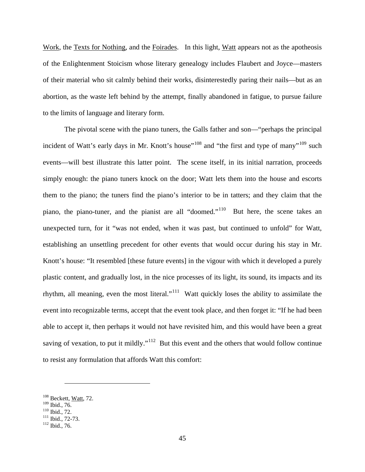Work, the Texts for Nothing, and the Foirades. In this light, Watt appears not as the apotheosis of the Enlightenment Stoicism whose literary genealogy includes Flaubert and Joyce—masters of their material who sit calmly behind their works, disinterestedly paring their nails—but as an abortion, as the waste left behind by the attempt, finally abandoned in fatigue, to pursue failure to the limits of language and literary form.

The pivotal scene with the piano tuners, the Galls father and son—"perhaps the principal incident of Watt's early days in Mr. Knott's house"<sup>[108](#page-52-0)</sup> and "the first and type of many"<sup>[109](#page-52-1)</sup> such events—will best illustrate this latter point. The scene itself, in its initial narration, proceeds simply enough: the piano tuners knock on the door; Watt lets them into the house and escorts them to the piano; the tuners find the piano's interior to be in tatters; and they claim that the piano, the piano-tuner, and the pianist are all "doomed."[110](#page-52-2) But here, the scene takes an unexpected turn, for it "was not ended, when it was past, but continued to unfold" for Watt, establishing an unsettling precedent for other events that would occur during his stay in Mr. Knott's house: "It resembled [these future events] in the vigour with which it developed a purely plastic content, and gradually lost, in the nice processes of its light, its sound, its impacts and its rhythm, all meaning, even the most literal."[111](#page-52-3) Watt quickly loses the ability to assimilate the event into recognizable terms, accept that the event took place, and then forget it: "If he had been able to accept it, then perhaps it would not have revisited him, and this would have been a great saving of vexation, to put it mildly."<sup>[112](#page-52-4)</sup> But this event and the others that would follow continue to resist any formulation that affords Watt this comfort:

<span id="page-52-0"></span> $^{108}$  Beckett, <u>Watt</u>, 72.<br> $^{109}$  Ibid., 76.

<span id="page-52-3"></span>

<span id="page-52-2"></span><span id="page-52-1"></span> $\frac{110}{111}$  Ibid., 72.<br>  $\frac{111}{112}$  Ibid., 72-73.

<span id="page-52-4"></span>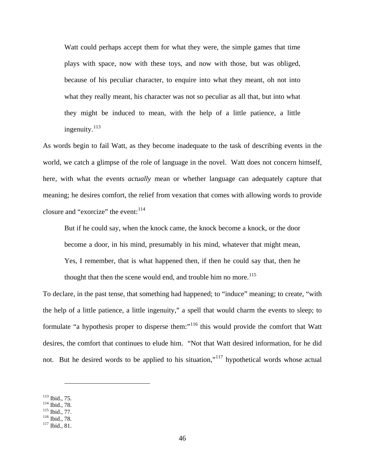Watt could perhaps accept them for what they were, the simple games that time plays with space, now with these toys, and now with those, but was obliged, because of his peculiar character, to enquire into what they meant, oh not into what they really meant, his character was not so peculiar as all that, but into what they might be induced to mean, with the help of a little patience, a little ingenuity.<sup>[113](#page-53-0)</sup>

As words begin to fail Watt, as they become inadequate to the task of describing events in the world, we catch a glimpse of the role of language in the novel. Watt does not concern himself, here, with what the events *actually* mean or whether language can adequately capture that meaning; he desires comfort, the relief from vexation that comes with allowing words to provide closure and "exorcize" the event:  $114$ 

But if he could say, when the knock came, the knock become a knock, or the door become a door, in his mind, presumably in his mind, whatever that might mean, Yes, I remember, that is what happened then, if then he could say that, then he thought that then the scene would end, and trouble him no more.<sup>[115](#page-53-2)</sup>

To declare, in the past tense, that something had happened; to "induce" meaning; to create, "with the help of a little patience, a little ingenuity," a spell that would charm the events to sleep; to formulate "a hypothesis proper to disperse them:"<sup>[116](#page-53-3)</sup> this would provide the comfort that Watt desires, the comfort that continues to elude him. "Not that Watt desired information, for he did not. But he desired words to be applied to his situation,"<sup>[117](#page-53-4)</sup> hypothetical words whose actual

<span id="page-53-2"></span>

<span id="page-53-1"></span><span id="page-53-0"></span><sup>113</sup> Ibid., 75.<br>
<sup>114</sup> Ibid., 78.<br>
<sup>115</sup> Ibid., 78.<br>
<sup>116</sup> Ibid., 81.

<span id="page-53-3"></span>

<span id="page-53-4"></span>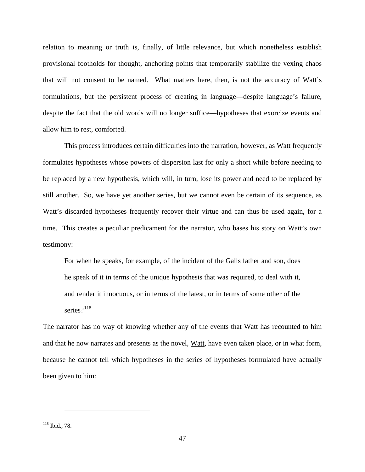relation to meaning or truth is, finally, of little relevance, but which nonetheless establish provisional footholds for thought, anchoring points that temporarily stabilize the vexing chaos that will not consent to be named. What matters here, then, is not the accuracy of Watt's formulations, but the persistent process of creating in language—despite language's failure, despite the fact that the old words will no longer suffice—hypotheses that exorcize events and allow him to rest, comforted.

This process introduces certain difficulties into the narration, however, as Watt frequently formulates hypotheses whose powers of dispersion last for only a short while before needing to be replaced by a new hypothesis, which will, in turn, lose its power and need to be replaced by still another. So, we have yet another series, but we cannot even be certain of its sequence, as Watt's discarded hypotheses frequently recover their virtue and can thus be used again, for a time. This creates a peculiar predicament for the narrator, who bases his story on Watt's own testimony:

For when he speaks, for example, of the incident of the Galls father and son, does he speak of it in terms of the unique hypothesis that was required, to deal with it, and render it innocuous, or in terms of the latest, or in terms of some other of the series?<sup>[118](#page-54-0)</sup>

The narrator has no way of knowing whether any of the events that Watt has recounted to him and that he now narrates and presents as the novel, Watt, have even taken place, or in what form, because he cannot tell which hypotheses in the series of hypotheses formulated have actually been given to him:

<span id="page-54-0"></span><sup>118</sup> Ibid., 78.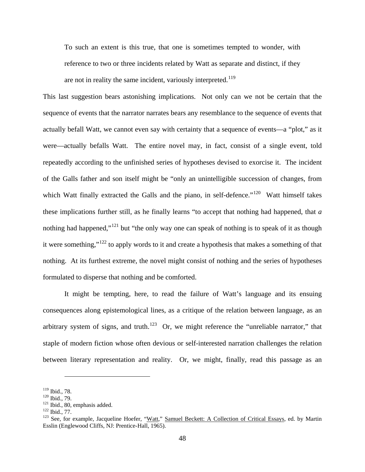To such an extent is this true, that one is sometimes tempted to wonder, with reference to two or three incidents related by Watt as separate and distinct, if they are not in reality the same incident, variously interpreted.<sup>[119](#page-55-0)</sup>

This last suggestion bears astonishing implications. Not only can we not be certain that the sequence of events that the narrator narrates bears any resemblance to the sequence of events that actually befall Watt, we cannot even say with certainty that a sequence of events—a "plot," as it were—actually befalls Watt. The entire novel may, in fact, consist of a single event, told repeatedly according to the unfinished series of hypotheses devised to exorcise it. The incident of the Galls father and son itself might be "only an unintelligible succession of changes, from which Watt finally extracted the Galls and the piano, in self-defence."<sup>[120](#page-55-1)</sup> Watt himself takes these implications further still, as he finally learns "to accept that nothing had happened, that *a* nothing had happened,"<sup>[121](#page-55-2)</sup> but "the only way one can speak of nothing is to speak of it as though it were something,"<sup>[122](#page-55-3)</sup> to apply words to it and create a hypothesis that makes a something of that nothing. At its furthest extreme, the novel might consist of nothing and the series of hypotheses formulated to disperse that nothing and be comforted.

It might be tempting, here, to read the failure of Watt's language and its ensuing consequences along epistemological lines, as a critique of the relation between language, as an arbitrary system of signs, and truth.<sup>[123](#page-55-4)</sup> Or, we might reference the "unreliable narrator," that staple of modern fiction whose often devious or self-interested narration challenges the relation between literary representation and reality. Or, we might, finally, read this passage as an

<span id="page-55-2"></span>

<span id="page-55-4"></span><span id="page-55-3"></span>

<span id="page-55-1"></span><span id="page-55-0"></span><sup>119</sup> Ibid., 78.<br><sup>120</sup> Ibid., 79.<br><sup>121</sup> Ibid., 80, emphasis added.<br><sup>122</sup> Ibid., 77.<br><sup>123</sup> See, for example, Jacqueline Hoefer, "<u>Watt,</u>" <u>Samuel Beckett: A Collection of Critical Essays,</u> ed. by Martin Esslin (Englewood Cliffs, NJ: Prentice-Hall, 1965).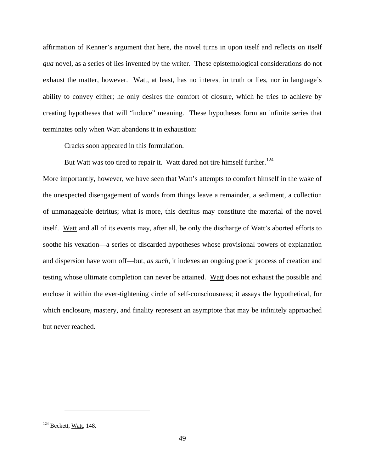affirmation of Kenner's argument that here, the novel turns in upon itself and reflects on itself *qua* novel, as a series of lies invented by the writer. These epistemological considerations do not exhaust the matter, however. Watt, at least, has no interest in truth or lies, nor in language's ability to convey either; he only desires the comfort of closure, which he tries to achieve by creating hypotheses that will "induce" meaning. These hypotheses form an infinite series that terminates only when Watt abandons it in exhaustion:

Cracks soon appeared in this formulation.

But Watt was too tired to repair it. Watt dared not tire himself further.<sup>[124](#page-56-0)</sup>

More importantly, however, we have seen that Watt's attempts to comfort himself in the wake of the unexpected disengagement of words from things leave a remainder, a sediment, a collection of unmanageable detritus; what is more, this detritus may constitute the material of the novel itself. Watt and all of its events may, after all, be only the discharge of Watt's aborted efforts to soothe his vexation—a series of discarded hypotheses whose provisional powers of explanation and dispersion have worn off—but, *as such*, it indexes an ongoing poetic process of creation and testing whose ultimate completion can never be attained. Watt does not exhaust the possible and enclose it within the ever-tightening circle of self-consciousness; it assays the hypothetical, for which enclosure, mastery, and finality represent an asymptote that may be infinitely approached but never reached.

<span id="page-56-0"></span> $124$  Beckett, Watt, 148.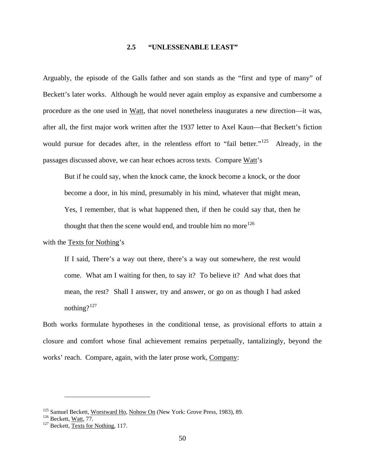#### **2.5 "UNLESSENABLE LEAST"**

Arguably, the episode of the Galls father and son stands as the "first and type of many" of Beckett's later works. Although he would never again employ as expansive and cumbersome a procedure as the one used in Watt, that novel nonetheless inaugurates a new direction—it was, after all, the first major work written after the 1937 letter to Axel Kaun—that Beckett's fiction would pursue for decades after, in the relentless effort to "fail better."<sup>125</sup> Already, in the passages discussed above, we can hear echoes across texts. Compare Watt's

But if he could say, when the knock came, the knock become a knock, or the door become a door, in his mind, presumably in his mind, whatever that might mean, Yes, I remember, that is what happened then, if then he could say that, then he thought that then the scene would end, and trouble him no more<sup>[126](#page-57-1)</sup>

## with the Texts for Nothing's

If I said, There's a way out there, there's a way out somewhere, the rest would come. What am I waiting for then, to say it? To believe it? And what does that mean, the rest? Shall I answer, try and answer, or go on as though I had asked nothing? $127$ 

Both works formulate hypotheses in the conditional tense, as provisional efforts to attain a closure and comfort whose final achievement remains perpetually, tantalizingly, beyond the works' reach. Compare, again, with the later prose work, Company:

<span id="page-57-1"></span><span id="page-57-0"></span><sup>&</sup>lt;sup>125</sup> Samuel Beckett, <u>Worstward Ho, Nohow On</u> (New York: Grove Press, 1983), 89. <sup>126</sup> Beckett, <u>Watt</u>, 77. <sup>127</sup> Beckett. Texts for Nothing, 117.

<span id="page-57-2"></span>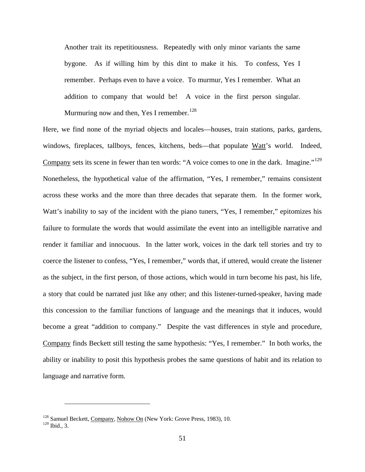Another trait its repetitiousness. Repeatedly with only minor variants the same bygone. As if willing him by this dint to make it his. To confess, Yes I remember. Perhaps even to have a voice. To murmur, Yes I remember. What an addition to company that would be! A voice in the first person singular. Murmuring now and then, Yes I remember.<sup>[128](#page-58-0)</sup>

Here, we find none of the myriad objects and locales—houses, train stations, parks, gardens, windows, fireplaces, tallboys, fences, kitchens, beds—that populate Watt's world. Indeed, Company sets its scene in fewer than ten words: "A voice comes to one in the dark. Imagine."<sup>[129](#page-58-1)</sup> Nonetheless, the hypothetical value of the affirmation, "Yes, I remember," remains consistent across these works and the more than three decades that separate them. In the former work, Watt's inability to say of the incident with the piano tuners, "Yes, I remember," epitomizes his failure to formulate the words that would assimilate the event into an intelligible narrative and render it familiar and innocuous. In the latter work, voices in the dark tell stories and try to coerce the listener to confess, "Yes, I remember," words that, if uttered, would create the listener as the subject, in the first person, of those actions, which would in turn become his past, his life, a story that could be narrated just like any other; and this listener-turned-speaker, having made this concession to the familiar functions of language and the meanings that it induces, would become a great "addition to company." Despite the vast differences in style and procedure, Company finds Beckett still testing the same hypothesis: "Yes, I remember." In both works, the ability or inability to posit this hypothesis probes the same questions of habit and its relation to language and narrative form.

<span id="page-58-1"></span><span id="page-58-0"></span><sup>&</sup>lt;sup>128</sup> Samuel Beckett, Company, Nohow On (New York: Grove Press, 1983), 10. <sup>129</sup> Ibid., 3.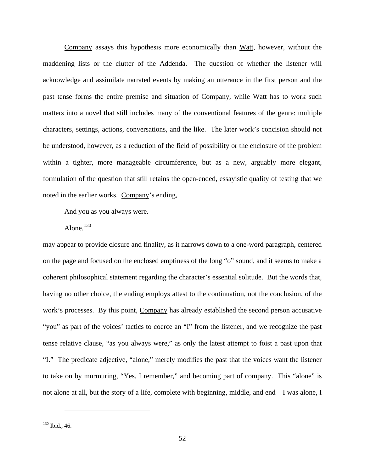Company assays this hypothesis more economically than Watt, however, without the maddening lists or the clutter of the Addenda. The question of whether the listener will acknowledge and assimilate narrated events by making an utterance in the first person and the past tense forms the entire premise and situation of Company, while Watt has to work such matters into a novel that still includes many of the conventional features of the genre: multiple characters, settings, actions, conversations, and the like. The later work's concision should not be understood, however, as a reduction of the field of possibility or the enclosure of the problem within a tighter, more manageable circumference, but as a new, arguably more elegant, formulation of the question that still retains the open-ended, essayistic quality of testing that we noted in the earlier works. Company's ending,

And you as you always were.

Alone.<sup>[130](#page-59-0)</sup>

may appear to provide closure and finality, as it narrows down to a one-word paragraph, centered on the page and focused on the enclosed emptiness of the long "o" sound, and it seems to make a coherent philosophical statement regarding the character's essential solitude. But the words that, having no other choice, the ending employs attest to the continuation, not the conclusion, of the work's processes. By this point, Company has already established the second person accusative "you" as part of the voices' tactics to coerce an "I" from the listener, and we recognize the past tense relative clause, "as you always were," as only the latest attempt to foist a past upon that "I." The predicate adjective, "alone," merely modifies the past that the voices want the listener to take on by murmuring, "Yes, I remember," and becoming part of company. This "alone" is not alone at all, but the story of a life, complete with beginning, middle, and end—I was alone, I

<span id="page-59-0"></span><sup>130</sup> Ibid., 46.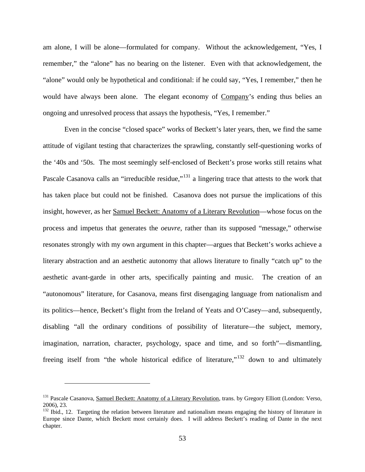am alone, I will be alone—formulated for company. Without the acknowledgement, "Yes, I remember," the "alone" has no bearing on the listener. Even with that acknowledgement, the "alone" would only be hypothetical and conditional: if he could say, "Yes, I remember," then he would have always been alone. The elegant economy of Company's ending thus belies an ongoing and unresolved process that assays the hypothesis, "Yes, I remember."

Even in the concise "closed space" works of Beckett's later years, then, we find the same attitude of vigilant testing that characterizes the sprawling, constantly self-questioning works of the '40s and '50s. The most seemingly self-enclosed of Beckett's prose works still retains what Pascale Casanova calls an "irreducible residue,"<sup>[131](#page-60-0)</sup> a lingering trace that attests to the work that has taken place but could not be finished. Casanova does not pursue the implications of this insight, however, as her Samuel Beckett: Anatomy of a Literary Revolution—whose focus on the process and impetus that generates the *oeuvre*, rather than its supposed "message," otherwise resonates strongly with my own argument in this chapter—argues that Beckett's works achieve a literary abstraction and an aesthetic autonomy that allows literature to finally "catch up" to the aesthetic avant-garde in other arts, specifically painting and music. The creation of an "autonomous" literature, for Casanova, means first disengaging language from nationalism and its politics—hence, Beckett's flight from the Ireland of Yeats and O'Casey—and, subsequently, disabling "all the ordinary conditions of possibility of literature—the subject, memory, imagination, narration, character, psychology, space and time, and so forth"—dismantling, freeing itself from "the whole historical edifice of literature,"[132](#page-60-1) down to and ultimately

<span id="page-60-0"></span><sup>&</sup>lt;sup>131</sup> Pascale Casanova, Samuel Beckett: Anatomy of a Literary Revolution, trans. by Gregory Elliott (London: Verso, 2006), 23.

<span id="page-60-1"></span><sup>132</sup> Ibid., 12. Targeting the relation between literature and nationalism means engaging the history of literature in Europe since Dante, which Beckett most certainly does. I will address Beckett's reading of Dante in the next chapter.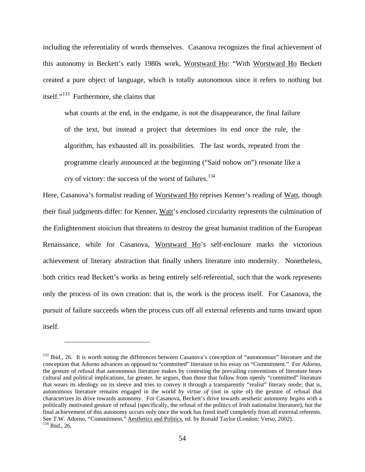including the referentiality of words themselves. Casanova recognizes the final achievement of this autonomy in Beckett's early 1980s work, Worstward Ho: "With Worstward Ho Beckett created a pure object of language, which is totally autonomous since it refers to nothing but itself."[133](#page-61-0) Furthermore, she claims that

what counts at the end, in the endgame, is not the disappearance, the final failure of the text, but instead a project that determines its end once the rule, the algorithm, has exhausted all its possibilities. The last words, repeated from the programme clearly announced at the beginning ("Said nohow on") resonate like a cry of victory: the success of the worst of failures.<sup>[134](#page-61-1)</sup>

Here, Casanova's formalist reading of Worstward Ho reprises Kenner's reading of Watt, though their final judgments differ: for Kenner, Watt's enclosed circularity represents the culmination of the Enlightenment stoicism that threatens to destroy the great humanist tradition of the European Renaissance, while for Casanova, Worstward Ho's self-enclosure marks the victorious achievement of literary abstraction that finally ushers literature into modernity. Nonetheless, both critics read Beckett's works as being entirely self-referential, such that the work represents only the process of its own creation: that is, the work is the process itself. For Casanova, the pursuit of failure succeeds when the process cuts off all external referents and turns inward upon itself.

<span id="page-61-1"></span><span id="page-61-0"></span><sup>&</sup>lt;sup>133</sup> Ibid., 26. It is worth noting the differences between Casanova's conception of "autonomous" literature and the conception that Adorno advances as opposed to "committed" literature in his essay on "Commitment." For Adorno, the gesture of refusal that autonomous literature makes by contesting the prevailing conventions of literature bears cultural and political implications, far greater, he argues, than those that follow from openly "committed" literature that wears its ideology on its sleeve and tries to convey it through a transparently "realist" literary mode; that is, autonomous literature remains engaged in the world *by virtue of* (not in spite of) the gesture of refusal that characterizes its drive towards autonomy. For Casanova, Beckett's drive towards aesthetic autonomy *begins* with a politically motivated gesture of refusal (specifically, the refusal of the politics of Irish nationalist literature), but the final achievement of this autonomy occurs only once the work has freed itself completely from all external referents. See T.W. Adorno, "Commitment," Aesthetics and Politics, ed. by Ronald Taylor (London: Verso, 2002).<br><sup>134</sup> Ibid., 26.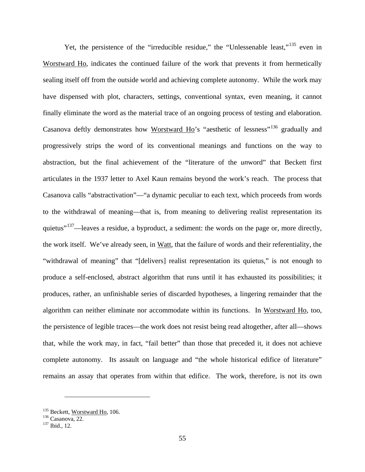Yet, the persistence of the "irreducible residue," the "Unlessenable least,"<sup>[135](#page-62-0)</sup> even in Worstward Ho, indicates the continued failure of the work that prevents it from hermetically sealing itself off from the outside world and achieving complete autonomy. While the work may have dispensed with plot, characters, settings, conventional syntax, even meaning, it cannot finally eliminate the word as the material trace of an ongoing process of testing and elaboration. Casanova deftly demonstrates how Worstward Ho's "aesthetic of lessness"<sup>[136](#page-62-1)</sup> gradually and progressively strips the word of its conventional meanings and functions on the way to abstraction, but the final achievement of the "literature of the *un*word" that Beckett first articulates in the 1937 letter to Axel Kaun remains beyond the work's reach. The process that Casanova calls "abstractivation"—"a dynamic peculiar to each text, which proceeds from words to the withdrawal of meaning—that is, from meaning to delivering realist representation its quietus"<sup>137</sup>—leaves a residue, a byproduct, a sediment: the words on the page or, more directly, the work itself. We've already seen, in Watt, that the failure of words and their referentiality, the "withdrawal of meaning" that "[delivers] realist representation its quietus," is not enough to produce a self-enclosed, abstract algorithm that runs until it has exhausted its possibilities; it produces, rather, an unfinishable series of discarded hypotheses, a lingering remainder that the algorithm can neither eliminate nor accommodate within its functions. In Worstward Ho, too, the persistence of legible traces—the work does not resist being read altogether, after all—shows that, while the work may, in fact, "fail better" than those that preceded it, it does not achieve complete autonomy. Its assault on language and "the whole historical edifice of literature" remains an assay that operates from within that edifice. The work, therefore, is not its own

<span id="page-62-1"></span><span id="page-62-0"></span><sup>&</sup>lt;sup>135</sup> Beckett, <u>Worstward Ho</u>, 106.<br><sup>136</sup> Casanova, 22.<br><sup>137</sup> Ibid., 12.

<span id="page-62-2"></span>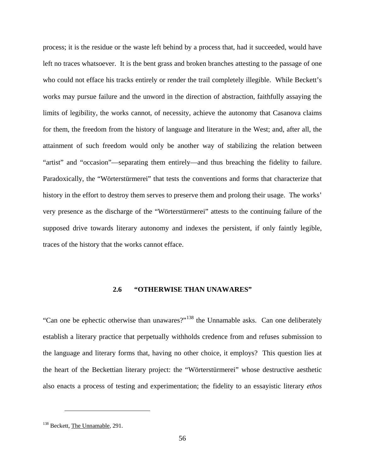process; it is the residue or the waste left behind by a process that, had it succeeded, would have left no traces whatsoever. It is the bent grass and broken branches attesting to the passage of one who could not efface his tracks entirely or render the trail completely illegible. While Beckett's works may pursue failure and the unword in the direction of abstraction, faithfully assaying the limits of legibility, the works cannot, of necessity, achieve the autonomy that Casanova claims for them, the freedom from the history of language and literature in the West; and, after all, the attainment of such freedom would only be another way of stabilizing the relation between "artist" and "occasion"—separating them entirely—and thus breaching the fidelity to failure. Paradoxically, the "Wörterstürmerei" that tests the conventions and forms that characterize that history in the effort to destroy them serves to preserve them and prolong their usage. The works' very presence as the discharge of the "Wörterstürmerei" attests to the continuing failure of the supposed drive towards literary autonomy and indexes the persistent, if only faintly legible, traces of the history that the works cannot efface.

## **2.6 "OTHERWISE THAN UNAWARES"**

"Can one be ephectic otherwise than unawares?"[138](#page-63-0) the Unnamable asks. Can one deliberately establish a literary practice that perpetually withholds credence from and refuses submission to the language and literary forms that, having no other choice, it employs? This question lies at the heart of the Beckettian literary project: the "Wörterstürmerei" whose destructive aesthetic also enacts a process of testing and experimentation; the fidelity to an essayistic literary *ethos*

<span id="page-63-0"></span><sup>&</sup>lt;sup>138</sup> Beckett, The Unnamable, 291.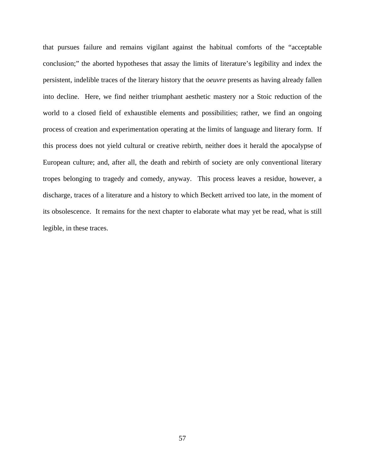that pursues failure and remains vigilant against the habitual comforts of the "acceptable conclusion;" the aborted hypotheses that assay the limits of literature's legibility and index the persistent, indelible traces of the literary history that the *oeuvre* presents as having already fallen into decline. Here, we find neither triumphant aesthetic mastery nor a Stoic reduction of the world to a closed field of exhaustible elements and possibilities; rather, we find an ongoing process of creation and experimentation operating at the limits of language and literary form. If this process does not yield cultural or creative rebirth, neither does it herald the apocalypse of European culture; and, after all, the death and rebirth of society are only conventional literary tropes belonging to tragedy and comedy, anyway. This process leaves a residue, however, a discharge, traces of a literature and a history to which Beckett arrived too late, in the moment of its obsolescence. It remains for the next chapter to elaborate what may yet be read, what is still legible, in these traces.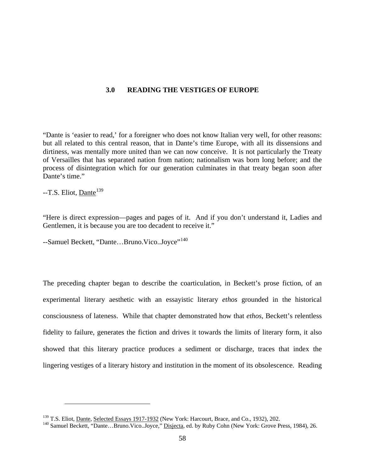## **3.0 READING THE VESTIGES OF EUROPE**

"Dante is 'easier to read,' for a foreigner who does not know Italian very well, for other reasons: but all related to this central reason, that in Dante's time Europe, with all its dissensions and dirtiness, was mentally more united than we can now conceive. It is not particularly the Treaty of Versailles that has separated nation from nation; nationalism was born long before; and the process of disintegration which for our generation culminates in that treaty began soon after Dante's time."

 $-$ T.S. Eliot, Dante<sup>[139](#page-65-0)</sup>

 $\overline{a}$ 

"Here is direct expression—pages and pages of it. And if you don't understand it, Ladies and Gentlemen, it is because you are too decadent to receive it."

--Samuel Beckett, "Dante...Bruno.Vico..Joyce"<sup>[140](#page-65-1)</sup>

The preceding chapter began to describe the coarticulation, in Beckett's prose fiction, of an experimental literary aesthetic with an essayistic literary *ethos* grounded in the historical consciousness of lateness. While that chapter demonstrated how that *ethos*, Beckett's relentless fidelity to failure, generates the fiction and drives it towards the limits of literary form, it also showed that this literary practice produces a sediment or discharge, traces that index the lingering vestiges of a literary history and institution in the moment of its obsolescence. Reading

<span id="page-65-1"></span><span id="page-65-0"></span><sup>&</sup>lt;sup>139</sup> T.S. Eliot, <u>Dante, Selected Essays 1917-1932</u> (New York: Harcourt, Brace, and Co., 1932), 202.<br><sup>140</sup> Samuel Beckett, "Dante…Bruno.Vico..Joyce," <u>Disjecta</u>, ed. by Ruby Cohn (New York: Grove Press, 1984), 26.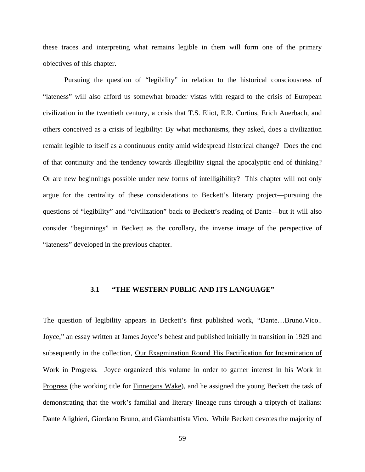these traces and interpreting what remains legible in them will form one of the primary objectives of this chapter.

Pursuing the question of "legibility" in relation to the historical consciousness of "lateness" will also afford us somewhat broader vistas with regard to the crisis of European civilization in the twentieth century, a crisis that T.S. Eliot, E.R. Curtius, Erich Auerbach, and others conceived as a crisis of legibility: By what mechanisms, they asked, does a civilization remain legible to itself as a continuous entity amid widespread historical change? Does the end of that continuity and the tendency towards illegibility signal the apocalyptic end of thinking? Or are new beginnings possible under new forms of intelligibility? This chapter will not only argue for the centrality of these considerations to Beckett's literary project—pursuing the questions of "legibility" and "civilization" back to Beckett's reading of Dante—but it will also consider "beginnings" in Beckett as the corollary, the inverse image of the perspective of "lateness" developed in the previous chapter.

## **3.1 "THE WESTERN PUBLIC AND ITS LANGUAGE"**

The question of legibility appears in Beckett's first published work, "Dante…Bruno.Vico.. Joyce," an essay written at James Joyce's behest and published initially in transition in 1929 and subsequently in the collection, Our Exagmination Round His Factification for Incamination of Work in Progress. Joyce organized this volume in order to garner interest in his Work in Progress (the working title for Finnegans Wake), and he assigned the young Beckett the task of demonstrating that the work's familial and literary lineage runs through a triptych of Italians: Dante Alighieri, Giordano Bruno, and Giambattista Vico. While Beckett devotes the majority of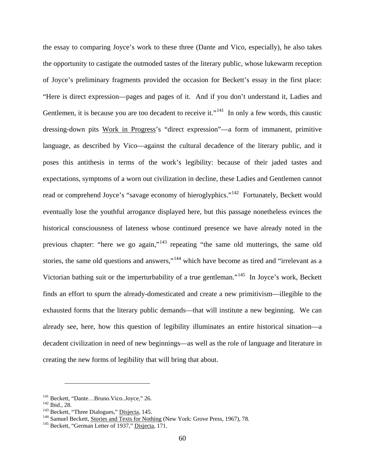the essay to comparing Joyce's work to these three (Dante and Vico, especially), he also takes the opportunity to castigate the outmoded tastes of the literary public, whose lukewarm reception of Joyce's preliminary fragments provided the occasion for Beckett's essay in the first place: "Here is direct expression—pages and pages of it. And if you don't understand it, Ladies and Gentlemen, it is because you are too decadent to receive it."<sup>141</sup> In only a few words, this caustic dressing-down pits Work in Progress's "direct expression"—a form of immanent, primitive language, as described by Vico—against the cultural decadence of the literary public, and it poses this antithesis in terms of the work's legibility: because of their jaded tastes and expectations, symptoms of a worn out civilization in decline, these Ladies and Gentlemen cannot read or comprehend Joyce's "savage economy of hieroglyphics."<sup>142</sup> Fortunately, Beckett would eventually lose the youthful arrogance displayed here, but this passage nonetheless evinces the historical consciousness of lateness whose continued presence we have already noted in the previous chapter: "here we go again,"[143](#page-67-2) repeating "the same old mutterings, the same old stories, the same old questions and answers,"<sup>[144](#page-67-3)</sup> which have become as tired and "irrelevant as a Victorian bathing suit or the imperturbability of a true gentleman."[145](#page-67-4) In Joyce's work, Beckett finds an effort to spurn the already-domesticated and create a new primitivism—illegible to the exhausted forms that the literary public demands—that will institute a new beginning. We can already see, here, how this question of legibility illuminates an entire historical situation—a decadent civilization in need of new beginnings—as well as the role of language and literature in creating the new forms of legibility that will bring that about.

<span id="page-67-2"></span>

<span id="page-67-1"></span><span id="page-67-0"></span><sup>&</sup>lt;sup>141</sup> Beckett, "Dante...Bruno.Vico..Joyce," 26.<br>
<sup>142</sup> Ibid., 28.<br>
<sup>143</sup> Beckett, "Three Dialogues," <u>Disjecta</u>, 145.<br>
<sup>143</sup> Samuel Beckett, Stories and Texts for Nothing (New York: Grove Press, 1967), 78.<br>
<sup>145</sup> Beckett,

<span id="page-67-4"></span><span id="page-67-3"></span>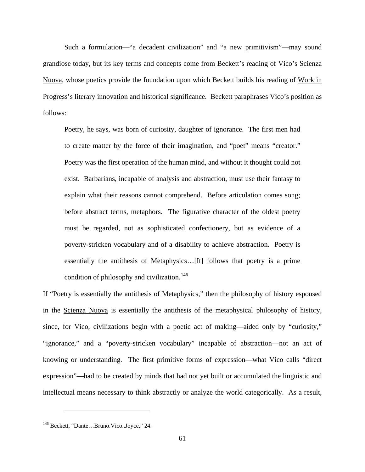Such a formulation—"a decadent civilization" and "a new primitivism"—may sound grandiose today, but its key terms and concepts come from Beckett's reading of Vico's Scienza Nuova, whose poetics provide the foundation upon which Beckett builds his reading of Work in Progress's literary innovation and historical significance. Beckett paraphrases Vico's position as follows:

Poetry, he says, was born of curiosity, daughter of ignorance. The first men had to create matter by the force of their imagination, and "poet" means "creator." Poetry was the first operation of the human mind, and without it thought could not exist. Barbarians, incapable of analysis and abstraction, must use their fantasy to explain what their reasons cannot comprehend. Before articulation comes song; before abstract terms, metaphors. The figurative character of the oldest poetry must be regarded, not as sophisticated confectionery, but as evidence of a poverty-stricken vocabulary and of a disability to achieve abstraction. Poetry is essentially the antithesis of Metaphysics…[It] follows that poetry is a prime condition of philosophy and civilization.<sup>[146](#page-68-0)</sup>

If "Poetry is essentially the antithesis of Metaphysics," then the philosophy of history espoused in the Scienza Nuova is essentially the antithesis of the metaphysical philosophy of history, since, for Vico, civilizations begin with a poetic act of making—aided only by "curiosity," "ignorance," and a "poverty-stricken vocabulary" incapable of abstraction—not an act of knowing or understanding. The first primitive forms of expression—what Vico calls "direct expression"—had to be created by minds that had not yet built or accumulated the linguistic and intellectual means necessary to think abstractly or analyze the world categorically. As a result,

<span id="page-68-0"></span><sup>146</sup> Beckett, "Dante…Bruno.Vico..Joyce," 24.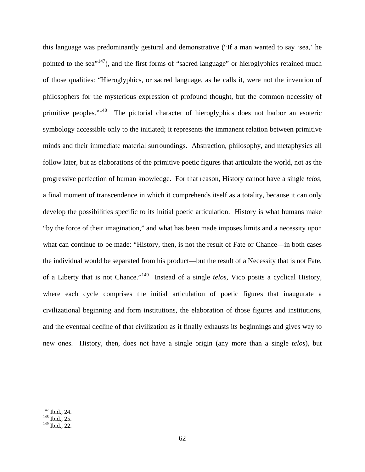this language was predominantly gestural and demonstrative ("If a man wanted to say 'sea,' he pointed to the sea<sup>"147</sup>), and the first forms of "sacred language" or hieroglyphics retained much of those qualities: "Hieroglyphics, or sacred language, as he calls it, were not the invention of philosophers for the mysterious expression of profound thought, but the common necessity of primitive peoples."<sup>[148](#page-69-1)</sup> The pictorial character of hieroglyphics does not harbor an esoteric symbology accessible only to the initiated; it represents the immanent relation between primitive minds and their immediate material surroundings. Abstraction, philosophy, and metaphysics all follow later, but as elaborations of the primitive poetic figures that articulate the world, not as the progressive perfection of human knowledge. For that reason, History cannot have a single *telos*, a final moment of transcendence in which it comprehends itself as a totality, because it can only develop the possibilities specific to its initial poetic articulation. History is what humans make "by the force of their imagination," and what has been made imposes limits and a necessity upon what can continue to be made: "History, then, is not the result of Fate or Chance—in both cases the individual would be separated from his product—but the result of a Necessity that is not Fate, of a Liberty that is not Chance."[149](#page-69-2) Instead of a single *telos*, Vico posits a cyclical History, where each cycle comprises the initial articulation of poetic figures that inaugurate a civilizational beginning and form institutions, the elaboration of those figures and institutions, and the eventual decline of that civilization as it finally exhausts its beginnings and gives way to new ones. History, then, does not have a single origin (any more than a single *telos*), but

<span id="page-69-1"></span><span id="page-69-0"></span> $^{147}$  Ibid., 24.<br><sup>148</sup> Ibid., 25.

<span id="page-69-2"></span><sup>149</sup> Ibid., 22.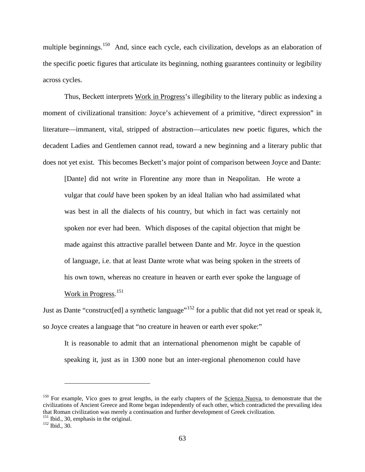multiple beginnings.<sup>[150](#page-70-0)</sup> And, since each cycle, each civilization, develops as an elaboration of the specific poetic figures that articulate its beginning, nothing guarantees continuity or legibility across cycles.

Thus, Beckett interprets Work in Progress's illegibility to the literary public as indexing a moment of civilizational transition: Joyce's achievement of a primitive, "direct expression" in literature—immanent, vital, stripped of abstraction—articulates new poetic figures, which the decadent Ladies and Gentlemen cannot read, toward a new beginning and a literary public that does not yet exist. This becomes Beckett's major point of comparison between Joyce and Dante:

[Dante] did not write in Florentine any more than in Neapolitan. He wrote a vulgar that *could* have been spoken by an ideal Italian who had assimilated what was best in all the dialects of his country, but which in fact was certainly not spoken nor ever had been. Which disposes of the capital objection that might be made against this attractive parallel between Dante and Mr. Joyce in the question of language, i.e. that at least Dante wrote what was being spoken in the streets of his own town, whereas no creature in heaven or earth ever spoke the language of Work in Progress. [151](#page-70-1) 

Just as Dante "construct [ed] a synthetic language"<sup>[152](#page-70-2)</sup> for a public that did not yet read or speak it, so Joyce creates a language that "no creature in heaven or earth ever spoke:"

It is reasonable to admit that an international phenomenon might be capable of speaking it, just as in 1300 none but an inter-regional phenomenon could have

<span id="page-70-0"></span><sup>&</sup>lt;sup>150</sup> For example, Vico goes to great lengths, in the early chapters of the Scienza Nuova, to demonstrate that the civilizations of Ancient Greece and Rome began independently of each other, which contradicted the prevailing idea that Roman civilization was merely a continuation and further development of Greek civilization.<br><sup>151</sup> Ibid., 30, emphasis in the original.<br><sup>152</sup> Ibid., 30.

<span id="page-70-2"></span><span id="page-70-1"></span>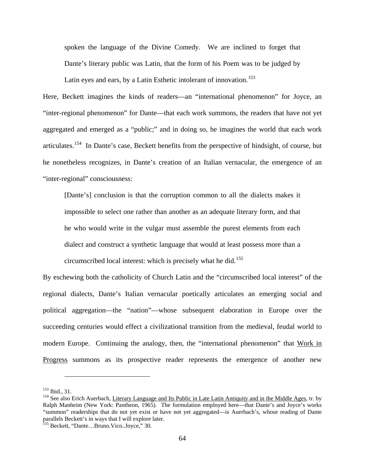spoken the language of the Divine Comedy. We are inclined to forget that Dante's literary public was Latin, that the form of his Poem was to be judged by Latin eyes and ears, by a Latin Esthetic intolerant of innovation.<sup>[153](#page-71-0)</sup>

Here, Beckett imagines the kinds of readers—an "international phenomenon" for Joyce, an "inter-regional phenomenon" for Dante—that each work summons, the readers that have not yet aggregated and emerged as a "public;" and in doing so, he imagines the world that each work articulates.[154](#page-71-1) In Dante's case, Beckett benefits from the perspective of hindsight, of course, but he nonetheless recognizes, in Dante's creation of an Italian vernacular, the emergence of an "inter-regional" consciousness:

[Dante's] conclusion is that the corruption common to all the dialects makes it impossible to select one rather than another as an adequate literary form, and that he who would write in the vulgar must assemble the purest elements from each dialect and construct a synthetic language that would at least possess more than a circumscribed local interest: which is precisely what he did.<sup>[155](#page-71-2)</sup>

By eschewing both the catholicity of Church Latin and the "circumscribed local interest" of the regional dialects, Dante's Italian vernacular poetically articulates an emerging social and political aggregation—the "nation"—whose subsequent elaboration in Europe over the succeeding centuries would effect a civilizational transition from the medieval, feudal world to modern Europe. Continuing the analogy, then, the "international phenomenon" that Work in Progress summons as its prospective reader represents the emergence of another new

<span id="page-71-1"></span><span id="page-71-0"></span><sup>&</sup>lt;sup>153</sup> Ibid., 31.<br><sup>154</sup> See also Erich Auerbach, Literary Language and Its Public in Late Latin Antiquity and in the Middle Ages, tr. by Ralph Manheim (New York: Pantheon, 1965). The formulation employed here—that Dante's and Joyce's works "summon" readerships that do not yet exist or have not yet aggregated—is Auerbach's, whose reading of Dante parallels Beckett's in ways that I will explore later.

<span id="page-71-2"></span><sup>&</sup>lt;sup>155</sup> Beckett, "Dante...Bruno.Vico..Joyce," 30.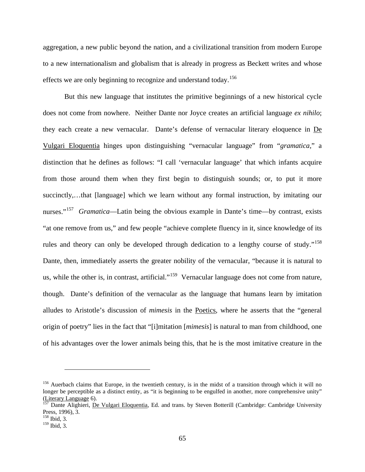aggregation, a new public beyond the nation, and a civilizational transition from modern Europe to a new internationalism and globalism that is already in progress as Beckett writes and whose effects we are only beginning to recognize and understand today.<sup>[156](#page-72-0)</sup>

But this new language that institutes the primitive beginnings of a new historical cycle does not come from nowhere. Neither Dante nor Joyce creates an artificial language *ex nihilo*; they each create a new vernacular. Dante's defense of vernacular literary eloquence in De Vulgari Eloquentia hinges upon distinguishing "vernacular language" from "*gramatica*," a distinction that he defines as follows: "I call 'vernacular language' that which infants acquire from those around them when they first begin to distinguish sounds; or, to put it more succinctly,…that [language] which we learn without any formal instruction, by imitating our nurses."<sup>157</sup> *Gramatica*—Latin being the obvious example in Dante's time—by contrast, exists "at one remove from us," and few people "achieve complete fluency in it, since knowledge of its rules and theory can only be developed through dedication to a lengthy course of study."<sup>[158](#page-72-2)</sup> Dante, then, immediately asserts the greater nobility of the vernacular, "because it is natural to us, while the other is, in contrast, artificial."<sup>159</sup> Vernacular language does not come from nature, though. Dante's definition of the vernacular as the language that humans learn by imitation alludes to Aristotle's discussion of *mimesis* in the Poetics, where he asserts that the "general origin of poetry" lies in the fact that "[i]mitation [*mimesis*] is natural to man from childhood, one of his advantages over the lower animals being this, that he is the most imitative creature in the

<span id="page-72-0"></span> $156$  Auerbach claims that Europe, in the twentieth century, is in the midst of a transition through which it will no longer be perceptible as a distinct entity, as "it is beginning to be engulfed in another, more comprehensive unity" (Literary Language 6).<br><sup>157</sup> Dante Alighieri, <u>De Vulgari Eloquentia</u>, Ed. and trans. by Steven Botterill (Cambridge: Cambridge University

<span id="page-72-1"></span>Press, 1996), 3.

<span id="page-72-2"></span><sup>158</sup> Ibid, 3.

<span id="page-72-3"></span> $159$  Ibid, 3.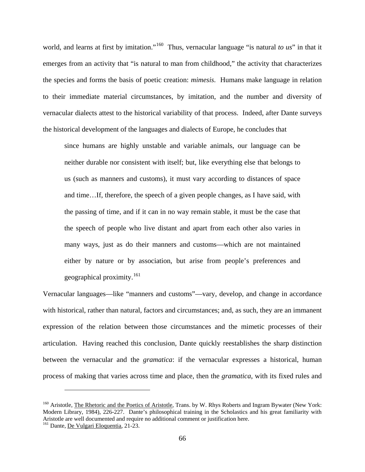world, and learns at first by imitation."[160](#page-73-0) Thus, vernacular language "is natural *to us*" in that it emerges from an activity that "is natural to man from childhood," the activity that characterizes the species and forms the basis of poetic creation: *mimesis*. Humans make language in relation to their immediate material circumstances, by imitation, and the number and diversity of vernacular dialects attest to the historical variability of that process. Indeed, after Dante surveys the historical development of the languages and dialects of Europe, he concludes that

since humans are highly unstable and variable animals, our language can be neither durable nor consistent with itself; but, like everything else that belongs to us (such as manners and customs), it must vary according to distances of space and time…If, therefore, the speech of a given people changes, as I have said, with the passing of time, and if it can in no way remain stable, it must be the case that the speech of people who live distant and apart from each other also varies in many ways, just as do their manners and customs—which are not maintained either by nature or by association, but arise from people's preferences and geographical proximity.<sup>[161](#page-73-1)</sup>

Vernacular languages—like "manners and customs"—vary, develop, and change in accordance with historical, rather than natural, factors and circumstances; and, as such, they are an immanent expression of the relation between those circumstances and the mimetic processes of their articulation. Having reached this conclusion, Dante quickly reestablishes the sharp distinction between the vernacular and the *gramatica*: if the vernacular expresses a historical, human process of making that varies across time and place, then the *gramatica*, with its fixed rules and

<span id="page-73-0"></span><sup>&</sup>lt;sup>160</sup> Aristotle, The Rhetoric and the Poetics of Aristotle, Trans. by W. Rhys Roberts and Ingram Bywater (New York: Modern Library, 1984), 226-227. Dante's philosophical training in the Scholastics and his great familiarity with Aristotle are well documented and require no additional comment or justification here.

<span id="page-73-1"></span><sup>&</sup>lt;sup>161</sup> Dante, De Vulgari Eloquentia, 21-23.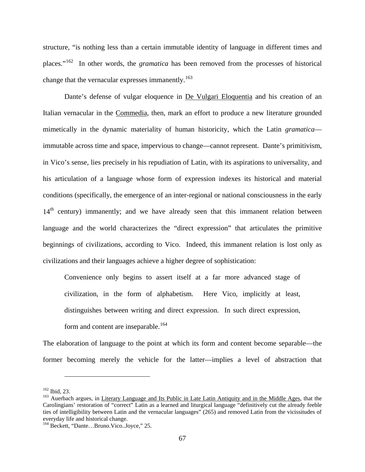structure, "is nothing less than a certain immutable identity of language in different times and places."[162](#page-74-0) In other words, the *gramatica* has been removed from the processes of historical change that the vernacular expresses immanently.<sup>[163](#page-74-1)</sup>

Dante's defense of vulgar eloquence in De Vulgari Eloquentia and his creation of an Italian vernacular in the Commedia, then, mark an effort to produce a new literature grounded mimetically in the dynamic materiality of human historicity, which the Latin *gramatica* immutable across time and space, impervious to change—cannot represent. Dante's primitivism, in Vico's sense, lies precisely in his repudiation of Latin, with its aspirations to universality, and his articulation of a language whose form of expression indexes its historical and material conditions (specifically, the emergence of an inter-regional or national consciousness in the early  $14<sup>th</sup>$  century) immanently; and we have already seen that this immanent relation between language and the world characterizes the "direct expression" that articulates the primitive beginnings of civilizations, according to Vico. Indeed, this immanent relation is lost only as civilizations and their languages achieve a higher degree of sophistication:

Convenience only begins to assert itself at a far more advanced stage of civilization, in the form of alphabetism. Here Vico, implicitly at least, distinguishes between writing and direct expression. In such direct expression, form and content are inseparable.<sup>[164](#page-74-2)</sup>

The elaboration of language to the point at which its form and content become separable—the former becoming merely the vehicle for the latter—implies a level of abstraction that

<span id="page-74-1"></span><span id="page-74-0"></span><sup>&</sup>lt;sup>162</sup> Ibid, 23.<br><sup>163</sup> Auerbach argues, in Literary Language and Its Public in Late Latin Antiquity and in the Middle Ages, that the Carolingians' restoration of "correct" Latin as a learned and liturgical language "definitively cut the already feeble ties of intelligibility between Latin and the vernacular languages" (265) and removed Latin from the vicissitudes of everyday life and historical change.

<span id="page-74-2"></span><sup>164</sup> Beckett, "Dante…Bruno.Vico..Joyce," 25.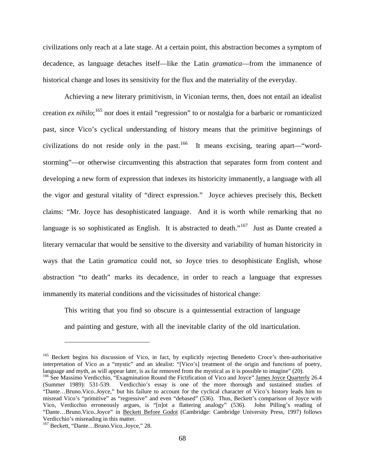civilizations only reach at a late stage. At a certain point, this abstraction becomes a symptom of decadence, as language detaches itself—like the Latin *gramatica*—from the immanence of historical change and loses its sensitivity for the flux and the materiality of the everyday.

Achieving a new literary primitivism, in Viconian terms, then, does not entail an idealist creation *ex nihilo*;<sup>[165](#page-75-0)</sup> nor does it entail "regression" to or nostalgia for a barbaric or romanticized past, since Vico's cyclical understanding of history means that the primitive beginnings of civilizations do not reside only in the past.<sup>166</sup> It means excising, tearing apart—"wordstorming"—or otherwise circumventing this abstraction that separates form from content and developing a new form of expression that indexes its historicity immanently, a language with all the vigor and gestural vitality of "direct expression." Joyce achieves precisely this, Beckett claims: "Mr. Joyce has desophisticated language. And it is worth while remarking that no language is so sophisticated as English. It is abstracted to death."<sup>167</sup> Just as Dante created a literary vernacular that would be sensitive to the diversity and variability of human historicity in ways that the Latin *gramatica* could not, so Joyce tries to desophisticate English, whose abstraction "to death" marks its decadence, in order to reach a language that expresses immanently its material conditions and the vicissitudes of historical change:

This writing that you find so obscure is a quintessential extraction of language and painting and gesture, with all the inevitable clarity of the old inarticulation.

<span id="page-75-0"></span><sup>&</sup>lt;sup>165</sup> Beckett begins his discussion of Vico, in fact, by explicitly rejecting Benedetto Croce's then-authoritative interpretation of Vico as a "mystic" and an idealist: "[Vico's] treatment of the origin and functions of poetry, language and myth, as will appear later, is as far removed from the mystical as it is possible to imagine" (2

<span id="page-75-1"></span><sup>&</sup>lt;sup>166</sup> See Massimo Verdicchio, "Exagmination Round the Fictification of Vico and Joyce" James Joyce Quarterly 26.4 (Summer 1989): 531-539. Verdicchio's essay is one of the more thorough and sustained studies of "Dante…Bruno.Vico..Joyce," but his failure to account for the cyclical character of Vico's history leads him to misread Vico's "primitive" as "regressive" and even "debased" (536). Thus, Beckett's comparison of Joyce with Vico, Verdicchio erroneously argues, is "[n]ot a flattering analogy" (536). John Pilling's reading of "Dante...Bruno.Vico..Joyce" in Beckett Before Godot (Cambridge: Cambridge University Press, 1997) follows Verdicchio's misreading in this matter.

<span id="page-75-2"></span><sup>167</sup> Beckett, "Dante…Bruno.Vico..Joyce," 28.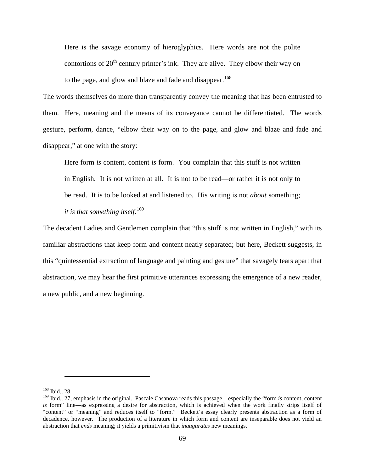Here is the savage economy of hieroglyphics. Here words are not the polite contortions of  $20<sup>th</sup>$  century printer's ink. They are alive. They elbow their way on to the page, and glow and blaze and fade and disappear.<sup>[168](#page-76-0)</sup>

The words themselves do more than transparently convey the meaning that has been entrusted to them. Here, meaning and the means of its conveyance cannot be differentiated. The words gesture, perform, dance, "elbow their way on to the page, and glow and blaze and fade and disappear," at one with the story:

Here form *is* content, content *is* form. You complain that this stuff is not written in English. It is not written at all. It is not to be read—or rather it is not only to be read. It is to be looked at and listened to. His writing is not *about* something; *it is that something itself*. [169](#page-76-1)

The decadent Ladies and Gentlemen complain that "this stuff is not written in English," with its familiar abstractions that keep form and content neatly separated; but here, Beckett suggests, in this "quintessential extraction of language and painting and gesture" that savagely tears apart that abstraction, we may hear the first primitive utterances expressing the emergence of a new reader, a new public, and a new beginning.

<span id="page-76-0"></span><sup>168</sup> Ibid., 28.

<span id="page-76-1"></span><sup>169</sup> Ibid., 27, emphasis in the original. Pascale Casanova reads this passage—especially the "form *is* content, content *is* form" line—as expressing a desire for abstraction, which is achieved when the work finally strips itself of "content" or "meaning" and reduces itself to "form." Beckett's essay clearly presents abstraction as a form of decadence, however. The production of a literature in which form and content are inseparable does not yield an abstraction that *ends* meaning; it yields a primitivism that *inaugurates* new meanings.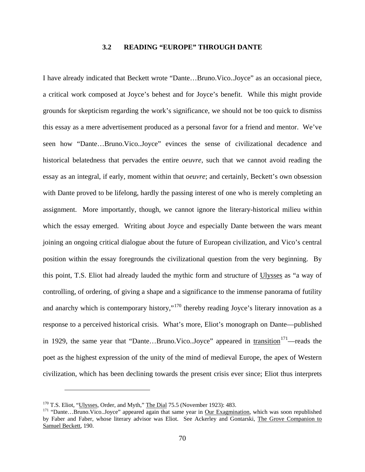## **3.2 READING "EUROPE" THROUGH DANTE**

I have already indicated that Beckett wrote "Dante…Bruno.Vico..Joyce" as an occasional piece, a critical work composed at Joyce's behest and for Joyce's benefit. While this might provide grounds for skepticism regarding the work's significance, we should not be too quick to dismiss this essay as a mere advertisement produced as a personal favor for a friend and mentor. We've seen how "Dante…Bruno.Vico..Joyce" evinces the sense of civilizational decadence and historical belatedness that pervades the entire *oeuvre*, such that we cannot avoid reading the essay as an integral, if early, moment within that *oeuvre*; and certainly, Beckett's own obsession with Dante proved to be lifelong, hardly the passing interest of one who is merely completing an assignment. More importantly, though, we cannot ignore the literary-historical milieu within which the essay emerged. Writing about Joyce and especially Dante between the wars meant joining an ongoing critical dialogue about the future of European civilization, and Vico's central position within the essay foregrounds the civilizational question from the very beginning. By this point, T.S. Eliot had already lauded the mythic form and structure of Ulysses as "a way of controlling, of ordering, of giving a shape and a significance to the immense panorama of futility and anarchy which is contemporary history,"<sup>[170](#page-77-0)</sup> thereby reading Joyce's literary innovation as a response to a perceived historical crisis. What's more, Eliot's monograph on Dante—published in 1929, the same year that "Dante...Bruno.Vico..Joyce" appeared in transition<sup>[171](#page-77-1)</sup>—reads the poet as the highest expression of the unity of the mind of medieval Europe, the apex of Western civilization, which has been declining towards the present crisis ever since; Eliot thus interprets

<span id="page-77-1"></span><span id="page-77-0"></span><sup>&</sup>lt;sup>170</sup> T.S. Eliot, "<u>Ulysses</u>, Order, and Myth," <u>The Dial</u> 75.5 (November 1923): 483.<br><sup>171</sup> "Dante…Bruno.Vico..Joyce" appeared again that same year in Our Exagmination, which was soon republished by Faber and Faber, whose literary advisor was Eliot. See Ackerley and Gontarski, The Grove Companion to Samuel Beckett, 190.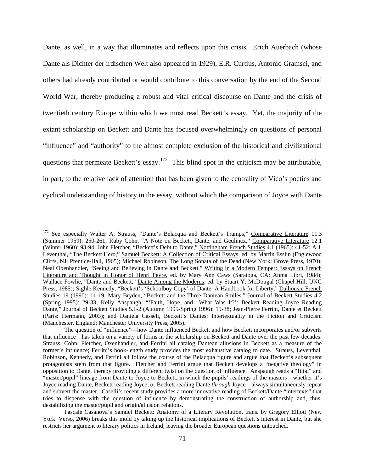Dante, as well, in a way that illuminates and reflects upon this crisis. Erich Auerbach (whose Dante als Dichter der irdischen Welt also appeared in 1929), E.R. Curtius, Antonio Gramsci, and others had already contributed or would contribute to this conversation by the end of the Second World War, thereby producing a robust and vital critical discourse on Dante and the crisis of twentieth century Europe within which we must read Beckett's essay. Yet, the majority of the extant scholarship on Beckett and Dante has focused overwhelmingly on questions of personal "influence" and "authority" to the almost complete exclusion of the historical and civilizational questions that permeate Beckett's essay.<sup>[172](#page-78-0)</sup> This blind spot in the criticism may be attributable, in part, to the relative lack of attention that has been given to the centrality of Vico's poetics and cyclical understanding of history in the essay, without which the comparison of Joyce with Dante

<span id="page-78-0"></span><sup>&</sup>lt;sup>172</sup> See especially Walter A. Strauss, "Dante's Belacqua and Beckett's Tramps," Comparative Literature 11.3 (Summer 1959): 250-261; Ruby Cohn, "A Note on Beckett, Dante, and Geulincx," Comparative Literature 12.1 (Winter 1960): 93-94; John Fletcher, "Beckett's Debt to Dante," Nottingham French Studies 4.1 (1965): 41-52; A.J. Leventhal, "The Beckett Hero," Samuel Beckett: A Collection of Critical Essays, ed. by Martin Esslin (Englewood Cliffs, NJ: Prentice-Hall, 1965); Michael Robinson, The Long Sonata of the Dead (New York: Grove Press, 1970); Neal Oxenhandler, "Seeing and Believing in Dante and Beckett," Writing in a Modern Temper: Essays on French Literature and Thought in Honor of Henri Peyre, ed. by Mary Ann Caws (Saratoga, CA: Anma Libri, 1984); Wallace Fowlie, "Dante and Beckett," Dante Among the Moderns, ed. by Stuart Y. McDougal (Chapel Hill: UNC Press, 1985); Sighle Kennedy, "Beckett's 'Schoolboy Copy' of Dante: A Handbook for Liberty," Dalhousie French Studies 19 (1990): 11-19; Mary Bryden, "Beckett and the Three Dantean Smiles," Journal of Beckett Studies 4.2 (Spring 1995): 29-33; Kelly Anspaugh, "'Faith, Hope, and—What Was It?': Beckett Reading Joyce Reading Dante," Journal of Beckett Studies 5.1-2 (Autumn 1995-Spring 1996): 19-38; Jean-Pierre Ferrini, Dante et Beckett (Paris: Hermann, 2003); and Daniela Casseli, Beckett's Dantes: Intertextuality in the Fiction and Criticism (Manchester, England: Manchester University Press, 2005).

The question of "influence"—how Dante influenced Beckett and how Beckett incorporates and/or subverts that influence—has taken on a variety of forms in the scholarship on Beckett and Dante over the past few decades. Strauss, Cohn, Fletcher, Oxenhandler, and Ferrini all catalog Dantean allusions in Beckett as a measure of the former's influence; Ferrini's book-length study provides the most exhaustive catalog to date. Strauss, Leventhal, Robinson, Kennedy, and Ferrini all follow the course of the Belacqua figure and argue that Beckett's subsequent protagonists stem from that figure. Fletcher and Ferrini argue that Beckett develops a "negative theology" in opposition to Dante, thereby providing a different twist on the question of influence. Anspaugh reads a "filial" and "master/pupil" lineage from Dante to Joyce to Beckett, in which the pupils' readings of the masters—whether it's Joyce reading Dante, Beckett reading Joyce, or Beckett reading Dante *through* Joyce—always simultaneously repeat and subvert the master. Caselli's recent study provides a more innovative reading of Beckett/Dante "intertexts" that tries to dispense with the question of influence by demonstrating the construction of authorship and, thus, destabilizing the master/pupil and origin/allusion relations.

Pascale Casanova's Samuel Beckett: Anatomy of a Literary Revolution, trans. by Gregory Elliott (New York: Verso, 2006) breaks this mold by taking up the historical implications of Beckett's interest in Dante, but she restricts her argument to literary politics in Ireland, leaving the broader European questions untouched.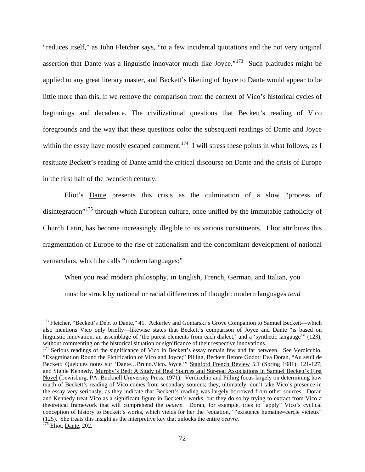"reduces itself," as John Fletcher says, "to a few incidental quotations and the not very original assertion that Dante was a linguistic innovator much like Joyce."<sup>[173](#page-79-0)</sup> Such platitudes might be applied to any great literary master, and Beckett's likening of Joyce to Dante would appear to be little more than this, if we remove the comparison from the context of Vico's historical cycles of beginnings and decadence. The civilizational questions that Beckett's reading of Vico foregrounds and the way that these questions color the subsequent readings of Dante and Joyce within the essay have mostly escaped comment.<sup>[174](#page-79-1)</sup> I will stress these points in what follows, as I resituate Beckett's reading of Dante amid the critical discourse on Dante and the crisis of Europe in the first half of the twentieth century.

Eliot's Dante presents this crisis as the culmination of a slow "process of disintegration<sup>"[175](#page-79-2)</sup> through which European culture, once unified by the immutable catholicity of Church Latin, has become increasingly illegible to its various constituents. Eliot attributes this fragmentation of Europe to the rise of nationalism and the concomitant development of national vernaculars, which he calls "modern languages:"

When you read modern philosophy, in English, French, German, and Italian, you must be struck by national or racial differences of thought: modern languages *tend*

<span id="page-79-0"></span><sup>&</sup>lt;sup>173</sup> Fletcher, "Beckett's Debt to Dante," 41. Ackerley and Gontarski's Grove Companion to Samuel Beckett—which also mentions Vico only briefly—likewise states that Beckett's comparison of Joyce and Dante "is based on linguistic innovation, an assemblage of 'the purest elements from each dialect,' and a 'synthetic language'" (123), without commenting on the historical situation or significance of their respective innovations.<br><sup>174</sup> Serious readings of the significance of Vico in Beckett's essay remain few and far between. See Verdicchio,

<span id="page-79-1"></span><sup>&</sup>quot;Exagmination Round the Fictification of Vico and Joyce;" Pilling, Beckett Before Godot; Eva Doran, "Au seuil de Beckett: Quelques notes sur 'Dante...Bruno.Vico..Joyce," Stanford French Review 5.1 (Spring 1981): 121-127; and Sighle Kennedy, Murphy's Bed: A Study of Real Sources and Sur-real Associations in Samuel Beckett's First Novel (Lewisburg, PA: Bucknell University Press, 1971). Verdicchio and Pilling focus largely on determining how much of Beckett's reading of Vico comes from secondary sources; they, ultimately, don't take Vico's presence in the essay very seriously, as they indicate that Beckett's reading was largely borrowed from other sources. Doran and Kennedy treat Vico as a significant figure in Beckett's works, but they do so by trying to extract from Vico a theoretical framework that will comprehend the *oeuvre*. Doran, for example, tries to "apply" Vico's cyclical conception of history to Beckett's works, which yields for her the "equation," "existence humaine=cercle vicieux" (125). She treats this insight as the interpretive key that unlocks the entire *oeuvre*. <sup>175</sup> Eliot, Dante, 202.

<span id="page-79-2"></span>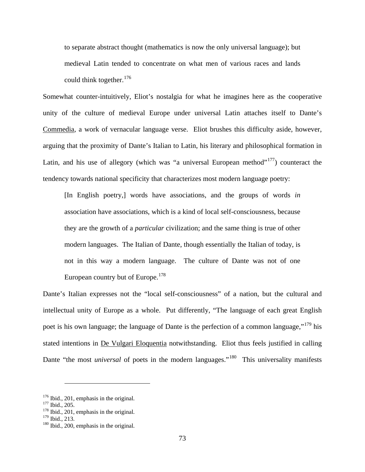to separate abstract thought (mathematics is now the only universal language); but medieval Latin tended to concentrate on what men of various races and lands could think together.  $176$ 

Somewhat counter-intuitively, Eliot's nostalgia for what he imagines here as the cooperative unity of the culture of medieval Europe under universal Latin attaches itself to Dante's Commedia, a work of vernacular language verse. Eliot brushes this difficulty aside, however, arguing that the proximity of Dante's Italian to Latin, his literary and philosophical formation in Latin, and his use of allegory (which was "a universal European method"<sup>177</sup>) counteract the tendency towards national specificity that characterizes most modern language poetry:

[In English poetry,] words have associations, and the groups of words *in*  association have associations, which is a kind of local self-consciousness, because they are the growth of a *particular* civilization; and the same thing is true of other modern languages. The Italian of Dante, though essentially the Italian of today, is not in this way a modern language. The culture of Dante was not of one European country but of Europe.<sup>[178](#page-80-2)</sup>

Dante's Italian expresses not the "local self-consciousness" of a nation, but the cultural and intellectual unity of Europe as a whole. Put differently, "The language of each great English poet is his own language; the language of Dante is the perfection of a common language,"<sup>[179](#page-80-3)</sup> his stated intentions in De Vulgari Eloquentia notwithstanding. Eliot thus feels justified in calling Dante "the most *universal* of poets in the modern languages."<sup>180</sup> This universality manifests

<span id="page-80-1"></span><span id="page-80-0"></span><sup>&</sup>lt;sup>176</sup> Ibid., 201, emphasis in the original.<br><sup>177</sup> Ibid., 205.<br><sup>178</sup> Ibid., 201, emphasis in the original.<br><sup>179</sup> Ibid., 213.

<span id="page-80-2"></span>

<span id="page-80-4"></span><span id="page-80-3"></span> $180$  Ibid., 200, emphasis in the original.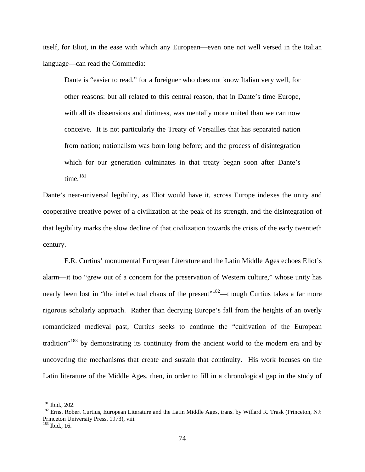itself, for Eliot, in the ease with which any European—even one not well versed in the Italian language—can read the Commedia:

Dante is "easier to read," for a foreigner who does not know Italian very well, for other reasons: but all related to this central reason, that in Dante's time Europe, with all its dissensions and dirtiness, was mentally more united than we can now conceive. It is not particularly the Treaty of Versailles that has separated nation from nation; nationalism was born long before; and the process of disintegration which for our generation culminates in that treaty began soon after Dante's time.<sup>[181](#page-81-0)</sup>

Dante's near-universal legibility, as Eliot would have it, across Europe indexes the unity and cooperative creative power of a civilization at the peak of its strength, and the disintegration of that legibility marks the slow decline of that civilization towards the crisis of the early twentieth century.

E.R. Curtius' monumental European Literature and the Latin Middle Ages echoes Eliot's alarm—it too "grew out of a concern for the preservation of Western culture," whose unity has nearly been lost in "the intellectual chaos of the present"<sup>[182](#page-81-1)</sup>—though Curtius takes a far more rigorous scholarly approach. Rather than decrying Europe's fall from the heights of an overly romanticized medieval past, Curtius seeks to continue the "cultivation of the European tradition<sup>"[183](#page-81-2)</sup> by demonstrating its continuity from the ancient world to the modern era and by uncovering the mechanisms that create and sustain that continuity. His work focuses on the Latin literature of the Middle Ages, then, in order to fill in a chronological gap in the study of

<span id="page-81-1"></span><span id="page-81-0"></span><sup>&</sup>lt;sup>181</sup> Ibid., 202.<br><sup>182</sup> Ernst Robert Curtius, European Literature and the Latin Middle Ages, trans. by Willard R. Trask (Princeton, NJ: Princeton University Press, 1973), viii.<br><sup>183</sup> Ibid., 16.

<span id="page-81-2"></span>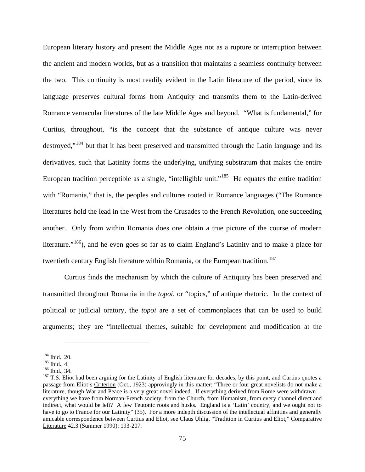European literary history and present the Middle Ages not as a rupture or interruption between the ancient and modern worlds, but as a transition that maintains a seamless continuity between the two. This continuity is most readily evident in the Latin literature of the period, since its language preserves cultural forms from Antiquity and transmits them to the Latin-derived Romance vernacular literatures of the late Middle Ages and beyond. "What is fundamental," for Curtius, throughout, "is the concept that the substance of antique culture was never destroyed,"[184](#page-82-0) but that it has been preserved and transmitted through the Latin language and its derivatives, such that Latinity forms the underlying, unifying substratum that makes the entire European tradition perceptible as a single, "intelligible unit."<sup>185</sup> He equates the entire tradition with "Romania," that is, the peoples and cultures rooted in Romance languages ("The Romance literatures hold the lead in the West from the Crusades to the French Revolution, one succeeding another. Only from within Romania does one obtain a true picture of the course of modern literature."<sup>[186](#page-82-2)</sup>), and he even goes so far as to claim England's Latinity and to make a place for twentieth century English literature within Romania, or the European tradition.<sup>[187](#page-82-3)</sup>

Curtius finds the mechanism by which the culture of Antiquity has been preserved and transmitted throughout Romania in the *topoi*, or "topics," of antique rhetoric. In the context of political or judicial oratory, the *topoi* are a set of commonplaces that can be used to build arguments; they are "intellectual themes, suitable for development and modification at the

<span id="page-82-3"></span><span id="page-82-2"></span>

<span id="page-82-1"></span><span id="page-82-0"></span><sup>&</sup>lt;sup>184</sup> Ibid., 20.<br><sup>185</sup> Ibid., 4.<br><sup>186</sup> Ibid., 34.<br><sup>187</sup> T.S. Eliot had been arguing for the Latinity of English literature for decades, by this point, and Curtius quotes a passage from Eliot's Criterion (Oct., 1923) approvingly in this matter: "Three or four great novelists do not make a literature, though War and Peace is a very great novel indeed. If everything derived from Rome were withdrawn everything we have from Norman-French society, from the Church, from Humanism, from every channel direct and indirect, what would be left? A few Teutonic roots and husks. England is a 'Latin' country, and we ought not to have to go to France for our Latinity" (35). For a more indepth discussion of the intellectual affinities and generally amicable correspondence between Curtius and Eliot, see Claus Uhlig, "Tradition in Curtius and Eliot," Comparative Literature 42.3 (Summer 1990): 193-207.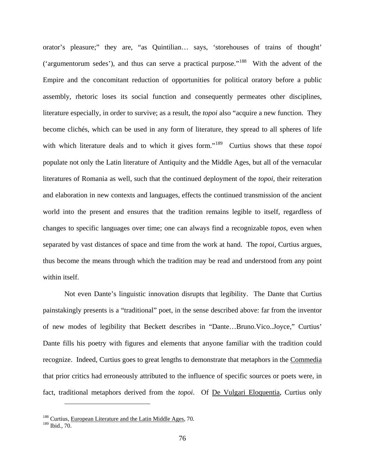orator's pleasure;" they are, "as Quintilian… says, 'storehouses of trains of thought' ('argumentorum sedes'), and thus can serve a practical purpose."[188](#page-83-0) With the advent of the Empire and the concomitant reduction of opportunities for political oratory before a public assembly, rhetoric loses its social function and consequently permeates other disciplines, literature especially, in order to survive; as a result, the *topoi* also "acquire a new function. They become clichés, which can be used in any form of literature, they spread to all spheres of life with which literature deals and to which it gives form."<sup>189</sup> Curtius shows that these *topoi* populate not only the Latin literature of Antiquity and the Middle Ages, but all of the vernacular literatures of Romania as well, such that the continued deployment of the *topoi*, their reiteration and elaboration in new contexts and languages, effects the continued transmission of the ancient world into the present and ensures that the tradition remains legible to itself, regardless of changes to specific languages over time; one can always find a recognizable *topos*, even when separated by vast distances of space and time from the work at hand. The *topoi*, Curtius argues, thus become the means through which the tradition may be read and understood from any point within itself.

Not even Dante's linguistic innovation disrupts that legibility. The Dante that Curtius painstakingly presents is a "traditional" poet, in the sense described above: far from the inventor of new modes of legibility that Beckett describes in "Dante…Bruno.Vico..Joyce," Curtius' Dante fills his poetry with figures and elements that anyone familiar with the tradition could recognize. Indeed, Curtius goes to great lengths to demonstrate that metaphors in the Commedia that prior critics had erroneously attributed to the influence of specific sources or poets were, in fact, traditional metaphors derived from the *topoi*. Of De Vulgari Eloquentia, Curtius only

<span id="page-83-0"></span> $188$  Curtius, European Literature and the Latin Middle Ages, 70.

<span id="page-83-1"></span><sup>189</sup> Ibid., 70.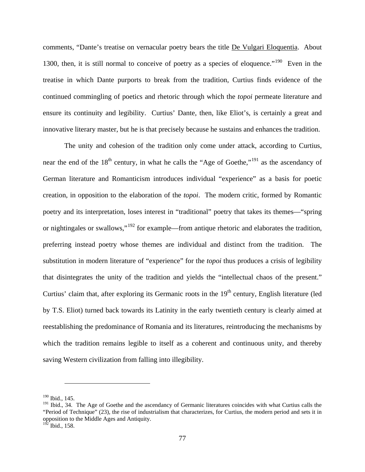comments, "Dante's treatise on vernacular poetry bears the title De Vulgari Eloquentia. About 1300, then, it is still normal to conceive of poetry as a species of eloquence."<sup>190</sup> Even in the treatise in which Dante purports to break from the tradition, Curtius finds evidence of the continued commingling of poetics and rhetoric through which the *topoi* permeate literature and ensure its continuity and legibility. Curtius' Dante, then, like Eliot's, is certainly a great and innovative literary master, but he is that precisely because he sustains and enhances the tradition.

The unity and cohesion of the tradition only come under attack, according to Curtius, near the end of the  $18<sup>th</sup>$  century, in what he calls the "Age of Goethe,"<sup>[191](#page-84-1)</sup> as the ascendancy of German literature and Romanticism introduces individual "experience" as a basis for poetic creation, in opposition to the elaboration of the *topoi*. The modern critic, formed by Romantic poetry and its interpretation, loses interest in "traditional" poetry that takes its themes—"spring or nightingales or swallows,"[192](#page-84-2) for example—from antique rhetoric and elaborates the tradition, preferring instead poetry whose themes are individual and distinct from the tradition. The substitution in modern literature of "experience" for the *topoi* thus produces a crisis of legibility that disintegrates the unity of the tradition and yields the "intellectual chaos of the present." Curtius' claim that, after exploring its Germanic roots in the 19<sup>th</sup> century, English literature (led by T.S. Eliot) turned back towards its Latinity in the early twentieth century is clearly aimed at reestablishing the predominance of Romania and its literatures, reintroducing the mechanisms by which the tradition remains legible to itself as a coherent and continuous unity, and thereby saving Western civilization from falling into illegibility.

<span id="page-84-0"></span><sup>190</sup> Ibid., 145.

<span id="page-84-1"></span><sup>&</sup>lt;sup>191</sup> Ibid., 34. The Age of Goethe and the ascendancy of Germanic literatures coincides with what Curtius calls the "Period of Technique" (23), the rise of industrialism that characterizes, for Curtius, the modern period and sets it in opposition to the Middle Ages and Antiquity.

<span id="page-84-2"></span> $192$  Ibid., 158.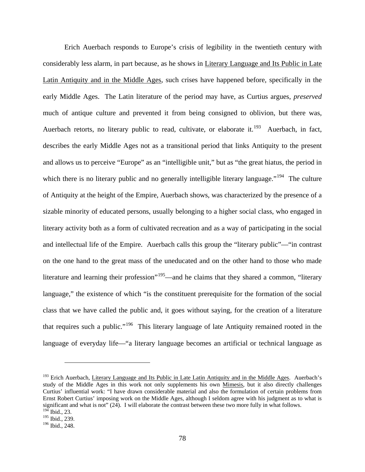Erich Auerbach responds to Europe's crisis of legibility in the twentieth century with considerably less alarm, in part because, as he shows in Literary Language and Its Public in Late Latin Antiquity and in the Middle Ages, such crises have happened before, specifically in the early Middle Ages. The Latin literature of the period may have, as Curtius argues, *preserved* much of antique culture and prevented it from being consigned to oblivion, but there was, Auerbach retorts, no literary public to read, cultivate, or elaborate it.<sup>193</sup> Auerbach, in fact, describes the early Middle Ages not as a transitional period that links Antiquity to the present and allows us to perceive "Europe" as an "intelligible unit," but as "the great hiatus, the period in which there is no literary public and no generally intelligible literary language."<sup>194</sup> The culture of Antiquity at the height of the Empire, Auerbach shows, was characterized by the presence of a sizable minority of educated persons, usually belonging to a higher social class, who engaged in literary activity both as a form of cultivated recreation and as a way of participating in the social and intellectual life of the Empire. Auerbach calls this group the "literary public"—"in contrast on the one hand to the great mass of the uneducated and on the other hand to those who made literature and learning their profession"<sup>[195](#page-85-2)</sup>—and he claims that they shared a common, "literary language," the existence of which "is the constituent prerequisite for the formation of the social class that we have called the public and, it goes without saying, for the creation of a literature that requires such a public."[196](#page-85-3) This literary language of late Antiquity remained rooted in the language of everyday life—"a literary language becomes an artificial or technical language as

<span id="page-85-0"></span><sup>&</sup>lt;sup>193</sup> Erich Auerbach, Literary Language and Its Public in Late Latin Antiquity and in the Middle Ages. Auerbach's study of the Middle Ages in this work not only supplements his own Mimesis, but it also directly challenges Curtius' influential work: "I have drawn considerable material and also the formulation of certain problems from Ernst Robert Curtius' imposing work on the Middle Ages, although I seldom agree with his judgment as to what is significant and what is not" (24). I will elaborate the contrast between these two more fully in what follows.  $194$  Ibid., 23.

<span id="page-85-2"></span><span id="page-85-1"></span><sup>195</sup> Ibid., 239.

<span id="page-85-3"></span><sup>196</sup> Ibid., 248.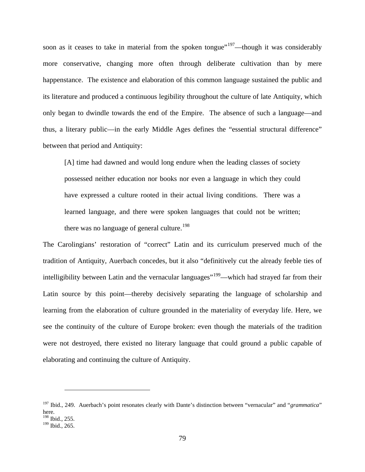soon as it ceases to take in material from the spoken tongue"<sup>[197](#page-86-0)</sup>—though it was considerably more conservative, changing more often through deliberate cultivation than by mere happenstance. The existence and elaboration of this common language sustained the public and its literature and produced a continuous legibility throughout the culture of late Antiquity, which only began to dwindle towards the end of the Empire. The absence of such a language—and thus, a literary public—in the early Middle Ages defines the "essential structural difference" between that period and Antiquity:

[A] time had dawned and would long endure when the leading classes of society possessed neither education nor books nor even a language in which they could have expressed a culture rooted in their actual living conditions. There was a learned language, and there were spoken languages that could not be written; there was no language of general culture.<sup>[198](#page-86-1)</sup>

The Carolingians' restoration of "correct" Latin and its curriculum preserved much of the tradition of Antiquity, Auerbach concedes, but it also "definitively cut the already feeble ties of intelligibility between Latin and the vernacular languages<sup>"[199](#page-86-2)</sup>—which had strayed far from their Latin source by this point—thereby decisively separating the language of scholarship and learning from the elaboration of culture grounded in the materiality of everyday life. Here, we see the continuity of the culture of Europe broken: even though the materials of the tradition were not destroyed, there existed no literary language that could ground a public capable of elaborating and continuing the culture of Antiquity.

<span id="page-86-0"></span><sup>197</sup> Ibid., 249. Auerbach's point resonates clearly with Dante's distinction between "vernacular" and "*grammatica*" here. <sup>198</sup> Ibid., 255.

<span id="page-86-2"></span><span id="page-86-1"></span><sup>&</sup>lt;sup>199</sup> Ibid., 265.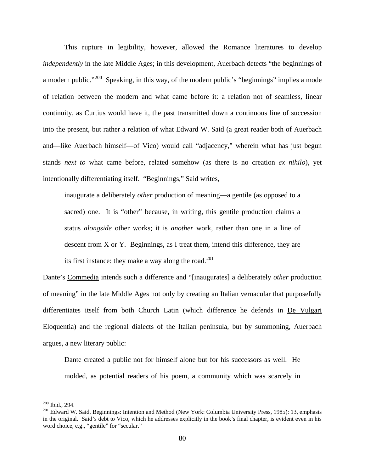This rupture in legibility, however, allowed the Romance literatures to develop *independently* in the late Middle Ages; in this development, Auerbach detects "the beginnings of a modern public."<sup>[200](#page-87-0)</sup> Speaking, in this way, of the modern public's "beginnings" implies a mode of relation between the modern and what came before it: a relation not of seamless, linear continuity, as Curtius would have it, the past transmitted down a continuous line of succession into the present, but rather a relation of what Edward W. Said (a great reader both of Auerbach and—like Auerbach himself—of Vico) would call "adjacency," wherein what has just begun stands *next to* what came before, related somehow (as there is no creation *ex nihilo*), yet intentionally differentiating itself. "Beginnings," Said writes,

inaugurate a deliberately *other* production of meaning—a gentile (as opposed to a sacred) one. It is "other" because, in writing, this gentile production claims a status *alongside* other works; it is *another* work, rather than one in a line of descent from X or Y. Beginnings, as I treat them, intend this difference, they are its first instance: they make a way along the road.<sup>[201](#page-87-1)</sup>

Dante's Commedia intends such a difference and "[inaugurates] a deliberately *other* production of meaning" in the late Middle Ages not only by creating an Italian vernacular that purposefully differentiates itself from both Church Latin (which difference he defends in De Vulgari Eloquentia) and the regional dialects of the Italian peninsula, but by summoning, Auerbach argues, a new literary public:

Dante created a public not for himself alone but for his successors as well. He molded, as potential readers of his poem, a community which was scarcely in

<span id="page-87-1"></span><span id="page-87-0"></span><sup>&</sup>lt;sup>200</sup> Ibid., 294.<br><sup>201</sup> Edward W. Said, Beginnings: Intention and Method (New York: Columbia University Press, 1985): 13, emphasis in the original. Said's debt to Vico, which he addresses explicitly in the book's final chapter, is evident even in his word choice, e.g., "gentile" for "secular."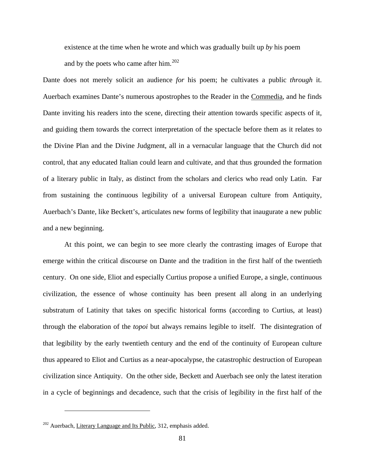existence at the time when he wrote and which was gradually built up *by* his poem and by the poets who came after him.[202](#page-88-0)

Dante does not merely solicit an audience *for* his poem; he cultivates a public *through* it. Auerbach examines Dante's numerous apostrophes to the Reader in the Commedia, and he finds Dante inviting his readers into the scene, directing their attention towards specific aspects of it, and guiding them towards the correct interpretation of the spectacle before them as it relates to the Divine Plan and the Divine Judgment, all in a vernacular language that the Church did not control, that any educated Italian could learn and cultivate, and that thus grounded the formation of a literary public in Italy, as distinct from the scholars and clerics who read only Latin. Far from sustaining the continuous legibility of a universal European culture from Antiquity, Auerbach's Dante, like Beckett's, articulates new forms of legibility that inaugurate a new public and a new beginning.

At this point, we can begin to see more clearly the contrasting images of Europe that emerge within the critical discourse on Dante and the tradition in the first half of the twentieth century. On one side, Eliot and especially Curtius propose a unified Europe, a single, continuous civilization, the essence of whose continuity has been present all along in an underlying substratum of Latinity that takes on specific historical forms (according to Curtius, at least) through the elaboration of the *topoi* but always remains legible to itself. The disintegration of that legibility by the early twentieth century and the end of the continuity of European culture thus appeared to Eliot and Curtius as a near-apocalypse, the catastrophic destruction of European civilization since Antiquity. On the other side, Beckett and Auerbach see only the latest iteration in a cycle of beginnings and decadence, such that the crisis of legibility in the first half of the

<span id="page-88-0"></span> $202$  Auerbach, Literary Language and Its Public, 312, emphasis added.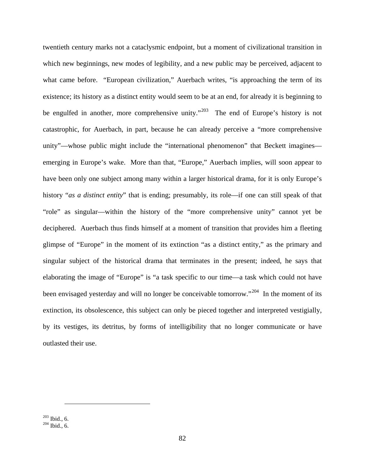twentieth century marks not a cataclysmic endpoint, but a moment of civilizational transition in which new beginnings, new modes of legibility, and a new public may be perceived, adjacent to what came before. "European civilization," Auerbach writes, "is approaching the term of its existence; its history as a distinct entity would seem to be at an end, for already it is beginning to be engulfed in another, more comprehensive unity."<sup>203</sup> The end of Europe's history is not catastrophic, for Auerbach, in part, because he can already perceive a "more comprehensive unity"—whose public might include the "international phenomenon" that Beckett imagines emerging in Europe's wake. More than that, "Europe," Auerbach implies, will soon appear to have been only one subject among many within a larger historical drama, for it is only Europe's history "*as a distinct entity*" that is ending; presumably, its role—if one can still speak of that "role" as singular—within the history of the "more comprehensive unity" cannot yet be deciphered. Auerbach thus finds himself at a moment of transition that provides him a fleeting glimpse of "Europe" in the moment of its extinction "as a distinct entity," as the primary and singular subject of the historical drama that terminates in the present; indeed, he says that elaborating the image of "Europe" is "a task specific to our time—a task which could not have been envisaged yesterday and will no longer be conceivable tomorrow."<sup>[204](#page-89-1)</sup> In the moment of its extinction, its obsolescence, this subject can only be pieced together and interpreted vestigially, by its vestiges, its detritus, by forms of intelligibility that no longer communicate or have outlasted their use.

<span id="page-89-1"></span><span id="page-89-0"></span> $^{203}$  Ibid., 6.<br> $^{204}$  Ibid., 6.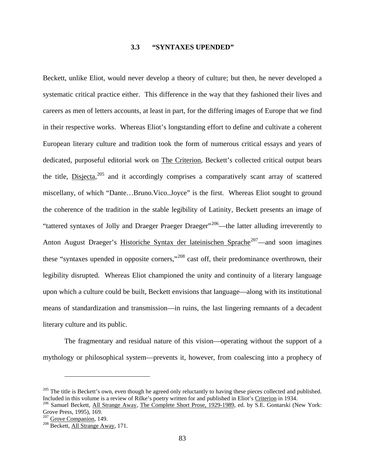## **3.3 "SYNTAXES UPENDED"**

Beckett, unlike Eliot, would never develop a theory of culture; but then, he never developed a systematic critical practice either. This difference in the way that they fashioned their lives and careers as men of letters accounts, at least in part, for the differing images of Europe that we find in their respective works. Whereas Eliot's longstanding effort to define and cultivate a coherent European literary culture and tradition took the form of numerous critical essays and years of dedicated, purposeful editorial work on The Criterion, Beckett's collected critical output bears the title, Disjecta,<sup>[205](#page-90-0)</sup> and it accordingly comprises a comparatively scant array of scattered miscellany, of which "Dante…Bruno.Vico..Joyce" is the first. Whereas Eliot sought to ground the coherence of the tradition in the stable legibility of Latinity, Beckett presents an image of "tattered syntaxes of Jolly and Draeger Praeger Draeger"<sup>206</sup>—the latter alluding irreverently to Anton August Draeger's Historiche Syntax der lateinischen Sprache<sup>207</sup>—and soon imagines these "syntaxes upended in opposite corners,"[208](#page-90-3) cast off, their predominance overthrown, their legibility disrupted. Whereas Eliot championed the unity and continuity of a literary language upon which a culture could be built, Beckett envisions that language—along with its institutional means of standardization and transmission—in ruins, the last lingering remnants of a decadent literary culture and its public.

The fragmentary and residual nature of this vision—operating without the support of a mythology or philosophical system—prevents it, however, from coalescing into a prophecy of

<span id="page-90-0"></span> $^{205}$  The title is Beckett's own, even though he agreed only reluctantly to having these pieces collected and published.<br>Included in this volume is a review of Rilke's poetry written for and published in Eliot's Criteri

<span id="page-90-1"></span><sup>&</sup>lt;sup>206</sup> Samuel Beckett, All Strange Away, The Complete Short Prose, 1929-1989, ed. by S.E. Gontarski (New York: Grove Press, 1995), 169.<br><sup>207</sup> Grove Companion, 149.

<span id="page-90-2"></span>

<span id="page-90-3"></span> $208$  Beckett, All Strange Away, 171.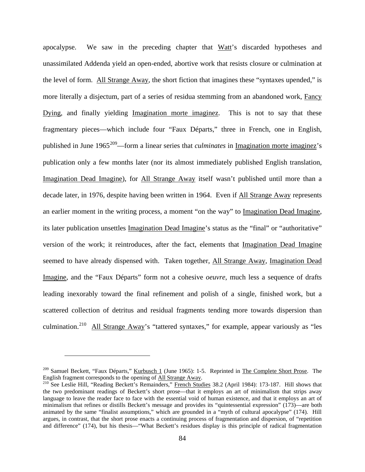apocalypse. We saw in the preceding chapter that Watt's discarded hypotheses and unassimilated Addenda yield an open-ended, abortive work that resists closure or culmination at the level of form. All Strange Away, the short fiction that imagines these "syntaxes upended," is more literally a disjectum, part of a series of residua stemming from an abandoned work, Fancy Dying, and finally yielding Imagination morte imaginez. This is not to say that these fragmentary pieces—which include four "Faux Départs," three in French, one in English, published in June 1965[209—](#page-91-0)form a linear series that *culminates* in Imagination morte imaginez's publication only a few months later (nor its almost immediately published English translation, Imagination Dead Imagine), for All Strange Away itself wasn't published until more than a decade later, in 1976, despite having been written in 1964. Even if All Strange Away represents an earlier moment in the writing process, a moment "on the way" to Imagination Dead Imagine, its later publication unsettles Imagination Dead Imagine's status as the "final" or "authoritative" version of the work; it reintroduces, after the fact, elements that Imagination Dead Imagine seemed to have already dispensed with. Taken together, All Strange Away, Imagination Dead Imagine, and the "Faux Départs" form not a cohesive *oeuvre*, much less a sequence of drafts leading inexorably toward the final refinement and polish of a single, finished work, but a scattered collection of detritus and residual fragments tending more towards dispersion than culmination.<sup>210</sup> All Strange Away's "tattered syntaxes," for example, appear variously as "les

<span id="page-91-0"></span><sup>&</sup>lt;sup>209</sup> Samuel Beckett, "Faux Départs," <u>Kurbusch 1</u> (June 1965): 1-5. Reprinted in <u>The Complete Short Prose</u>. The English fragment corresponds to the opening of All Strange Away.

<span id="page-91-1"></span><sup>&</sup>lt;sup>210</sup> See Leslie Hill, "Reading Beckett's Remainders," French Studies 38.2 (April 1984): 173-187. Hill shows that the two predominant readings of Beckett's short prose—that it employs an art of minimalism that strips away language to leave the reader face to face with the essential void of human existence, and that it employs an art of minimalism that refines or distills Beckett's message and provides its "quintessential expression" (173)—are both animated by the same "finalist assumptions," which are grounded in a "myth of cultural apocalypse" (174). Hill argues, in contrast, that the short prose enacts a continuing process of fragmentation and dispersion, of "repetition and difference" (174), but his thesis—"What Beckett's residues display is this principle of radical fragmentation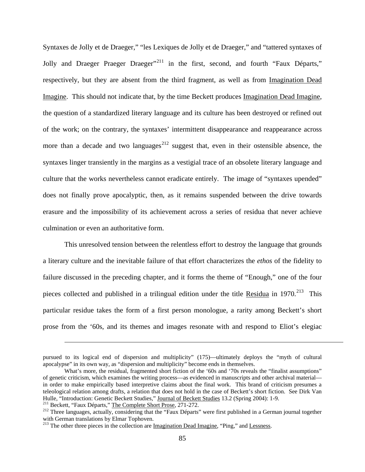Syntaxes de Jolly et de Draeger," "les Lexiques de Jolly et de Draeger," and "tattered syntaxes of Jolly and Draeger Praeger Draeger"<sup>[211](#page-92-0)</sup> in the first, second, and fourth "Faux Départs," respectively, but they are absent from the third fragment, as well as from Imagination Dead Imagine. This should not indicate that, by the time Beckett produces Imagination Dead Imagine, the question of a standardized literary language and its culture has been destroyed or refined out of the work; on the contrary, the syntaxes' intermittent disappearance and reappearance across more than a decade and two languages<sup> $212$ </sup> suggest that, even in their ostensible absence, the syntaxes linger transiently in the margins as a vestigial trace of an obsolete literary language and culture that the works nevertheless cannot eradicate entirely. The image of "syntaxes upended" does not finally prove apocalyptic, then, as it remains suspended between the drive towards erasure and the impossibility of its achievement across a series of residua that never achieve culmination or even an authoritative form.

This unresolved tension between the relentless effort to destroy the language that grounds a literary culture and the inevitable failure of that effort characterizes the *ethos* of the fidelity to failure discussed in the preceding chapter, and it forms the theme of "Enough," one of the four pieces collected and published in a trilingual edition under the title Residua in  $1970.<sup>213</sup>$  This particular residue takes the form of a first person monologue, a rarity among Beckett's short prose from the '60s, and its themes and images resonate with and respond to Eliot's elegiac

pursued to its logical end of dispersion and multiplicity" (175)—ultimately deploys the "myth of cultural apocalypse" in its own way, as "dispersion and multiplicity" become ends in themselves.

What's more, the residual, fragmented short fiction of the '60s and '70s reveals the "finalist assumptions" of genetic criticism, which examines the writing process—as evidenced in manuscripts and other archival material in order to make empirically based interpretive claims about the final work. This brand of criticism presumes a teleological relation among drafts, a relation that does not hold in the case of Beckett's short fiction. See Dirk Van Hulle, "Introduction: Genetic Beckett Studies," <u>Journal of Beckett Studies</u> 13.2 (Spring 2004): 1-9.<br><sup>211</sup> Beckett, "Faux Départs," <u>The Complete Short Prose</u>, 271-272.<br><sup>212</sup> Three languages, actually, considering that th

<span id="page-92-1"></span><span id="page-92-0"></span>

with German translations by Elmar Tophoven.

<span id="page-92-2"></span><sup>&</sup>lt;sup>213</sup> The other three pieces in the collection are Imagination Dead Imagine, "Ping," and Lessness.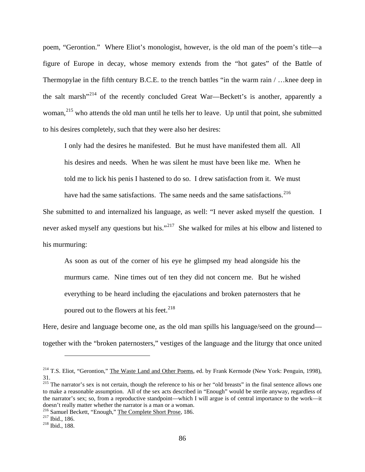poem, "Gerontion." Where Eliot's monologist, however, is the old man of the poem's title—a figure of Europe in decay, whose memory extends from the "hot gates" of the Battle of Thermopylae in the fifth century B.C.E. to the trench battles "in the warm rain / …knee deep in the salt marsh"[214](#page-93-0) of the recently concluded Great War—Beckett's is another, apparently a woman,<sup>[215](#page-93-1)</sup> who attends the old man until he tells her to leave. Up until that point, she submitted to his desires completely, such that they were also her desires:

I only had the desires he manifested. But he must have manifested them all. All his desires and needs. When he was silent he must have been like me. When he told me to lick his penis I hastened to do so. I drew satisfaction from it. We must have had the same satisfactions. The same needs and the same satisfactions.<sup>[216](#page-93-2)</sup>

She submitted to and internalized his language, as well: "I never asked myself the question. I never asked myself any questions but his."<sup>217</sup> She walked for miles at his elbow and listened to his murmuring:

As soon as out of the corner of his eye he glimpsed my head alongside his the murmurs came. Nine times out of ten they did not concern me. But he wished everything to be heard including the ejaculations and broken paternosters that he poured out to the flowers at his feet.<sup>[218](#page-93-4)</sup>

Here, desire and language become one, as the old man spills his language/seed on the ground together with the "broken paternosters," vestiges of the language and the liturgy that once united

<span id="page-93-0"></span><sup>&</sup>lt;sup>214</sup> T.S. Eliot, "Gerontion," The Waste Land and Other Poems, ed. by Frank Kermode (New York: Penguin, 1998), 31.

<span id="page-93-1"></span><sup>&</sup>lt;sup>215</sup> The narrator's sex is not certain, though the reference to his or her "old breasts" in the final sentence allows one to make a reasonable assumption. All of the sex acts described in "Enough" would be sterile anyway, regardless of the narrator's sex; so, from a reproductive standpoint—which I will argue is of central importance to the work—it doesn't really matter whether the narrator is a man or a woman.

<span id="page-93-2"></span><sup>&</sup>lt;sup>216</sup> Samuel Beckett, "Enough," <u>The Complete Short Prose</u>, 186.<br><sup>217</sup> Ibid., 186. <sup>218</sup> Ibid., 188.

<span id="page-93-4"></span><span id="page-93-3"></span>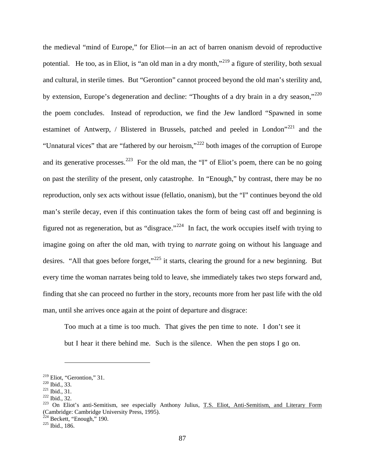the medieval "mind of Europe," for Eliot—in an act of barren onanism devoid of reproductive potential. He too, as in Eliot, is "an old man in a dry month,"[219](#page-94-0) a figure of sterility, both sexual and cultural, in sterile times. But "Gerontion" cannot proceed beyond the old man's sterility and, by extension, Europe's degeneration and decline: "Thoughts of a dry brain in a dry season,"<sup>[220](#page-94-1)</sup> the poem concludes. Instead of reproduction, we find the Jew landlord "Spawned in some estaminet of Antwerp, / Blistered in Brussels, patched and peeled in London"<sup>[221](#page-94-2)</sup> and the "Unnatural vices" that are "fathered by our heroism,"[222](#page-94-3) both images of the corruption of Europe and its generative processes.<sup>[223](#page-94-4)</sup> For the old man, the "I" of Eliot's poem, there can be no going on past the sterility of the present, only catastrophe. In "Enough," by contrast, there may be no reproduction, only sex acts without issue (fellatio, onanism), but the "I" continues beyond the old man's sterile decay, even if this continuation takes the form of being cast off and beginning is figured not as regeneration, but as "disgrace."<sup>[224](#page-94-5)</sup> In fact, the work occupies itself with trying to imagine going on after the old man, with trying to *narrate* going on without his language and desires. "All that goes before forget,"<sup>[225](#page-94-6)</sup> it starts, clearing the ground for a new beginning. But every time the woman narrates being told to leave, she immediately takes two steps forward and, finding that she can proceed no further in the story, recounts more from her past life with the old man, until she arrives once again at the point of departure and disgrace:

Too much at a time is too much. That gives the pen time to note. I don't see it but I hear it there behind me. Such is the silence. When the pen stops I go on.

<span id="page-94-2"></span>

<span id="page-94-4"></span><span id="page-94-3"></span>

<span id="page-94-1"></span><span id="page-94-0"></span><sup>&</sup>lt;sup>219</sup> Eliot, "Gerontion," 31.<br>
<sup>220</sup> Ibid., 33.<br>
<sup>221</sup> Ibid., 31.<br>
<sup>222</sup> Ibid., 32.<br> **223** On Eliot's anti-Semitism, see especially Anthony Julius, <u>T.S. Eliot, Anti-Semitism, and Literary Form</u> (Cambridge: Cambridge University Press, 1995).

<span id="page-94-5"></span><sup>&</sup>lt;sup>224</sup> Beckett, "Enough," 190.<br><sup>225</sup> Ibid., 186.

<span id="page-94-6"></span>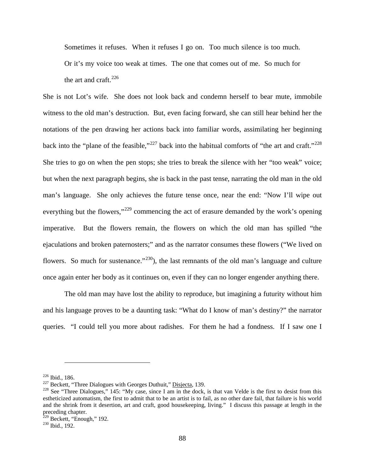Sometimes it refuses. When it refuses I go on. Too much silence is too much. Or it's my voice too weak at times. The one that comes out of me. So much for the art and craft. $^{226}$  $^{226}$  $^{226}$ 

She is not Lot's wife. She does not look back and condemn herself to bear mute, immobile witness to the old man's destruction. But, even facing forward, she can still hear behind her the notations of the pen drawing her actions back into familiar words, assimilating her beginning back into the "plane of the feasible,"<sup>[227](#page-95-1)</sup> back into the habitual comforts of "the art and craft."<sup>[228](#page-95-2)</sup> She tries to go on when the pen stops; she tries to break the silence with her "too weak" voice; but when the next paragraph begins, she is back in the past tense, narrating the old man in the old man's language. She only achieves the future tense once, near the end: "Now I'll wipe out everything but the flowers,"<sup>[229](#page-95-3)</sup> commencing the act of erasure demanded by the work's opening imperative. But the flowers remain, the flowers on which the old man has spilled "the ejaculations and broken paternosters;" and as the narrator consumes these flowers ("We lived on flowers. So much for sustenance." $230$ , the last remnants of the old man's language and culture once again enter her body as it continues on, even if they can no longer engender anything there.

The old man may have lost the ability to reproduce, but imagining a futurity without him and his language proves to be a daunting task: "What do I know of man's destiny?" the narrator queries. "I could tell you more about radishes. For them he had a fondness. If I saw one I

<span id="page-95-2"></span>

<span id="page-95-1"></span><span id="page-95-0"></span><sup>&</sup>lt;sup>226</sup> Ibid., 186.<br><sup>227</sup> Beckett, "Three Dialogues with Georges Duthuit," <u>Disjecta</u>, 139.<br><sup>228</sup> See "Three Dialogues," 145: "My case, since I am in the dock, is that van Velde is the first to desist from this estheticized automatism, the first to admit that to be an artist is to fail, as no other dare fail, that failure is his world and the shrink from it desertion, art and craft, good housekeeping, living." I discuss this passage at length in the preceding chapter.

<span id="page-95-3"></span><sup>&</sup>lt;sup>229</sup> Beckett, "Enough," 192.<br><sup>230</sup> Ibid., 192.

<span id="page-95-4"></span>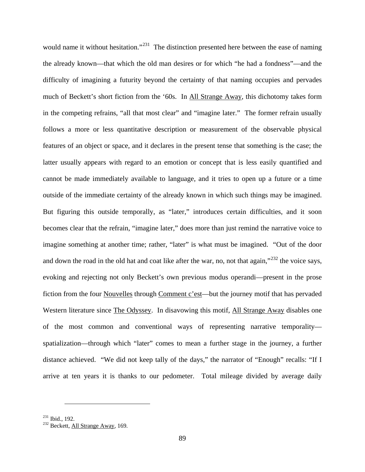would name it without hesitation."<sup>[231](#page-96-0)</sup> The distinction presented here between the ease of naming the already known—that which the old man desires or for which "he had a fondness"—and the difficulty of imagining a futurity beyond the certainty of that naming occupies and pervades much of Beckett's short fiction from the '60s. In All Strange Away, this dichotomy takes form in the competing refrains, "all that most clear" and "imagine later." The former refrain usually follows a more or less quantitative description or measurement of the observable physical features of an object or space, and it declares in the present tense that something is the case; the latter usually appears with regard to an emotion or concept that is less easily quantified and cannot be made immediately available to language, and it tries to open up a future or a time outside of the immediate certainty of the already known in which such things may be imagined. But figuring this outside temporally, as "later," introduces certain difficulties, and it soon becomes clear that the refrain, "imagine later," does more than just remind the narrative voice to imagine something at another time; rather, "later" is what must be imagined. "Out of the door and down the road in the old hat and coat like after the war, no, not that again,"<sup>[232](#page-96-1)</sup> the voice says, evoking and rejecting not only Beckett's own previous modus operandi—present in the prose fiction from the four Nouvelles through Comment c'est—but the journey motif that has pervaded Western literature since The Odyssey. In disavowing this motif, All Strange Away disables one of the most common and conventional ways of representing narrative temporality spatialization—through which "later" comes to mean a further stage in the journey, a further distance achieved. "We did not keep tally of the days," the narrator of "Enough" recalls: "If I arrive at ten years it is thanks to our pedometer. Total mileage divided by average daily

<span id="page-96-1"></span><span id="page-96-0"></span> $^{231}$  Ibid., 192.<br> $^{232}$  Beckett, All Strange Away, 169.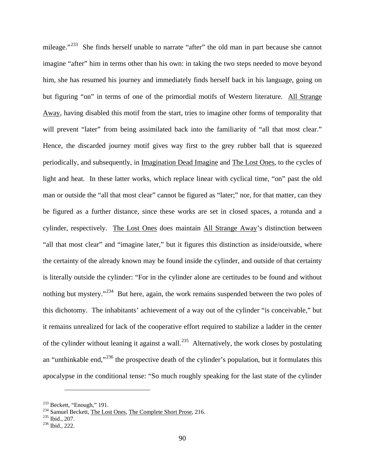mileage."<sup>233</sup> She finds herself unable to narrate "after" the old man in part because she cannot imagine "after" him in terms other than his own: in taking the two steps needed to move beyond him, she has resumed his journey and immediately finds herself back in his language, going on but figuring "on" in terms of one of the primordial motifs of Western literature. All Strange Away, having disabled this motif from the start, tries to imagine other forms of temporality that will prevent "later" from being assimilated back into the familiarity of "all that most clear." Hence, the discarded journey motif gives way first to the grey rubber ball that is squeezed periodically, and subsequently, in Imagination Dead Imagine and The Lost Ones, to the cycles of light and heat. In these latter works, which replace linear with cyclical time, "on" past the old man or outside the "all that most clear" cannot be figured as "later;" nor, for that matter, can they be figured as a further distance, since these works are set in closed spaces, a rotunda and a cylinder, respectively. The Lost Ones does maintain All Strange Away's distinction between "all that most clear" and "imagine later," but it figures this distinction as inside/outside, where the certainty of the already known may be found inside the cylinder, and outside of that certainty is literally outside the cylinder: "For in the cylinder alone are certitudes to be found and without nothing but mystery."<sup>[234](#page-97-1)</sup> But here, again, the work remains suspended between the two poles of this dichotomy. The inhabitants' achievement of a way out of the cylinder "is conceivable," but it remains unrealized for lack of the cooperative effort required to stabilize a ladder in the center of the cylinder without leaning it against a wall.<sup>235</sup> Alternatively, the work closes by postulating an "unthinkable end,"[236](#page-97-3) the prospective death of the cylinder's population, but it formulates this apocalypse in the conditional tense: "So much roughly speaking for the last state of the cylinder

<span id="page-97-1"></span><span id="page-97-0"></span><sup>&</sup>lt;sup>233</sup> Beckett, "Enough," 191.<br><sup>234</sup> Samuel Beckett, <u>The Lost Ones, The Complete Short Prose</u>, 216.<br><sup>235</sup> Ibid., 207.<br><sup>236</sup> Ibid., 222.

<span id="page-97-2"></span>

<span id="page-97-3"></span>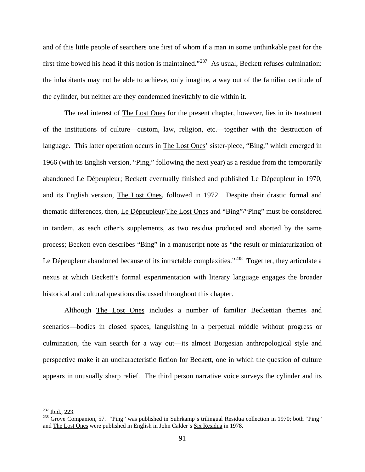and of this little people of searchers one first of whom if a man in some unthinkable past for the first time bowed his head if this notion is maintained."<sup>237</sup> As usual, Beckett refuses culmination: the inhabitants may not be able to achieve, only imagine, a way out of the familiar certitude of the cylinder, but neither are they condemned inevitably to die within it.

The real interest of The Lost Ones for the present chapter, however, lies in its treatment of the institutions of culture—custom, law, religion, etc.—together with the destruction of language. This latter operation occurs in The Lost Ones' sister-piece, "Bing," which emerged in 1966 (with its English version, "Ping," following the next year) as a residue from the temporarily abandoned Le Dépeupleur; Beckett eventually finished and published Le Dépeupleur in 1970, and its English version, The Lost Ones, followed in 1972. Despite their drastic formal and thematic differences, then, Le Dépeupleur/The Lost Ones and "Bing"/"Ping" must be considered in tandem, as each other's supplements, as two residua produced and aborted by the same process; Beckett even describes "Bing" in a manuscript note as "the result or miniaturization of Le Dépeupleur abandoned because of its intractable complexities."<sup>[238](#page-98-1)</sup> Together, they articulate a nexus at which Beckett's formal experimentation with literary language engages the broader historical and cultural questions discussed throughout this chapter.

Although The Lost Ones includes a number of familiar Beckettian themes and scenarios—bodies in closed spaces, languishing in a perpetual middle without progress or culmination, the vain search for a way out—its almost Borgesian anthropological style and perspective make it an uncharacteristic fiction for Beckett, one in which the question of culture appears in unusually sharp relief. The third person narrative voice surveys the cylinder and its

<span id="page-98-1"></span><span id="page-98-0"></span><sup>&</sup>lt;sup>237</sup> Ibid., 223.<br><sup>238</sup> Grove Companion, 57. "Ping" was published in Suhrkamp's trilingual <u>Residua</u> collection in 1970; both "Ping" and The Lost Ones were published in English in John Calder's Six Residua in 1978.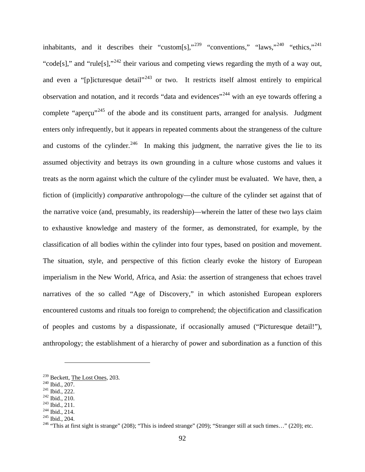inhabitants, and it describes their "custom[s],"<sup>[239](#page-99-0)</sup> "conventions," "laws,"<sup>[240](#page-99-1)</sup> "ethics,"<sup>[241](#page-99-2)</sup> "code[s]," and "rule[s],"<sup>[242](#page-99-3)</sup> their various and competing views regarding the myth of a way out, and even a "[p]icturesque detail"<sup>[243](#page-99-4)</sup> or two. It restricts itself almost entirely to empirical observation and notation, and it records "data and evidences"[244](#page-99-5) with an eye towards offering a complete "apercu"<sup>[245](#page-99-6)</sup> of the abode and its constituent parts, arranged for analysis. Judgment enters only infrequently, but it appears in repeated comments about the strangeness of the culture and customs of the cylinder.<sup>246</sup> In making this judgment, the narrative gives the lie to its assumed objectivity and betrays its own grounding in a culture whose customs and values it treats as the norm against which the culture of the cylinder must be evaluated. We have, then, a fiction of (implicitly) *comparative* anthropology—the culture of the cylinder set against that of the narrative voice (and, presumably, its readership)—wherein the latter of these two lays claim to exhaustive knowledge and mastery of the former, as demonstrated, for example, by the classification of all bodies within the cylinder into four types, based on position and movement. The situation, style, and perspective of this fiction clearly evoke the history of European imperialism in the New World, Africa, and Asia: the assertion of strangeness that echoes travel narratives of the so called "Age of Discovery," in which astonished European explorers encountered customs and rituals too foreign to comprehend; the objectification and classification of peoples and customs by a dispassionate, if occasionally amused ("Picturesque detail!"), anthropology; the establishment of a hierarchy of power and subordination as a function of this

<span id="page-99-7"></span>

<span id="page-99-3"></span><span id="page-99-2"></span>

<span id="page-99-4"></span>

<span id="page-99-6"></span><span id="page-99-5"></span>

<span id="page-99-1"></span><span id="page-99-0"></span><sup>&</sup>lt;sup>239</sup> Beckett, <u>The Lost Ones</u>, 203.<br>
<sup>240</sup> Ibid., 207.<br>
<sup>241</sup> Ibid., 222.<br>
<sup>242</sup> Ibid., 211.<br>
<sup>243</sup> Ibid., 211.<br>
<sup>243</sup> Ibid., 214.<br>
<sup>244</sup> Ibid., 204.<br>
<sup>245</sup> Ibid., 204.<br>
<sup>245</sup> Ibid., 204.<br>
<sup>246</sup> "This at first sight is s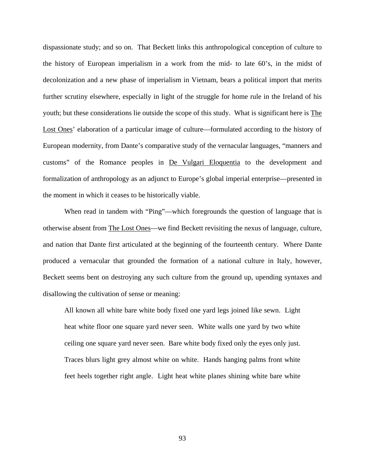dispassionate study; and so on. That Beckett links this anthropological conception of culture to the history of European imperialism in a work from the mid- to late 60's, in the midst of decolonization and a new phase of imperialism in Vietnam, bears a political import that merits further scrutiny elsewhere, especially in light of the struggle for home rule in the Ireland of his youth; but these considerations lie outside the scope of this study. What is significant here is The Lost Ones' elaboration of a particular image of culture—formulated according to the history of European modernity, from Dante's comparative study of the vernacular languages, "manners and customs" of the Romance peoples in De Vulgari Eloquentia to the development and formalization of anthropology as an adjunct to Europe's global imperial enterprise—presented in the moment in which it ceases to be historically viable.

When read in tandem with "Ping"—which foregrounds the question of language that is otherwise absent from The Lost Ones—we find Beckett revisiting the nexus of language, culture, and nation that Dante first articulated at the beginning of the fourteenth century. Where Dante produced a vernacular that grounded the formation of a national culture in Italy, however, Beckett seems bent on destroying any such culture from the ground up, upending syntaxes and disallowing the cultivation of sense or meaning:

All known all white bare white body fixed one yard legs joined like sewn. Light heat white floor one square yard never seen. White walls one yard by two white ceiling one square yard never seen. Bare white body fixed only the eyes only just. Traces blurs light grey almost white on white. Hands hanging palms front white feet heels together right angle. Light heat white planes shining white bare white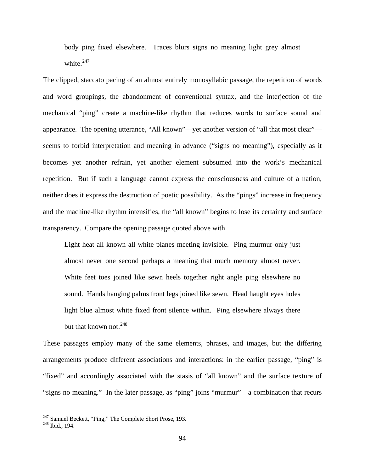body ping fixed elsewhere. Traces blurs signs no meaning light grey almost white.<sup>[247](#page-101-0)</sup>

The clipped, staccato pacing of an almost entirely monosyllabic passage, the repetition of words and word groupings, the abandonment of conventional syntax, and the interjection of the mechanical "ping" create a machine-like rhythm that reduces words to surface sound and appearance. The opening utterance, "All known"—yet another version of "all that most clear" seems to forbid interpretation and meaning in advance ("signs no meaning"), especially as it becomes yet another refrain, yet another element subsumed into the work's mechanical repetition. But if such a language cannot express the consciousness and culture of a nation, neither does it express the destruction of poetic possibility. As the "pings" increase in frequency and the machine-like rhythm intensifies, the "all known" begins to lose its certainty and surface transparency. Compare the opening passage quoted above with

Light heat all known all white planes meeting invisible. Ping murmur only just almost never one second perhaps a meaning that much memory almost never. White feet toes joined like sewn heels together right angle ping elsewhere no sound. Hands hanging palms front legs joined like sewn. Head haught eyes holes light blue almost white fixed front silence within. Ping elsewhere always there but that known not.  $248$ 

These passages employ many of the same elements, phrases, and images, but the differing arrangements produce different associations and interactions: in the earlier passage, "ping" is "fixed" and accordingly associated with the stasis of "all known" and the surface texture of "signs no meaning." In the later passage, as "ping" joins "murmur"—a combination that recurs

<span id="page-101-1"></span><span id="page-101-0"></span><sup>&</sup>lt;sup>247</sup> Samuel Beckett, "Ping," The Complete Short Prose, 193.<br><sup>248</sup> Ibid., 194.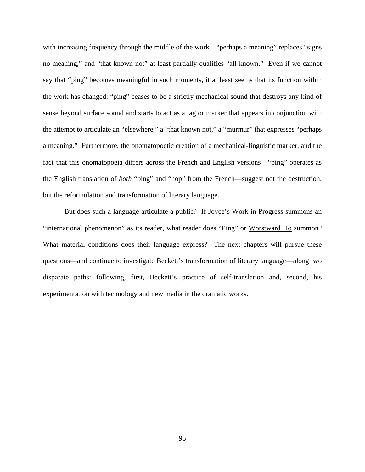with increasing frequency through the middle of the work—"perhaps a meaning" replaces "signs no meaning," and "that known not" at least partially qualifies "all known." Even if we cannot say that "ping" becomes meaningful in such moments, it at least seems that its function within the work has changed: "ping" ceases to be a strictly mechanical sound that destroys any kind of sense beyond surface sound and starts to act as a tag or marker that appears in conjunction with the attempt to articulate an "elsewhere," a "that known not," a "murmur" that expresses "perhaps a meaning." Furthermore, the onomatopoetic creation of a mechanical-linguistic marker, and the fact that this onomatopoeia differs across the French and English versions—"ping" operates as the English translation of *both* "bing" and "hop" from the French—suggest not the destruction, but the reformulation and transformation of literary language.

But does such a language articulate a public? If Joyce's Work in Progress summons an "international phenomenon" as its reader, what reader does "Ping" or Worstward Ho summon? What material conditions does their language express? The next chapters will pursue these questions—and continue to investigate Beckett's transformation of literary language—along two disparate paths: following, first, Beckett's practice of self-translation and, second, his experimentation with technology and new media in the dramatic works.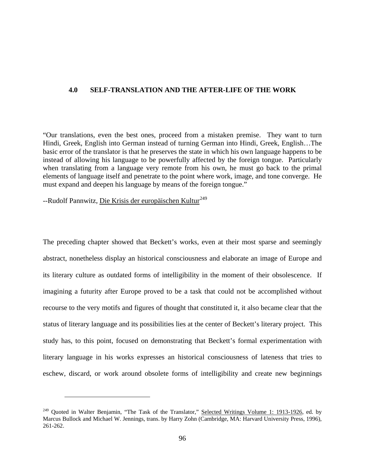## **4.0 SELF-TRANSLATION AND THE AFTER-LIFE OF THE WORK**

"Our translations, even the best ones, proceed from a mistaken premise. They want to turn Hindi, Greek, English into German instead of turning German into Hindi, Greek, English…The basic error of the translator is that he preserves the state in which his own language happens to be instead of allowing his language to be powerfully affected by the foreign tongue. Particularly when translating from a language very remote from his own, he must go back to the primal elements of language itself and penetrate to the point where work, image, and tone converge. He must expand and deepen his language by means of the foreign tongue."

--Rudolf Pannwitz, Die Krisis der europäischen Kultur<sup>[249](#page-103-0)</sup>

 $\overline{a}$ 

The preceding chapter showed that Beckett's works, even at their most sparse and seemingly abstract, nonetheless display an historical consciousness and elaborate an image of Europe and its literary culture as outdated forms of intelligibility in the moment of their obsolescence. If imagining a futurity after Europe proved to be a task that could not be accomplished without recourse to the very motifs and figures of thought that constituted it, it also became clear that the status of literary language and its possibilities lies at the center of Beckett's literary project. This study has, to this point, focused on demonstrating that Beckett's formal experimentation with literary language in his works expresses an historical consciousness of lateness that tries to eschew, discard, or work around obsolete forms of intelligibility and create new beginnings

<span id="page-103-0"></span><sup>&</sup>lt;sup>249</sup> Quoted in Walter Benjamin, "The Task of the Translator," Selected Writings Volume 1: 1913-1926, ed. by Marcus Bullock and Michael W. Jennings, trans. by Harry Zohn (Cambridge, MA: Harvard University Press, 1996), 261-262.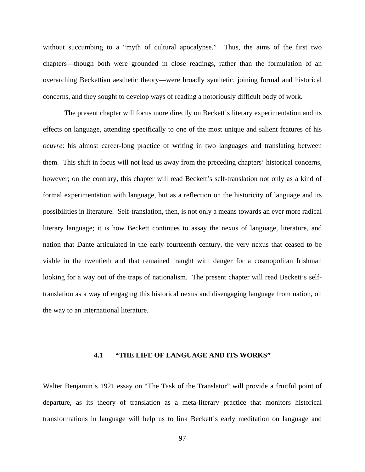without succumbing to a "myth of cultural apocalypse." Thus, the aims of the first two chapters—though both were grounded in close readings, rather than the formulation of an overarching Beckettian aesthetic theory—were broadly synthetic, joining formal and historical concerns, and they sought to develop ways of reading a notoriously difficult body of work.

The present chapter will focus more directly on Beckett's literary experimentation and its effects on language, attending specifically to one of the most unique and salient features of his *oeuvre*: his almost career-long practice of writing in two languages and translating between them. This shift in focus will not lead us away from the preceding chapters' historical concerns, however; on the contrary, this chapter will read Beckett's self-translation not only as a kind of formal experimentation with language, but as a reflection on the historicity of language and its possibilities in literature. Self-translation, then, is not only a means towards an ever more radical literary language; it is how Beckett continues to assay the nexus of language, literature, and nation that Dante articulated in the early fourteenth century, the very nexus that ceased to be viable in the twentieth and that remained fraught with danger for a cosmopolitan Irishman looking for a way out of the traps of nationalism. The present chapter will read Beckett's selftranslation as a way of engaging this historical nexus and disengaging language from nation, on the way to an international literature.

## **4.1 "THE LIFE OF LANGUAGE AND ITS WORKS"**

Walter Benjamin's 1921 essay on "The Task of the Translator" will provide a fruitful point of departure, as its theory of translation as a meta-literary practice that monitors historical transformations in language will help us to link Beckett's early meditation on language and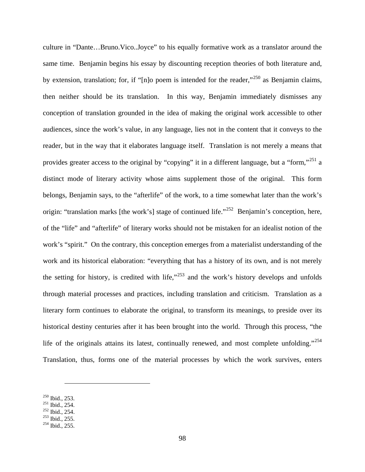culture in "Dante…Bruno.Vico..Joyce" to his equally formative work as a translator around the same time. Benjamin begins his essay by discounting reception theories of both literature and, by extension, translation; for, if "[n]o poem is intended for the reader,"<sup>[250](#page-105-0)</sup> as Benjamin claims, then neither should be its translation. In this way, Benjamin immediately dismisses any conception of translation grounded in the idea of making the original work accessible to other audiences, since the work's value, in any language, lies not in the content that it conveys to the reader, but in the way that it elaborates language itself. Translation is not merely a means that provides greater access to the original by "copying" it in a different language, but a "form,"<sup>[251](#page-105-1)</sup> a distinct mode of literary activity whose aims supplement those of the original. This form belongs, Benjamin says, to the "afterlife" of the work, to a time somewhat later than the work's origin: "translation marks [the work's] stage of continued life."<sup>252</sup> Benjamin's conception, here, of the "life" and "afterlife" of literary works should not be mistaken for an idealist notion of the work's "spirit." On the contrary, this conception emerges from a materialist understanding of the work and its historical elaboration: "everything that has a history of its own, and is not merely the setting for history, is credited with life," $253$  and the work's history develops and unfolds through material processes and practices, including translation and criticism. Translation as a literary form continues to elaborate the original, to transform its meanings, to preside over its historical destiny centuries after it has been brought into the world. Through this process, "the life of the originals attains its latest, continually renewed, and most complete unfolding."<sup>[254](#page-105-4)</sup> Translation, thus, forms one of the material processes by which the work survives, enters

<span id="page-105-2"></span><span id="page-105-1"></span>

<span id="page-105-0"></span><sup>&</sup>lt;sup>250</sup> Ibid., 253.<br><sup>251</sup> Ibid., 254.<br><sup>252</sup> Ibid., 254.<br><sup>253</sup> Ibid., 255.<br><sup>254</sup> Ibid., 255.

<span id="page-105-3"></span>

<span id="page-105-4"></span>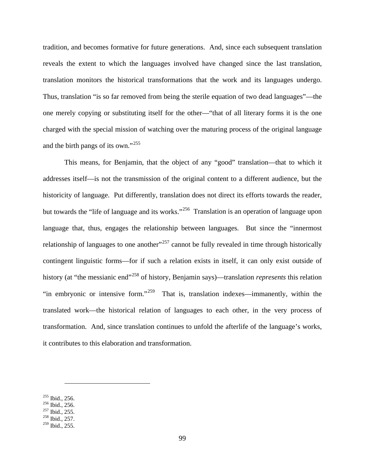tradition, and becomes formative for future generations. And, since each subsequent translation reveals the extent to which the languages involved have changed since the last translation, translation monitors the historical transformations that the work and its languages undergo. Thus, translation "is so far removed from being the sterile equation of two dead languages"—the one merely copying or substituting itself for the other—"that of all literary forms it is the one charged with the special mission of watching over the maturing process of the original language and the birth pangs of its own."[255](#page-106-0)

This means, for Benjamin, that the object of any "good" translation—that to which it addresses itself—is not the transmission of the original content to a different audience, but the historicity of language. Put differently, translation does not direct its efforts towards the reader, but towards the "life of language and its works."<sup>[256](#page-106-1)</sup> Translation is an operation of language upon language that, thus, engages the relationship between languages. But since the "innermost" relationship of languages to one another<sup> $257$ </sup> cannot be fully revealed in time through historically contingent linguistic forms—for if such a relation exists in itself, it can only exist outside of history (at "the messianic end"[258](#page-106-3) of history, Benjamin says)—translation *represents* this relation "in embryonic or intensive form."<sup>259</sup> That is, translation indexes—immanently, within the translated work—the historical relation of languages to each other, in the very process of transformation. And, since translation continues to unfold the afterlife of the language's works, it contributes to this elaboration and transformation.

<span id="page-106-2"></span><span id="page-106-1"></span>

<span id="page-106-0"></span><sup>&</sup>lt;sup>255</sup> Ibid., 256.<br><sup>256</sup> Ibid., 256.<br><sup>257</sup> Ibid., 255.<br><sup>258</sup> Ibid., 257.

<span id="page-106-3"></span>

<span id="page-106-4"></span><sup>&</sup>lt;sup>259</sup> Ibid., 255.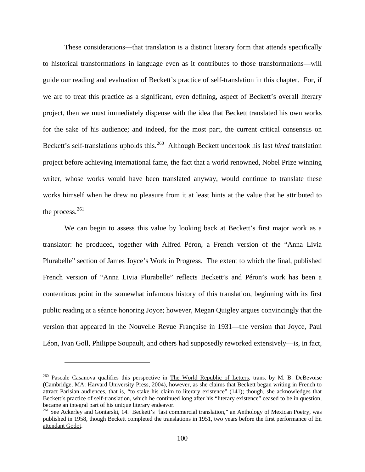These considerations—that translation is a distinct literary form that attends specifically to historical transformations in language even as it contributes to those transformations—will guide our reading and evaluation of Beckett's practice of self-translation in this chapter. For, if we are to treat this practice as a significant, even defining, aspect of Beckett's overall literary project, then we must immediately dispense with the idea that Beckett translated his own works for the sake of his audience; and indeed, for the most part, the current critical consensus on Beckett's self-translations upholds this.<sup>[260](#page-107-0)</sup> Although Beckett undertook his last *hired* translation project before achieving international fame, the fact that a world renowned, Nobel Prize winning writer, whose works would have been translated anyway, would continue to translate these works himself when he drew no pleasure from it at least hints at the value that he attributed to the process.<sup>[261](#page-107-1)</sup>

We can begin to assess this value by looking back at Beckett's first major work as a translator: he produced, together with Alfred Péron, a French version of the "Anna Livia Plurabelle" section of James Joyce's Work in Progress. The extent to which the final, published French version of "Anna Livia Plurabelle" reflects Beckett's and Péron's work has been a contentious point in the somewhat infamous history of this translation, beginning with its first public reading at a séance honoring Joyce; however, Megan Quigley argues convincingly that the version that appeared in the Nouvelle Revue Française in 1931—the version that Joyce, Paul Léon, Ivan Goll, Philippe Soupault, and others had supposedly reworked extensively—is, in fact,

<span id="page-107-0"></span><sup>&</sup>lt;sup>260</sup> Pascale Casanova qualifies this perspective in The World Republic of Letters, trans. by M. B. DeBevoise (Cambridge, MA: Harvard University Press, 2004), however, as she claims that Beckett began writing in French to attract Parisian audiences, that is, "to stake his claim to literary existence" (141); though, she acknowledges that Beckett's practice of self-translation, which he continued long after his "literary existence" ceased to be in question, became an integral part of his unique literary endeavor.

<span id="page-107-1"></span><sup>&</sup>lt;sup>261</sup> See Ackerley and Gontarski, 14. Beckett's "last commercial translation," an Anthology of Mexican Poetry, was published in 1958, though Beckett completed the translations in 1951, two years before the first performance of En attendant Godot.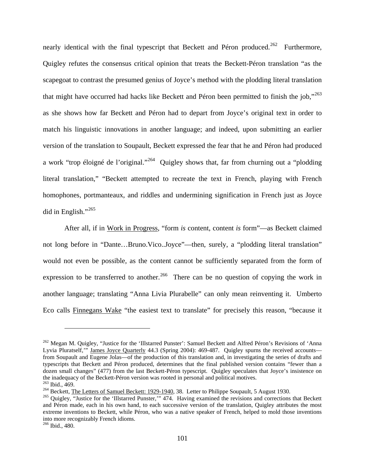nearly identical with the final typescript that Beckett and Péron produced.<sup>262</sup> Furthermore, Quigley refutes the consensus critical opinion that treats the Beckett-Péron translation "as the scapegoat to contrast the presumed genius of Joyce's method with the plodding literal translation that might have occurred had hacks like Beckett and Péron been permitted to finish the job,"<sup>[263](#page-108-1)</sup> as she shows how far Beckett and Péron had to depart from Joyce's original text in order to match his linguistic innovations in another language; and indeed, upon submitting an earlier version of the translation to Soupault, Beckett expressed the fear that he and Péron had produced a work "trop éloigné de l'original."[264](#page-108-2) Quigley shows that, far from churning out a "plodding literal translation," "Beckett attempted to recreate the text in French, playing with French homophones, portmanteaux, and riddles and undermining signification in French just as Joyce did in English."[265](#page-108-3)

After all, if in Work in Progress, "form *is* content, content *is* form"—as Beckett claimed not long before in "Dante…Bruno.Vico..Joyce"—then, surely, a "plodding literal translation" would not even be possible, as the content cannot be sufficiently separated from the form of expression to be transferred to another.<sup>266</sup> There can be no question of copying the work in another language; translating "Anna Livia Plurabelle" can only mean reinventing it. Umberto Eco calls Finnegans Wake "the easiest text to translate" for precisely this reason, "because it

<span id="page-108-0"></span><sup>&</sup>lt;sup>262</sup> Megan M. Quigley, "Justice for the 'Illstarred Punster': Samuel Beckett and Alfred Péron's Revisions of 'Anna Lyvia Pluratself," James Joyce Quarterly 44.3 (Spring 2004): 469-487. Quigley spurns the received accounts from Soupault and Eugene Jolas—of the production of this translation and, in investigating the series of drafts and typescripts that Beckett and Péron produced, determines that the final published version contains "fewer than a dozen small changes" (477) from the last Beckett-Péron typescript. Quigley speculates that Joyce's insistence on the inadequacy of the Beckett-Péron version was rooted in personal and political motives.<br><sup>263</sup> Ibid., 469.<br><sup>264</sup> Beckett, <u>The Letters of Samuel Beckett: 1929-1940</u>, 38. Letter to Philippe Soupault, 5 August 1930.<br><sup>264</sup> O

<span id="page-108-2"></span><span id="page-108-1"></span>

<span id="page-108-3"></span>and Péron made, each in his own hand, to each successive version of the translation, Quigley attributes the most extreme inventions to Beckett, while Péron, who was a native speaker of French, helped to mold those inventions into more recognizably French idioms.

<span id="page-108-4"></span><sup>266</sup> Ibid., 480.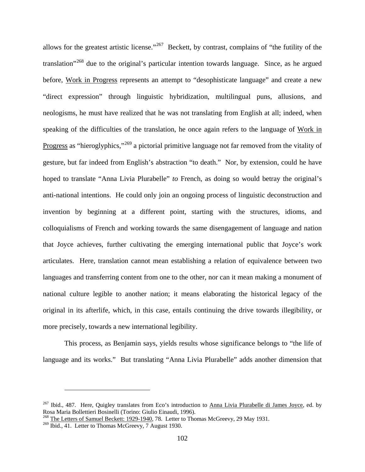allows for the greatest artistic license."<sup>[267](#page-109-0)</sup> Beckett, by contrast, complains of "the futility of the translation"[268](#page-109-1) due to the original's particular intention towards language. Since, as he argued before, Work in Progress represents an attempt to "desophisticate language" and create a new "direct expression" through linguistic hybridization, multilingual puns, allusions, and neologisms, he must have realized that he was not translating from English at all; indeed, when speaking of the difficulties of the translation, he once again refers to the language of Work in Progress as "hieroglyphics,"<sup>[269](#page-109-2)</sup> a pictorial primitive language not far removed from the vitality of gesture, but far indeed from English's abstraction "to death." Nor, by extension, could he have hoped to translate "Anna Livia Plurabelle" *to* French, as doing so would betray the original's anti-national intentions. He could only join an ongoing process of linguistic deconstruction and invention by beginning at a different point, starting with the structures, idioms, and colloquialisms of French and working towards the same disengagement of language and nation that Joyce achieves, further cultivating the emerging international public that Joyce's work articulates. Here, translation cannot mean establishing a relation of equivalence between two languages and transferring content from one to the other, nor can it mean making a monument of national culture legible to another nation; it means elaborating the historical legacy of the original in its afterlife, which, in this case, entails continuing the drive towards illegibility, or more precisely, towards a new international legibility.

This process, as Benjamin says, yields results whose significance belongs to "the life of language and its works." But translating "Anna Livia Plurabelle" adds another dimension that

<span id="page-109-0"></span><sup>&</sup>lt;sup>267</sup> Ibid., 487. Here, Quigley translates from Eco's introduction to Anna Livia Plurabelle di James Joyce, ed. by Rosa Maria Bollettieri Bosinelli (Torino: Giulio Einaudi, 1996).

<span id="page-109-1"></span><sup>&</sup>lt;sup>268</sup> The Letters of Samuel Beckett: 1929-1940, 78. Letter to Thomas McGreevy, 29 May 1931.

<span id="page-109-2"></span><sup>&</sup>lt;sup>269</sup> Ibid., 41. Letter to Thomas McGreevy, 7 August 1930.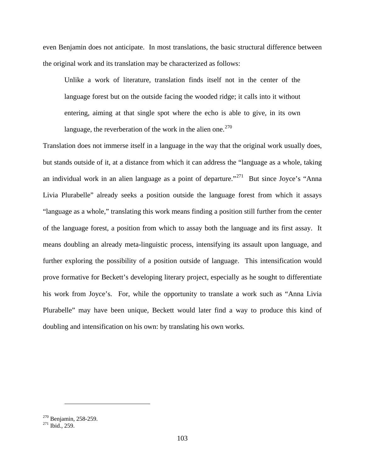even Benjamin does not anticipate. In most translations, the basic structural difference between the original work and its translation may be characterized as follows:

Unlike a work of literature, translation finds itself not in the center of the language forest but on the outside facing the wooded ridge; it calls into it without entering, aiming at that single spot where the echo is able to give, in its own language, the reverberation of the work in the alien one. $270$ 

Translation does not immerse itself in a language in the way that the original work usually does, but stands outside of it, at a distance from which it can address the "language as a whole, taking an individual work in an alien language as a point of departure."<sup>271</sup> But since Joyce's "Anna" Livia Plurabelle" already seeks a position outside the language forest from which it assays "language as a whole," translating this work means finding a position still further from the center of the language forest, a position from which to assay both the language and its first assay. It means doubling an already meta-linguistic process, intensifying its assault upon language, and further exploring the possibility of a position outside of language. This intensification would prove formative for Beckett's developing literary project, especially as he sought to differentiate his work from Joyce's. For, while the opportunity to translate a work such as "Anna Livia Plurabelle" may have been unique, Beckett would later find a way to produce this kind of doubling and intensification on his own: by translating his own works.

<span id="page-110-1"></span><span id="page-110-0"></span> $^{270}$  Benjamin, 258-259.<br><sup>271</sup> Ibid., 259.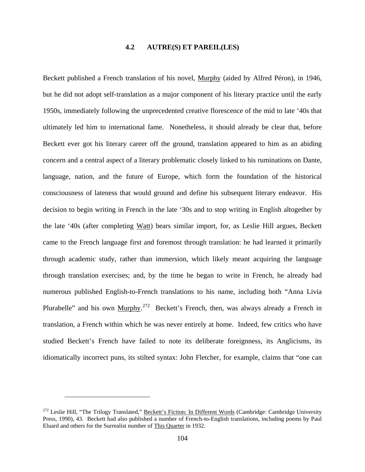## **4.2 AUTRE(S) ET PAREIL(LES)**

Beckett published a French translation of his novel, Murphy (aided by Alfred Péron), in 1946, but he did not adopt self-translation as a major component of his literary practice until the early 1950s, immediately following the unprecedented creative florescence of the mid to late '40s that ultimately led him to international fame. Nonetheless, it should already be clear that, before Beckett ever got his literary career off the ground, translation appeared to him as an abiding concern and a central aspect of a literary problematic closely linked to his ruminations on Dante, language, nation, and the future of Europe, which form the foundation of the historical consciousness of lateness that would ground and define his subsequent literary endeavor. His decision to begin writing in French in the late '30s and to stop writing in English altogether by the late '40s (after completing Watt) bears similar import, for, as Leslie Hill argues, Beckett came to the French language first and foremost through translation: he had learned it primarily through academic study, rather than immersion, which likely meant acquiring the language through translation exercises; and, by the time he began to write in French, he already had numerous published English-to-French translations to his name, including both "Anna Livia Plurabelle" and his own Murphy.<sup>[272](#page-111-0)</sup> Beckett's French, then, was always already a French in translation, a French within which he was never entirely at home. Indeed, few critics who have studied Beckett's French have failed to note its deliberate foreignness, its Anglicisms, its idiomatically incorrect puns, its stilted syntax: John Fletcher, for example, claims that "one can

<span id="page-111-0"></span><sup>&</sup>lt;sup>272</sup> Leslie Hill, "The Trilogy Translated," Beckett's Fiction: In Different Words (Cambridge: Cambridge University Press, 1990), 43. Beckett had also published a number of French-to-English translations, including poems by Paul Eluard and others for the Surrealist number of This Quarter in 1932.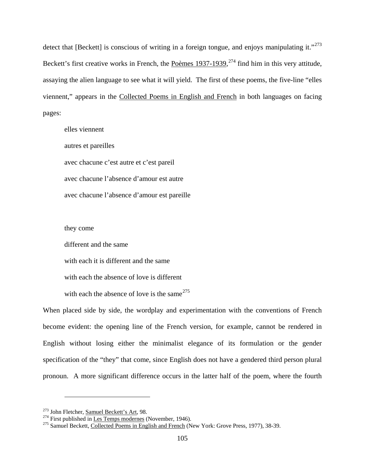detect that [Beckett] is conscious of writing in a foreign tongue, and enjoys manipulating it."<sup>[273](#page-112-0)</sup> Beckett's first creative works in French, the Poèmes 1937-1939,<sup>[274](#page-112-1)</sup> find him in this very attitude, assaying the alien language to see what it will yield. The first of these poems, the five-line "elles viennent," appears in the Collected Poems in English and French in both languages on facing pages:

elles viennent autres et pareilles avec chacune c'est autre et c'est pareil avec chacune l'absence d'amour est autre avec chacune l'absence d'amour est pareille

they come

different and the same

with each it is different and the same

with each the absence of love is different

with each the absence of love is the same  $275$ 

When placed side by side, the wordplay and experimentation with the conventions of French become evident: the opening line of the French version, for example, cannot be rendered in English without losing either the minimalist elegance of its formulation or the gender specification of the "they" that come, since English does not have a gendered third person plural pronoun. A more significant difference occurs in the latter half of the poem, where the fourth

<span id="page-112-2"></span>

<span id="page-112-1"></span><span id="page-112-0"></span><sup>&</sup>lt;sup>273</sup> John Fletcher, <u>Samuel Beckett's Art</u>, 98.<br><sup>274</sup> First published in <u>Les Temps modernes</u> (November, 1946).<br><sup>275</sup> Samuel Beckett, Collected Poems in English and French (New York: Grove Press, 1977), 38-39.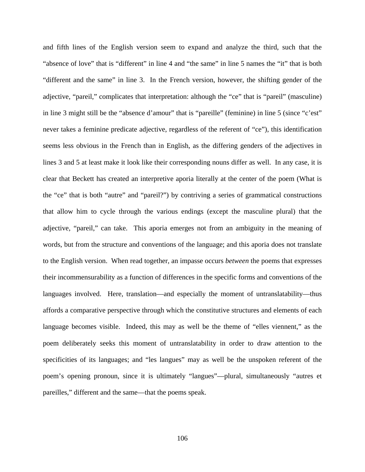and fifth lines of the English version seem to expand and analyze the third, such that the "absence of love" that is "different" in line 4 and "the same" in line 5 names the "it" that is both "different and the same" in line 3. In the French version, however, the shifting gender of the adjective, "pareil," complicates that interpretation: although the "ce" that is "pareil" (masculine) in line 3 might still be the "absence d'amour" that is "pareille" (feminine) in line 5 (since "c'est" never takes a feminine predicate adjective, regardless of the referent of "ce"), this identification seems less obvious in the French than in English, as the differing genders of the adjectives in lines 3 and 5 at least make it look like their corresponding nouns differ as well. In any case, it is clear that Beckett has created an interpretive aporia literally at the center of the poem (What is the "ce" that is both "autre" and "pareil?") by contriving a series of grammatical constructions that allow him to cycle through the various endings (except the masculine plural) that the adjective, "pareil," can take. This aporia emerges not from an ambiguity in the meaning of words, but from the structure and conventions of the language; and this aporia does not translate to the English version. When read together, an impasse occurs *between* the poems that expresses their incommensurability as a function of differences in the specific forms and conventions of the languages involved. Here, translation—and especially the moment of untranslatability—thus affords a comparative perspective through which the constitutive structures and elements of each language becomes visible. Indeed, this may as well be the theme of "elles viennent," as the poem deliberately seeks this moment of untranslatability in order to draw attention to the specificities of its languages; and "les langues" may as well be the unspoken referent of the poem's opening pronoun, since it is ultimately "langues"—plural, simultaneously "autres et pareilles," different and the same—that the poems speak.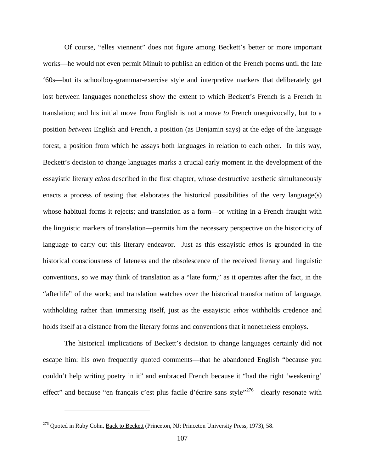Of course, "elles viennent" does not figure among Beckett's better or more important works—he would not even permit Minuit to publish an edition of the French poems until the late '60s—but its schoolboy-grammar-exercise style and interpretive markers that deliberately get lost between languages nonetheless show the extent to which Beckett's French is a French in translation; and his initial move from English is not a move *to* French unequivocally, but to a position *between* English and French, a position (as Benjamin says) at the edge of the language forest, a position from which he assays both languages in relation to each other. In this way, Beckett's decision to change languages marks a crucial early moment in the development of the essayistic literary *ethos* described in the first chapter, whose destructive aesthetic simultaneously enacts a process of testing that elaborates the historical possibilities of the very language(s) whose habitual forms it rejects; and translation as a form—or writing in a French fraught with the linguistic markers of translation—permits him the necessary perspective on the historicity of language to carry out this literary endeavor. Just as this essayistic *ethos* is grounded in the historical consciousness of lateness and the obsolescence of the received literary and linguistic conventions, so we may think of translation as a "late form," as it operates after the fact, in the "afterlife" of the work; and translation watches over the historical transformation of language, withholding rather than immersing itself, just as the essayistic *ethos* withholds credence and holds itself at a distance from the literary forms and conventions that it nonetheless employs.

The historical implications of Beckett's decision to change languages certainly did not escape him: his own frequently quoted comments—that he abandoned English "because you couldn't help writing poetry in it" and embraced French because it "had the right 'weakening' effect" and because "en français c'est plus facile d'écrire sans style"<sup>276</sup>—clearly resonate with

<span id="page-114-0"></span> $276$  Quoted in Ruby Cohn, Back to Beckett (Princeton, NJ: Princeton University Press, 1973), 58.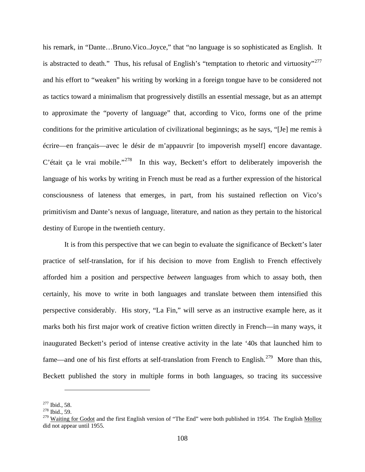his remark, in "Dante...Bruno.Vico..Joyce," that "no language is so sophisticated as English. It is abstracted to death." Thus, his refusal of English's "temptation to rhetoric and virtuosity"<sup>[277](#page-115-0)</sup> and his effort to "weaken" his writing by working in a foreign tongue have to be considered not as tactics toward a minimalism that progressively distills an essential message, but as an attempt to approximate the "poverty of language" that, according to Vico, forms one of the prime conditions for the primitive articulation of civilizational beginnings; as he says, "[Je] me remis à écrire—en français—avec le désir de m'appauvrir [to impoverish myself] encore davantage. C'était ça le vrai mobile."<sup>278</sup> In this way, Beckett's effort to deliberately impoverish the language of his works by writing in French must be read as a further expression of the historical consciousness of lateness that emerges, in part, from his sustained reflection on Vico's primitivism and Dante's nexus of language, literature, and nation as they pertain to the historical destiny of Europe in the twentieth century.

It is from this perspective that we can begin to evaluate the significance of Beckett's later practice of self-translation, for if his decision to move from English to French effectively afforded him a position and perspective *between* languages from which to assay both, then certainly, his move to write in both languages and translate between them intensified this perspective considerably. His story, "La Fin," will serve as an instructive example here, as it marks both his first major work of creative fiction written directly in French—in many ways, it inaugurated Beckett's period of intense creative activity in the late '40s that launched him to fame—and one of his first efforts at self-translation from French to English.<sup>279</sup> More than this, Beckett published the story in multiple forms in both languages, so tracing its successive

<span id="page-115-1"></span><span id="page-115-0"></span><sup>&</sup>lt;sup>277</sup> Ibid., 58.<br><sup>278</sup> Ibid., 59.

<span id="page-115-2"></span><sup>&</sup>lt;sup>279</sup> Waiting for Godot and the first English version of "The End" were both published in 1954. The English Molloy did not appear until 1955.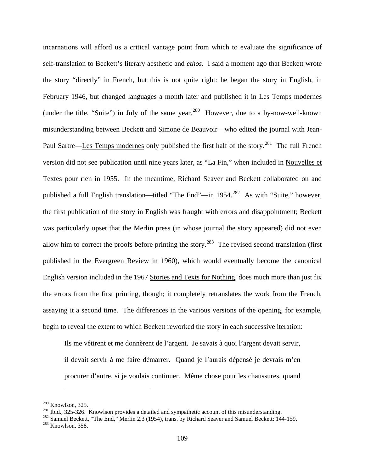incarnations will afford us a critical vantage point from which to evaluate the significance of self-translation to Beckett's literary aesthetic and *ethos*. I said a moment ago that Beckett wrote the story "directly" in French, but this is not quite right: he began the story in English, in February 1946, but changed languages a month later and published it in Les Temps modernes (under the title, "Suite") in July of the same year.<sup>[280](#page-116-0)</sup> However, due to a by-now-well-known misunderstanding between Beckett and Simone de Beauvoir—who edited the journal with Jean-Paul Sartre—Les Temps modernes only published the first half of the story.<sup>281</sup> The full French version did not see publication until nine years later, as "La Fin," when included in Nouvelles et Textes pour rien in 1955. In the meantime, Richard Seaver and Beckett collaborated on and published a full English translation—titled "The End"—in 1954.<sup>[282](#page-116-2)</sup> As with "Suite," however, the first publication of the story in English was fraught with errors and disappointment; Beckett was particularly upset that the Merlin press (in whose journal the story appeared) did not even allow him to correct the proofs before printing the story.<sup>283</sup> The revised second translation (first published in the Evergreen Review in 1960), which would eventually become the canonical English version included in the 1967 Stories and Texts for Nothing, does much more than just fix the errors from the first printing, though; it completely retranslates the work from the French, assaying it a second time. The differences in the various versions of the opening, for example, begin to reveal the extent to which Beckett reworked the story in each successive iteration:

Ils me vêtirent et me donnèrent de l'argent. Je savais à quoi l'argent devait servir, il devait servir à me faire démarrer. Quand je l'aurais dépensé je devrais m'en procurer d'autre, si je voulais continuer. Même chose pour les chaussures, quand

<span id="page-116-3"></span><span id="page-116-2"></span><span id="page-116-1"></span>

<span id="page-116-0"></span><sup>&</sup>lt;sup>280</sup> Knowlson, 325.<br><sup>281</sup> Ibid., 325-326. Knowlson provides a detailed and sympathetic account of this misunderstanding.<br><sup>282</sup> Samuel Beckett, "The End," <u>Merlin</u> 2.3 (1954), trans. by Richard Seaver and Samuel Beckett: 1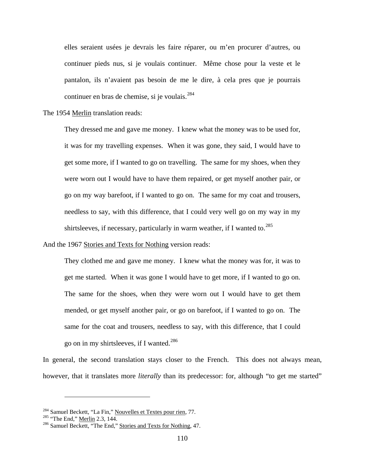elles seraient usées je devrais les faire réparer, ou m'en procurer d'autres, ou continuer pieds nus, si je voulais continuer. Même chose pour la veste et le pantalon, ils n'avaient pas besoin de me le dire, à cela pres que je pourrais continuer en bras de chemise, si je voulais.<sup>[284](#page-117-0)</sup>

The 1954 Merlin translation reads:

They dressed me and gave me money. I knew what the money was to be used for, it was for my travelling expenses. When it was gone, they said, I would have to get some more, if I wanted to go on travelling. The same for my shoes, when they were worn out I would have to have them repaired, or get myself another pair, or go on my way barefoot, if I wanted to go on. The same for my coat and trousers, needless to say, with this difference, that I could very well go on my way in my shirtsleeves, if necessary, particularly in warm weather, if I wanted to.<sup>[285](#page-117-1)</sup>

And the 1967 Stories and Texts for Nothing version reads:

They clothed me and gave me money. I knew what the money was for, it was to get me started. When it was gone I would have to get more, if I wanted to go on. The same for the shoes, when they were worn out I would have to get them mended, or get myself another pair, or go on barefoot, if I wanted to go on. The same for the coat and trousers, needless to say, with this difference, that I could go on in my shirtsleeves, if I wanted.[286](#page-117-2)

In general, the second translation stays closer to the French. This does not always mean, however, that it translates more *literally* than its predecessor: for, although "to get me started"

<span id="page-117-1"></span><span id="page-117-0"></span><sup>&</sup>lt;sup>284</sup> Samuel Beckett, "La Fin," <u>Nouvelles et Textes pour rien</u>, 77.<br><sup>285</sup> "The End," <u>Merlin</u> 2.3, 144.<br><sup>286</sup> Samuel Beckett, "The End," Stories and Texts for Nothing, 47.

<span id="page-117-2"></span>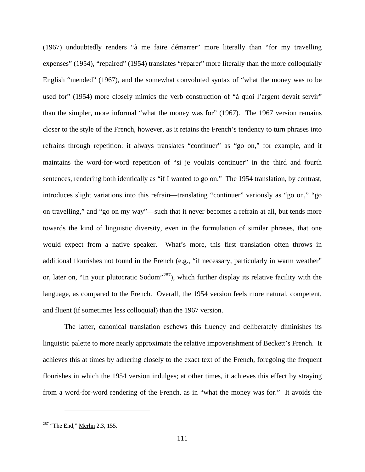(1967) undoubtedly renders "à me faire démarrer" more literally than "for my travelling expenses" (1954), "repaired" (1954) translates "réparer" more literally than the more colloquially English "mended" (1967), and the somewhat convoluted syntax of "what the money was to be used for" (1954) more closely mimics the verb construction of "à quoi l'argent devait servir" than the simpler, more informal "what the money was for" (1967). The 1967 version remains closer to the style of the French, however, as it retains the French's tendency to turn phrases into refrains through repetition: it always translates "continuer" as "go on," for example, and it maintains the word-for-word repetition of "si je voulais continuer" in the third and fourth sentences, rendering both identically as "if I wanted to go on." The 1954 translation, by contrast, introduces slight variations into this refrain—translating "continuer" variously as "go on," "go on travelling," and "go on my way"—such that it never becomes a refrain at all, but tends more towards the kind of linguistic diversity, even in the formulation of similar phrases, that one would expect from a native speaker. What's more, this first translation often throws in additional flourishes not found in the French (e.g., "if necessary, particularly in warm weather" or, later on, "In your plutocratic Sodom"<sup>[287](#page-118-0)</sup>), which further display its relative facility with the language, as compared to the French. Overall, the 1954 version feels more natural, competent, and fluent (if sometimes less colloquial) than the 1967 version.

The latter, canonical translation eschews this fluency and deliberately diminishes its linguistic palette to more nearly approximate the relative impoverishment of Beckett's French. It achieves this at times by adhering closely to the exact text of the French, foregoing the frequent flourishes in which the 1954 version indulges; at other times, it achieves this effect by straying from a word-for-word rendering of the French, as in "what the money was for." It avoids the

<span id="page-118-0"></span> $287$  "The End," Merlin 2.3, 155.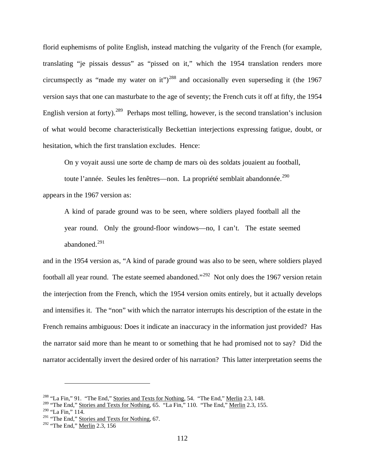florid euphemisms of polite English, instead matching the vulgarity of the French (for example, translating "je pissais dessus" as "pissed on it," which the 1954 translation renders more circumspectly as "made my water on it")<sup>[288](#page-119-0)</sup> and occasionally even superseding it (the 1967 version says that one can masturbate to the age of seventy; the French cuts it off at fifty, the 1954 English version at forty).<sup>[289](#page-119-1)</sup> Perhaps most telling, however, is the second translation's inclusion of what would become characteristically Beckettian interjections expressing fatigue, doubt, or hesitation, which the first translation excludes. Hence:

On y voyait aussi une sorte de champ de mars où des soldats jouaient au football,

toute l'année. Seules les fenêtres—non. La propriété semblait abandonnée.<sup>[290](#page-119-2)</sup> appears in the 1967 version as:

A kind of parade ground was to be seen, where soldiers played football all the year round. Only the ground-floor windows—no, I can't. The estate seemed abandoned.[291](#page-119-3)

and in the 1954 version as, "A kind of parade ground was also to be seen, where soldiers played football all year round. The estate seemed abandoned."<sup>292</sup> Not only does the 1967 version retain the interjection from the French, which the 1954 version omits entirely, but it actually develops and intensifies it. The "non" with which the narrator interrupts his description of the estate in the French remains ambiguous: Does it indicate an inaccuracy in the information just provided? Has the narrator said more than he meant to or something that he had promised not to say? Did the narrator accidentally invert the desired order of his narration? This latter interpretation seems the

<span id="page-119-0"></span><sup>&</sup>lt;sup>288</sup> "La Fin," 91. "The End," Stories and Texts for Nothing, 54. "The End," Merlin 2.3, 148.

<span id="page-119-1"></span><sup>&</sup>lt;sup>289</sup> "The End," Stories and Texts for Nothing, 65. "La Fin," 110. "The End," Merlin 2.3, 155.

<span id="page-119-2"></span> $290$  "La Fin," 114.

<span id="page-119-3"></span><sup>&</sup>lt;sup>291</sup> "The End," Stories and Texts for Nothing, 67.

<span id="page-119-4"></span> $292$  "The End," Merlin 2.3, 156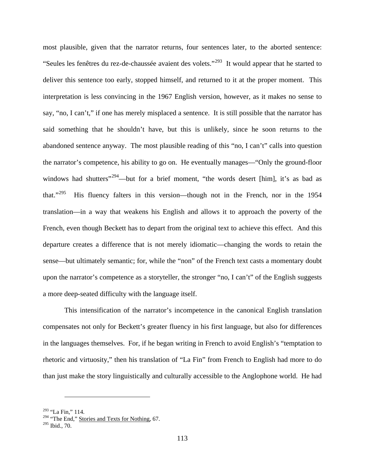most plausible, given that the narrator returns, four sentences later, to the aborted sentence: "Seules les fenêtres du rez-de-chaussée avaient des volets."[293](#page-120-0) It would appear that he started to deliver this sentence too early, stopped himself, and returned to it at the proper moment. This interpretation is less convincing in the 1967 English version, however, as it makes no sense to say, "no, I can't," if one has merely misplaced a sentence. It is still possible that the narrator has said something that he shouldn't have, but this is unlikely, since he soon returns to the abandoned sentence anyway. The most plausible reading of this "no, I can't" calls into question the narrator's competence, his ability to go on. He eventually manages—"Only the ground-floor windows had shutters"<sup>[294](#page-120-1)</sup>—but for a brief moment, "the words desert [him], it's as bad as that."[295](#page-120-2) His fluency falters in this version—though not in the French, nor in the 1954 translation—in a way that weakens his English and allows it to approach the poverty of the French, even though Beckett has to depart from the original text to achieve this effect. And this departure creates a difference that is not merely idiomatic—changing the words to retain the sense—but ultimately semantic; for, while the "non" of the French text casts a momentary doubt upon the narrator's competence as a storyteller, the stronger "no, I can't" of the English suggests a more deep-seated difficulty with the language itself.

This intensification of the narrator's incompetence in the canonical English translation compensates not only for Beckett's greater fluency in his first language, but also for differences in the languages themselves. For, if he began writing in French to avoid English's "temptation to rhetoric and virtuosity," then his translation of "La Fin" from French to English had more to do than just make the story linguistically and culturally accessible to the Anglophone world. He had

<span id="page-120-0"></span><sup>293</sup> "La Fin," 114.

<span id="page-120-1"></span><sup>&</sup>lt;sup>294</sup> "The End," Stories and Texts for Nothing, 67.

<span id="page-120-2"></span><sup>295</sup> Ibid., 70.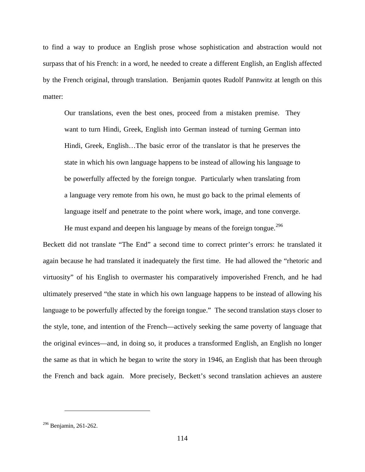to find a way to produce an English prose whose sophistication and abstraction would not surpass that of his French: in a word, he needed to create a different English, an English affected by the French original, through translation. Benjamin quotes Rudolf Pannwitz at length on this matter:

Our translations, even the best ones, proceed from a mistaken premise. They want to turn Hindi, Greek, English into German instead of turning German into Hindi, Greek, English…The basic error of the translator is that he preserves the state in which his own language happens to be instead of allowing his language to be powerfully affected by the foreign tongue. Particularly when translating from a language very remote from his own, he must go back to the primal elements of language itself and penetrate to the point where work, image, and tone converge.

He must expand and deepen his language by means of the foreign tongue.<sup>[296](#page-121-0)</sup> Beckett did not translate "The End" a second time to correct printer's errors: he translated it again because he had translated it inadequately the first time. He had allowed the "rhetoric and virtuosity" of his English to overmaster his comparatively impoverished French, and he had ultimately preserved "the state in which his own language happens to be instead of allowing his language to be powerfully affected by the foreign tongue." The second translation stays closer to the style, tone, and intention of the French—actively seeking the same poverty of language that the original evinces—and, in doing so, it produces a transformed English, an English no longer the same as that in which he began to write the story in 1946, an English that has been through the French and back again. More precisely, Beckett's second translation achieves an austere

<span id="page-121-0"></span><sup>296</sup> Benjamin, 261-262.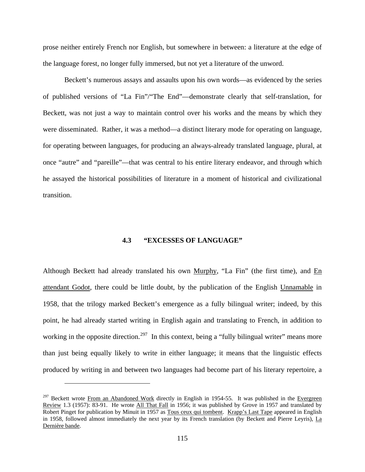prose neither entirely French nor English, but somewhere in between: a literature at the edge of the language forest, no longer fully immersed, but not yet a literature of the unword.

Beckett's numerous assays and assaults upon his own words—as evidenced by the series of published versions of "La Fin"/"The End"—demonstrate clearly that self-translation, for Beckett, was not just a way to maintain control over his works and the means by which they were disseminated. Rather, it was a method—a distinct literary mode for operating on language, for operating between languages, for producing an always-already translated language, plural, at once "autre" and "pareille"—that was central to his entire literary endeavor, and through which he assayed the historical possibilities of literature in a moment of historical and civilizational transition.

### **4.3 "EXCESSES OF LANGUAGE"**

Although Beckett had already translated his own Murphy, "La Fin" (the first time), and  $En$ attendant Godot, there could be little doubt, by the publication of the English Unnamable in 1958, that the trilogy marked Beckett's emergence as a fully bilingual writer; indeed, by this point, he had already started writing in English again and translating to French, in addition to working in the opposite direction.<sup>297</sup> In this context, being a "fully bilingual writer" means more than just being equally likely to write in either language; it means that the linguistic effects produced by writing in and between two languages had become part of his literary repertoire, a

<span id="page-122-0"></span> $297$  Beckett wrote From an Abandoned Work directly in English in 1954-55. It was published in the Evergreen Review 1.3 (1957): 83-91. He wrote All That Fall in 1956; it was published by Grove in 1957 and translated by Robert Pinget for publication by Minuit in 1957 as Tous ceux qui tombent. Krapp's Last Tape appeared in English in 1958, followed almost immediately the next year by its French translation (by Beckett and Pierre Leyris), La Dernière bande.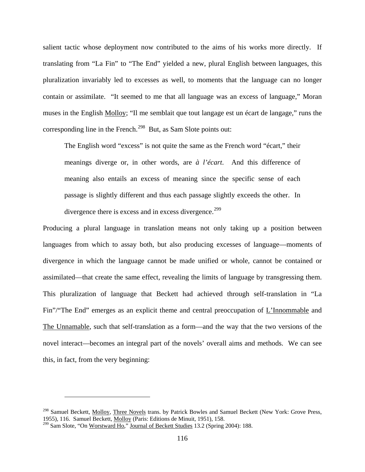salient tactic whose deployment now contributed to the aims of his works more directly. If translating from "La Fin" to "The End" yielded a new, plural English between languages, this pluralization invariably led to excesses as well, to moments that the language can no longer contain or assimilate. "It seemed to me that all language was an excess of language," Moran muses in the English Molloy; "Il me semblait que tout langage est un écart de langage," runs the corresponding line in the French.<sup>298</sup> But, as Sam Slote points out:

The English word "excess" is not quite the same as the French word "écart," their meanings diverge or, in other words, are *à l'écart*. And this difference of meaning also entails an excess of meaning since the specific sense of each passage is slightly different and thus each passage slightly exceeds the other. In divergence there is excess and in excess divergence.<sup>[299](#page-123-1)</sup>

Producing a plural language in translation means not only taking up a position between languages from which to assay both, but also producing excesses of language—moments of divergence in which the language cannot be made unified or whole, cannot be contained or assimilated—that create the same effect, revealing the limits of language by transgressing them. This pluralization of language that Beckett had achieved through self-translation in "La Fin"/"The End" emerges as an explicit theme and central preoccupation of L'Innommable and The Unnamable, such that self-translation as a form—and the way that the two versions of the novel interact—becomes an integral part of the novels' overall aims and methods. We can see this, in fact, from the very beginning:

<span id="page-123-0"></span><sup>&</sup>lt;sup>298</sup> Samuel Beckett, Molloy, Three Novels trans. by Patrick Bowles and Samuel Beckett (New York: Grove Press, 1955), 116. Samuel Beckett, Molloy (Paris: Editions de Minuit, 1951), 158.

<span id="page-123-1"></span><sup>&</sup>lt;sup>299</sup> Sam Slote, "On Worstward Ho," Journal of Beckett Studies 13.2 (Spring 2004): 188.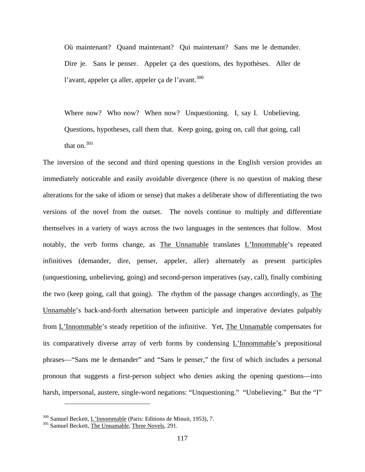Où maintenant? Quand maintenant? Qui maintenant? Sans me le demander. Dire je. Sans le penser. Appeler ça des questions, des hypothèses. Aller de l'avant, appeler ca aller, appeler ca de l'avant.<sup>[300](#page-124-0)</sup>

Where now? Who now? When now? Unquestioning. I, say I. Unbelieving. Questions, hypotheses, call them that. Keep going, going on, call that going, call that on.<sup>[301](#page-124-1)</sup>

The inversion of the second and third opening questions in the English version provides an immediately noticeable and easily avoidable divergence (there is no question of making these alterations for the sake of idiom or sense) that makes a deliberate show of differentiating the two versions of the novel from the outset. The novels continue to multiply and differentiate themselves in a variety of ways across the two languages in the sentences that follow. Most notably, the verb forms change, as The Unnamable translates L'Innommable's repeated infinitives (demander, dire, penser, appeler, aller) alternately as present participles (unquestioning, unbelieving, going) and second-person imperatives (say, call), finally combining the two (keep going, call that going). The rhythm of the passage changes accordingly, as The Unnamable's back-and-forth alternation between participle and imperative deviates palpably from L'Innommable's steady repetition of the infinitive. Yet, The Unnamable compensates for its comparatively diverse array of verb forms by condensing L'Innommable's prepositional phrases—"Sans me le demander" and "Sans le penser," the first of which includes a personal pronoun that suggests a first-person subject who denies asking the opening questions—into harsh, impersonal, austere, single-word negations: "Unquestioning." "Unbelieving." But the "I"

<span id="page-124-0"></span> $300$  Samuel Beckett, <u>L'Innommable</u> (Paris: Editions de Minuit, 1953), 7.  $301$  Samuel Beckett, The Unnamable, Three Novels, 291.

<span id="page-124-1"></span>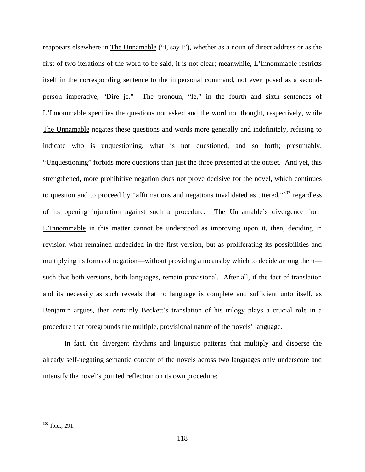reappears elsewhere in The Unnamable ("I, say I"), whether as a noun of direct address or as the first of two iterations of the word to be said, it is not clear; meanwhile, L'Innommable restricts itself in the corresponding sentence to the impersonal command, not even posed as a secondperson imperative, "Dire je." The pronoun, "le," in the fourth and sixth sentences of L'Innommable specifies the questions not asked and the word not thought, respectively, while The Unnamable negates these questions and words more generally and indefinitely, refusing to indicate who is unquestioning, what is not questioned, and so forth; presumably, "Unquestioning" forbids more questions than just the three presented at the outset. And yet, this strengthened, more prohibitive negation does not prove decisive for the novel, which continues to question and to proceed by "affirmations and negations invalidated as uttered,"<sup>[302](#page-125-0)</sup> regardless of its opening injunction against such a procedure. The Unnamable's divergence from L'Innommable in this matter cannot be understood as improving upon it, then, deciding in revision what remained undecided in the first version, but as proliferating its possibilities and multiplying its forms of negation—without providing a means by which to decide among them such that both versions, both languages, remain provisional. After all, if the fact of translation and its necessity as such reveals that no language is complete and sufficient unto itself, as Benjamin argues, then certainly Beckett's translation of his trilogy plays a crucial role in a procedure that foregrounds the multiple, provisional nature of the novels' language.

In fact, the divergent rhythms and linguistic patterns that multiply and disperse the already self-negating semantic content of the novels across two languages only underscore and intensify the novel's pointed reflection on its own procedure:

<span id="page-125-0"></span><sup>302</sup> Ibid., 291.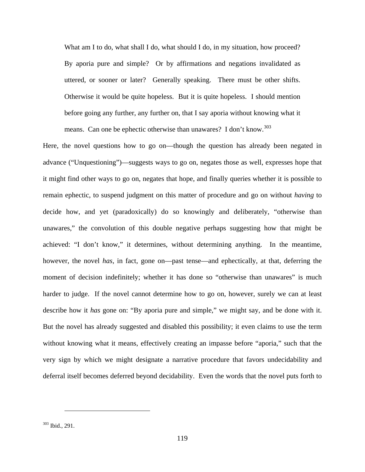What am I to do, what shall I do, what should I do, in my situation, how proceed? By aporia pure and simple? Or by affirmations and negations invalidated as uttered, or sooner or later? Generally speaking. There must be other shifts. Otherwise it would be quite hopeless. But it is quite hopeless. I should mention before going any further, any further on, that I say aporia without knowing what it means. Can one be ephectic otherwise than unawares? I don't know.<sup>[303](#page-126-0)</sup>

<span id="page-126-0"></span>Here, the novel questions how to go on—though the question has already been negated in advance ("Unquestioning")—suggests ways to go on, negates those as well, expresses hope that it might find other ways to go on, negates that hope, and finally queries whether it is possible to remain ephectic, to suspend judgment on this matter of procedure and go on without *having* to decide how, and yet (paradoxically) do so knowingly and deliberately, "otherwise than unawares," the convolution of this double negative perhaps suggesting how that might be achieved: "I don't know," it determines, without determining anything. In the meantime, however, the novel *has*, in fact, gone on—past tense—and ephectically, at that, deferring the moment of decision indefinitely; whether it has done so "otherwise than unawares" is much harder to judge. If the novel cannot determine how to go on, however, surely we can at least describe how it *has* gone on: "By aporia pure and simple," we might say, and be done with it. But the novel has already suggested and disabled this possibility; it even claims to use the term without knowing what it means, effectively creating an impasse before "aporia," such that the very sign by which we might designate a narrative procedure that favors undecidability and deferral itself becomes deferred beyond decidability. Even the words that the novel puts forth to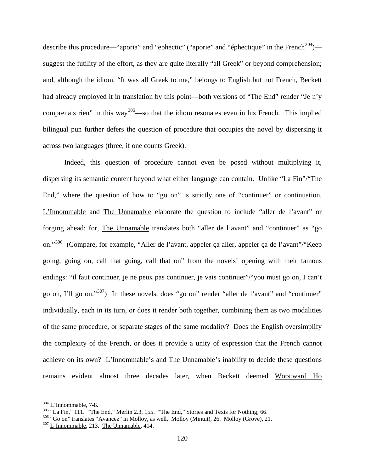describe this procedure—"aporia" and "ephectic" ("aporie" and "éphectique" in the French<sup>[304](#page-127-0)</sup>) suggest the futility of the effort, as they are quite literally "all Greek" or beyond comprehension; and, although the idiom, "It was all Greek to me," belongs to English but not French, Beckett had already employed it in translation by this point—both versions of "The End" render "Je n'y comprenais rien" in this way<sup>305</sup>—so that the idiom resonates even in his French. This implied bilingual pun further defers the question of procedure that occupies the novel by dispersing it across two languages (three, if one counts Greek).

Indeed, this question of procedure cannot even be posed without multiplying it, dispersing its semantic content beyond what either language can contain. Unlike "La Fin"/"The End," where the question of how to "go on" is strictly one of "continuer" or continuation, L'Innommable and The Unnamable elaborate the question to include "aller de l'avant" or forging ahead; for, The Unnamable translates both "aller de l'avant" and "continuer" as "go on."[306](#page-127-2) (Compare, for example, "Aller de l'avant, appeler ça aller, appeler ça de l'avant"/"Keep going, going on, call that going, call that on" from the novels' opening with their famous endings: "il faut continuer, je ne peux pas continuer, je vais continuer"/"you must go on, I can't go on, I'll go on."[307](#page-127-3)) In these novels, does "go on" render "aller de l'avant" and "continuer" individually, each in its turn, or does it render both together, combining them as two modalities of the same procedure, or separate stages of the same modality? Does the English oversimplify the complexity of the French, or does it provide a unity of expression that the French cannot achieve on its own? L'Innommable's and The Unnamable's inability to decide these questions remains evident almost three decades later, when Beckett deemed Worstward Ho

<span id="page-127-1"></span><span id="page-127-0"></span>

<sup>&</sup>lt;sup>304</sup> L'Innommable, 7-8.<br><sup>305</sup> "La Fin," 111. "The End," <u>Merlin</u> 2.3, 155. "The End," <u>Stories and Texts for Nothing</u>, 66.<br><sup>306</sup> "Go on" translates "Avancez" in <u>Molloy</u>, as well. <u>Molloy</u> (Minuit), 26. <u>Molloy</u> (Grove),

<span id="page-127-2"></span>

<span id="page-127-3"></span>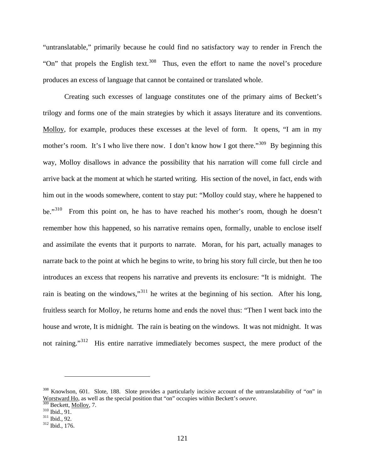"untranslatable," primarily because he could find no satisfactory way to render in French the "On" that propels the English text.<sup>[308](#page-128-0)</sup> Thus, even the effort to name the novel's procedure produces an excess of language that cannot be contained or translated whole.

Creating such excesses of language constitutes one of the primary aims of Beckett's trilogy and forms one of the main strategies by which it assays literature and its conventions. Molloy, for example, produces these excesses at the level of form. It opens, "I am in my mother's room. It's I who live there now. I don't know how I got there."<sup>309</sup> By beginning this way, Molloy disallows in advance the possibility that his narration will come full circle and arrive back at the moment at which he started writing. His section of the novel, in fact, ends with him out in the woods somewhere, content to stay put: "Molloy could stay, where he happened to be."<sup>[310](#page-128-2)</sup> From this point on, he has to have reached his mother's room, though he doesn't remember how this happened, so his narrative remains open, formally, unable to enclose itself and assimilate the events that it purports to narrate. Moran, for his part, actually manages to narrate back to the point at which he begins to write, to bring his story full circle, but then he too introduces an excess that reopens his narrative and prevents its enclosure: "It is midnight. The rain is beating on the windows,"[311](#page-128-3) he writes at the beginning of his section. After his long, fruitless search for Molloy, he returns home and ends the novel thus: "Then I went back into the house and wrote, It is midnight. The rain is beating on the windows. It was not midnight. It was not raining."<sup>312</sup> His entire narrative immediately becomes suspect, the mere product of the

<span id="page-128-0"></span><sup>&</sup>lt;sup>308</sup> Knowlson, 601. Slote, 188. Slote provides a particularly incisive account of the untranslatability of "on" in Worstward Ho, as well as the special position that "on" occupies within Beckett's *oeuvre*.<br><sup>309</sup> Beckett, <u>Molloy</u>, 7.<br><sup>310</sup> Ibid., 91.<br><sup>311</sup> Ibid., 92.<br><sup>312</sup> Ibid., 176.

<span id="page-128-1"></span>

<span id="page-128-3"></span><span id="page-128-2"></span>

<span id="page-128-4"></span>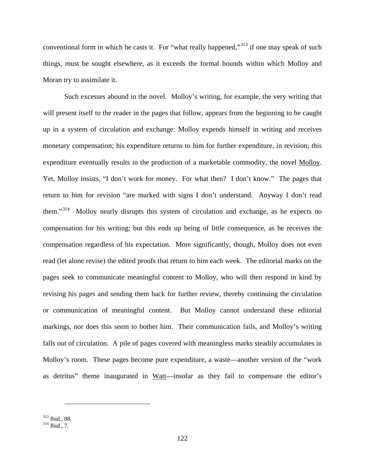conventional form in which he casts it. For "what really happened,"<sup>[313](#page-129-0)</sup> if one may speak of such things, must be sought elsewhere, as it exceeds the formal bounds within which Molloy and Moran try to assimilate it.

Such excesses abound in the novel. Molloy's writing, for example, the very writing that will present itself to the reader in the pages that follow, appears from the beginning to be caught up in a system of circulation and exchange: Molloy expends himself in writing and receives monetary compensation; his expenditure returns to him for further expenditure, in revision; this expenditure eventually results in the production of a marketable commodity, the novel Molloy. Yet, Molloy insists, "I don't work for money. For what then? I don't know." The pages that return to him for revision "are marked with signs I don't understand. Anyway I don't read them."[314](#page-129-1) Molloy nearly disrupts this system of circulation and exchange, as he expects no compensation for his writing; but this ends up being of little consequence, as he receives the compensation regardless of his expectation. More significantly, though, Molloy does not even read (let alone revise) the edited proofs that return to him each week. The editorial marks on the pages seek to communicate meaningful content to Molloy, who will then respond in kind by revising his pages and sending them back for further review, thereby continuing the circulation or communication of meaningful content. But Molloy cannot understand these editorial markings, nor does this seem to bother him. Their communication fails, and Molloy's writing falls out of circulation. A pile of pages covered with meaningless marks steadily accumulates in Molloy's room. These pages become pure expenditure, a waste—another version of the "work as detritus" theme inaugurated in Watt—insofar as they fail to compensate the editor's

<span id="page-129-1"></span><span id="page-129-0"></span>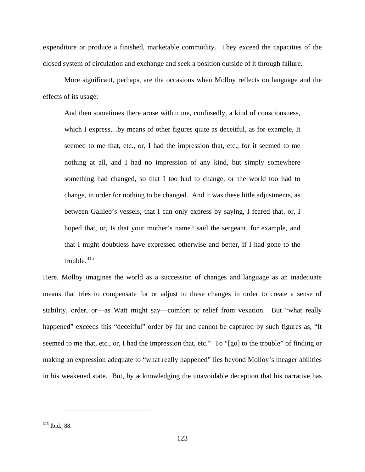expenditure or produce a finished, marketable commodity. They exceed the capacities of the closed system of circulation and exchange and seek a position outside of it through failure.

More significant, perhaps, are the occasions when Molloy reflects on language and the effects of its usage:

And then sometimes there arose within me, confusedly, a kind of consciousness, which I express…by means of other figures quite as deceitful, as for example, It seemed to me that, etc., or, I had the impression that, etc., for it seemed to me nothing at all, and I had no impression of any kind, but simply somewhere something had changed, so that I too had to change, or the world too had to change, in order for nothing to be changed. And it was these little adjustments, as between Galileo's vessels, that I can only express by saying, I feared that, or, I hoped that, or, Is that your mother's name? said the sergeant, for example, and that I might doubtless have expressed otherwise and better, if I had gone to the trouble. $315$ 

Here, Molloy imagines the world as a succession of changes and language as an inadequate means that tries to compensate for or adjust to these changes in order to create a sense of stability, order, or—as Watt might say—comfort or relief from vexation. But "what really happened" exceeds this "deceitful" order by far and cannot be captured by such figures as, "It seemed to me that, etc., or, I had the impression that, etc." To "[go] to the trouble" of finding or making an expression adequate to "what really happened" lies beyond Molloy's meager abilities in his weakened state. But, by acknowledging the unavoidable deception that his narrative has

<span id="page-130-0"></span><sup>315</sup> Ibid., 88.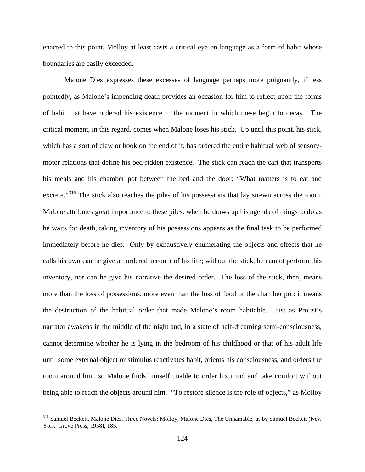enacted to this point, Molloy at least casts a critical eye on language as a form of habit whose boundaries are easily exceeded.

Malone Dies expresses these excesses of language perhaps more poignantly, if less pointedly, as Malone's impending death provides an occasion for him to reflect upon the forms of habit that have ordered his existence in the moment in which these begin to decay. The critical moment, in this regard, comes when Malone loses his stick. Up until this point, his stick, which has a sort of claw or hook on the end of it, has ordered the entire habitual web of sensorymotor relations that define his bed-ridden existence. The stick can reach the cart that transports his meals and his chamber pot between the bed and the door: "What matters is to eat and excrete."<sup>[316](#page-131-0)</sup> The stick also reaches the piles of his possessions that lay strewn across the room. Malone attributes great importance to these piles: when he draws up his agenda of things to do as he waits for death, taking inventory of his possessions appears as the final task to be performed immediately before he dies. Only by exhaustively enumerating the objects and effects that he calls his own can he give an ordered account of his life; without the stick, he cannot perform this inventory, nor can he give his narrative the desired order. The loss of the stick, then, means more than the loss of possessions, more even than the loss of food or the chamber pot: it means the destruction of the habitual order that made Malone's room habitable. Just as Proust's narrator awakens in the middle of the night and, in a state of half-dreaming semi-consciousness, cannot determine whether he is lying in the bedroom of his childhood or that of his adult life until some external object or stimulus reactivates habit, orients his consciousness, and orders the room around him, so Malone finds himself unable to order his mind and take comfort without being able to reach the objects around him. "To restore silence is the role of objects," as Molloy

<span id="page-131-0"></span><sup>&</sup>lt;sup>316</sup> Samuel Beckett, Malone Dies, Three Novels: Molloy, Malone Dies, The Unnamable, tr. by Samuel Beckett (New York: Grove Press, 1958), 185.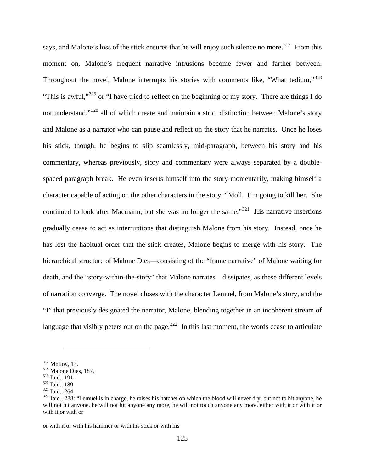says, and Malone's loss of the stick ensures that he will enjoy such silence no more.<sup>317</sup> From this moment on, Malone's frequent narrative intrusions become fewer and farther between. Throughout the novel, Malone interrupts his stories with comments like, "What tedium,"<sup>[318](#page-132-1)</sup> "This is awful,"[319](#page-132-2) or "I have tried to reflect on the beginning of my story. There are things I do not understand,"<sup>[320](#page-132-3)</sup> all of which create and maintain a strict distinction between Malone's story and Malone as a narrator who can pause and reflect on the story that he narrates. Once he loses his stick, though, he begins to slip seamlessly, mid-paragraph, between his story and his commentary, whereas previously, story and commentary were always separated by a doublespaced paragraph break. He even inserts himself into the story momentarily, making himself a character capable of acting on the other characters in the story: "Moll. I'm going to kill her. She continued to look after Macmann, but she was no longer the same.<sup>"321</sup> His narrative insertions gradually cease to act as interruptions that distinguish Malone from his story. Instead, once he has lost the habitual order that the stick creates, Malone begins to merge with his story. The hierarchical structure of Malone Dies—consisting of the "frame narrative" of Malone waiting for death, and the "story-within-the-story" that Malone narrates—dissipates, as these different levels of narration converge. The novel closes with the character Lemuel, from Malone's story, and the "I" that previously designated the narrator, Malone, blending together in an incoherent stream of language that visibly peters out on the page.<sup>[322](#page-132-5)</sup> In this last moment, the words cease to articulate

 $\overline{a}$ 

or with it or with his hammer or with his stick or with his

<span id="page-132-1"></span><span id="page-132-0"></span> $\frac{317}{318}$  <u>Molloy,</u> 13.<br> $\frac{318}{19}$  Malone Dies, 187.

<span id="page-132-5"></span>

<span id="page-132-4"></span><span id="page-132-3"></span><span id="page-132-2"></span> $\frac{320}{121}$  Ibid., 189.<br> $\frac{321}{121}$  Ibid., 264.<br> $\frac{322}{121}$  Ibid., 288: "Lemuel is in charge, he raises his hatchet on which the blood will never dry, but not to hit anyone, he will not hit anyone, he will not hit anyone any more, he will not touch anyone any more, either with it or with it or with it or with or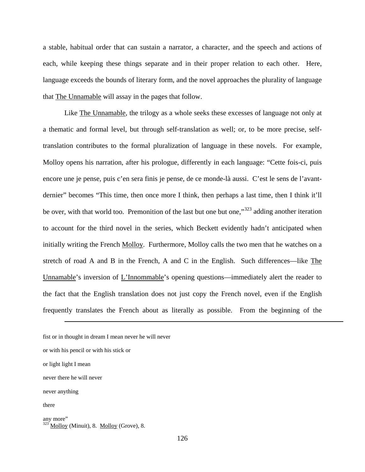a stable, habitual order that can sustain a narrator, a character, and the speech and actions of each, while keeping these things separate and in their proper relation to each other. Here, language exceeds the bounds of literary form, and the novel approaches the plurality of language that The Unnamable will assay in the pages that follow.

Like The Unnamable, the trilogy as a whole seeks these excesses of language not only at a thematic and formal level, but through self-translation as well; or, to be more precise, selftranslation contributes to the formal pluralization of language in these novels. For example, Molloy opens his narration, after his prologue, differently in each language: "Cette fois-ci, puis encore une je pense, puis c'en sera finis je pense, de ce monde-là aussi. C'est le sens de l'avantdernier" becomes "This time, then once more I think, then perhaps a last time, then I think it'll be over, with that world too. Premonition of the last but one but one,"<sup>[323](#page-133-0)</sup> adding another iteration to account for the third novel in the series, which Beckett evidently hadn't anticipated when initially writing the French Molloy. Furthermore, Molloy calls the two men that he watches on a stretch of road A and B in the French, A and C in the English. Such differences—like The Unnamable's inversion of L'Innommable's opening questions—immediately alert the reader to the fact that the English translation does not just copy the French novel, even if the English frequently translates the French about as literally as possible. From the beginning of the

fist or in thought in dream I mean never he will never

or with his pencil or with his stick or

- never there he will never
- never anything
- there

```
any more"
323 Molloy (Minuit), 8. Molloy (Grove), 8.
```
or light light I mean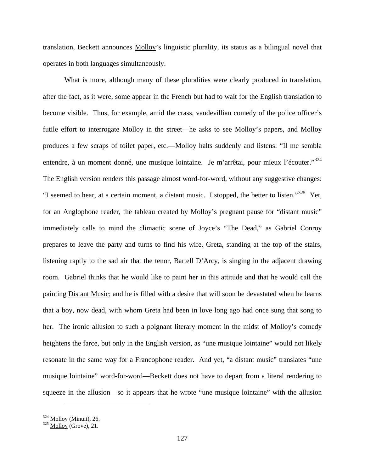translation, Beckett announces Molloy's linguistic plurality, its status as a bilingual novel that operates in both languages simultaneously.

What is more, although many of these pluralities were clearly produced in translation, after the fact, as it were, some appear in the French but had to wait for the English translation to become visible. Thus, for example, amid the crass, vaudevillian comedy of the police officer's futile effort to interrogate Molloy in the street—he asks to see Molloy's papers, and Molloy produces a few scraps of toilet paper, etc.—Molloy halts suddenly and listens: "Il me sembla entendre, à un moment donné, une musique lointaine. Je m'arrêtai, pour mieux l'écouter."<sup>[324](#page-134-0)</sup> The English version renders this passage almost word-for-word, without any suggestive changes: "I seemed to hear, at a certain moment, a distant music. I stopped, the better to listen."<sup>325</sup> Yet, for an Anglophone reader, the tableau created by Molloy's pregnant pause for "distant music" immediately calls to mind the climactic scene of Joyce's "The Dead," as Gabriel Conroy prepares to leave the party and turns to find his wife, Greta, standing at the top of the stairs, listening raptly to the sad air that the tenor, Bartell D'Arcy, is singing in the adjacent drawing room. Gabriel thinks that he would like to paint her in this attitude and that he would call the painting Distant Music; and he is filled with a desire that will soon be devastated when he learns that a boy, now dead, with whom Greta had been in love long ago had once sung that song to her. The ironic allusion to such a poignant literary moment in the midst of Molloy's comedy heightens the farce, but only in the English version, as "une musique lointaine" would not likely resonate in the same way for a Francophone reader. And yet, "a distant music" translates "une musique lointaine" word-for-word—Beckett does not have to depart from a literal rendering to squeeze in the allusion—so it appears that he wrote "une musique lointaine" with the allusion

<span id="page-134-1"></span><span id="page-134-0"></span> $\frac{324}{325}$  <u>Molloy</u> (Minuit), 26.<br> $\frac{325}{325}$  Molloy (Grove), 21.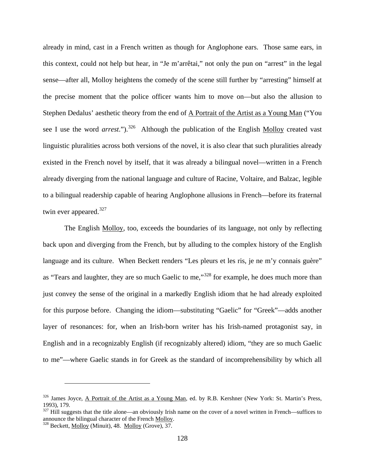already in mind, cast in a French written as though for Anglophone ears. Those same ears, in this context, could not help but hear, in "Je m'arrêtai," not only the pun on "arrest" in the legal sense—after all, Molloy heightens the comedy of the scene still further by "arresting" himself at the precise moment that the police officer wants him to move on—but also the allusion to Stephen Dedalus' aesthetic theory from the end of A Portrait of the Artist as a Young Man ("You see I use the word *arrest*.").<sup>[326](#page-135-0)</sup> Although the publication of the English Molloy created vast linguistic pluralities across both versions of the novel, it is also clear that such pluralities already existed in the French novel by itself, that it was already a bilingual novel—written in a French already diverging from the national language and culture of Racine, Voltaire, and Balzac, legible to a bilingual readership capable of hearing Anglophone allusions in French—before its fraternal twin ever appeared.<sup>[327](#page-135-1)</sup>

The English Molloy, too, exceeds the boundaries of its language, not only by reflecting back upon and diverging from the French, but by alluding to the complex history of the English language and its culture. When Beckett renders "Les pleurs et les ris, je ne m'y connais guère" as "Tears and laughter, they are so much Gaelic to me,"<sup>[328](#page-135-2)</sup> for example, he does much more than just convey the sense of the original in a markedly English idiom that he had already exploited for this purpose before. Changing the idiom—substituting "Gaelic" for "Greek"—adds another layer of resonances: for, when an Irish-born writer has his Irish-named protagonist say, in English and in a recognizably English (if recognizably altered) idiom, "they are so much Gaelic to me"—where Gaelic stands in for Greek as the standard of incomprehensibility by which all

<span id="page-135-0"></span><sup>&</sup>lt;sup>326</sup> James Joyce, A Portrait of the Artist as a Young Man, ed. by R.B. Kershner (New York: St. Martin's Press, 1993), 179.

<span id="page-135-1"></span> $327$  Hill suggests that the title alone—an obviously Irish name on the cover of a novel written in French—suffices to announce the bilingual character of the French Molloy. <sup>328</sup> Beckett, Molloy (Minuit), 48. Molloy (Grove), 37.

<span id="page-135-2"></span>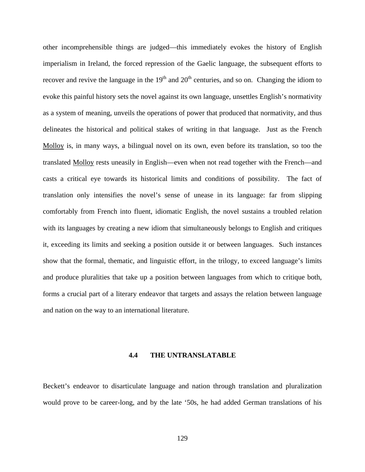other incomprehensible things are judged—this immediately evokes the history of English imperialism in Ireland, the forced repression of the Gaelic language, the subsequent efforts to recover and revive the language in the  $19<sup>th</sup>$  and  $20<sup>th</sup>$  centuries, and so on. Changing the idiom to evoke this painful history sets the novel against its own language, unsettles English's normativity as a system of meaning, unveils the operations of power that produced that normativity, and thus delineates the historical and political stakes of writing in that language. Just as the French Molloy is, in many ways, a bilingual novel on its own, even before its translation, so too the translated Molloy rests uneasily in English—even when not read together with the French—and casts a critical eye towards its historical limits and conditions of possibility. The fact of translation only intensifies the novel's sense of unease in its language: far from slipping comfortably from French into fluent, idiomatic English, the novel sustains a troubled relation with its languages by creating a new idiom that simultaneously belongs to English and critiques it, exceeding its limits and seeking a position outside it or between languages. Such instances show that the formal, thematic, and linguistic effort, in the trilogy, to exceed language's limits and produce pluralities that take up a position between languages from which to critique both, forms a crucial part of a literary endeavor that targets and assays the relation between language and nation on the way to an international literature.

#### **4.4 THE UNTRANSLATABLE**

Beckett's endeavor to disarticulate language and nation through translation and pluralization would prove to be career-long, and by the late '50s, he had added German translations of his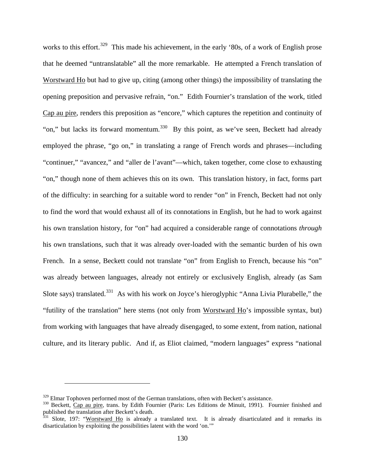works to this effort.<sup>[329](#page-137-0)</sup> This made his achievement, in the early '80s, of a work of English prose that he deemed "untranslatable" all the more remarkable. He attempted a French translation of Worstward Ho but had to give up, citing (among other things) the impossibility of translating the opening preposition and pervasive refrain, "on." Edith Fournier's translation of the work, titled Cap au pire, renders this preposition as "encore," which captures the repetition and continuity of "on," but lacks its forward momentum.<sup>330</sup> By this point, as we've seen, Beckett had already employed the phrase, "go on," in translating a range of French words and phrases—including "continuer," "avancez," and "aller de l'avant"—which, taken together, come close to exhausting "on," though none of them achieves this on its own. This translation history, in fact, forms part of the difficulty: in searching for a suitable word to render "on" in French, Beckett had not only to find the word that would exhaust all of its connotations in English, but he had to work against his own translation history, for "on" had acquired a considerable range of connotations *through* his own translations, such that it was already over-loaded with the semantic burden of his own French. In a sense, Beckett could not translate "on" from English to French, because his "on" was already between languages, already not entirely or exclusively English, already (as Sam Slote says) translated.<sup>[331](#page-137-2)</sup> As with his work on Joyce's hieroglyphic "Anna Livia Plurabelle," the "futility of the translation" here stems (not only from Worstward Ho's impossible syntax, but) from working with languages that have already disengaged, to some extent, from nation, national culture, and its literary public. And if, as Eliot claimed, "modern languages" express "national

<span id="page-137-1"></span><span id="page-137-0"></span> $329$  Elmar Tophoven performed most of the German translations, often with Beckett's assistance.<br> $330$  Beckett, Cap au pire, trans. by Edith Fournier (Paris: Les Editions de Minuit, 1991). Fournier finished and published the translation after Beckett's death.

<span id="page-137-2"></span> $331$  Slote, 197: "Worstward Ho is already a translated text. It is already disarticulated and it remarks its disarticulation by exploiting the possibilities latent with the word 'on.'"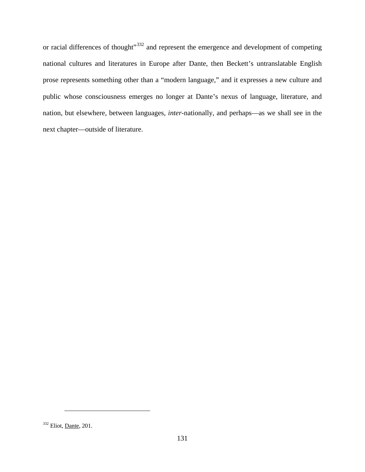or racial differences of thought"<sup>[332](#page-138-0)</sup> and represent the emergence and development of competing national cultures and literatures in Europe after Dante, then Beckett's untranslatable English prose represents something other than a "modern language," and it expresses a new culture and public whose consciousness emerges no longer at Dante's nexus of language, literature, and nation, but elsewhere, between languages, *inter*-nationally, and perhaps—as we shall see in the next chapter—outside of literature.

<span id="page-138-0"></span><sup>332</sup> Eliot, Dante, 201.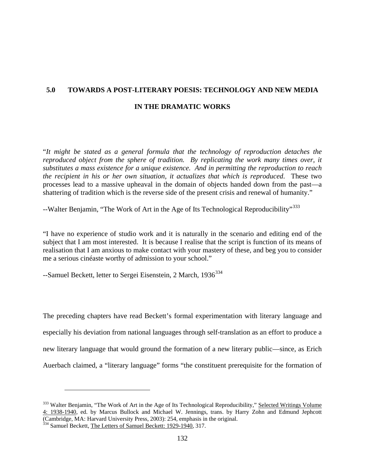# **5.0 TOWARDS A POST-LITERARY POESIS: TECHNOLOGY AND NEW MEDIA IN THE DRAMATIC WORKS**

"*It might be stated as a general formula that the technology of reproduction detaches the reproduced object from the sphere of tradition. By replicating the work many times over, it substitutes a mass existence for a unique existence. And in permitting the reproduction to reach the recipient in his or her own situation, it actualizes that which is reproduced*. These two processes lead to a massive upheaval in the domain of objects handed down from the past—a shattering of tradition which is the reverse side of the present crisis and renewal of humanity."

--Walter Benjamin, "The Work of Art in the Age of Its Technological Reproducibility"<sup>[333](#page-139-0)</sup>

"I have no experience of studio work and it is naturally in the scenario and editing end of the subject that I am most interested. It is because I realise that the script is function of its means of realisation that I am anxious to make contact with your mastery of these, and beg you to consider me a serious cinéaste worthy of admission to your school."

--Samuel Beckett, letter to Sergei Eisenstein, 2 March, 1936<sup>[334](#page-139-1)</sup>

The preceding chapters have read Beckett's formal experimentation with literary language and especially his deviation from national languages through self-translation as an effort to produce a new literary language that would ground the formation of a new literary public—since, as Erich Auerbach claimed, a "literary language" forms "the constituent prerequisite for the formation of

<span id="page-139-0"></span><sup>&</sup>lt;sup>333</sup> Walter Benjamin, "The Work of Art in the Age of Its Technological Reproducibility," Selected Writings Volume 4: 1938-1940, ed. by Marcus Bullock and Michael W. Jennings, trans. by Harry Zohn and Edmund Jephcott (Cambridge, MA: Harvard University Press, 2003): 254, emphasis in the original.

<span id="page-139-1"></span><sup>334</sup> Samuel Beckett, The Letters of Samuel Beckett: 1929-1940, 317.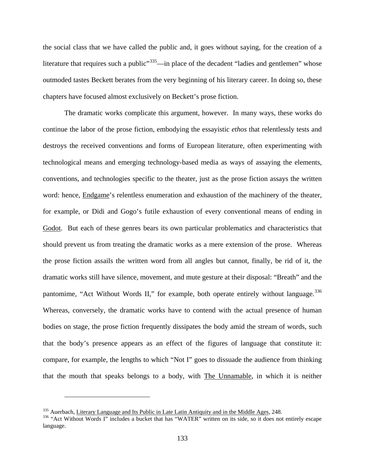the social class that we have called the public and, it goes without saying, for the creation of a literature that requires such a public<sup> $335$ </sup>—in place of the decadent "ladies and gentlemen" whose outmoded tastes Beckett berates from the very beginning of his literary career. In doing so, these chapters have focused almost exclusively on Beckett's prose fiction.

The dramatic works complicate this argument, however. In many ways, these works do continue the labor of the prose fiction, embodying the essayistic *ethos* that relentlessly tests and destroys the received conventions and forms of European literature, often experimenting with technological means and emerging technology-based media as ways of assaying the elements, conventions, and technologies specific to the theater, just as the prose fiction assays the written word: hence, Endgame's relentless enumeration and exhaustion of the machinery of the theater, for example, or Didi and Gogo's futile exhaustion of every conventional means of ending in Godot. But each of these genres bears its own particular problematics and characteristics that should prevent us from treating the dramatic works as a mere extension of the prose. Whereas the prose fiction assails the written word from all angles but cannot, finally, be rid of it, the dramatic works still have silence, movement, and mute gesture at their disposal: "Breath" and the pantomime, "Act Without Words II," for example, both operate entirely without language.<sup>[336](#page-140-1)</sup> Whereas, conversely, the dramatic works have to contend with the actual presence of human bodies on stage, the prose fiction frequently dissipates the body amid the stream of words, such that the body's presence appears as an effect of the figures of language that constitute it: compare, for example, the lengths to which "Not I" goes to dissuade the audience from thinking that the mouth that speaks belongs to a body, with The Unnamable, in which it is neither

<span id="page-140-1"></span><span id="page-140-0"></span><sup>&</sup>lt;sup>335</sup> Auerbach, Literary Language and Its Public in Late Latin Antiquity and in the Middle Ages, 248.<br><sup>336</sup> "Act Without Words I" includes a bucket that has "WATER" written on its side, so it does not entirely escape language.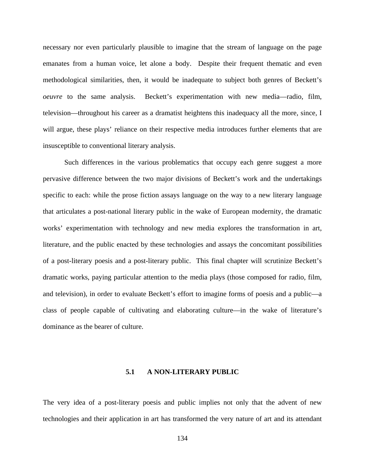necessary nor even particularly plausible to imagine that the stream of language on the page emanates from a human voice, let alone a body. Despite their frequent thematic and even methodological similarities, then, it would be inadequate to subject both genres of Beckett's *oeuvre* to the same analysis. Beckett's experimentation with new media—radio, film, television—throughout his career as a dramatist heightens this inadequacy all the more, since, I will argue, these plays' reliance on their respective media introduces further elements that are insusceptible to conventional literary analysis.

Such differences in the various problematics that occupy each genre suggest a more pervasive difference between the two major divisions of Beckett's work and the undertakings specific to each: while the prose fiction assays language on the way to a new literary language that articulates a post-national literary public in the wake of European modernity, the dramatic works' experimentation with technology and new media explores the transformation in art, literature, and the public enacted by these technologies and assays the concomitant possibilities of a post-literary poesis and a post-literary public. This final chapter will scrutinize Beckett's dramatic works, paying particular attention to the media plays (those composed for radio, film, and television), in order to evaluate Beckett's effort to imagine forms of poesis and a public—a class of people capable of cultivating and elaborating culture—in the wake of literature's dominance as the bearer of culture.

#### **5.1 A NON-LITERARY PUBLIC**

The very idea of a post-literary poesis and public implies not only that the advent of new technologies and their application in art has transformed the very nature of art and its attendant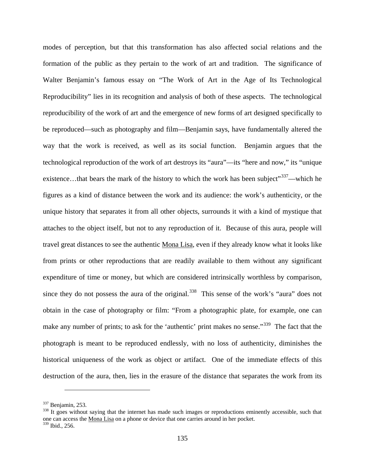modes of perception, but that this transformation has also affected social relations and the formation of the public as they pertain to the work of art and tradition. The significance of Walter Benjamin's famous essay on "The Work of Art in the Age of Its Technological Reproducibility" lies in its recognition and analysis of both of these aspects. The technological reproducibility of the work of art and the emergence of new forms of art designed specifically to be reproduced—such as photography and film—Benjamin says, have fundamentally altered the way that the work is received, as well as its social function. Benjamin argues that the technological reproduction of the work of art destroys its "aura"—its "here and now," its "unique existence...that bears the mark of the history to which the work has been subject"<sup>337</sup>—which he figures as a kind of distance between the work and its audience: the work's authenticity, or the unique history that separates it from all other objects, surrounds it with a kind of mystique that attaches to the object itself, but not to any reproduction of it. Because of this aura, people will travel great distances to see the authentic Mona Lisa, even if they already know what it looks like from prints or other reproductions that are readily available to them without any significant expenditure of time or money, but which are considered intrinsically worthless by comparison, since they do not possess the aura of the original.<sup>338</sup> This sense of the work's "aura" does not obtain in the case of photography or film: "From a photographic plate, for example, one can make any number of prints; to ask for the 'authentic' print makes no sense."<sup>[339](#page-142-2)</sup> The fact that the photograph is meant to be reproduced endlessly, with no loss of authenticity, diminishes the historical uniqueness of the work as object or artifact. One of the immediate effects of this destruction of the aura, then, lies in the erasure of the distance that separates the work from its

<span id="page-142-2"></span><span id="page-142-1"></span>

<span id="page-142-0"></span> $\frac{337}{338}$  Benjamin, 253.<br> $\frac{338}{338}$  It goes without saying that the internet has made such images or reproductions eminently accessible, such that one can access the Mona Lisa on a phone or device that one carries around in her pocket. <sup>339</sup> Ibid., 256.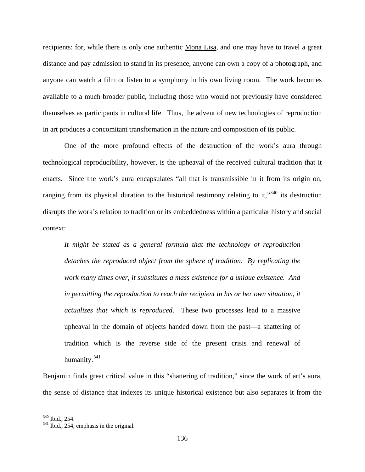recipients: for, while there is only one authentic Mona Lisa, and one may have to travel a great distance and pay admission to stand in its presence, anyone can own a copy of a photograph, and anyone can watch a film or listen to a symphony in his own living room. The work becomes available to a much broader public, including those who would not previously have considered themselves as participants in cultural life. Thus, the advent of new technologies of reproduction in art produces a concomitant transformation in the nature and composition of its public.

One of the more profound effects of the destruction of the work's aura through technological reproducibility, however, is the upheaval of the received cultural tradition that it enacts. Since the work's aura encapsulates "all that is transmissible in it from its origin on, ranging from its physical duration to the historical testimony relating to it,<sup>[340](#page-143-0)</sup> its destruction disrupts the work's relation to tradition or its embeddedness within a particular history and social context:

*It might be stated as a general formula that the technology of reproduction detaches the reproduced object from the sphere of tradition. By replicating the work many times over, it substitutes a mass existence for a unique existence. And in permitting the reproduction to reach the recipient in his or her own situation, it actualizes that which is reproduced*. These two processes lead to a massive upheaval in the domain of objects handed down from the past—a shattering of tradition which is the reverse side of the present crisis and renewal of humanity.[341](#page-143-1)

Benjamin finds great critical value in this "shattering of tradition," since the work of art's aura, the sense of distance that indexes its unique historical existence but also separates it from the

<span id="page-143-1"></span>

<span id="page-143-0"></span> $340$  Ibid., 254.<br> $341$  Ibid., 254, emphasis in the original.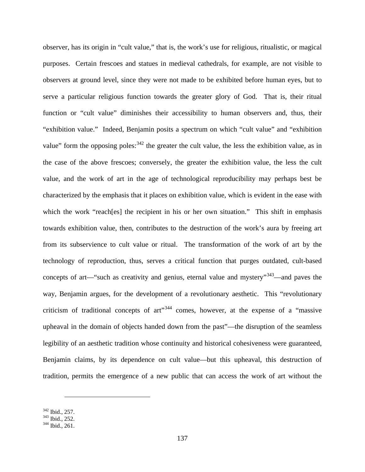observer, has its origin in "cult value," that is, the work's use for religious, ritualistic, or magical purposes. Certain frescoes and statues in medieval cathedrals, for example, are not visible to observers at ground level, since they were not made to be exhibited before human eyes, but to serve a particular religious function towards the greater glory of God. That is, their ritual function or "cult value" diminishes their accessibility to human observers and, thus, their "exhibition value." Indeed, Benjamin posits a spectrum on which "cult value" and "exhibition value" form the opposing poles: <sup>[342](#page-144-0)</sup> the greater the cult value, the less the exhibition value, as in the case of the above frescoes; conversely, the greater the exhibition value, the less the cult value, and the work of art in the age of technological reproducibility may perhaps best be characterized by the emphasis that it places on exhibition value, which is evident in the ease with which the work "reach [es] the recipient in his or her own situation." This shift in emphasis towards exhibition value, then, contributes to the destruction of the work's aura by freeing art from its subservience to cult value or ritual. The transformation of the work of art by the technology of reproduction, thus, serves a critical function that purges outdated, cult-based concepts of art—"such as creativity and genius, eternal value and mystery"<sup>343</sup>—and paves the way, Benjamin argues, for the development of a revolutionary aesthetic. This "revolutionary criticism of traditional concepts of  $art^{\prime,344}$  $art^{\prime,344}$  $art^{\prime,344}$  comes, however, at the expense of a "massive" upheaval in the domain of objects handed down from the past"—the disruption of the seamless legibility of an aesthetic tradition whose continuity and historical cohesiveness were guaranteed, Benjamin claims, by its dependence on cult value—but this upheaval, this destruction of tradition, permits the emergence of a new public that can access the work of art without the

<span id="page-144-1"></span><span id="page-144-0"></span> $\frac{342}{343}$  Ibid., 252.<br> $\frac{343}{344}$  Ibid., 261.

<span id="page-144-2"></span>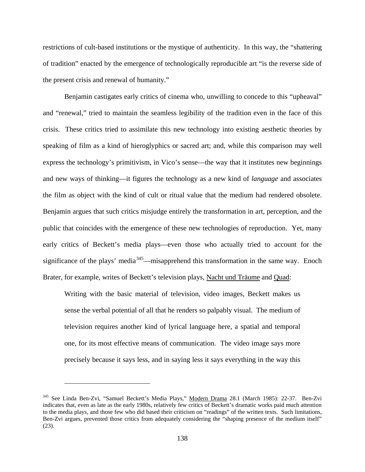restrictions of cult-based institutions or the mystique of authenticity. In this way, the "shattering of tradition" enacted by the emergence of technologically reproducible art "is the reverse side of the present crisis and renewal of humanity."

Benjamin castigates early critics of cinema who, unwilling to concede to this "upheaval" and "renewal," tried to maintain the seamless legibility of the tradition even in the face of this crisis. These critics tried to assimilate this new technology into existing aesthetic theories by speaking of film as a kind of hieroglyphics or sacred art; and, while this comparison may well express the technology's primitivism, in Vico's sense—the way that it institutes new beginnings and new ways of thinking—it figures the technology as a new kind of *language* and associates the film as object with the kind of cult or ritual value that the medium had rendered obsolete. Benjamin argues that such critics misjudge entirely the transformation in art, perception, and the public that coincides with the emergence of these new technologies of reproduction. Yet, many early critics of Beckett's media plays—even those who actually tried to account for the significance of the plays' media<sup>345</sup>—misapprehend this transformation in the same way. Enoch Brater, for example, writes of Beckett's television plays, Nacht und Träume and Quad:

Writing with the basic material of television, video images, Beckett makes us sense the verbal potential of all that he renders so palpably visual. The medium of television requires another kind of lyrical language here, a spatial and temporal one, for its most effective means of communication. The video image says more precisely because it says less, and in saying less it says everything in the way this

<span id="page-145-0"></span><sup>&</sup>lt;sup>345</sup> See Linda Ben-Zvi, "Samuel Beckett's Media Plays," Modern Drama 28.1 (March 1985): 22-37. Ben-Zvi indicates that, even as late as the early 1980s, relatively few critics of Beckett's dramatic works paid much attention to the media plays, and those few who did based their criticism on "readings" of the written texts. Such limitations, Ben-Zvi argues, prevented those critics from adequately considering the "shaping presence of the medium itself" (23).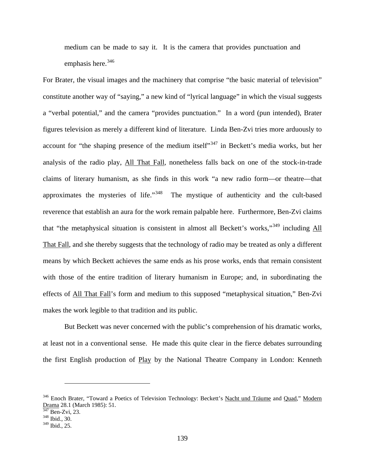medium can be made to say it. It is the camera that provides punctuation and emphasis here.<sup>[346](#page-146-0)</sup>

For Brater, the visual images and the machinery that comprise "the basic material of television" constitute another way of "saying," a new kind of "lyrical language" in which the visual suggests a "verbal potential," and the camera "provides punctuation." In a word (pun intended), Brater figures television as merely a different kind of literature. Linda Ben-Zvi tries more arduously to account for "the shaping presence of the medium itself"<sup>[347](#page-146-1)</sup> in Beckett's media works, but her analysis of the radio play, All That Fall, nonetheless falls back on one of the stock-in-trade claims of literary humanism, as she finds in this work "a new radio form—or theatre—that approximates the mysteries of life."[348](#page-146-2) The mystique of authenticity and the cult-based reverence that establish an aura for the work remain palpable here. Furthermore, Ben-Zvi claims that "the metaphysical situation is consistent in almost all Beckett's works,"[349](#page-146-3) including All That Fall, and she thereby suggests that the technology of radio may be treated as only a different means by which Beckett achieves the same ends as his prose works, ends that remain consistent with those of the entire tradition of literary humanism in Europe; and, in subordinating the effects of All That Fall's form and medium to this supposed "metaphysical situation," Ben-Zvi makes the work legible to that tradition and its public.

But Beckett was never concerned with the public's comprehension of his dramatic works, at least not in a conventional sense. He made this quite clear in the fierce debates surrounding the first English production of Play by the National Theatre Company in London: Kenneth

<span id="page-146-0"></span><sup>&</sup>lt;sup>346</sup> Enoch Brater, "Toward a Poetics of Television Technology: Beckett's Nacht und Träume and Quad," Modern Drama 28.1 (March 1985): 51.<br><sup>347</sup> Ben-Zvi, 23.<br><sup>348</sup> Ibid., 30.

<span id="page-146-1"></span>

<span id="page-146-2"></span>

<span id="page-146-3"></span><sup>349</sup> Ibid., 25.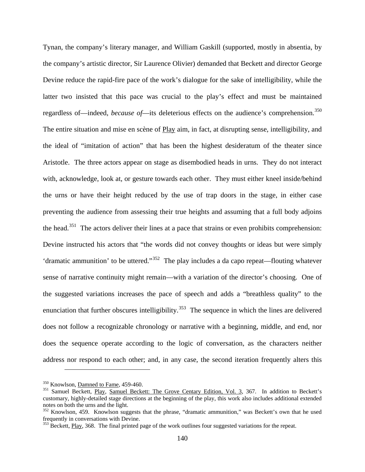Tynan, the company's literary manager, and William Gaskill (supported, mostly in absentia, by the company's artistic director, Sir Laurence Olivier) demanded that Beckett and director George Devine reduce the rapid-fire pace of the work's dialogue for the sake of intelligibility, while the latter two insisted that this pace was crucial to the play's effect and must be maintained regardless of—indeed, *because of*—its deleterious effects on the audience's comprehension.<sup>[350](#page-147-0)</sup> The entire situation and mise en scène of Play aim, in fact, at disrupting sense, intelligibility, and the ideal of "imitation of action" that has been the highest desideratum of the theater since Aristotle. The three actors appear on stage as disembodied heads in urns. They do not interact with, acknowledge, look at, or gesture towards each other. They must either kneel inside/behind the urns or have their height reduced by the use of trap doors in the stage, in either case preventing the audience from assessing their true heights and assuming that a full body adjoins the head.<sup>[351](#page-147-1)</sup> The actors deliver their lines at a pace that strains or even prohibits comprehension: Devine instructed his actors that "the words did not convey thoughts or ideas but were simply 'dramatic ammunition' to be uttered."[352](#page-147-2) The play includes a da capo repeat—flouting whatever sense of narrative continuity might remain—with a variation of the director's choosing. One of the suggested variations increases the pace of speech and adds a "breathless quality" to the enunciation that further obscures intelligibility.<sup>[353](#page-147-3)</sup> The sequence in which the lines are delivered does not follow a recognizable chronology or narrative with a beginning, middle, and end, nor does the sequence operate according to the logic of conversation, as the characters neither address nor respond to each other; and, in any case, the second iteration frequently alters this

<span id="page-147-1"></span>

<span id="page-147-0"></span><sup>&</sup>lt;sup>350</sup> Knowlson, <u>Damned to Fame</u>, 459-460.<br><sup>351</sup> Samuel Beckett, Play, Samuel Beckett: The Grove Centary Edition, Vol. 3, 367. In addition to Beckett's customary, highly-detailed stage directions at the beginning of the play, this work also includes additional extended notes on both the urns and the light.

<span id="page-147-2"></span><sup>&</sup>lt;sup>352</sup> Knowlson, 459. Knowlson suggests that the phrase, "dramatic ammunition," was Beckett's own that he used frequently in conversations with Devine.

<span id="page-147-3"></span> $353$  Beckett, Play, 368. The final printed page of the work outlines four suggested variations for the repeat.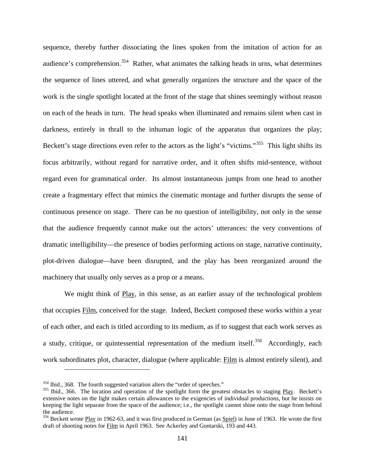sequence, thereby further dissociating the lines spoken from the imitation of action for an audience's comprehension.<sup>354</sup> Rather, what animates the talking heads in urns, what determines the sequence of lines uttered, and what generally organizes the structure and the space of the work is the single spotlight located at the front of the stage that shines seemingly without reason on each of the heads in turn. The head speaks when illuminated and remains silent when cast in darkness, entirely in thrall to the inhuman logic of the apparatus that organizes the play; Beckett's stage directions even refer to the actors as the light's "victims."<sup>[355](#page-148-1)</sup> This light shifts its focus arbitrarily, without regard for narrative order, and it often shifts mid-sentence, without regard even for grammatical order. Its almost instantaneous jumps from one head to another create a fragmentary effect that mimics the cinematic montage and further disrupts the sense of continuous presence on stage. There can be no question of intelligibility, not only in the sense that the audience frequently cannot make out the actors' utterances: the very conventions of dramatic intelligibility—the presence of bodies performing actions on stage, narrative continuity, plot-driven dialogue—have been disrupted, and the play has been reorganized around the machinery that usually only serves as a prop or a means.

We might think of Play, in this sense, as an earlier assay of the technological problem that occupies Film, conceived for the stage. Indeed, Beckett composed these works within a year of each other, and each is titled according to its medium, as if to suggest that each work serves as a study, critique, or quintessential representation of the medium itself.<sup>356</sup> Accordingly, each work subordinates plot, character, dialogue (where applicable: Film is almost entirely silent), and

<span id="page-148-1"></span><span id="page-148-0"></span><sup>&</sup>lt;sup>354</sup> Ibid., 368. The fourth suggested variation alters the "order of speeches."<br><sup>355</sup> Ibid., 366. The location and operation of the spotlight form the greatest obstacles to staging <u>Play</u>. Beckett's extensive notes on the light makes certain allowances to the exigencies of individual productions, but he insists on keeping the light separate from the space of the audience; i.e., the spotlight cannot shine onto the stage from behind the audience.

<span id="page-148-2"></span><sup>&</sup>lt;sup>356</sup> Beckett wrote Play in 1962-63, and it was first produced in German (as Spiel) in June of 1963. He wrote the first draft of shooting notes for Film in April 1963. See Ackerley and Gontarski, 193 and 443.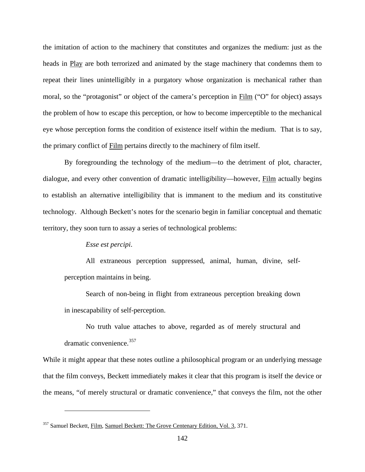the imitation of action to the machinery that constitutes and organizes the medium: just as the heads in Play are both terrorized and animated by the stage machinery that condemns them to repeat their lines unintelligibly in a purgatory whose organization is mechanical rather than moral, so the "protagonist" or object of the camera's perception in Film ("O" for object) assays the problem of how to escape this perception, or how to become imperceptible to the mechanical eye whose perception forms the condition of existence itself within the medium. That is to say, the primary conflict of Film pertains directly to the machinery of film itself.

By foregrounding the technology of the medium—to the detriment of plot, character, dialogue, and every other convention of dramatic intelligibility—however, Film actually begins to establish an alternative intelligibility that is immanent to the medium and its constitutive technology. Although Beckett's notes for the scenario begin in familiar conceptual and thematic territory, they soon turn to assay a series of technological problems:

#### *Esse est percipi*.

 $\overline{a}$ 

All extraneous perception suppressed, animal, human, divine, selfperception maintains in being.

Search of non-being in flight from extraneous perception breaking down in inescapability of self-perception.

No truth value attaches to above, regarded as of merely structural and dramatic convenience.<sup>[357](#page-149-0)</sup>

While it might appear that these notes outline a philosophical program or an underlying message that the film conveys, Beckett immediately makes it clear that this program is itself the device or the means, "of merely structural or dramatic convenience," that conveys the film, not the other

<span id="page-149-0"></span><sup>&</sup>lt;sup>357</sup> Samuel Beckett, Film, Samuel Beckett: The Grove Centenary Edition, Vol. 3, 371.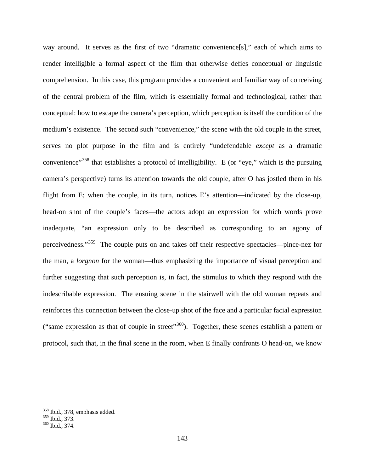way around. It serves as the first of two "dramatic convenience[s]," each of which aims to render intelligible a formal aspect of the film that otherwise defies conceptual or linguistic comprehension. In this case, this program provides a convenient and familiar way of conceiving of the central problem of the film, which is essentially formal and technological, rather than conceptual: how to escape the camera's perception, which perception is itself the condition of the medium's existence. The second such "convenience," the scene with the old couple in the street, serves no plot purpose in the film and is entirely "undefendable *except* as a dramatic convenience"<sup>[358](#page-150-0)</sup> that establishes a protocol of intelligibility. E (or "eye," which is the pursuing camera's perspective) turns its attention towards the old couple, after O has jostled them in his flight from E; when the couple, in its turn, notices E's attention—indicated by the close-up, head-on shot of the couple's faces—the actors adopt an expression for which words prove inadequate, "an expression only to be described as corresponding to an agony of perceivedness."[359](#page-150-1) The couple puts on and takes off their respective spectacles—pince-nez for the man, a *lorgnon* for the woman—thus emphasizing the importance of visual perception and further suggesting that such perception is, in fact, the stimulus to which they respond with the indescribable expression. The ensuing scene in the stairwell with the old woman repeats and reinforces this connection between the close-up shot of the face and a particular facial expression ("same expression as that of couple in street"<sup>[360](#page-150-2)</sup>). Together, these scenes establish a pattern or protocol, such that, in the final scene in the room, when E finally confronts O head-on, we know

<span id="page-150-0"></span> $\frac{358}{359}$  Ibid., 378, emphasis added.<br> $\frac{359}{359}$  Ibid., 373.

<span id="page-150-2"></span><span id="page-150-1"></span><sup>&</sup>lt;sup>360</sup> Ibid., 374.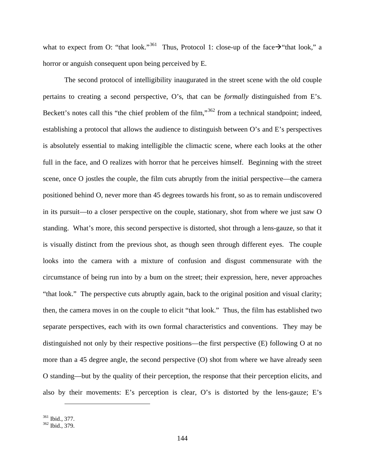what to expect from O: "that look."<sup>[361](#page-151-0)</sup> Thus, Protocol 1: close-up of the face  $\rightarrow$  "that look," a horror or anguish consequent upon being perceived by E.

The second protocol of intelligibility inaugurated in the street scene with the old couple pertains to creating a second perspective, O's, that can be *formally* distinguished from E's. Beckett's notes call this "the chief problem of the film,"<sup>[362](#page-151-1)</sup> from a technical standpoint; indeed, establishing a protocol that allows the audience to distinguish between O's and E's perspectives is absolutely essential to making intelligible the climactic scene, where each looks at the other full in the face, and O realizes with horror that he perceives himself. Beginning with the street scene, once O jostles the couple, the film cuts abruptly from the initial perspective—the camera positioned behind O, never more than 45 degrees towards his front, so as to remain undiscovered in its pursuit—to a closer perspective on the couple, stationary, shot from where we just saw O standing. What's more, this second perspective is distorted, shot through a lens-gauze, so that it is visually distinct from the previous shot, as though seen through different eyes. The couple looks into the camera with a mixture of confusion and disgust commensurate with the circumstance of being run into by a bum on the street; their expression, here, never approaches "that look." The perspective cuts abruptly again, back to the original position and visual clarity; then, the camera moves in on the couple to elicit "that look." Thus, the film has established two separate perspectives, each with its own formal characteristics and conventions. They may be distinguished not only by their respective positions—the first perspective (E) following O at no more than a 45 degree angle, the second perspective (O) shot from where we have already seen O standing—but by the quality of their perception, the response that their perception elicits, and also by their movements: E's perception is clear, O's is distorted by the lens-gauze; E's

<span id="page-151-1"></span><span id="page-151-0"></span>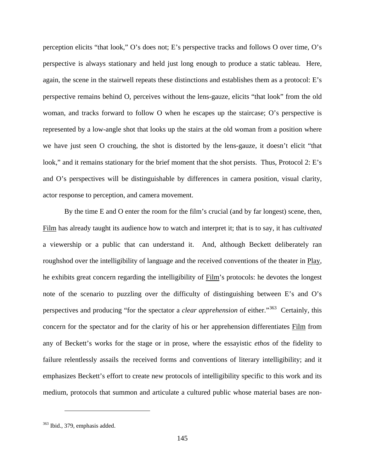perception elicits "that look," O's does not; E's perspective tracks and follows O over time, O's perspective is always stationary and held just long enough to produce a static tableau. Here, again, the scene in the stairwell repeats these distinctions and establishes them as a protocol: E's perspective remains behind O, perceives without the lens-gauze, elicits "that look" from the old woman, and tracks forward to follow O when he escapes up the staircase; O's perspective is represented by a low-angle shot that looks up the stairs at the old woman from a position where we have just seen O crouching, the shot is distorted by the lens-gauze, it doesn't elicit "that look," and it remains stationary for the brief moment that the shot persists. Thus, Protocol 2: E's and O's perspectives will be distinguishable by differences in camera position, visual clarity, actor response to perception, and camera movement.

By the time E and O enter the room for the film's crucial (and by far longest) scene, then, Film has already taught its audience how to watch and interpret it; that is to say, it has *cultivated* a viewership or a public that can understand it. And, although Beckett deliberately ran roughshod over the intelligibility of language and the received conventions of the theater in Play, he exhibits great concern regarding the intelligibility of Film's protocols: he devotes the longest note of the scenario to puzzling over the difficulty of distinguishing between E's and O's perspectives and producing "for the spectator a *clear apprehension* of either."[363](#page-152-0) Certainly, this concern for the spectator and for the clarity of his or her apprehension differentiates Film from any of Beckett's works for the stage or in prose, where the essayistic *ethos* of the fidelity to failure relentlessly assails the received forms and conventions of literary intelligibility; and it emphasizes Beckett's effort to create new protocols of intelligibility specific to this work and its medium, protocols that summon and articulate a cultured public whose material bases are non-

<span id="page-152-0"></span> $363$  Ibid., 379, emphasis added.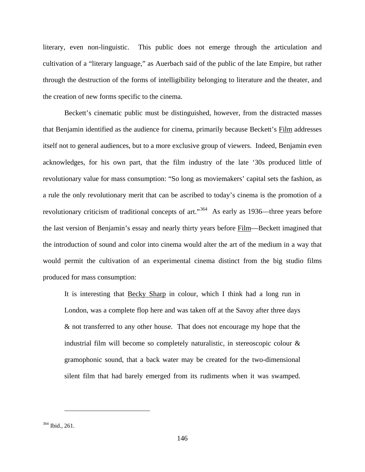literary, even non-linguistic. This public does not emerge through the articulation and cultivation of a "literary language," as Auerbach said of the public of the late Empire, but rather through the destruction of the forms of intelligibility belonging to literature and the theater, and the creation of new forms specific to the cinema.

Beckett's cinematic public must be distinguished, however, from the distracted masses that Benjamin identified as the audience for cinema, primarily because Beckett's Film addresses itself not to general audiences, but to a more exclusive group of viewers. Indeed, Benjamin even acknowledges, for his own part, that the film industry of the late '30s produced little of revolutionary value for mass consumption: "So long as moviemakers' capital sets the fashion, as a rule the only revolutionary merit that can be ascribed to today's cinema is the promotion of a revolutionary criticism of traditional concepts of art."[364](#page-153-0) As early as 1936—three years before the last version of Benjamin's essay and nearly thirty years before Film—Beckett imagined that the introduction of sound and color into cinema would alter the art of the medium in a way that would permit the cultivation of an experimental cinema distinct from the big studio films produced for mass consumption:

It is interesting that Becky Sharp in colour, which I think had a long run in London, was a complete flop here and was taken off at the Savoy after three days & not transferred to any other house. That does not encourage my hope that the industrial film will become so completely naturalistic, in stereoscopic colour & gramophonic sound, that a back water may be created for the two-dimensional silent film that had barely emerged from its rudiments when it was swamped.

<span id="page-153-0"></span><sup>364</sup> Ibid., 261.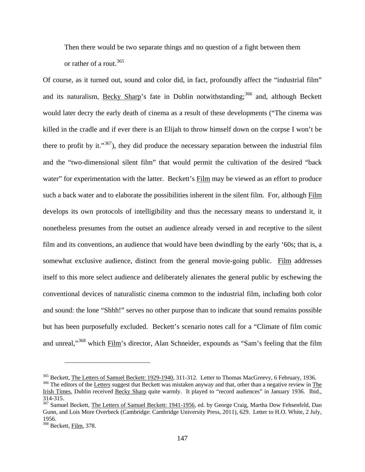Then there would be two separate things and no question of a fight between them or rather of a rout.<sup>[365](#page-154-0)</sup>

Of course, as it turned out, sound and color did, in fact, profoundly affect the "industrial film" and its naturalism, Becky Sharp's fate in Dublin notwithstanding;<sup>[366](#page-154-1)</sup> and, although Beckett would later decry the early death of cinema as a result of these developments ("The cinema was killed in the cradle and if ever there is an Elijah to throw himself down on the corpse I won't be there to profit by it." $367$ ), they did produce the necessary separation between the industrial film and the "two-dimensional silent film" that would permit the cultivation of the desired "back water" for experimentation with the latter. Beckett's Film may be viewed as an effort to produce such a back water and to elaborate the possibilities inherent in the silent film. For, although Film develops its own protocols of intelligibility and thus the necessary means to understand it, it nonetheless presumes from the outset an audience already versed in and receptive to the silent film and its conventions, an audience that would have been dwindling by the early '60s; that is, a somewhat exclusive audience, distinct from the general movie-going public. Film addresses itself to this more select audience and deliberately alienates the general public by eschewing the conventional devices of naturalistic cinema common to the industrial film, including both color and sound: the lone "Shhh!" serves no other purpose than to indicate that sound remains possible but has been purposefully excluded. Beckett's scenario notes call for a "Climate of film comic and unreal,"[368](#page-154-3) which Film's director, Alan Schneider, expounds as "Sam's feeling that the film

<span id="page-154-0"></span><sup>&</sup>lt;sup>365</sup> Beckett, <u>The Letters of Samuel Beckett: 1929-1940</u>, 311-312. Letter to Thomas MacGreevy, 6 February, 1936.<br><sup>366</sup> The editors of the Letters suggest that Beckett was mistaken anyway and that, other than a negative re

<span id="page-154-1"></span>Irish Times, Dublin received Becky Sharp quite warmly. It played to "record audiences" in January 1936. Ibid., 314-315.<br><sup>367</sup> Samuel Beckett, <u>The Letters of Samuel Beckett: 1941-1956</u>, ed. by George Craig, Martha Dow Fehsenfeld, Dan

<span id="page-154-2"></span>Gunn, and Lois More Overbeck (Cambridge: Cambridge University Press, 2011), 629. Letter to H.O. White, 2 July, 1956.

<span id="page-154-3"></span><sup>&</sup>lt;sup>368</sup> Beckett, Film, 378.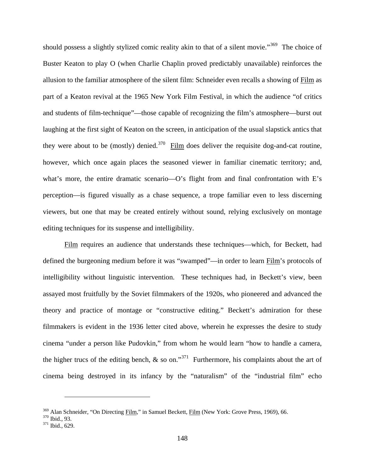should possess a slightly stylized comic reality akin to that of a silent movie."<sup>369</sup> The choice of Buster Keaton to play O (when Charlie Chaplin proved predictably unavailable) reinforces the allusion to the familiar atmosphere of the silent film: Schneider even recalls a showing of Film as part of a Keaton revival at the 1965 New York Film Festival, in which the audience "of critics and students of film-technique"—those capable of recognizing the film's atmosphere—burst out laughing at the first sight of Keaton on the screen, in anticipation of the usual slapstick antics that they were about to be (mostly) denied.<sup>[370](#page-155-1)</sup> Film does deliver the requisite dog-and-cat routine, however, which once again places the seasoned viewer in familiar cinematic territory; and, what's more, the entire dramatic scenario—O's flight from and final confrontation with E's perception—is figured visually as a chase sequence, a trope familiar even to less discerning viewers, but one that may be created entirely without sound, relying exclusively on montage editing techniques for its suspense and intelligibility.

Film requires an audience that understands these techniques—which, for Beckett, had defined the burgeoning medium before it was "swamped"—in order to learn Film's protocols of intelligibility without linguistic intervention. These techniques had, in Beckett's view, been assayed most fruitfully by the Soviet filmmakers of the 1920s, who pioneered and advanced the theory and practice of montage or "constructive editing." Beckett's admiration for these filmmakers is evident in the 1936 letter cited above, wherein he expresses the desire to study cinema "under a person like Pudovkin," from whom he would learn "how to handle a camera, the higher trucs of the editing bench,  $\&$  so on."<sup>371</sup> Furthermore, his complaints about the art of cinema being destroyed in its infancy by the "naturalism" of the "industrial film" echo

<span id="page-155-0"></span><sup>&</sup>lt;sup>369</sup> Alan Schneider, "On Directing <u>Film</u>," in Samuel Beckett,  $\underline{Film}$  (New York: Grove Press, 1969), 66.<br><sup>370</sup> Ibid., 93.<br><sup>371</sup> Ibid., 629.

<span id="page-155-2"></span><span id="page-155-1"></span>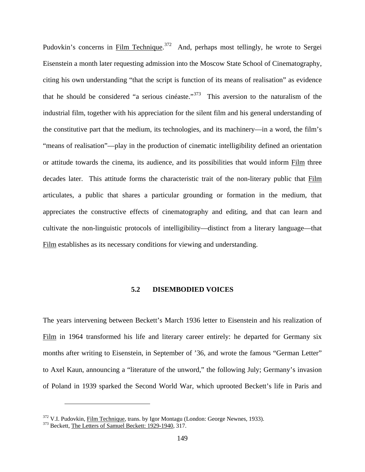Pudovkin's concerns in Film Technique.<sup>[372](#page-156-0)</sup> And, perhaps most tellingly, he wrote to Sergei Eisenstein a month later requesting admission into the Moscow State School of Cinematography, citing his own understanding "that the script is function of its means of realisation" as evidence that he should be considered "a serious cinéaste."[373](#page-156-1) This aversion to the naturalism of the industrial film, together with his appreciation for the silent film and his general understanding of the constitutive part that the medium, its technologies, and its machinery—in a word, the film's "means of realisation"—play in the production of cinematic intelligibility defined an orientation or attitude towards the cinema, its audience, and its possibilities that would inform Film three decades later. This attitude forms the characteristic trait of the non-literary public that Film articulates, a public that shares a particular grounding or formation in the medium, that appreciates the constructive effects of cinematography and editing, and that can learn and cultivate the non-linguistic protocols of intelligibility—distinct from a literary language—that Film establishes as its necessary conditions for viewing and understanding.

# **5.2 DISEMBODIED VOICES**

The years intervening between Beckett's March 1936 letter to Eisenstein and his realization of Film in 1964 transformed his life and literary career entirely: he departed for Germany six months after writing to Eisenstein, in September of '36, and wrote the famous "German Letter" to Axel Kaun, announcing a "literature of the unword," the following July; Germany's invasion of Poland in 1939 sparked the Second World War, which uprooted Beckett's life in Paris and

<span id="page-156-0"></span> $372$  V.I. Pudovkin, <u>Film Technique</u>, trans. by Igor Montagu (London: George Newnes, 1933).  $373$  Beckett, The Letters of Samuel Beckett: 1929-1940, 317.

<span id="page-156-1"></span>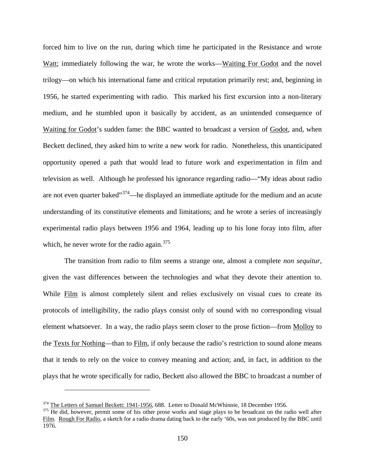forced him to live on the run, during which time he participated in the Resistance and wrote Watt; immediately following the war, he wrote the works—Waiting For Godot and the novel trilogy—on which his international fame and critical reputation primarily rest; and, beginning in 1956, he started experimenting with radio. This marked his first excursion into a non-literary medium, and he stumbled upon it basically by accident, as an unintended consequence of Waiting for Godot's sudden fame: the BBC wanted to broadcast a version of Godot, and, when Beckett declined, they asked him to write a new work for radio. Nonetheless, this unanticipated opportunity opened a path that would lead to future work and experimentation in film and television as well. Although he professed his ignorance regarding radio—"My ideas about radio are not even quarter baked"<sup>[374](#page-157-0)</sup>—he displayed an immediate aptitude for the medium and an acute understanding of its constitutive elements and limitations; and he wrote a series of increasingly experimental radio plays between 1956 and 1964, leading up to his lone foray into film, after which, he never wrote for the radio again. $375$ 

The transition from radio to film seems a strange one, almost a complete *non sequitur*, given the vast differences between the technologies and what they devote their attention to. While Film is almost completely silent and relies exclusively on visual cues to create its protocols of intelligibility, the radio plays consist only of sound with no corresponding visual element whatsoever. In a way, the radio plays seem closer to the prose fiction—from Molloy to the Texts for Nothing—than to Film, if only because the radio's restriction to sound alone means that it tends to rely on the voice to convey meaning and action; and, in fact, in addition to the plays that he wrote specifically for radio, Beckett also allowed the BBC to broadcast a number of

<span id="page-157-0"></span> $\frac{374}{375}$  The Letters of Samuel Beckett: 1941-1956, 688. Letter to Donald McWhinnie, 18 December 1956.<br><sup>375</sup> He did, however, permit some of his other prose works and stage plays to be broadcast on the radio well afte

<span id="page-157-1"></span>Film. Rough For Radio, a sketch for a radio drama dating back to the early '60s, was not produced by the BBC until 1976.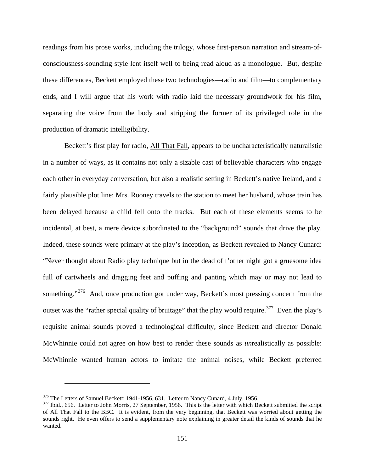readings from his prose works, including the trilogy, whose first-person narration and stream-ofconsciousness-sounding style lent itself well to being read aloud as a monologue. But, despite these differences, Beckett employed these two technologies—radio and film—to complementary ends, and I will argue that his work with radio laid the necessary groundwork for his film, separating the voice from the body and stripping the former of its privileged role in the production of dramatic intelligibility.

Beckett's first play for radio, All That Fall, appears to be uncharacteristically naturalistic in a number of ways, as it contains not only a sizable cast of believable characters who engage each other in everyday conversation, but also a realistic setting in Beckett's native Ireland, and a fairly plausible plot line: Mrs. Rooney travels to the station to meet her husband, whose train has been delayed because a child fell onto the tracks. But each of these elements seems to be incidental, at best, a mere device subordinated to the "background" sounds that drive the play. Indeed, these sounds were primary at the play's inception, as Beckett revealed to Nancy Cunard: "Never thought about Radio play technique but in the dead of t'other night got a gruesome idea full of cartwheels and dragging feet and puffing and panting which may or may not lead to something."<sup>376</sup> And, once production got under way, Beckett's most pressing concern from the outset was the "rather special quality of bruitage" that the play would require.  $377$  Even the play's requisite animal sounds proved a technological difficulty, since Beckett and director Donald McWhinnie could not agree on how best to render these sounds as *un*realistically as possible: McWhinnie wanted human actors to imitate the animal noises, while Beckett preferred

<span id="page-158-0"></span> $\frac{376}{377}$  The Letters of Samuel Beckett: 1941-1956, 631. Letter to Nancy Cunard, 4 July, 1956.<br> $\frac{377}{1}$  Ibid., 656. Letter to John Morris, 27 September, 1956. This is the letter with which Beckett submitted the scr

<span id="page-158-1"></span>of All That Fall to the BBC. It is evident, from the very beginning, that Beckett was worried about getting the sounds right. He even offers to send a supplementary note explaining in greater detail the kinds of sounds that he wanted.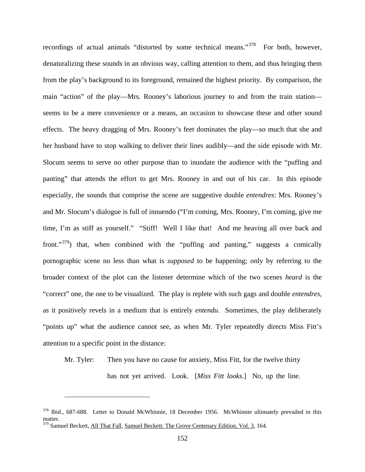recordings of actual animals "distorted by some technical means."<sup>[378](#page-159-0)</sup> For both, however, denaturalizing these sounds in an obvious way, calling attention to them, and thus bringing them from the play's background to its foreground, remained the highest priority. By comparison, the main "action" of the play—Mrs. Rooney's laborious journey to and from the train station seems to be a mere convenience or a means, an occasion to showcase these and other sound effects. The heavy dragging of Mrs. Rooney's feet dominates the play—so much that she and her husband have to stop walking to deliver their lines audibly—and the side episode with Mr. Slocum seems to serve no other purpose than to inundate the audience with the "puffing and panting" that attends the effort to get Mrs. Rooney in and out of his car. In this episode especially, the sounds that comprise the scene are suggestive double *entendres*: Mrs. Rooney's and Mr. Slocum's dialogue is full of innuendo ("I'm coming, Mrs. Rooney, I'm coming, give me time, I'm as stiff as yourself." "Stiff! Well I like that! And me heaving all over back and front."<sup>[379](#page-159-1)</sup>) that, when combined with the "puffing and panting," suggests a comically pornographic scene no less than what is *supposed* to be happening; only by referring to the broader context of the plot can the listener determine which of the two scenes *heard* is the "correct" one, the one to be visualized. The play is replete with such gags and double *entendres*, as it positively revels in a medium that is entirely *entendu*. Sometimes, the play deliberately "points up" what the audience cannot see, as when Mr. Tyler repeatedly directs Miss Fitt's attention to a specific point in the distance:

Mr. Tyler: Then you have no cause for anxiety, Miss Fitt, for the twelve thirty has not yet arrived. Look. [*Miss Fitt looks.*] No, up the line.

<span id="page-159-1"></span><span id="page-159-0"></span><sup>&</sup>lt;sup>378</sup> Ibid., 687-688. Letter to Donald McWhinnie, 18 December 1956. McWhinnie ultimately prevailed in this matter. <sup>379</sup> Samuel Beckett, All That Fall, Samuel Beckett: The Grove Centenary Edition, Vol. 3, 164.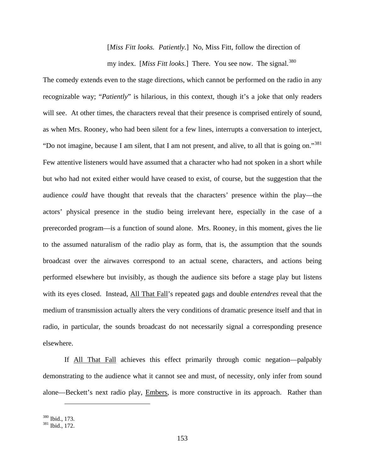[*Miss Fitt looks. Patiently.*] No, Miss Fitt, follow the direction of my index. [Miss Fitt looks.] There. You see now. The signal.<sup>[380](#page-160-0)</sup>

The comedy extends even to the stage directions, which cannot be performed on the radio in any recognizable way; "*Patiently*" is hilarious, in this context, though it's a joke that only readers will see. At other times, the characters reveal that their presence is comprised entirely of sound, as when Mrs. Rooney, who had been silent for a few lines, interrupts a conversation to interject, "Do not imagine, because I am silent, that I am not present, and alive, to all that is going on."<sup>[381](#page-160-1)</sup> Few attentive listeners would have assumed that a character who had not spoken in a short while but who had not exited either would have ceased to exist, of course, but the suggestion that the audience *could* have thought that reveals that the characters' presence within the play—the actors' physical presence in the studio being irrelevant here, especially in the case of a prerecorded program—is a function of sound alone. Mrs. Rooney, in this moment, gives the lie to the assumed naturalism of the radio play as form, that is, the assumption that the sounds broadcast over the airwaves correspond to an actual scene, characters, and actions being performed elsewhere but invisibly, as though the audience sits before a stage play but listens with its eyes closed. Instead, All That Fall's repeated gags and double *entendres* reveal that the medium of transmission actually alters the very conditions of dramatic presence itself and that in radio, in particular, the sounds broadcast do not necessarily signal a corresponding presence elsewhere.

If All That Fall achieves this effect primarily through comic negation—palpably demonstrating to the audience what it cannot see and must, of necessity, only infer from sound alone—Beckett's next radio play, Embers, is more constructive in its approach. Rather than

<span id="page-160-1"></span><span id="page-160-0"></span> $\frac{380}{381}$  Ibid., 173.<br> $\frac{381}{1}$  Ibid., 172.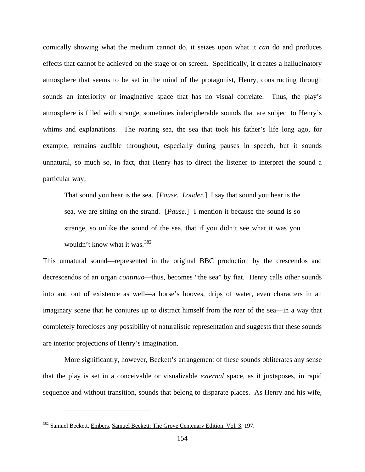comically showing what the medium cannot do, it seizes upon what it *can* do and produces effects that cannot be achieved on the stage or on screen. Specifically, it creates a hallucinatory atmosphere that seems to be set in the mind of the protagonist, Henry, constructing through sounds an interiority or imaginative space that has no visual correlate. Thus, the play's atmosphere is filled with strange, sometimes indecipherable sounds that are subject to Henry's whims and explanations. The roaring sea, the sea that took his father's life long ago, for example, remains audible throughout, especially during pauses in speech, but it sounds unnatural, so much so, in fact, that Henry has to direct the listener to interpret the sound a particular way:

That sound you hear is the sea. [*Pause. Louder.*] I say that sound you hear is the sea, we are sitting on the strand. [*Pause.*] I mention it because the sound is so strange, so unlike the sound of the sea, that if you didn't see what it was you wouldn't know what it was.  $382$ 

This unnatural sound—represented in the original BBC production by the crescendos and decrescendos of an organ *continuo*—thus, becomes "the sea" by fiat. Henry calls other sounds into and out of existence as well—a horse's hooves, drips of water, even characters in an imaginary scene that he conjures up to distract himself from the roar of the sea—in a way that completely forecloses any possibility of naturalistic representation and suggests that these sounds are interior projections of Henry's imagination.

More significantly, however, Beckett's arrangement of these sounds obliterates any sense that the play is set in a conceivable or visualizable *external* space, as it juxtaposes, in rapid sequence and without transition, sounds that belong to disparate places. As Henry and his wife,

<span id="page-161-0"></span><sup>&</sup>lt;sup>382</sup> Samuel Beckett, Embers, Samuel Beckett: The Grove Centenary Edition, Vol. 3, 197.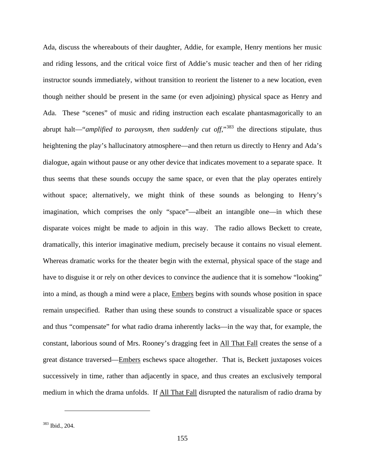Ada, discuss the whereabouts of their daughter, Addie, for example, Henry mentions her music and riding lessons, and the critical voice first of Addie's music teacher and then of her riding instructor sounds immediately, without transition to reorient the listener to a new location, even though neither should be present in the same (or even adjoining) physical space as Henry and Ada. These "scenes" of music and riding instruction each escalate phantasmagorically to an abrupt halt—"*amplified to paroxysm, then suddenly cut off*,"<sup>[383](#page-162-0)</sup> the directions stipulate, thus heightening the play's hallucinatory atmosphere—and then return us directly to Henry and Ada's dialogue, again without pause or any other device that indicates movement to a separate space. It thus seems that these sounds occupy the same space, or even that the play operates entirely without space; alternatively, we might think of these sounds as belonging to Henry's imagination, which comprises the only "space"—albeit an intangible one—in which these disparate voices might be made to adjoin in this way. The radio allows Beckett to create, dramatically, this interior imaginative medium, precisely because it contains no visual element. Whereas dramatic works for the theater begin with the external, physical space of the stage and have to disguise it or rely on other devices to convince the audience that it is somehow "looking" into a mind, as though a mind were a place, Embers begins with sounds whose position in space remain unspecified. Rather than using these sounds to construct a visualizable space or spaces and thus "compensate" for what radio drama inherently lacks—in the way that, for example, the constant, laborious sound of Mrs. Rooney's dragging feet in All That Fall creates the sense of a great distance traversed—Embers eschews space altogether. That is, Beckett juxtaposes voices successively in time, rather than adjacently in space, and thus creates an exclusively temporal medium in which the drama unfolds. If All That Fall disrupted the naturalism of radio drama by

<span id="page-162-0"></span><sup>383</sup> Ibid., 204.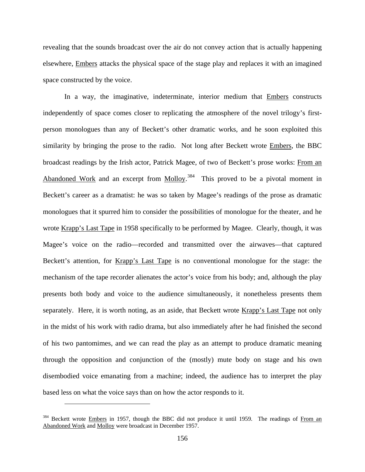revealing that the sounds broadcast over the air do not convey action that is actually happening elsewhere, Embers attacks the physical space of the stage play and replaces it with an imagined space constructed by the voice.

In a way, the imaginative, indeterminate, interior medium that Embers constructs independently of space comes closer to replicating the atmosphere of the novel trilogy's firstperson monologues than any of Beckett's other dramatic works, and he soon exploited this similarity by bringing the prose to the radio. Not long after Beckett wrote Embers, the BBC broadcast readings by the Irish actor, Patrick Magee, of two of Beckett's prose works: From an Abandoned Work and an excerpt from Molloy.<sup>384</sup> This proved to be a pivotal moment in Beckett's career as a dramatist: he was so taken by Magee's readings of the prose as dramatic monologues that it spurred him to consider the possibilities of monologue for the theater, and he wrote Krapp's Last Tape in 1958 specifically to be performed by Magee. Clearly, though, it was Magee's voice on the radio—recorded and transmitted over the airwaves—that captured Beckett's attention, for Krapp's Last Tape is no conventional monologue for the stage: the mechanism of the tape recorder alienates the actor's voice from his body; and, although the play presents both body and voice to the audience simultaneously, it nonetheless presents them separately. Here, it is worth noting, as an aside, that Beckett wrote Krapp's Last Tape not only in the midst of his work with radio drama, but also immediately after he had finished the second of his two pantomimes, and we can read the play as an attempt to produce dramatic meaning through the opposition and conjunction of the (mostly) mute body on stage and his own disembodied voice emanating from a machine; indeed, the audience has to interpret the play based less on what the voice says than on how the actor responds to it.

<span id="page-163-0"></span><sup>&</sup>lt;sup>384</sup> Beckett wrote *Embers* in 1957, though the BBC did not produce it until 1959. The readings of From an Abandoned Work and Molloy were broadcast in December 1957.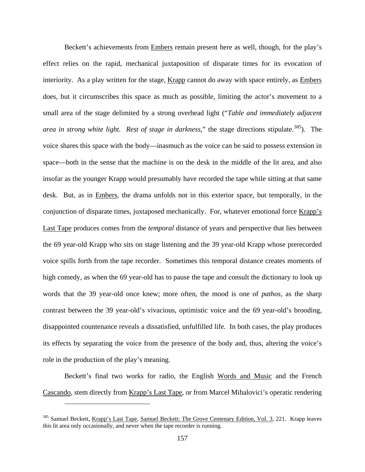Beckett's achievements from Embers remain present here as well, though, for the play's effect relies on the rapid, mechanical juxtaposition of disparate times for its evocation of interiority. As a play written for the stage, Krapp cannot do away with space entirely, as Embers does, but it circumscribes this space as much as possible, limiting the actor's movement to a small area of the stage delimited by a strong overhead light ("*Table and immediately adjacent area in strong white light. Rest of stage in darkness*," the stage directions stipulate.<sup>385</sup>). The voice shares this space with the body—inasmuch as the voice can be said to possess extension in space—both in the sense that the machine is on the desk in the middle of the lit area, and also insofar as the younger Krapp would presumably have recorded the tape while sitting at that same desk. But, as in Embers, the drama unfolds not in this exterior space, but temporally, in the conjunction of disparate times, juxtaposed mechanically. For, whatever emotional force Krapp's Last Tape produces comes from the *temporal* distance of years and perspective that lies between the 69 year-old Krapp who sits on stage listening and the 39 year-old Krapp whose prerecorded voice spills forth from the tape recorder. Sometimes this temporal distance creates moments of high comedy, as when the 69 year-old has to pause the tape and consult the dictionary to look up words that the 39 year-old once knew; more often, the mood is one of *pathos*, as the sharp contrast between the 39 year-old's vivacious, optimistic voice and the 69 year-old's brooding, disappointed countenance reveals a dissatisfied, unfulfilled life. In both cases, the play produces its effects by separating the voice from the presence of the body and, thus, altering the voice's role in the production of the play's meaning.

Beckett's final two works for radio, the English Words and Music and the French Cascando, stem directly from Krapp's Last Tape, or from Marcel Mihalovici's operatic rendering

<span id="page-164-0"></span><sup>&</sup>lt;sup>385</sup> Samuel Beckett, Krapp's Last Tape, Samuel Beckett: The Grove Centenary Edition, Vol. 3, 221. Krapp leaves this lit area only occasionally, and never when the tape recorder is running.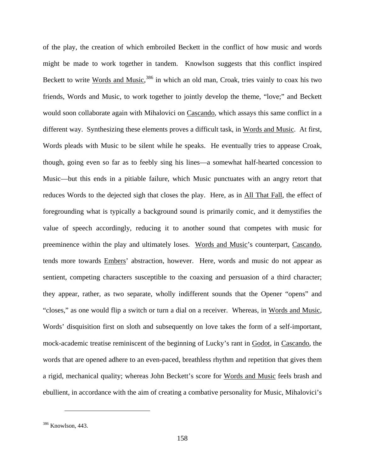of the play, the creation of which embroiled Beckett in the conflict of how music and words might be made to work together in tandem. Knowlson suggests that this conflict inspired Beckett to write Words and Music,<sup>[386](#page-165-0)</sup> in which an old man, Croak, tries vainly to coax his two friends, Words and Music, to work together to jointly develop the theme, "love;" and Beckett would soon collaborate again with Mihalovici on Cascando, which assays this same conflict in a different way. Synthesizing these elements proves a difficult task, in Words and Music. At first, Words pleads with Music to be silent while he speaks. He eventually tries to appease Croak, though, going even so far as to feebly sing his lines—a somewhat half-hearted concession to Music—but this ends in a pitiable failure, which Music punctuates with an angry retort that reduces Words to the dejected sigh that closes the play. Here, as in All That Fall, the effect of foregrounding what is typically a background sound is primarily comic, and it demystifies the value of speech accordingly, reducing it to another sound that competes with music for preeminence within the play and ultimately loses. Words and Music's counterpart, Cascando, tends more towards Embers' abstraction, however. Here, words and music do not appear as sentient, competing characters susceptible to the coaxing and persuasion of a third character; they appear, rather, as two separate, wholly indifferent sounds that the Opener "opens" and "closes," as one would flip a switch or turn a dial on a receiver. Whereas, in Words and Music, Words' disquisition first on sloth and subsequently on love takes the form of a self-important, mock-academic treatise reminiscent of the beginning of Lucky's rant in Godot, in Cascando, the words that are opened adhere to an even-paced, breathless rhythm and repetition that gives them a rigid, mechanical quality; whereas John Beckett's score for Words and Music feels brash and ebullient, in accordance with the aim of creating a combative personality for Music, Mihalovici's

<span id="page-165-0"></span><sup>386</sup> Knowlson, 443.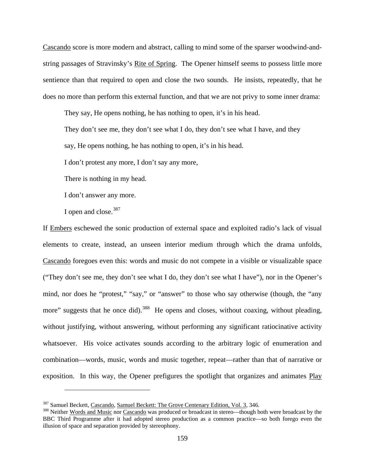Cascando score is more modern and abstract, calling to mind some of the sparser woodwind-andstring passages of Stravinsky's Rite of Spring. The Opener himself seems to possess little more sentience than that required to open and close the two sounds. He insists, repeatedly, that he does no more than perform this external function, and that we are not privy to some inner drama:

They say, He opens nothing, he has nothing to open, it's in his head.

They don't see me, they don't see what I do, they don't see what I have, and they

say, He opens nothing, he has nothing to open, it's in his head.

I don't protest any more, I don't say any more,

There is nothing in my head.

I don't answer any more.

I open and close.<sup>[387](#page-166-0)</sup>

 $\overline{a}$ 

If Embers eschewed the sonic production of external space and exploited radio's lack of visual elements to create, instead, an unseen interior medium through which the drama unfolds, Cascando foregoes even this: words and music do not compete in a visible or visualizable space ("They don't see me, they don't see what I do, they don't see what I have"), nor in the Opener's mind, nor does he "protest," "say," or "answer" to those who say otherwise (though, the "any more" suggests that he once did).<sup>[388](#page-166-1)</sup> He opens and closes, without coaxing, without pleading, without justifying, without answering, without performing any significant ratiocinative activity whatsoever. His voice activates sounds according to the arbitrary logic of enumeration and combination—words, music, words and music together, repeat—rather than that of narrative or exposition. In this way, the Opener prefigures the spotlight that organizes and animates Play

<span id="page-166-1"></span><span id="page-166-0"></span><sup>&</sup>lt;sup>387</sup> Samuel Beckett, Cascando, Samuel Beckett: The Grove Centenary Edition, Vol. 3, 346.<br><sup>388</sup> Neither Words and Music nor Cascando was produced or broadcast in stereo—though both were broadcast by the BBC Third Programme after it had adopted stereo production as a common practice—so both forego even the illusion of space and separation provided by stereophony.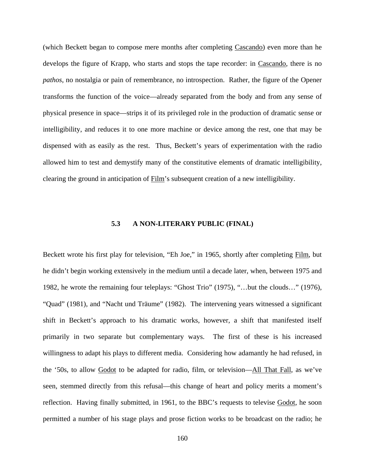(which Beckett began to compose mere months after completing Cascando) even more than he develops the figure of Krapp, who starts and stops the tape recorder: in Cascando, there is no *pathos*, no nostalgia or pain of remembrance, no introspection. Rather, the figure of the Opener transforms the function of the voice—already separated from the body and from any sense of physical presence in space—strips it of its privileged role in the production of dramatic sense or intelligibility, and reduces it to one more machine or device among the rest, one that may be dispensed with as easily as the rest. Thus, Beckett's years of experimentation with the radio allowed him to test and demystify many of the constitutive elements of dramatic intelligibility, clearing the ground in anticipation of Film's subsequent creation of a new intelligibility.

#### **5.3 A NON-LITERARY PUBLIC (FINAL)**

Beckett wrote his first play for television, "Eh Joe," in 1965, shortly after completing Film, but he didn't begin working extensively in the medium until a decade later, when, between 1975 and 1982, he wrote the remaining four teleplays: "Ghost Trio" (1975), "…but the clouds…" (1976), "Quad" (1981), and "Nacht und Träume" (1982). The intervening years witnessed a significant shift in Beckett's approach to his dramatic works, however, a shift that manifested itself primarily in two separate but complementary ways. The first of these is his increased willingness to adapt his plays to different media. Considering how adamantly he had refused, in the '50s, to allow Godot to be adapted for radio, film, or television—All That Fall, as we've seen, stemmed directly from this refusal—this change of heart and policy merits a moment's reflection. Having finally submitted, in 1961, to the BBC's requests to televise Godot, he soon permitted a number of his stage plays and prose fiction works to be broadcast on the radio; he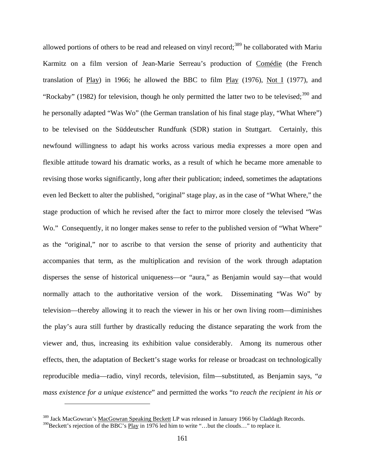allowed portions of others to be read and released on vinyl record;<sup>[389](#page-168-0)</sup> he collaborated with Mariu Karmitz on a film version of Jean-Marie Serreau's production of Comédie (the French translation of Play) in 1966; he allowed the BBC to film Play (1976), Not I (1977), and "Rockaby" (1982) for television, though he only permitted the latter two to be televised;  $390$  and he personally adapted "Was Wo" (the German translation of his final stage play, "What Where") to be televised on the Süddeutscher Rundfunk (SDR) station in Stuttgart. Certainly, this newfound willingness to adapt his works across various media expresses a more open and flexible attitude toward his dramatic works, as a result of which he became more amenable to revising those works significantly, long after their publication; indeed, sometimes the adaptations even led Beckett to alter the published, "original" stage play, as in the case of "What Where," the stage production of which he revised after the fact to mirror more closely the televised "Was Wo." Consequently, it no longer makes sense to refer to the published version of "What Where" as the "original," nor to ascribe to that version the sense of priority and authenticity that accompanies that term, as the multiplication and revision of the work through adaptation disperses the sense of historical uniqueness—or "aura," as Benjamin would say—that would normally attach to the authoritative version of the work. Disseminating "Was Wo" by television—thereby allowing it to reach the viewer in his or her own living room—diminishes the play's aura still further by drastically reducing the distance separating the work from the viewer and, thus, increasing its exhibition value considerably. Among its numerous other effects, then, the adaptation of Beckett's stage works for release or broadcast on technologically reproducible media—radio, vinyl records, television, film—substituted, as Benjamin says, "*a mass existence for a unique existence*" and permitted the works "*to reach the recipient in his or* 

<span id="page-168-1"></span><span id="page-168-0"></span><sup>&</sup>lt;sup>389</sup> Jack MacGowran's MacGowran Speaking Beckett LP was released in January 1966 by Claddagh Records.  $390$ Beckett's rejection of the BBC's Play in 1976 led him to write "...but the clouds..." to replace it.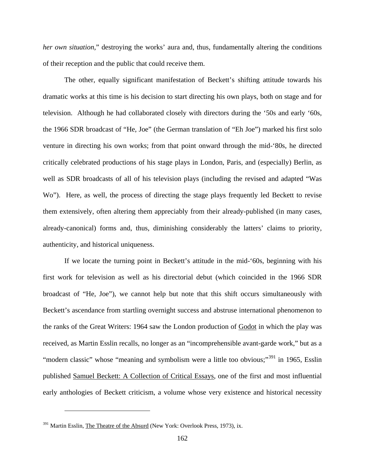*her own situation*," destroying the works' aura and, thus, fundamentally altering the conditions of their reception and the public that could receive them.

The other, equally significant manifestation of Beckett's shifting attitude towards his dramatic works at this time is his decision to start directing his own plays, both on stage and for television. Although he had collaborated closely with directors during the '50s and early '60s, the 1966 SDR broadcast of "He, Joe" (the German translation of "Eh Joe") marked his first solo venture in directing his own works; from that point onward through the mid-'80s, he directed critically celebrated productions of his stage plays in London, Paris, and (especially) Berlin, as well as SDR broadcasts of all of his television plays (including the revised and adapted "Was Wo"). Here, as well, the process of directing the stage plays frequently led Beckett to revise them extensively, often altering them appreciably from their already-published (in many cases, already-canonical) forms and, thus, diminishing considerably the latters' claims to priority, authenticity, and historical uniqueness.

If we locate the turning point in Beckett's attitude in the mid-'60s, beginning with his first work for television as well as his directorial debut (which coincided in the 1966 SDR broadcast of "He, Joe"), we cannot help but note that this shift occurs simultaneously with Beckett's ascendance from startling overnight success and abstruse international phenomenon to the ranks of the Great Writers: 1964 saw the London production of Godot in which the play was received, as Martin Esslin recalls, no longer as an "incomprehensible avant-garde work," but as a "modern classic" whose "meaning and symbolism were a little too obvious;"<sup>[391](#page-169-0)</sup> in 1965, Esslin published Samuel Beckett: A Collection of Critical Essays, one of the first and most influential early anthologies of Beckett criticism, a volume whose very existence and historical necessity

<span id="page-169-0"></span><sup>&</sup>lt;sup>391</sup> Martin Esslin, *The Theatre of the Absurd* (New York: Overlook Press, 1973), ix.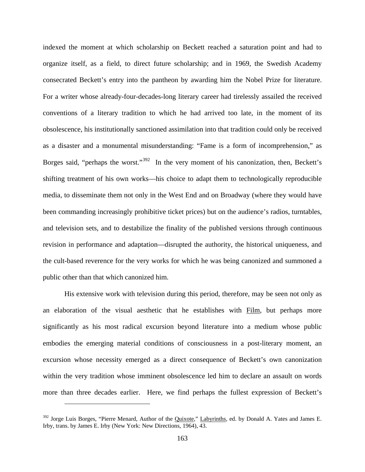indexed the moment at which scholarship on Beckett reached a saturation point and had to organize itself, as a field, to direct future scholarship; and in 1969, the Swedish Academy consecrated Beckett's entry into the pantheon by awarding him the Nobel Prize for literature. For a writer whose already-four-decades-long literary career had tirelessly assailed the received conventions of a literary tradition to which he had arrived too late, in the moment of its obsolescence, his institutionally sanctioned assimilation into that tradition could only be received as a disaster and a monumental misunderstanding: "Fame is a form of incomprehension," as Borges said, "perhaps the worst."<sup>392</sup> In the very moment of his canonization, then, Beckett's shifting treatment of his own works—his choice to adapt them to technologically reproducible media, to disseminate them not only in the West End and on Broadway (where they would have been commanding increasingly prohibitive ticket prices) but on the audience's radios, turntables, and television sets, and to destabilize the finality of the published versions through continuous revision in performance and adaptation—disrupted the authority, the historical uniqueness, and the cult-based reverence for the very works for which he was being canonized and summoned a public other than that which canonized him.

His extensive work with television during this period, therefore, may be seen not only as an elaboration of the visual aesthetic that he establishes with Film, but perhaps more significantly as his most radical excursion beyond literature into a medium whose public embodies the emerging material conditions of consciousness in a post-literary moment, an excursion whose necessity emerged as a direct consequence of Beckett's own canonization within the very tradition whose imminent obsolescence led him to declare an assault on words more than three decades earlier. Here, we find perhaps the fullest expression of Beckett's

<span id="page-170-0"></span><sup>&</sup>lt;sup>392</sup> Jorge Luis Borges, "Pierre Menard, Author of the *Quixote,"* Labyrinths, ed. by Donald A. Yates and James E. Irby, trans. by James E. Irby (New York: New Directions, 1964), 43.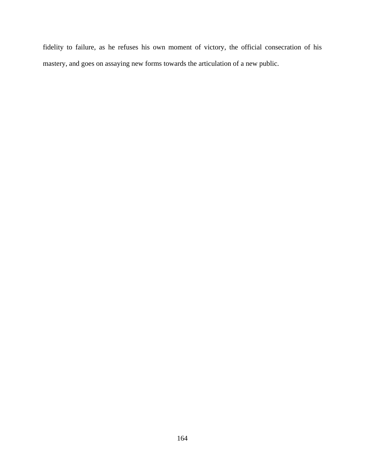fidelity to failure, as he refuses his own moment of victory, the official consecration of his mastery, and goes on assaying new forms towards the articulation of a new public.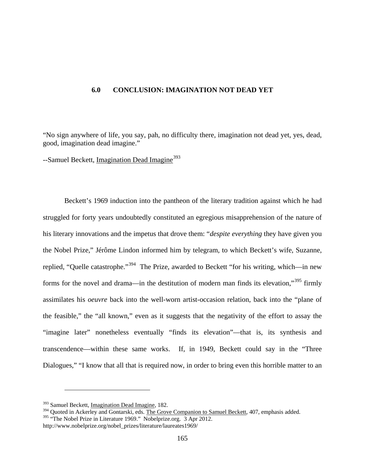### **6.0 CONCLUSION: IMAGINATION NOT DEAD YET**

"No sign anywhere of life, you say, pah, no difficulty there, imagination not dead yet, yes, dead, good, imagination dead imagine."

--Samuel Beckett, Imagination Dead Imagine<sup>[393](#page-172-0)</sup>

Beckett's 1969 induction into the pantheon of the literary tradition against which he had struggled for forty years undoubtedly constituted an egregious misapprehension of the nature of his literary innovations and the impetus that drove them: "*despite everything* they have given you the Nobel Prize," Jérôme Lindon informed him by telegram, to which Beckett's wife, Suzanne, replied, "Quelle catastrophe."<sup>394</sup> The Prize, awarded to Beckett "for his writing, which—in new forms for the novel and drama—in the destitution of modern man finds its elevation,"[395](#page-172-2) firmly assimilates his *oeuvre* back into the well-worn artist-occasion relation, back into the "plane of the feasible," the "all known," even as it suggests that the negativity of the effort to assay the "imagine later" nonetheless eventually "finds its elevation"—that is, its synthesis and transcendence—within these same works. If, in 1949, Beckett could say in the "Three Dialogues," "I know that all that is required now, in order to bring even this horrible matter to an

<sup>393</sup> Samuel Beckett, Imagination Dead Imagine, 182.

<span id="page-172-2"></span><span id="page-172-1"></span><span id="page-172-0"></span><sup>&</sup>lt;sup>394</sup> Quoted in Ackerley and Gontarski, eds. The Grove Companion to Samuel Beckett, 407, emphasis added. <sup>395</sup> "The Nobel Prize in Literature 1969." Nobelprize.org. 3 Apr 2012. http://www.nobelprize.org/nobel\_prizes/literature/laureates1969/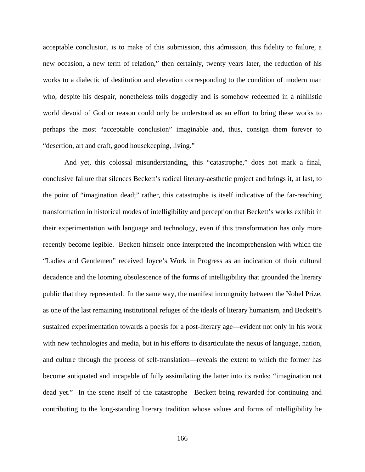acceptable conclusion, is to make of this submission, this admission, this fidelity to failure, a new occasion, a new term of relation," then certainly, twenty years later, the reduction of his works to a dialectic of destitution and elevation corresponding to the condition of modern man who, despite his despair, nonetheless toils doggedly and is somehow redeemed in a nihilistic world devoid of God or reason could only be understood as an effort to bring these works to perhaps the most "acceptable conclusion" imaginable and, thus, consign them forever to "desertion, art and craft, good housekeeping, living."

And yet, this colossal misunderstanding, this "catastrophe," does not mark a final, conclusive failure that silences Beckett's radical literary-aesthetic project and brings it, at last, to the point of "imagination dead;" rather, this catastrophe is itself indicative of the far-reaching transformation in historical modes of intelligibility and perception that Beckett's works exhibit in their experimentation with language and technology, even if this transformation has only more recently become legible. Beckett himself once interpreted the incomprehension with which the "Ladies and Gentlemen" received Joyce's Work in Progress as an indication of their cultural decadence and the looming obsolescence of the forms of intelligibility that grounded the literary public that they represented. In the same way, the manifest incongruity between the Nobel Prize, as one of the last remaining institutional refuges of the ideals of literary humanism, and Beckett's sustained experimentation towards a poesis for a post-literary age—evident not only in his work with new technologies and media, but in his efforts to disarticulate the nexus of language, nation, and culture through the process of self-translation—reveals the extent to which the former has become antiquated and incapable of fully assimilating the latter into its ranks: "imagination not dead yet." In the scene itself of the catastrophe—Beckett being rewarded for continuing and contributing to the long-standing literary tradition whose values and forms of intelligibility he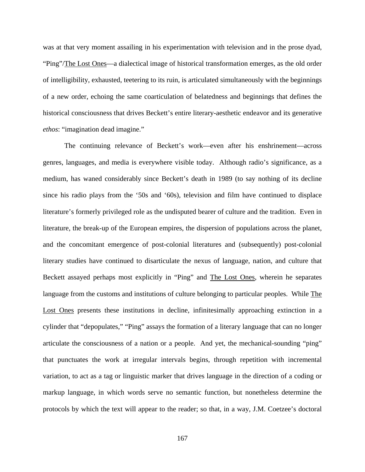was at that very moment assailing in his experimentation with television and in the prose dyad, "Ping"/The Lost Ones—a dialectical image of historical transformation emerges, as the old order of intelligibility, exhausted, teetering to its ruin, is articulated simultaneously with the beginnings of a new order, echoing the same coarticulation of belatedness and beginnings that defines the historical consciousness that drives Beckett's entire literary-aesthetic endeavor and its generative *ethos*: "imagination dead imagine."

The continuing relevance of Beckett's work—even after his enshrinement—across genres, languages, and media is everywhere visible today. Although radio's significance, as a medium, has waned considerably since Beckett's death in 1989 (to say nothing of its decline since his radio plays from the '50s and '60s), television and film have continued to displace literature's formerly privileged role as the undisputed bearer of culture and the tradition. Even in literature, the break-up of the European empires, the dispersion of populations across the planet, and the concomitant emergence of post-colonial literatures and (subsequently) post-colonial literary studies have continued to disarticulate the nexus of language, nation, and culture that Beckett assayed perhaps most explicitly in "Ping" and The Lost Ones, wherein he separates language from the customs and institutions of culture belonging to particular peoples. While The Lost Ones presents these institutions in decline, infinitesimally approaching extinction in a cylinder that "depopulates," "Ping" assays the formation of a literary language that can no longer articulate the consciousness of a nation or a people. And yet, the mechanical-sounding "ping" that punctuates the work at irregular intervals begins, through repetition with incremental variation, to act as a tag or linguistic marker that drives language in the direction of a coding or markup language, in which words serve no semantic function, but nonetheless determine the protocols by which the text will appear to the reader; so that, in a way, J.M. Coetzee's doctoral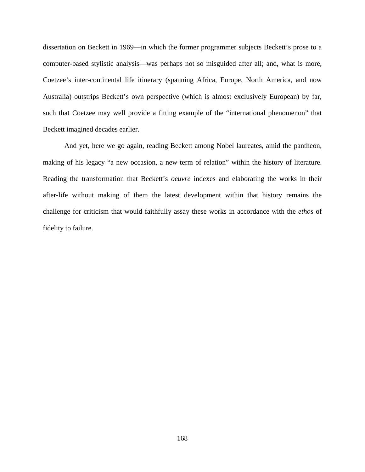dissertation on Beckett in 1969—in which the former programmer subjects Beckett's prose to a computer-based stylistic analysis—was perhaps not so misguided after all; and, what is more, Coetzee's inter-continental life itinerary (spanning Africa, Europe, North America, and now Australia) outstrips Beckett's own perspective (which is almost exclusively European) by far, such that Coetzee may well provide a fitting example of the "international phenomenon" that Beckett imagined decades earlier.

And yet, here we go again, reading Beckett among Nobel laureates, amid the pantheon, making of his legacy "a new occasion, a new term of relation" within the history of literature. Reading the transformation that Beckett's *oeuvre* indexes and elaborating the works in their after-life without making of them the latest development within that history remains the challenge for criticism that would faithfully assay these works in accordance with the *ethos* of fidelity to failure.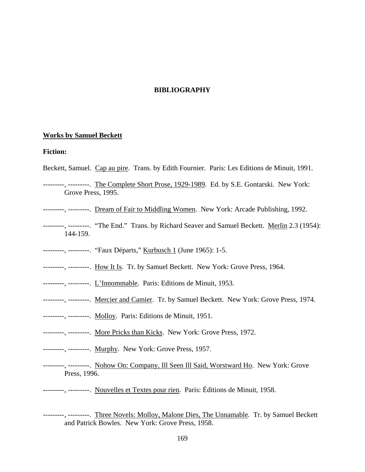# **BIBLIOGRAPHY**

#### **Works by Samuel Beckett**

### **Fiction:**

- Beckett, Samuel. Cap au pire. Trans. by Edith Fournier. Paris: Les Editions de Minuit, 1991.
- ---------, ---------. The Complete Short Prose, 1929-1989. Ed. by S.E. Gontarski. New York: Grove Press, 1995.
- ---------, ---------. Dream of Fair to Middling Women. New York: Arcade Publishing, 1992.
- --------, ---------. "The End." Trans. by Richard Seaver and Samuel Beckett. Merlin 2.3 (1954): 144-159.
- --------, ---------. "Faux Départs," Kurbusch 1 (June 1965): 1-5.
- --------, --------. How It Is. Tr. by Samuel Beckett. New York: Grove Press, 1964.
- --------, --------. L'Innommable. Paris: Editions de Minuit, 1953.
- --------, --------. Mercier and Camier. Tr. by Samuel Beckett. New York: Grove Press, 1974.
- --------, --------. Molloy. Paris: Editions de Minuit, 1951.
- --------, --------. More Pricks than Kicks. New York: Grove Press, 1972.
- --------, --------. Murphy. New York: Grove Press, 1957.
- --------, ---------. Nohow On: Company, Ill Seen Ill Said, Worstward Ho. New York: Grove Press, 1996.
- --------, --------. Nouvelles et Textes pour rien. Paris: Éditions de Minuit, 1958.
- --------, --------. Three Novels: Molloy, Malone Dies, The Unnamable. Tr. by Samuel Beckett and Patrick Bowles. New York: Grove Press, 1958.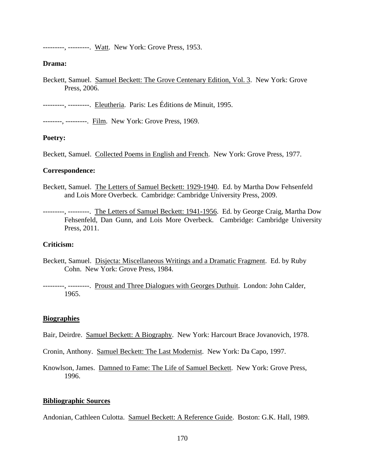---------, ---------. Watt. New York: Grove Press, 1953.

### **Drama:**

- Beckett, Samuel. Samuel Beckett: The Grove Centenary Edition, Vol. 3. New York: Grove Press, 2006.
- ---------, ---------. Eleutheria. Paris: Les Éditions de Minuit, 1995.

--------, ---------. Film. New York: Grove Press, 1969.

# **Poetry:**

Beckett, Samuel. Collected Poems in English and French. New York: Grove Press, 1977.

### **Correspondence:**

Beckett, Samuel. The Letters of Samuel Beckett: 1929-1940. Ed. by Martha Dow Fehsenfeld and Lois More Overbeck. Cambridge: Cambridge University Press, 2009.

---------, ---------. The Letters of Samuel Beckett: 1941-1956. Ed. by George Craig, Martha Dow Fehsenfeld, Dan Gunn, and Lois More Overbeck. Cambridge: Cambridge University Press, 2011.

### **Criticism:**

Beckett, Samuel. Disjecta: Miscellaneous Writings and a Dramatic Fragment. Ed. by Ruby Cohn. New York: Grove Press, 1984.

---------, ---------. Proust and Three Dialogues with Georges Duthuit. London: John Calder, 1965.

# **Biographies**

- Bair, Deirdre. Samuel Beckett: A Biography. New York: Harcourt Brace Jovanovich, 1978.
- Cronin, Anthony. Samuel Beckett: The Last Modernist. New York: Da Capo, 1997.

Knowlson, James. Damned to Fame: The Life of Samuel Beckett. New York: Grove Press, 1996.

## **Bibliographic Sources**

Andonian, Cathleen Culotta. Samuel Beckett: A Reference Guide. Boston: G.K. Hall, 1989.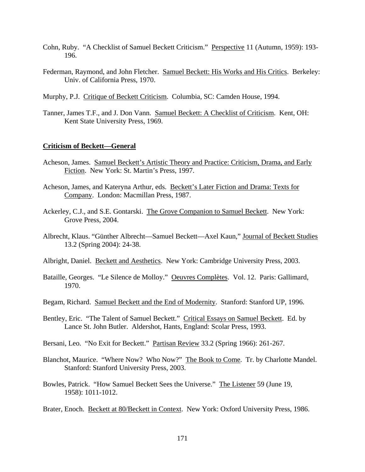- Cohn, Ruby. "A Checklist of Samuel Beckett Criticism." Perspective 11 (Autumn, 1959): 193- 196.
- Federman, Raymond, and John Fletcher. Samuel Beckett: His Works and His Critics. Berkeley: Univ. of California Press, 1970.
- Murphy, P.J. Critique of Beckett Criticism. Columbia, SC: Camden House, 1994.
- Tanner, James T.F., and J. Don Vann. Samuel Beckett: A Checklist of Criticism. Kent, OH: Kent State University Press, 1969.

#### **Criticism of Beckett—General**

- Acheson, James. Samuel Beckett's Artistic Theory and Practice: Criticism, Drama, and Early Fiction. New York: St. Martin's Press, 1997.
- Acheson, James, and Kateryna Arthur, eds. Beckett's Later Fiction and Drama: Texts for Company. London: Macmillan Press, 1987.
- Ackerley, C.J., and S.E. Gontarski. The Grove Companion to Samuel Beckett. New York: Grove Press, 2004.
- Albrecht, Klaus. "Günther Albrecht—Samuel Beckett—Axel Kaun," Journal of Beckett Studies 13.2 (Spring 2004): 24-38.
- Albright, Daniel. Beckett and Aesthetics. New York: Cambridge University Press, 2003.
- Bataille, Georges. "Le Silence de Molloy." Oeuvres Complètes. Vol. 12. Paris: Gallimard, 1970.
- Begam, Richard. Samuel Beckett and the End of Modernity. Stanford: Stanford UP, 1996.
- Bentley, Eric. "The Talent of Samuel Beckett." Critical Essays on Samuel Beckett. Ed. by Lance St. John Butler. Aldershot, Hants, England: Scolar Press, 1993.
- Bersani, Leo. "No Exit for Beckett." Partisan Review 33.2 (Spring 1966): 261-267.
- Blanchot, Maurice. "Where Now? Who Now?" The Book to Come. Tr. by Charlotte Mandel. Stanford: Stanford University Press, 2003.
- Bowles, Patrick. "How Samuel Beckett Sees the Universe." The Listener 59 (June 19, 1958): 1011-1012.
- Brater, Enoch. Beckett at 80/Beckett in Context. New York: Oxford University Press, 1986.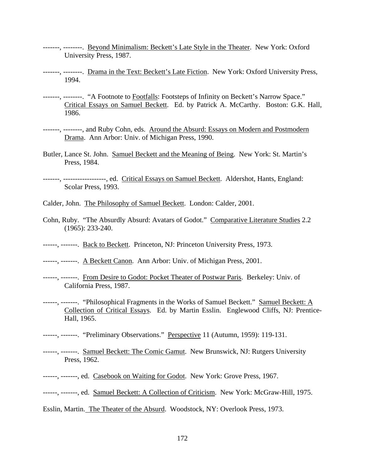- -------, --------. Beyond Minimalism: Beckett's Late Style in the Theater. New York: Oxford University Press, 1987.
- -------, --------. Drama in the Text: Beckett's Late Fiction. New York: Oxford University Press, 1994.
- -------, --------. "A Footnote to Footfalls: Footsteps of Infinity on Beckett's Narrow Space." Critical Essays on Samuel Beckett. Ed. by Patrick A. McCarthy. Boston: G.K. Hall, 1986.
- -------, --------, and Ruby Cohn, eds. Around the Absurd: Essays on Modern and Postmodern Drama. Ann Arbor: Univ. of Michigan Press, 1990.
- Butler, Lance St. John. Samuel Beckett and the Meaning of Being. New York: St. Martin's Press, 1984.
- -------, ------------------, ed. Critical Essays on Samuel Beckett. Aldershot, Hants, England: Scolar Press, 1993.
- Calder, John. The Philosophy of Samuel Beckett. London: Calder, 2001.
- Cohn, Ruby. "The Absurdly Absurd: Avatars of Godot." Comparative Literature Studies 2.2 (1965): 233-240.
- ------, -------. Back to Beckett. Princeton, NJ: Princeton University Press, 1973.
- ------, -------. A Beckett Canon. Ann Arbor: Univ. of Michigan Press, 2001.
- ------, -------. From Desire to Godot: Pocket Theater of Postwar Paris. Berkeley: Univ. of California Press, 1987.
- ------, -------. "Philosophical Fragments in the Works of Samuel Beckett." Samuel Beckett: A Collection of Critical Essays. Ed. by Martin Esslin. Englewood Cliffs, NJ: Prentice-Hall, 1965.
- ------, -------. "Preliminary Observations." Perspective 11 (Autumn, 1959): 119-131.
- ------, -------. Samuel Beckett: The Comic Gamut. New Brunswick, NJ: Rutgers University Press, 1962.
- ------, -------, ed. Casebook on Waiting for Godot. New York: Grove Press, 1967.
- ------, -------, ed. Samuel Beckett: A Collection of Criticism. New York: McGraw-Hill, 1975.
- Esslin, Martin. The Theater of the Absurd. Woodstock, NY: Overlook Press, 1973.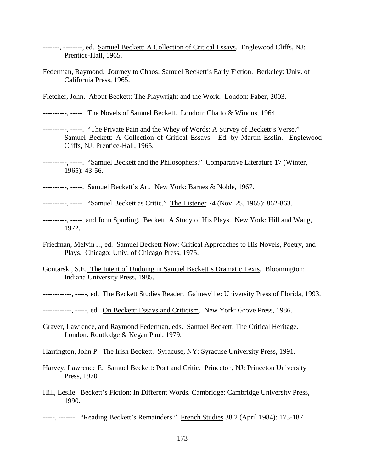- -------, --------, ed. Samuel Beckett: A Collection of Critical Essays. Englewood Cliffs, NJ: Prentice-Hall, 1965.
- Federman, Raymond. Journey to Chaos: Samuel Beckett's Early Fiction. Berkeley: Univ. of California Press, 1965.

Fletcher, John. About Beckett: The Playwright and the Work. London: Faber, 2003.

----------, -----. The Novels of Samuel Beckett. London: Chatto & Windus, 1964.

- ----------, -----. "The Private Pain and the Whey of Words: A Survey of Beckett's Verse." Samuel Beckett: A Collection of Critical Essays. Ed. by Martin Esslin. Englewood Cliffs, NJ: Prentice-Hall, 1965.
- ----------, -----. "Samuel Beckett and the Philosophers." Comparative Literature 17 (Winter, 1965): 43-56.
- ----------, -----. Samuel Beckett's Art. New York: Barnes & Noble, 1967.

---------, -----. "Samuel Beckett as Critic." The Listener 74 (Nov. 25, 1965): 862-863.

- ----------, -----, and John Spurling. Beckett: A Study of His Plays. New York: Hill and Wang, 1972.
- Friedman, Melvin J., ed. Samuel Beckett Now: Critical Approaches to His Novels, Poetry, and Plays. Chicago: Univ. of Chicago Press, 1975.
- Gontarski, S.E. The Intent of Undoing in Samuel Beckett's Dramatic Texts. Bloomington: Indiana University Press, 1985.
- ------------, -----, ed. The Beckett Studies Reader. Gainesville: University Press of Florida, 1993.
- -----------, -----, ed. On Beckett: Essays and Criticism. New York: Grove Press, 1986.
- Graver, Lawrence, and Raymond Federman, eds. Samuel Beckett: The Critical Heritage. London: Routledge & Kegan Paul, 1979.
- Harrington, John P. The Irish Beckett. Syracuse, NY: Syracuse University Press, 1991.
- Harvey, Lawrence E. Samuel Beckett: Poet and Critic. Princeton, NJ: Princeton University Press, 1970.
- Hill, Leslie. Beckett's Fiction: In Different Words. Cambridge: Cambridge University Press, 1990.

-----, -------. "Reading Beckett's Remainders." French Studies 38.2 (April 1984): 173-187.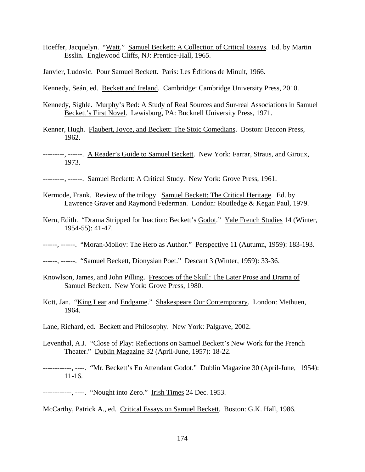- Hoeffer, Jacquelyn. "Watt." Samuel Beckett: A Collection of Critical Essays. Ed. by Martin Esslin. Englewood Cliffs, NJ: Prentice-Hall, 1965.
- Janvier, Ludovic. Pour Samuel Beckett. Paris: Les Éditions de Minuit, 1966.
- Kennedy, Seán, ed. Beckett and Ireland. Cambridge: Cambridge University Press, 2010.
- Kennedy, Sighle. Murphy's Bed: A Study of Real Sources and Sur-real Associations in Samuel Beckett's First Novel. Lewisburg, PA: Bucknell University Press, 1971.
- Kenner, Hugh. Flaubert, Joyce, and Beckett: The Stoic Comedians. Boston: Beacon Press, 1962.
- ---------, ------. A Reader's Guide to Samuel Beckett. New York: Farrar, Straus, and Giroux, 1973.
- ---------, ------. Samuel Beckett: A Critical Study. New York: Grove Press, 1961.
- Kermode, Frank. Review of the trilogy. Samuel Beckett: The Critical Heritage. Ed. by Lawrence Graver and Raymond Federman. London: Routledge & Kegan Paul, 1979.
- Kern, Edith. "Drama Stripped for Inaction: Beckett's Godot." Yale French Studies 14 (Winter, 1954-55): 41-47.
- ------, ------. "Moran-Molloy: The Hero as Author." Perspective 11 (Autumn, 1959): 183-193.
- ------, ------. "Samuel Beckett, Dionysian Poet." Descant 3 (Winter, 1959): 33-36.
- Knowlson, James, and John Pilling. Frescoes of the Skull: The Later Prose and Drama of Samuel Beckett. New York: Grove Press, 1980.
- Kott, Jan. "King Lear and Endgame." Shakespeare Our Contemporary. London: Methuen, 1964.
- Lane, Richard, ed. Beckett and Philosophy. New York: Palgrave, 2002.
- Leventhal, A.J. "Close of Play: Reflections on Samuel Beckett's New Work for the French Theater." Dublin Magazine 32 (April-June, 1957): 18-22.
- ------------, ----. "Mr. Beckett's En Attendant Godot." Dublin Magazine 30 (April-June, 1954): 11-16.
- ------------, ----. "Nought into Zero." Irish Times 24 Dec. 1953.
- McCarthy, Patrick A., ed. Critical Essays on Samuel Beckett. Boston: G.K. Hall, 1986.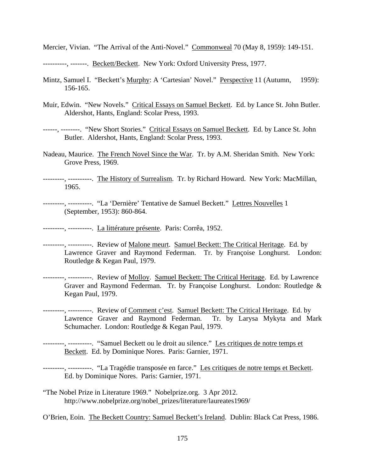Mercier, Vivian. "The Arrival of the Anti-Novel." Commonweal 70 (May 8, 1959): 149-151.

---------, -------. Beckett/Beckett. New York: Oxford University Press, 1977.

- Mintz, Samuel I. "Beckett's Murphy: A 'Cartesian' Novel." Perspective 11 (Autumn, 1959): 156-165.
- Muir, Edwin. "New Novels." Critical Essays on Samuel Beckett. Ed. by Lance St. John Butler. Aldershot, Hants, England: Scolar Press, 1993.

------, --------. "New Short Stories." Critical Essays on Samuel Beckett. Ed. by Lance St. John Butler. Aldershot, Hants, England: Scolar Press, 1993.

Nadeau, Maurice. The French Novel Since the War. Tr. by A.M. Sheridan Smith. New York: Grove Press, 1969.

---------, ----------. The History of Surrealism. Tr. by Richard Howard. New York: MacMillan, 1965.

---------, ----------. "La 'Dernière' Tentative de Samuel Beckett." Lettres Nouvelles 1 (September, 1953): 860-864.

--------, ---------. La littérature présente. Paris: Corrêa, 1952.

- ---------, ----------. Review of Malone meurt. Samuel Beckett: The Critical Heritage. Ed. by Lawrence Graver and Raymond Federman. Tr. by Françoise Longhurst. London: Routledge & Kegan Paul, 1979.
- --------, ----------. Review of Molloy. Samuel Beckett: The Critical Heritage. Ed. by Lawrence Graver and Raymond Federman. Tr. by Françoise Longhurst. London: Routledge & Kegan Paul, 1979.
- ---------, ----------. Review of Comment c'est. Samuel Beckett: The Critical Heritage. Ed. by Lawrence Graver and Raymond Federman. Tr. by Larysa Mykyta and Mark Schumacher. London: Routledge & Kegan Paul, 1979.
- --------, ---------. "Samuel Beckett ou le droit au silence." Les critiques de notre temps et Beckett. Ed. by Dominique Nores. Paris: Garnier, 1971.
- ---------, ----------. "La Tragédie transposée en farce." Les critiques de notre temps et Beckett. Ed. by Dominique Nores. Paris: Garnier, 1971.
- "The Nobel Prize in Literature 1969." Nobelprize.org. 3 Apr 2012. http://www.nobelprize.org/nobel\_prizes/literature/laureates1969/

O'Brien, Eoin. The Beckett Country: Samuel Beckett's Ireland. Dublin: Black Cat Press, 1986.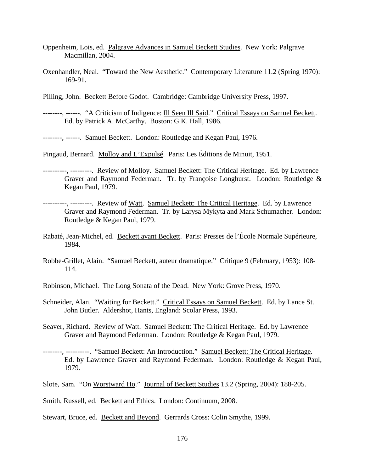- Oppenheim, Lois, ed. Palgrave Advances in Samuel Beckett Studies. New York: Palgrave Macmillan, 2004.
- Oxenhandler, Neal. "Toward the New Aesthetic." Contemporary Literature 11.2 (Spring 1970): 169-91.
- Pilling, John. Beckett Before Godot. Cambridge: Cambridge University Press, 1997.
- --------, ------. "A Criticism of Indigence: Ill Seen Ill Said." Critical Essays on Samuel Beckett. Ed. by Patrick A. McCarthy. Boston: G.K. Hall, 1986.
- --------, ------. Samuel Beckett. London: Routledge and Kegan Paul, 1976.
- Pingaud, Bernard. Molloy and L'Expulsé. Paris: Les Éditions de Minuit, 1951.
- ----------, ---------. Review of Molloy. Samuel Beckett: The Critical Heritage. Ed. by Lawrence Graver and Raymond Federman. Tr. by Françoise Longhurst. London: Routledge & Kegan Paul, 1979.
- ----------, ---------. Review of Watt. Samuel Beckett: The Critical Heritage. Ed. by Lawrence Graver and Raymond Federman. Tr. by Larysa Mykyta and Mark Schumacher. London: Routledge & Kegan Paul, 1979.
- Rabaté, Jean-Michel, ed. Beckett avant Beckett. Paris: Presses de l'École Normale Supérieure, 1984.
- Robbe-Grillet, Alain. "Samuel Beckett, auteur dramatique." Critique 9 (February, 1953): 108- 114.
- Robinson, Michael. The Long Sonata of the Dead. New York: Grove Press, 1970.
- Schneider, Alan. "Waiting for Beckett." Critical Essays on Samuel Beckett. Ed. by Lance St. John Butler. Aldershot, Hants, England: Scolar Press, 1993.
- Seaver, Richard. Review of Watt. Samuel Beckett: The Critical Heritage. Ed. by Lawrence Graver and Raymond Federman. London: Routledge & Kegan Paul, 1979.
- --------, ----------. "Samuel Beckett: An Introduction." Samuel Beckett: The Critical Heritage. Ed. by Lawrence Graver and Raymond Federman. London: Routledge & Kegan Paul, 1979.
- Slote, Sam. "On Worstward Ho." Journal of Beckett Studies 13.2 (Spring, 2004): 188-205.
- Smith, Russell, ed. Beckett and Ethics. London: Continuum, 2008.
- Stewart, Bruce, ed. Beckett and Beyond. Gerrards Cross: Colin Smythe, 1999.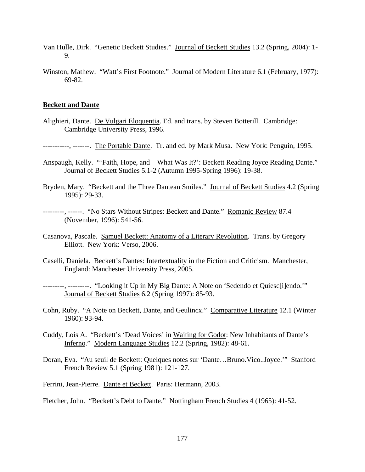- Van Hulle, Dirk. "Genetic Beckett Studies." Journal of Beckett Studies 13.2 (Spring, 2004): 1- 9.
- Winston, Mathew. "Watt's First Footnote." Journal of Modern Literature 6.1 (February, 1977): 69-82.

## **Beckett and Dante**

Alighieri, Dante. De Vulgari Eloquentia. Ed. and trans. by Steven Botterill. Cambridge: Cambridge University Press, 1996.

-----------, -------. The Portable Dante. Tr. and ed. by Mark Musa. New York: Penguin, 1995.

Anspaugh, Kelly. "'Faith, Hope, and—What Was It?': Beckett Reading Joyce Reading Dante." Journal of Beckett Studies 5.1-2 (Autumn 1995-Spring 1996): 19-38.

Bryden, Mary. "Beckett and the Three Dantean Smiles." Journal of Beckett Studies 4.2 (Spring 1995): 29-33.

---------, ------. "No Stars Without Stripes: Beckett and Dante." Romanic Review 87.4 (November, 1996): 541-56.

- Casanova, Pascale. Samuel Beckett: Anatomy of a Literary Revolution. Trans. by Gregory Elliott. New York: Verso, 2006.
- Caselli, Daniela. Beckett's Dantes: Intertextuality in the Fiction and Criticism. Manchester, England: Manchester University Press, 2005.

---------, ---------. "Looking it Up in My Big Dante: A Note on 'Sedendo et Quiesc[i]endo.'" Journal of Beckett Studies 6.2 (Spring 1997): 85-93.

- Cohn, Ruby. "A Note on Beckett, Dante, and Geulincx." Comparative Literature 12.1 (Winter 1960): 93-94.
- Cuddy, Lois A. "Beckett's 'Dead Voices' in Waiting for Godot: New Inhabitants of Dante's Inferno." Modern Language Studies 12.2 (Spring, 1982): 48-61.
- Doran, Eva. "Au seuil de Beckett: Quelques notes sur 'Dante…Bruno.Vico..Joyce.'" Stanford French Review 5.1 (Spring 1981): 121-127.

Ferrini, Jean-Pierre. Dante et Beckett. Paris: Hermann, 2003.

Fletcher, John. "Beckett's Debt to Dante." Nottingham French Studies 4 (1965): 41-52.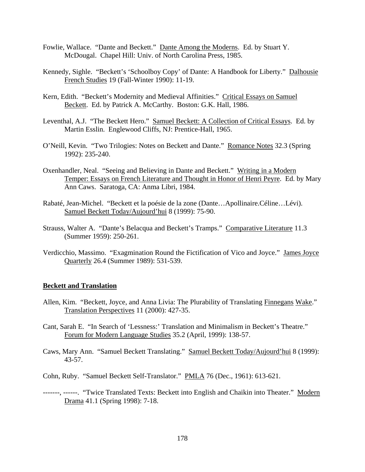- Fowlie, Wallace. "Dante and Beckett." Dante Among the Moderns. Ed. by Stuart Y. McDougal. Chapel Hill: Univ. of North Carolina Press, 1985.
- Kennedy, Sighle. "Beckett's 'Schoolboy Copy' of Dante: A Handbook for Liberty." Dalhousie French Studies 19 (Fall-Winter 1990): 11-19.
- Kern, Edith. "Beckett's Modernity and Medieval Affinities." Critical Essays on Samuel Beckett. Ed. by Patrick A. McCarthy. Boston: G.K. Hall, 1986.
- Leventhal, A.J. "The Beckett Hero." Samuel Beckett: A Collection of Critical Essays. Ed. by Martin Esslin. Englewood Cliffs, NJ: Prentice-Hall, 1965.
- O'Neill, Kevin. "Two Trilogies: Notes on Beckett and Dante." Romance Notes 32.3 (Spring 1992): 235-240.
- Oxenhandler, Neal. "Seeing and Believing in Dante and Beckett." Writing in a Modern Temper: Essays on French Literature and Thought in Honor of Henri Peyre. Ed. by Mary Ann Caws. Saratoga, CA: Anma Libri, 1984.
- Rabaté, Jean-Michel. "Beckett et la poésie de la zone (Dante…Apollinaire.Céline…Lévi). Samuel Beckett Today/Aujourd'hui 8 (1999): 75-90.
- Strauss, Walter A. "Dante's Belacqua and Beckett's Tramps." Comparative Literature 11.3 (Summer 1959): 250-261.
- Verdicchio, Massimo. "Exagmination Round the Fictification of Vico and Joyce." James Joyce Quarterly 26.4 (Summer 1989): 531-539.

## **Beckett and Translation**

- Allen, Kim. "Beckett, Joyce, and Anna Livia: The Plurability of Translating Finnegans Wake." Translation Perspectives 11 (2000): 427-35.
- Cant, Sarah E. "In Search of 'Lessness:' Translation and Minimalism in Beckett's Theatre." Forum for Modern Language Studies 35.2 (April, 1999): 138-57.
- Caws, Mary Ann. "Samuel Beckett Translating." Samuel Beckett Today/Aujourd'hui 8 (1999): 43-57.
- Cohn, Ruby. "Samuel Beckett Self-Translator." PMLA 76 (Dec., 1961): 613-621.
- -------, ------. "Twice Translated Texts: Beckett into English and Chaikin into Theater." Modern Drama 41.1 (Spring 1998): 7-18.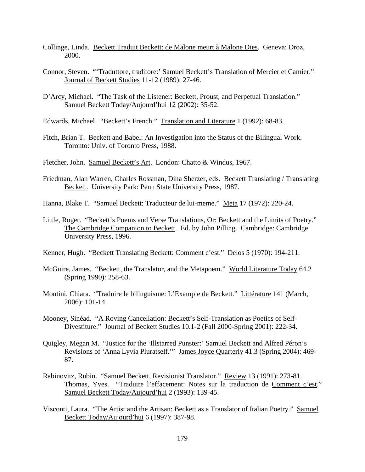- Collinge, Linda. Beckett Traduit Beckett: de Malone meurt à Malone Dies. Geneva: Droz, 2000.
- Connor, Steven. "'Traduttore, traditore:' Samuel Beckett's Translation of Mercier et Camier." Journal of Beckett Studies 11-12 (1989): 27-46.
- D'Arcy, Michael. "The Task of the Listener: Beckett, Proust, and Perpetual Translation." Samuel Beckett Today/Aujourd'hui 12 (2002): 35-52.
- Edwards, Michael. "Beckett's French." Translation and Literature 1 (1992): 68-83.
- Fitch, Brian T. Beckett and Babel: An Investigation into the Status of the Bilingual Work. Toronto: Univ. of Toronto Press, 1988.
- Fletcher, John. Samuel Beckett's Art. London: Chatto & Windus, 1967.
- Friedman, Alan Warren, Charles Rossman, Dina Sherzer, eds. Beckett Translating / Translating Beckett. University Park: Penn State University Press, 1987.
- Hanna, Blake T. "Samuel Beckett: Traducteur de lui-meme." Meta 17 (1972): 220-24.
- Little, Roger. "Beckett's Poems and Verse Translations, Or: Beckett and the Limits of Poetry." The Cambridge Companion to Beckett. Ed. by John Pilling. Cambridge: Cambridge University Press, 1996.
- Kenner, Hugh. "Beckett Translating Beckett: Comment c'est." Delos 5 (1970): 194-211.
- McGuire, James. "Beckett, the Translator, and the Metapoem." World Literature Today 64.2 (Spring 1990): 258-63.
- Montini, Chiara. "Traduire le bilinguisme: L'Example de Beckett." Littérature 141 (March, 2006): 101-14.
- Mooney, Sinéad. "A Roving Cancellation: Beckett's Self-Translation as Poetics of Self-Divestiture." Journal of Beckett Studies 10.1-2 (Fall 2000-Spring 2001): 222-34.
- Quigley, Megan M. "Justice for the 'Illstarred Punster:' Samuel Beckett and Alfred Péron's Revisions of 'Anna Lyvia Pluratself.'" James Joyce Quarterly 41.3 (Spring 2004): 469- 87.
- Rabinovitz, Rubin. "Samuel Beckett, Revisionist Translator." Review 13 (1991): 273-81. Thomas, Yves. "Traduire l'effacement: Notes sur la traduction de Comment c'est." Samuel Beckett Today/Aujourd'hui 2 (1993): 139-45.
- Visconti, Laura. "The Artist and the Artisan: Beckett as a Translator of Italian Poetry." Samuel Beckett Today/Aujourd'hui 6 (1997): 387-98.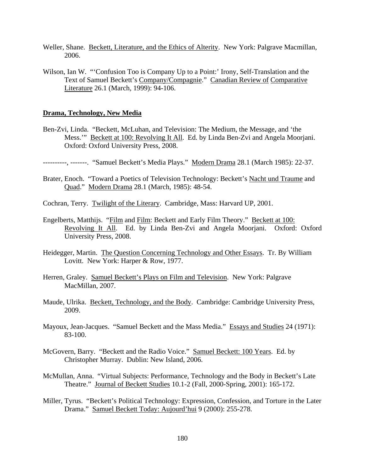- Weller, Shane. Beckett, Literature, and the Ethics of Alterity. New York: Palgrave Macmillan, 2006.
- Wilson, Ian W. "Confusion Too is Company Up to a Point:' Irony, Self-Translation and the Text of Samuel Beckett's Company/Compagnie." Canadian Review of Comparative Literature 26.1 (March, 1999): 94-106.

## **Drama, Technology, New Media**

- Ben-Zvi, Linda. "Beckett, McLuhan, and Television: The Medium, the Message, and 'the Mess.'" Beckett at 100: Revolving It All. Ed. by Linda Ben-Zvi and Angela Moorjani. Oxford: Oxford University Press, 2008.
- ----------, -------. "Samuel Beckett's Media Plays." Modern Drama 28.1 (March 1985): 22-37.
- Brater, Enoch. "Toward a Poetics of Television Technology: Beckett's Nacht und Traume and Quad." Modern Drama 28.1 (March, 1985): 48-54.
- Cochran, Terry. Twilight of the Literary. Cambridge, Mass: Harvard UP, 2001.
- Engelberts, Matthijs. "Film and Film: Beckett and Early Film Theory." Beckett at 100: Revolving It All. Ed. by Linda Ben-Zvi and Angela Moorjani. Oxford: Oxford University Press, 2008.
- Heidegger, Martin. The Question Concerning Technology and Other Essays. Tr. By William Lovitt. New York: Harper & Row, 1977.
- Herren, Graley. Samuel Beckett's Plays on Film and Television. New York: Palgrave MacMillan, 2007.
- Maude, Ulrika. Beckett, Technology, and the Body. Cambridge: Cambridge University Press, 2009.
- Mayoux, Jean-Jacques. "Samuel Beckett and the Mass Media." Essays and Studies 24 (1971): 83-100.
- McGovern, Barry. "Beckett and the Radio Voice." Samuel Beckett: 100 Years. Ed. by Christopher Murray. Dublin: New Island, 2006.
- McMullan, Anna. "Virtual Subjects: Performance, Technology and the Body in Beckett's Late Theatre." Journal of Beckett Studies 10.1-2 (Fall, 2000-Spring, 2001): 165-172.
- Miller, Tyrus. "Beckett's Political Technology: Expression, Confession, and Torture in the Later Drama." Samuel Beckett Today: Aujourd'hui 9 (2000): 255-278.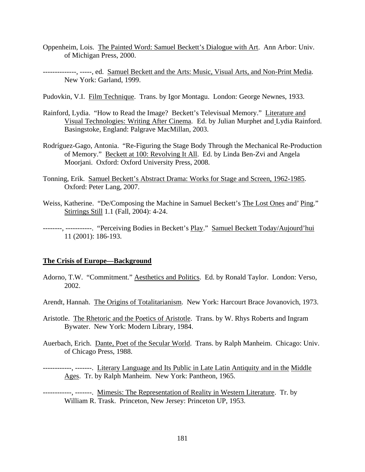- Oppenheim, Lois. The Painted Word: Samuel Beckett's Dialogue with Art. Ann Arbor: Univ. of Michigan Press, 2000.
- -------------, -----, ed. Samuel Beckett and the Arts: Music, Visual Arts, and Non-Print Media. New York: Garland, 1999.
- Pudovkin, V.I. Film Technique. Trans. by Igor Montagu. London: George Newnes, 1933.
- Rainford, Lydia. "How to Read the Image? Beckett's Televisual Memory." Literature and Visual Technologies: Writing After Cinema. Ed. by Julian Murphet and Lydia Rainford. Basingstoke, England: Palgrave MacMillan, 2003.
- Rodríguez-Gago, Antonia. "Re-Figuring the Stage Body Through the Mechanical Re-Production of Memory." Beckett at 100: Revolving It All. Ed. by Linda Ben-Zvi and Angela Moorjani. Oxford: Oxford University Press, 2008.
- Tonning, Erik. Samuel Beckett's Abstract Drama: Works for Stage and Screen, 1962-1985. Oxford: Peter Lang, 2007.
- Weiss, Katherine. "De/Composing the Machine in Samuel Beckett's The Lost Ones and' Ping." Stirrings Still 1.1 (Fall, 2004): 4-24.

--------, -----------. "Perceiving Bodies in Beckett's Play." Samuel Beckett Today/Aujourd'hui 11 (2001): 186-193.

## **The Crisis of Europe—Background**

- Adorno, T.W. "Commitment." Aesthetics and Politics. Ed. by Ronald Taylor. London: Verso, 2002.
- Arendt, Hannah. The Origins of Totalitarianism. New York: Harcourt Brace Jovanovich, 1973.
- Aristotle. The Rhetoric and the Poetics of Aristotle. Trans. by W. Rhys Roberts and Ingram Bywater. New York: Modern Library, 1984.
- Auerbach, Erich. Dante, Poet of the Secular World. Trans. by Ralph Manheim. Chicago: Univ. of Chicago Press, 1988.

------------, -------. Literary Language and Its Public in Late Latin Antiquity and in the Middle Ages. Tr. by Ralph Manheim. New York: Pantheon, 1965.

------------, -------. Mimesis: The Representation of Reality in Western Literature. Tr. by William R. Trask. Princeton, New Jersey: Princeton UP, 1953.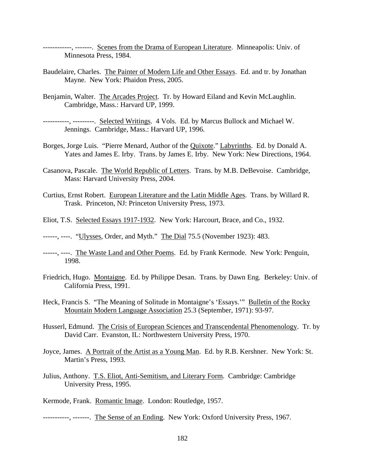------------, -------. Scenes from the Drama of European Literature. Minneapolis: Univ. of Minnesota Press, 1984.

- Baudelaire, Charles. The Painter of Modern Life and Other Essays. Ed. and tr. by Jonathan Mayne. New York: Phaidon Press, 2005.
- Benjamin, Walter. The Arcades Project. Tr. by Howard Eiland and Kevin McLaughlin. Cambridge, Mass.: Harvard UP, 1999.
- -----------, ---------. Selected Writings. 4 Vols. Ed. by Marcus Bullock and Michael W. Jennings. Cambridge, Mass.: Harvard UP, 1996.
- Borges, Jorge Luis. "Pierre Menard, Author of the Quixote." Labyrinths. Ed. by Donald A. Yates and James E. Irby. Trans. by James E. Irby. New York: New Directions, 1964.
- Casanova, Pascale. The World Republic of Letters. Trans. by M.B. DeBevoise. Cambridge, Mass: Harvard University Press, 2004.
- Curtius, Ernst Robert. European Literature and the Latin Middle Ages. Trans. by Willard R. Trask. Princeton, NJ: Princeton University Press, 1973.
- Eliot, T.S. Selected Essays 1917-1932. New York: Harcourt, Brace, and Co., 1932.
- -----, ----. "Ulysses, Order, and Myth." The Dial 75.5 (November 1923): 483.
- ------, ----. The Waste Land and Other Poems. Ed. by Frank Kermode. New York: Penguin, 1998.
- Friedrich, Hugo. Montaigne. Ed. by Philippe Desan. Trans. by Dawn Eng. Berkeley: Univ. of California Press, 1991.
- Heck, Francis S. "The Meaning of Solitude in Montaigne's 'Essays." Bulletin of the Rocky Mountain Modern Language Association 25.3 (September, 1971): 93-97.
- Husserl, Edmund. The Crisis of European Sciences and Transcendental Phenomenology. Tr. by David Carr. Evanston, IL: Northwestern University Press, 1970.
- Joyce, James. A Portrait of the Artist as a Young Man. Ed. by R.B. Kershner. New York: St. Martin's Press, 1993.
- Julius, Anthony. T.S. Eliot, Anti-Semitism, and Literary Form. Cambridge: Cambridge University Press, 1995.
- Kermode, Frank. Romantic Image. London: Routledge, 1957.
- ----------, -------. The Sense of an Ending. New York: Oxford University Press, 1967.